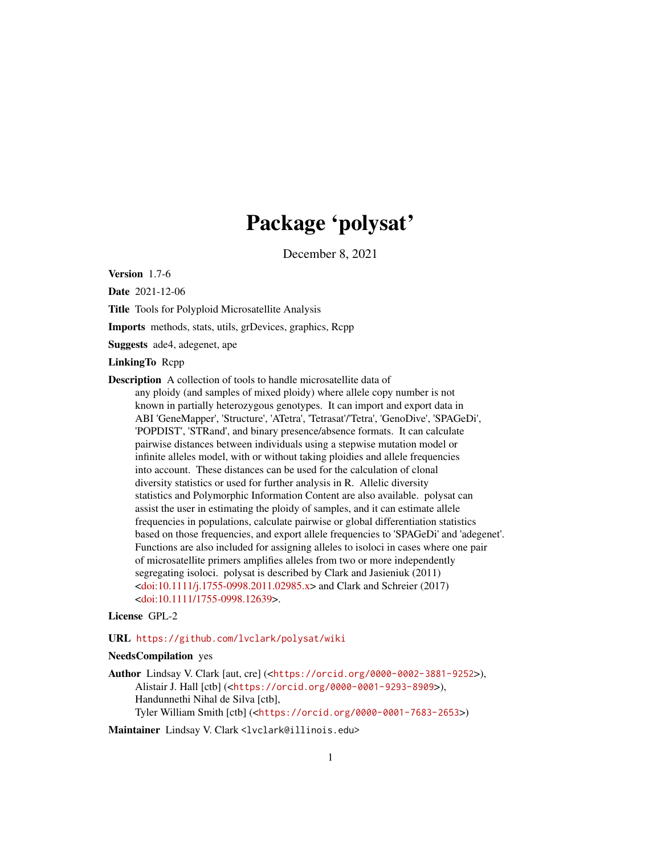# Package 'polysat'

December 8, 2021

<span id="page-0-0"></span>Version 1.7-6

Date 2021-12-06

Title Tools for Polyploid Microsatellite Analysis

Imports methods, stats, utils, grDevices, graphics, Rcpp

Suggests ade4, adegenet, ape

LinkingTo Rcpp

Description A collection of tools to handle microsatellite data of any ploidy (and samples of mixed ploidy) where allele copy number is not known in partially heterozygous genotypes. It can import and export data in ABI 'GeneMapper', 'Structure', 'ATetra', 'Tetrasat'/'Tetra', 'GenoDive', 'SPAGeDi', 'POPDIST', 'STRand', and binary presence/absence formats. It can calculate pairwise distances between individuals using a stepwise mutation model or infinite alleles model, with or without taking ploidies and allele frequencies into account. These distances can be used for the calculation of clonal diversity statistics or used for further analysis in R. Allelic diversity statistics and Polymorphic Information Content are also available. polysat can assist the user in estimating the ploidy of samples, and it can estimate allele frequencies in populations, calculate pairwise or global differentiation statistics based on those frequencies, and export allele frequencies to 'SPAGeDi' and 'adegenet'. Functions are also included for assigning alleles to isoloci in cases where one pair of microsatellite primers amplifies alleles from two or more independently segregating isoloci. polysat is described by Clark and Jasieniuk (2011) [<doi:10.1111/j.1755-0998.2011.02985.x>](https://doi.org/10.1111/j.1755-0998.2011.02985.x) and Clark and Schreier (2017) [<doi:10.1111/1755-0998.12639>](https://doi.org/10.1111/1755-0998.12639).

# License GPL-2

URL <https://github.com/lvclark/polysat/wiki>

# NeedsCompilation yes

Author Lindsay V. Clark [aut, cre] (<<https://orcid.org/0000-0002-3881-9252>>), Alistair J. Hall [ctb] (<<https://orcid.org/0000-0001-9293-8909>>), Handunnethi Nihal de Silva [ctb], Tyler William Smith [ctb] (<<https://orcid.org/0000-0001-7683-2653>>)

Maintainer Lindsay V. Clark <lvclark@illinois.edu>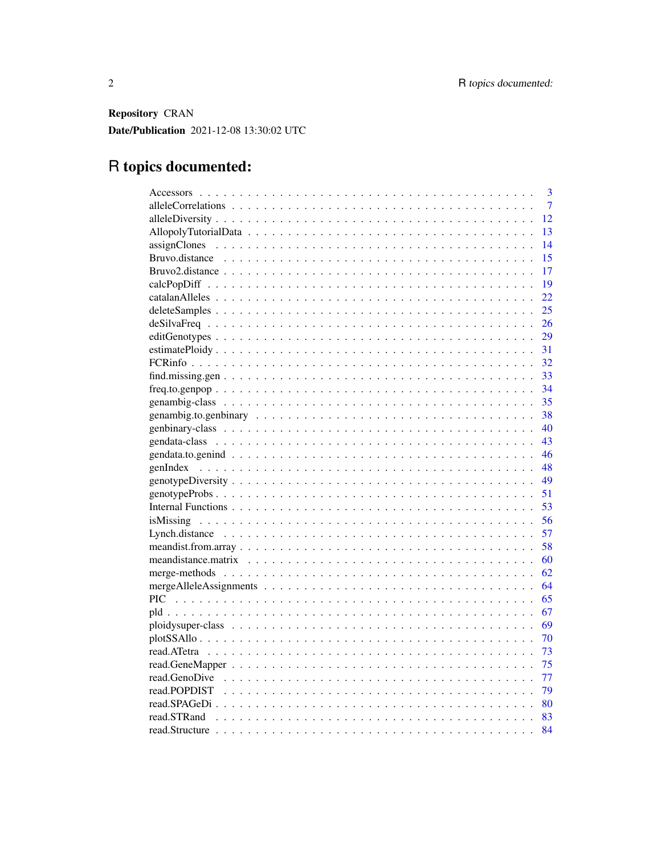Repository CRAN Date/Publication 2021-12-08 13:30:02 UTC

# R topics documented:

|             | 3              |
|-------------|----------------|
|             | $\overline{7}$ |
|             | 12             |
|             | 13             |
|             | 14             |
|             | 15             |
|             | 17             |
|             | 19             |
|             | 22             |
|             | 25             |
|             | 26             |
|             | 29             |
|             | 31             |
|             | 32             |
|             | 33             |
|             | 34             |
|             |                |
|             |                |
| - 40        |                |
|             |                |
|             | 46             |
| -48         |                |
|             |                |
|             | 51             |
|             | 53             |
|             |                |
|             |                |
|             |                |
|             |                |
|             |                |
|             |                |
|             |                |
|             | 67             |
|             | 69             |
|             | 70             |
| 73          |                |
| 75          |                |
| - 77        |                |
|             |                |
|             |                |
| read.STRand |                |
|             | 84             |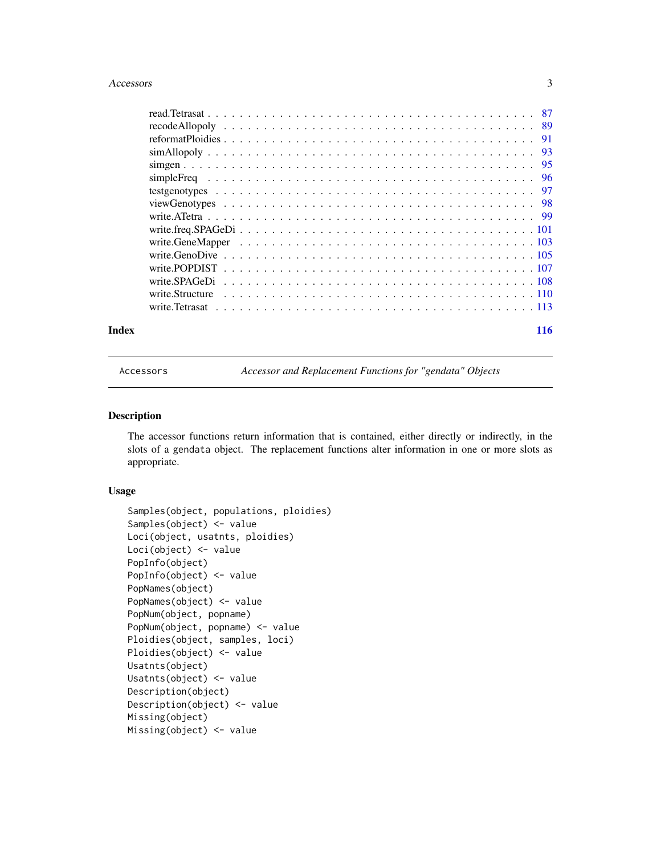#### <span id="page-2-0"></span>Accessors 3

|  |  |  |  |  |  |  |  |  |  |  |  |  |  |  |  |  |  |  | -95 |
|--|--|--|--|--|--|--|--|--|--|--|--|--|--|--|--|--|--|--|-----|
|  |  |  |  |  |  |  |  |  |  |  |  |  |  |  |  |  |  |  |     |
|  |  |  |  |  |  |  |  |  |  |  |  |  |  |  |  |  |  |  |     |
|  |  |  |  |  |  |  |  |  |  |  |  |  |  |  |  |  |  |  |     |
|  |  |  |  |  |  |  |  |  |  |  |  |  |  |  |  |  |  |  |     |
|  |  |  |  |  |  |  |  |  |  |  |  |  |  |  |  |  |  |  |     |
|  |  |  |  |  |  |  |  |  |  |  |  |  |  |  |  |  |  |  |     |
|  |  |  |  |  |  |  |  |  |  |  |  |  |  |  |  |  |  |  |     |
|  |  |  |  |  |  |  |  |  |  |  |  |  |  |  |  |  |  |  |     |
|  |  |  |  |  |  |  |  |  |  |  |  |  |  |  |  |  |  |  |     |
|  |  |  |  |  |  |  |  |  |  |  |  |  |  |  |  |  |  |  |     |
|  |  |  |  |  |  |  |  |  |  |  |  |  |  |  |  |  |  |  |     |
|  |  |  |  |  |  |  |  |  |  |  |  |  |  |  |  |  |  |  |     |

#### **Index** 2003 **[116](#page-115-0)**

Accessors *Accessor and Replacement Functions for "gendata" Objects*

# <span id="page-2-1"></span>Description

The accessor functions return information that is contained, either directly or indirectly, in the slots of a gendata object. The replacement functions alter information in one or more slots as appropriate.

#### Usage

```
Samples(object, populations, ploidies)
Samples(object) <- value
Loci(object, usatnts, ploidies)
Loci(object) <- value
PopInfo(object)
PopInfo(object) <- value
PopNames(object)
PopNames(object) <- value
PopNum(object, popname)
PopNum(object, popname) <- value
Ploidies(object, samples, loci)
Ploidies(object) <- value
Usatnts(object)
Usatnts(object) <- value
Description(object)
Description(object) <- value
Missing(object)
Missing(object) <- value
```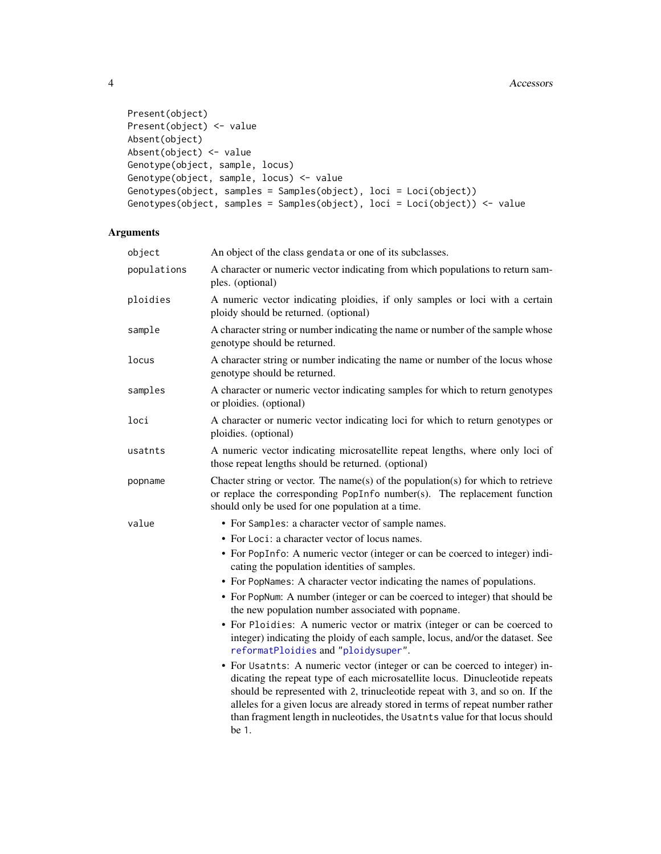```
Present(object)
Present(object) <- value
Absent(object)
Absent(object) <- value
Genotype(object, sample, locus)
Genotype(object, sample, locus) <- value
Genotypes(object, samples = Samples(object), loci = Loci(object))
Genotypes(object, samples = Samples(object), loci = Loci(object)) <- value
```
# Arguments

| object      | An object of the class gendata or one of its subclasses.                                                                                                                                                                                                                                                                                                                                                                                                                                                                                                                                                                                                                                                                                                                                                                                                                                                                                                                                                                                                                         |
|-------------|----------------------------------------------------------------------------------------------------------------------------------------------------------------------------------------------------------------------------------------------------------------------------------------------------------------------------------------------------------------------------------------------------------------------------------------------------------------------------------------------------------------------------------------------------------------------------------------------------------------------------------------------------------------------------------------------------------------------------------------------------------------------------------------------------------------------------------------------------------------------------------------------------------------------------------------------------------------------------------------------------------------------------------------------------------------------------------|
| populations | A character or numeric vector indicating from which populations to return sam-<br>ples. (optional)                                                                                                                                                                                                                                                                                                                                                                                                                                                                                                                                                                                                                                                                                                                                                                                                                                                                                                                                                                               |
| ploidies    | A numeric vector indicating ploidies, if only samples or loci with a certain<br>ploidy should be returned. (optional)                                                                                                                                                                                                                                                                                                                                                                                                                                                                                                                                                                                                                                                                                                                                                                                                                                                                                                                                                            |
| sample      | A character string or number indicating the name or number of the sample whose<br>genotype should be returned.                                                                                                                                                                                                                                                                                                                                                                                                                                                                                                                                                                                                                                                                                                                                                                                                                                                                                                                                                                   |
| locus       | A character string or number indicating the name or number of the locus whose<br>genotype should be returned.                                                                                                                                                                                                                                                                                                                                                                                                                                                                                                                                                                                                                                                                                                                                                                                                                                                                                                                                                                    |
| samples     | A character or numeric vector indicating samples for which to return genotypes<br>or ploidies. (optional)                                                                                                                                                                                                                                                                                                                                                                                                                                                                                                                                                                                                                                                                                                                                                                                                                                                                                                                                                                        |
| loci        | A character or numeric vector indicating loci for which to return genotypes or<br>ploidies. (optional)                                                                                                                                                                                                                                                                                                                                                                                                                                                                                                                                                                                                                                                                                                                                                                                                                                                                                                                                                                           |
| usatnts     | A numeric vector indicating microsatellite repeat lengths, where only loci of<br>those repeat lengths should be returned. (optional)                                                                                                                                                                                                                                                                                                                                                                                                                                                                                                                                                                                                                                                                                                                                                                                                                                                                                                                                             |
| popname     | Chacter string or vector. The name(s) of the population(s) for which to retrieve<br>or replace the corresponding PopInfo number(s). The replacement function<br>should only be used for one population at a time.                                                                                                                                                                                                                                                                                                                                                                                                                                                                                                                                                                                                                                                                                                                                                                                                                                                                |
| value       | • For Samples: a character vector of sample names.<br>• For Loci: a character vector of locus names.<br>• For PopInfo: A numeric vector (integer or can be coerced to integer) indi-<br>cating the population identities of samples.<br>• For PopNames: A character vector indicating the names of populations.<br>• For PopNum: A number (integer or can be coerced to integer) that should be<br>the new population number associated with popname.<br>• For Ploidies: A numeric vector or matrix (integer or can be coerced to<br>integer) indicating the ploidy of each sample, locus, and/or the dataset. See<br>reformatPloidies and "ploidysuper".<br>• For Usatnts: A numeric vector (integer or can be coerced to integer) in-<br>dicating the repeat type of each microsatellite locus. Dinucleotide repeats<br>should be represented with 2, trinucleotide repeat with 3, and so on. If the<br>alleles for a given locus are already stored in terms of repeat number rather<br>than fragment length in nucleotides, the Usatnts value for that locus should<br>be 1. |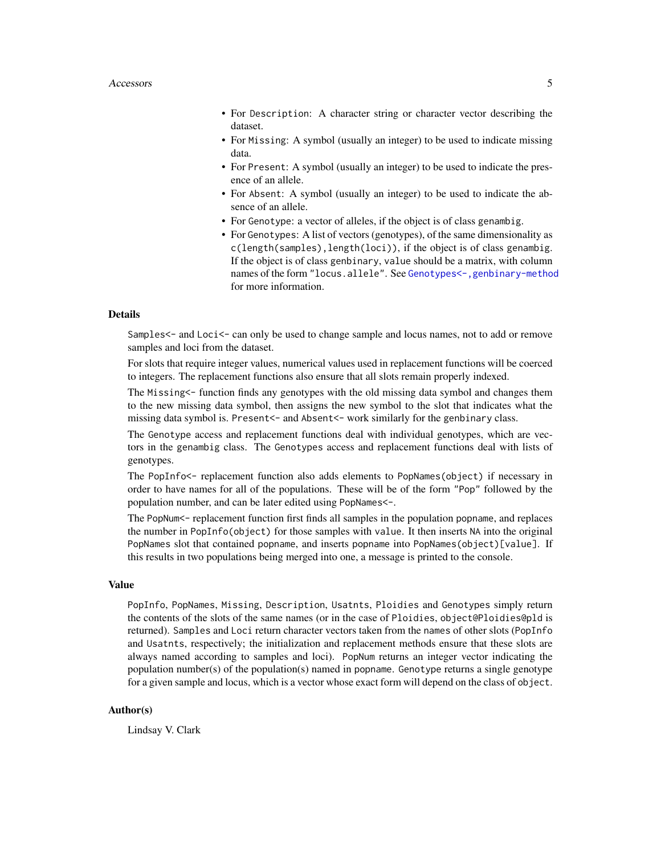- For Description: A character string or character vector describing the dataset.
- For Missing: A symbol (usually an integer) to be used to indicate missing data.
- For Present: A symbol (usually an integer) to be used to indicate the presence of an allele.
- For Absent: A symbol (usually an integer) to be used to indicate the absence of an allele.
- For Genotype: a vector of alleles, if the object is of class genambig.
- For Genotypes: A list of vectors (genotypes), of the same dimensionality as c(length(samples),length(loci)), if the object is of class genambig. If the object is of class genbinary, value should be a matrix, with column names of the form "locus.allele". See [Genotypes<-,genbinary-method](#page-0-0) for more information.

# Details

Samples  $\leq$  and Loci $\leq$  can only be used to change sample and locus names, not to add or remove samples and loci from the dataset.

For slots that require integer values, numerical values used in replacement functions will be coerced to integers. The replacement functions also ensure that all slots remain properly indexed.

The Missing<- function finds any genotypes with the old missing data symbol and changes them to the new missing data symbol, then assigns the new symbol to the slot that indicates what the missing data symbol is. Present<- and Absent<- work similarly for the genbinary class.

The Genotype access and replacement functions deal with individual genotypes, which are vectors in the genambig class. The Genotypes access and replacement functions deal with lists of genotypes.

The PopInfo<- replacement function also adds elements to PopNames(object) if necessary in order to have names for all of the populations. These will be of the form "Pop" followed by the population number, and can be later edited using PopNames<-.

The PopNum<- replacement function first finds all samples in the population popname, and replaces the number in PopInfo(object) for those samples with value. It then inserts NA into the original PopNames slot that contained popname, and inserts popname into PopNames(object)[value]. If this results in two populations being merged into one, a message is printed to the console.

#### Value

PopInfo, PopNames, Missing, Description, Usatnts, Ploidies and Genotypes simply return the contents of the slots of the same names (or in the case of Ploidies, object@Ploidies@pld is returned). Samples and Loci return character vectors taken from the names of other slots (PopInfo and Usatnts, respectively; the initialization and replacement methods ensure that these slots are always named according to samples and loci). PopNum returns an integer vector indicating the population number(s) of the population(s) named in popname. Genotype returns a single genotype for a given sample and locus, which is a vector whose exact form will depend on the class of object.

#### Author(s)

Lindsay V. Clark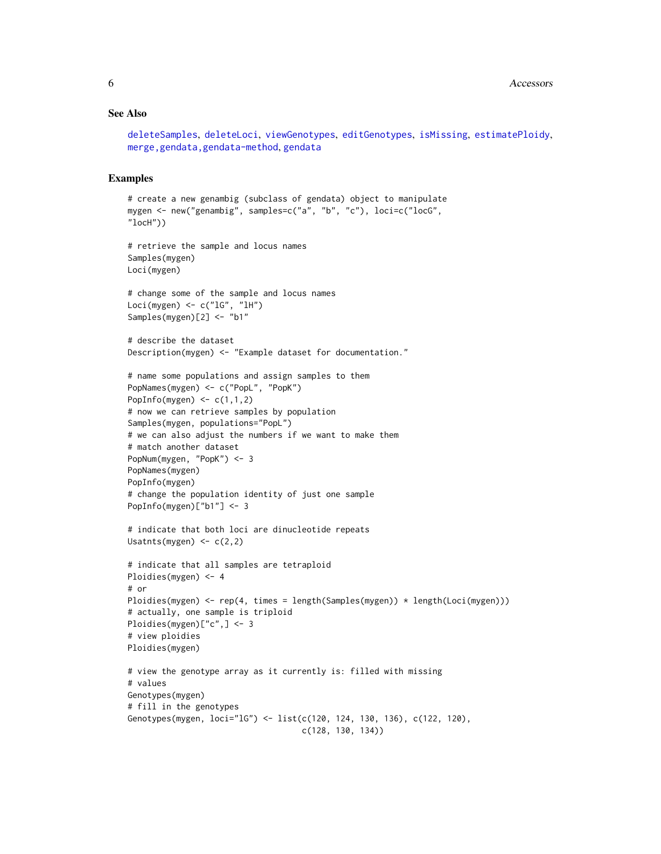#### See Also

```
deleteSamples, deleteLoci, viewGenotypes, editGenotypes, isMissing, estimatePloidy,
merge,gendata,gendata-method, gendata
```
#### Examples

```
# create a new genambig (subclass of gendata) object to manipulate
mygen <- new("genambig", samples=c("a", "b", "c"), loci=c("locG",
"locH"))
# retrieve the sample and locus names
Samples(mygen)
Loci(mygen)
# change some of the sample and locus names
Loci(mygen) \leq c("1G", "1H")
Samples(mygen)[2] <- "b1"
# describe the dataset
Description(mygen) <- "Example dataset for documentation."
# name some populations and assign samples to them
PopNames(mygen) <- c("PopL", "PopK")
PopInfo(mygen) \leq c(1,1,2)# now we can retrieve samples by population
Samples(mygen, populations="PopL")
# we can also adjust the numbers if we want to make them
# match another dataset
PopNum(mygen, "PopK") <- 3
PopNames(mygen)
PopInfo(mygen)
# change the population identity of just one sample
PopInfo(mygen)["b1"] <- 3
# indicate that both loci are dinucleotide repeats
Usatnts(mygen) \leq -c(2,2)# indicate that all samples are tetraploid
Ploidies(mygen) <- 4
# or
Ploidies(mygen) <- rep(4, times = length(Samples(mygen)) * length(Loci(mygen)))
# actually, one sample is triploid
Ploidies(mygen)["c",] <- 3
# view ploidies
Ploidies(mygen)
# view the genotype array as it currently is: filled with missing
# values
Genotypes(mygen)
# fill in the genotypes
Genotypes(mygen, loci="lG") <- list(c(120, 124, 130, 136), c(122, 120),
                                    c(128, 130, 134))
```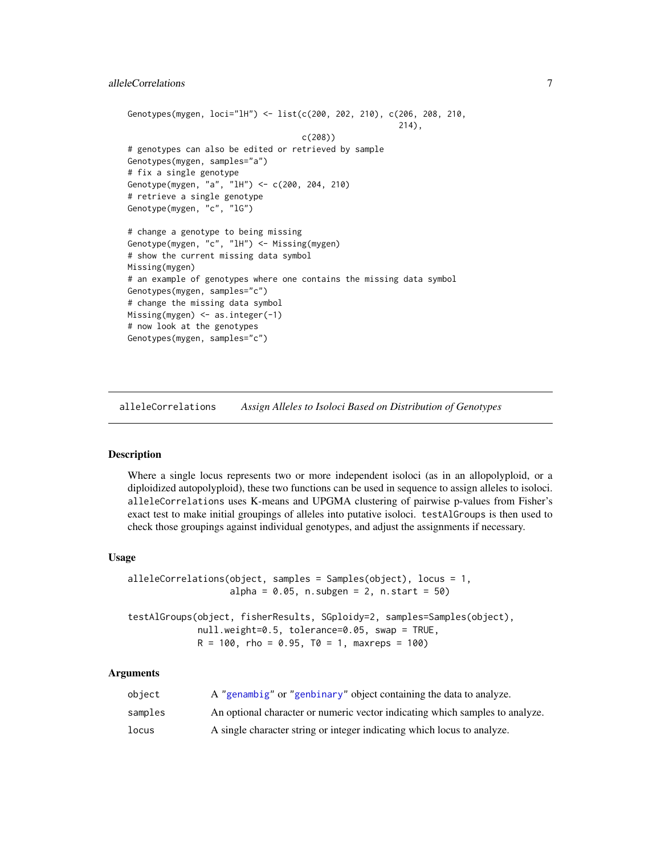```
Genotypes(mygen, loci="lH") <- list(c(200, 202, 210), c(206, 208, 210,
                                                        214),
                                    c(208))
# genotypes can also be edited or retrieved by sample
Genotypes(mygen, samples="a")
# fix a single genotype
Genotype(mygen, "a", "lH") <- c(200, 204, 210)
# retrieve a single genotype
Genotype(mygen, "c", "lG")
# change a genotype to being missing
Genotype(mygen, "c", "lH") <- Missing(mygen)
# show the current missing data symbol
Missing(mygen)
# an example of genotypes where one contains the missing data symbol
Genotypes(mygen, samples="c")
# change the missing data symbol
Missing(mygen) <- as.integer(-1)
# now look at the genotypes
Genotypes(mygen, samples="c")
```
<span id="page-6-1"></span>alleleCorrelations *Assign Alleles to Isoloci Based on Distribution of Genotypes*

#### Description

Where a single locus represents two or more independent isoloci (as in an allopolyploid, or a diploidized autopolyploid), these two functions can be used in sequence to assign alleles to isoloci. alleleCorrelations uses K-means and UPGMA clustering of pairwise p-values from Fisher's exact test to make initial groupings of alleles into putative isoloci. testAlGroups is then used to check those groupings against individual genotypes, and adjust the assignments if necessary.

#### Usage

```
alleleCorrelations(object, samples = Samples(object), locus = 1,
                   alpha = 0.05, n.subgen = 2, n.start = 50)
testAlGroups(object, fisherResults, SGploidy=2, samples=Samples(object),
             null.weight=0.5, tolerance=0.05, swap = TRUE,
            R = 100, rho = 0.95, T0 = 1, maxreps = 100)
```
#### Arguments

| obiect  | A "genambig" or "genbinary" object containing the data to analyze.           |
|---------|------------------------------------------------------------------------------|
| samples | An optional character or numeric vector indicating which samples to analyze. |
| locus   | A single character string or integer indicating which locus to analyze.      |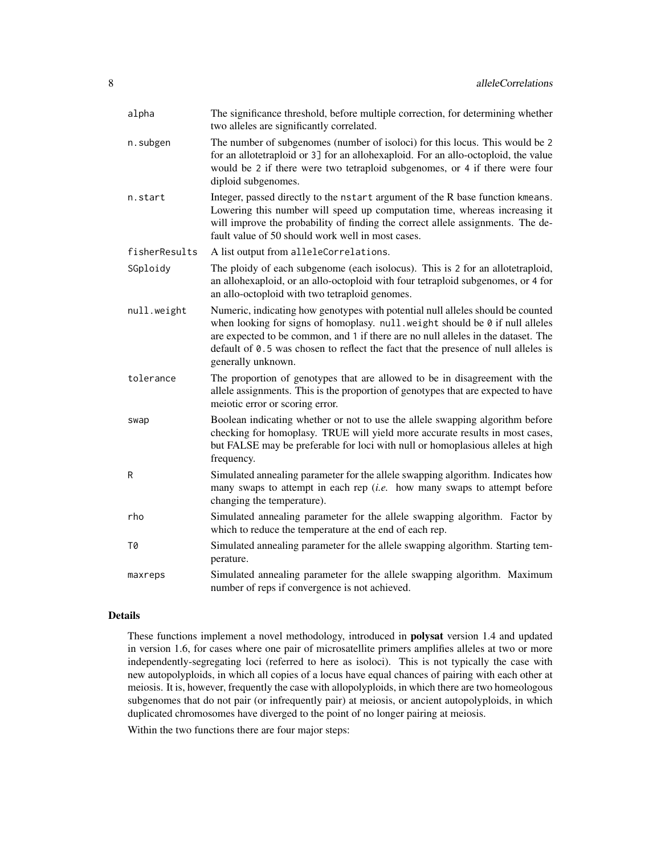| alpha         | The significance threshold, before multiple correction, for determining whether<br>two alleles are significantly correlated.                                                                                                                                                                                                                                     |
|---------------|------------------------------------------------------------------------------------------------------------------------------------------------------------------------------------------------------------------------------------------------------------------------------------------------------------------------------------------------------------------|
| n.subgen      | The number of subgenomes (number of isoloci) for this locus. This would be 2<br>for an allotetraploid or 3] for an allohexaploid. For an allo-octoploid, the value<br>would be 2 if there were two tetraploid subgenomes, or 4 if there were four<br>diploid subgenomes.                                                                                         |
| n.start       | Integer, passed directly to the nstart argument of the R base function kmeans.<br>Lowering this number will speed up computation time, whereas increasing it<br>will improve the probability of finding the correct allele assignments. The de-<br>fault value of 50 should work well in most cases.                                                             |
| fisherResults | A list output from alleleCorrelations.                                                                                                                                                                                                                                                                                                                           |
| SGploidy      | The ploidy of each subgenome (each isolocus). This is 2 for an allotetraploid,<br>an allohexaploid, or an allo-octoploid with four tetraploid subgenomes, or 4 for<br>an allo-octoploid with two tetraploid genomes.                                                                                                                                             |
| null.weight   | Numeric, indicating how genotypes with potential null alleles should be counted<br>when looking for signs of homoplasy. null.weight should be 0 if null alleles<br>are expected to be common, and 1 if there are no null alleles in the dataset. The<br>default of 0.5 was chosen to reflect the fact that the presence of null alleles is<br>generally unknown. |
| tolerance     | The proportion of genotypes that are allowed to be in disagreement with the<br>allele assignments. This is the proportion of genotypes that are expected to have<br>meiotic error or scoring error.                                                                                                                                                              |
| swap          | Boolean indicating whether or not to use the allele swapping algorithm before<br>checking for homoplasy. TRUE will yield more accurate results in most cases,<br>but FALSE may be preferable for loci with null or homoplasious alleles at high<br>frequency.                                                                                                    |
| R             | Simulated annealing parameter for the allele swapping algorithm. Indicates how<br>many swaps to attempt in each rep $(i.e.$ how many swaps to attempt before<br>changing the temperature).                                                                                                                                                                       |
| rho           | Simulated annealing parameter for the allele swapping algorithm. Factor by<br>which to reduce the temperature at the end of each rep.                                                                                                                                                                                                                            |
| Т0            | Simulated annealing parameter for the allele swapping algorithm. Starting tem-<br>perature.                                                                                                                                                                                                                                                                      |
| maxreps       | Simulated annealing parameter for the allele swapping algorithm. Maximum<br>number of reps if convergence is not achieved.                                                                                                                                                                                                                                       |

# Details

These functions implement a novel methodology, introduced in polysat version 1.4 and updated in version 1.6, for cases where one pair of microsatellite primers amplifies alleles at two or more independently-segregating loci (referred to here as isoloci). This is not typically the case with new autopolyploids, in which all copies of a locus have equal chances of pairing with each other at meiosis. It is, however, frequently the case with allopolyploids, in which there are two homeologous subgenomes that do not pair (or infrequently pair) at meiosis, or ancient autopolyploids, in which duplicated chromosomes have diverged to the point of no longer pairing at meiosis.

Within the two functions there are four major steps: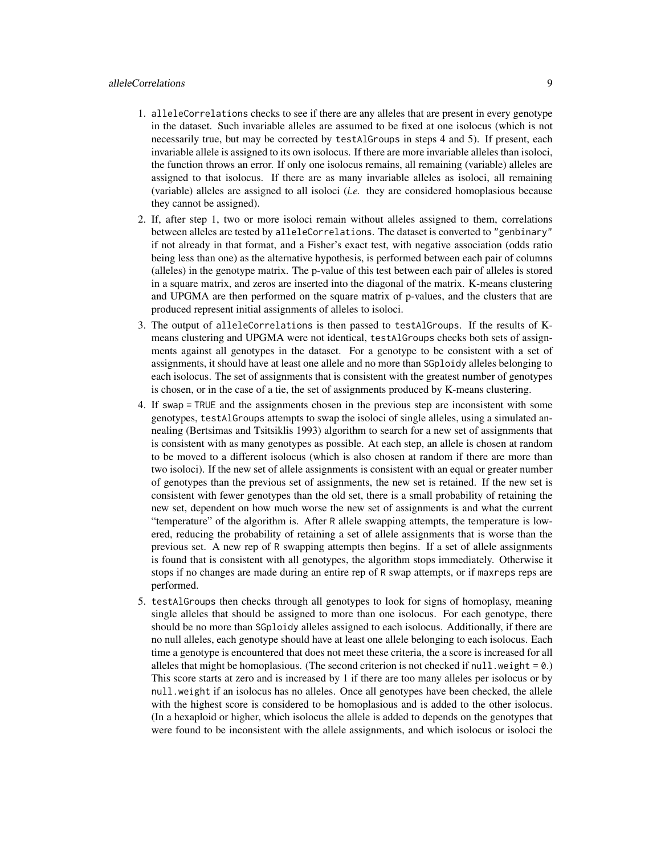# alleleCorrelations 9

- 1. alleleCorrelations checks to see if there are any alleles that are present in every genotype in the dataset. Such invariable alleles are assumed to be fixed at one isolocus (which is not necessarily true, but may be corrected by testAlGroups in steps 4 and 5). If present, each invariable allele is assigned to its own isolocus. If there are more invariable alleles than isoloci, the function throws an error. If only one isolocus remains, all remaining (variable) alleles are assigned to that isolocus. If there are as many invariable alleles as isoloci, all remaining (variable) alleles are assigned to all isoloci (*i.e.* they are considered homoplasious because they cannot be assigned).
- 2. If, after step 1, two or more isoloci remain without alleles assigned to them, correlations between alleles are tested by alleleCorrelations. The dataset is converted to "genbinary" if not already in that format, and a Fisher's exact test, with negative association (odds ratio being less than one) as the alternative hypothesis, is performed between each pair of columns (alleles) in the genotype matrix. The p-value of this test between each pair of alleles is stored in a square matrix, and zeros are inserted into the diagonal of the matrix. K-means clustering and UPGMA are then performed on the square matrix of p-values, and the clusters that are produced represent initial assignments of alleles to isoloci.
- 3. The output of alleleCorrelations is then passed to testAlGroups. If the results of Kmeans clustering and UPGMA were not identical, testAlGroups checks both sets of assignments against all genotypes in the dataset. For a genotype to be consistent with a set of assignments, it should have at least one allele and no more than SGploidy alleles belonging to each isolocus. The set of assignments that is consistent with the greatest number of genotypes is chosen, or in the case of a tie, the set of assignments produced by K-means clustering.
- 4. If swap = TRUE and the assignments chosen in the previous step are inconsistent with some genotypes, testAlGroups attempts to swap the isoloci of single alleles, using a simulated annealing (Bertsimas and Tsitsiklis 1993) algorithm to search for a new set of assignments that is consistent with as many genotypes as possible. At each step, an allele is chosen at random to be moved to a different isolocus (which is also chosen at random if there are more than two isoloci). If the new set of allele assignments is consistent with an equal or greater number of genotypes than the previous set of assignments, the new set is retained. If the new set is consistent with fewer genotypes than the old set, there is a small probability of retaining the new set, dependent on how much worse the new set of assignments is and what the current "temperature" of the algorithm is. After R allele swapping attempts, the temperature is lowered, reducing the probability of retaining a set of allele assignments that is worse than the previous set. A new rep of R swapping attempts then begins. If a set of allele assignments is found that is consistent with all genotypes, the algorithm stops immediately. Otherwise it stops if no changes are made during an entire rep of R swap attempts, or if maxreps reps are performed.
- 5. testAlGroups then checks through all genotypes to look for signs of homoplasy, meaning single alleles that should be assigned to more than one isolocus. For each genotype, there should be no more than SGploidy alleles assigned to each isolocus. Additionally, if there are no null alleles, each genotype should have at least one allele belonging to each isolocus. Each time a genotype is encountered that does not meet these criteria, the a score is increased for all alleles that might be homoplasious. (The second criterion is not checked if  $null$ . weight = 0.) This score starts at zero and is increased by 1 if there are too many alleles per isolocus or by null.weight if an isolocus has no alleles. Once all genotypes have been checked, the allele with the highest score is considered to be homoplasious and is added to the other isolocus. (In a hexaploid or higher, which isolocus the allele is added to depends on the genotypes that were found to be inconsistent with the allele assignments, and which isolocus or isoloci the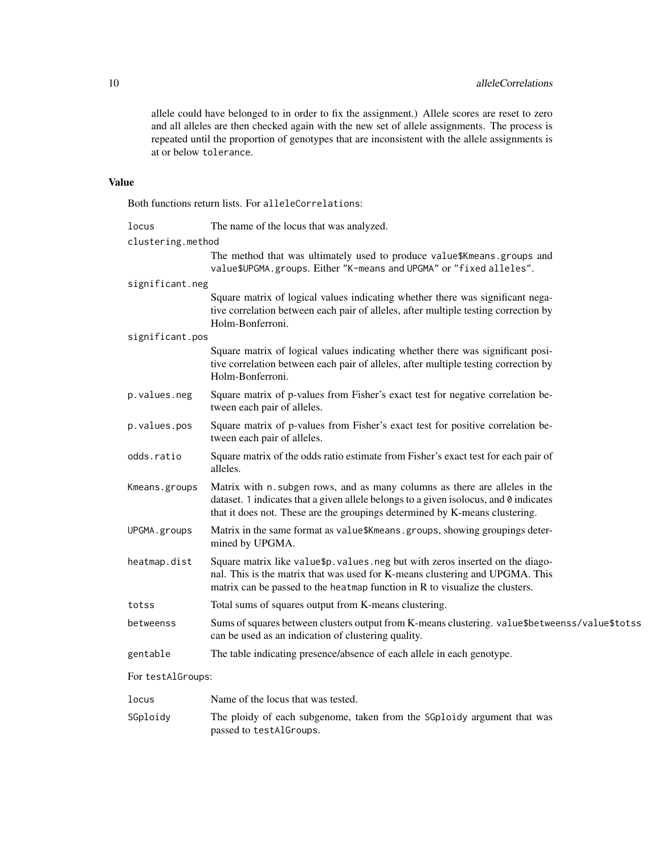allele could have belonged to in order to fix the assignment.) Allele scores are reset to zero and all alleles are then checked again with the new set of allele assignments. The process is repeated until the proportion of genotypes that are inconsistent with the allele assignments is at or below tolerance.

# Value

Both functions return lists. For alleleCorrelations:

| The name of the locus that was analyzed.                                                                                                                                                                                                            |
|-----------------------------------------------------------------------------------------------------------------------------------------------------------------------------------------------------------------------------------------------------|
| clustering.method                                                                                                                                                                                                                                   |
| The method that was ultimately used to produce value\$Kmeans.groups and<br>value\$UPGMA.groups. Either "K-means and UPGMA" or "fixed alleles".                                                                                                      |
| significant.neg                                                                                                                                                                                                                                     |
| Square matrix of logical values indicating whether there was significant nega-<br>tive correlation between each pair of alleles, after multiple testing correction by<br>Holm-Bonferroni.                                                           |
| significant.pos                                                                                                                                                                                                                                     |
| Square matrix of logical values indicating whether there was significant posi-<br>tive correlation between each pair of alleles, after multiple testing correction by<br>Holm-Bonferroni.                                                           |
| Square matrix of p-values from Fisher's exact test for negative correlation be-<br>tween each pair of alleles.                                                                                                                                      |
| Square matrix of p-values from Fisher's exact test for positive correlation be-<br>tween each pair of alleles.                                                                                                                                      |
| Square matrix of the odds ratio estimate from Fisher's exact test for each pair of<br>alleles.                                                                                                                                                      |
| Matrix with n. subgen rows, and as many columns as there are alleles in the<br>dataset. 1 indicates that a given allele belongs to a given isolocus, and 0 indicates<br>that it does not. These are the groupings determined by K-means clustering. |
| Matrix in the same format as value\$Kmeans.groups, showing groupings deter-<br>mined by UPGMA.                                                                                                                                                      |
| Square matrix like value\$p. values. neg but with zeros inserted on the diago-<br>nal. This is the matrix that was used for K-means clustering and UPGMA. This<br>matrix can be passed to the heatmap function in R to visualize the clusters.      |
| Total sums of squares output from K-means clustering.                                                                                                                                                                                               |
| Sums of squares between clusters output from K-means clustering. value\$betweenss/value\$totss<br>can be used as an indication of clustering quality.                                                                                               |
| The table indicating presence/absence of each allele in each genotype.                                                                                                                                                                              |
| For testAlGroups:                                                                                                                                                                                                                                   |
|                                                                                                                                                                                                                                                     |

| locus    | Name of the locus that was tested.                                                                  |
|----------|-----------------------------------------------------------------------------------------------------|
| SGploidy | The ploidy of each subgenome, taken from the SG ploidy argument that was<br>passed to testAlGroups. |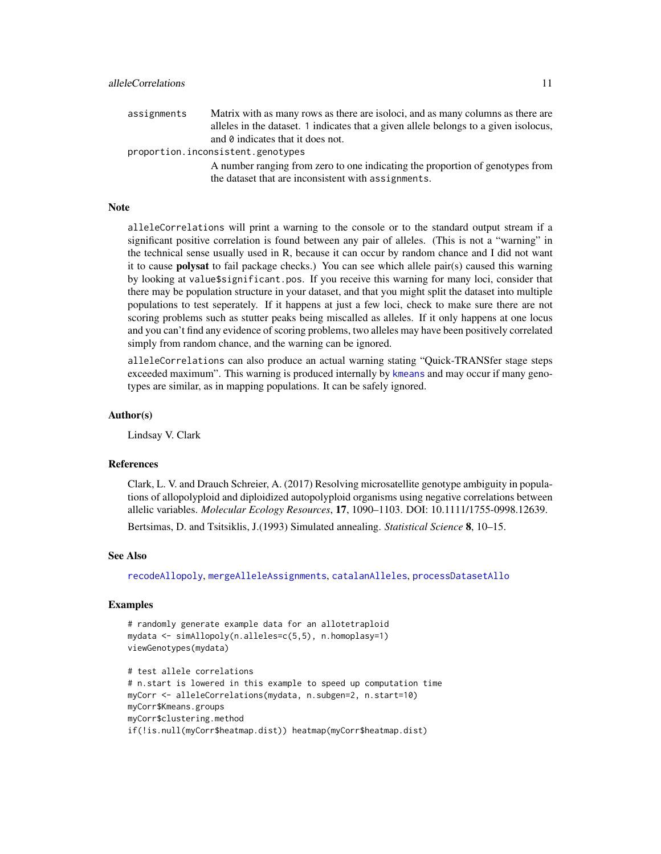assignments Matrix with as many rows as there are isoloci, and as many columns as there are alleles in the dataset. 1 indicates that a given allele belongs to a given isolocus, and 0 indicates that it does not. proportion.inconsistent.genotypes A number ranging from zero to one indicating the proportion of genotypes from

the dataset that are inconsistent with assignments.

#### Note

alleleCorrelations will print a warning to the console or to the standard output stream if a significant positive correlation is found between any pair of alleles. (This is not a "warning" in the technical sense usually used in R, because it can occur by random chance and I did not want it to cause polysat to fail package checks.) You can see which allele pair(s) caused this warning by looking at value\$significant.pos. If you receive this warning for many loci, consider that there may be population structure in your dataset, and that you might split the dataset into multiple populations to test seperately. If it happens at just a few loci, check to make sure there are not scoring problems such as stutter peaks being miscalled as alleles. If it only happens at one locus and you can't find any evidence of scoring problems, two alleles may have been positively correlated simply from random chance, and the warning can be ignored.

alleleCorrelations can also produce an actual warning stating "Quick-TRANSfer stage steps exceeded maximum". This warning is produced internally by [kmeans](#page-0-0) and may occur if many genotypes are similar, as in mapping populations. It can be safely ignored.

# Author(s)

Lindsay V. Clark

#### References

Clark, L. V. and Drauch Schreier, A. (2017) Resolving microsatellite genotype ambiguity in populations of allopolyploid and diploidized autopolyploid organisms using negative correlations between allelic variables. *Molecular Ecology Resources*, 17, 1090–1103. DOI: 10.1111/1755-0998.12639.

Bertsimas, D. and Tsitsiklis, J.(1993) Simulated annealing. *Statistical Science* 8, 10–15.

#### See Also

[recodeAllopoly](#page-88-1), [mergeAlleleAssignments](#page-63-1), [catalanAlleles](#page-21-1), [processDatasetAllo](#page-69-1)

#### Examples

```
# randomly generate example data for an allotetraploid
mydata <- simAllopoly(n.alleles=c(5,5), n.homoplasy=1)
viewGenotypes(mydata)
```

```
# test allele correlations
# n.start is lowered in this example to speed up computation time
myCorr <- alleleCorrelations(mydata, n.subgen=2, n.start=10)
myCorr$Kmeans.groups
myCorr$clustering.method
if(!is.null(myCorr$heatmap.dist)) heatmap(myCorr$heatmap.dist)
```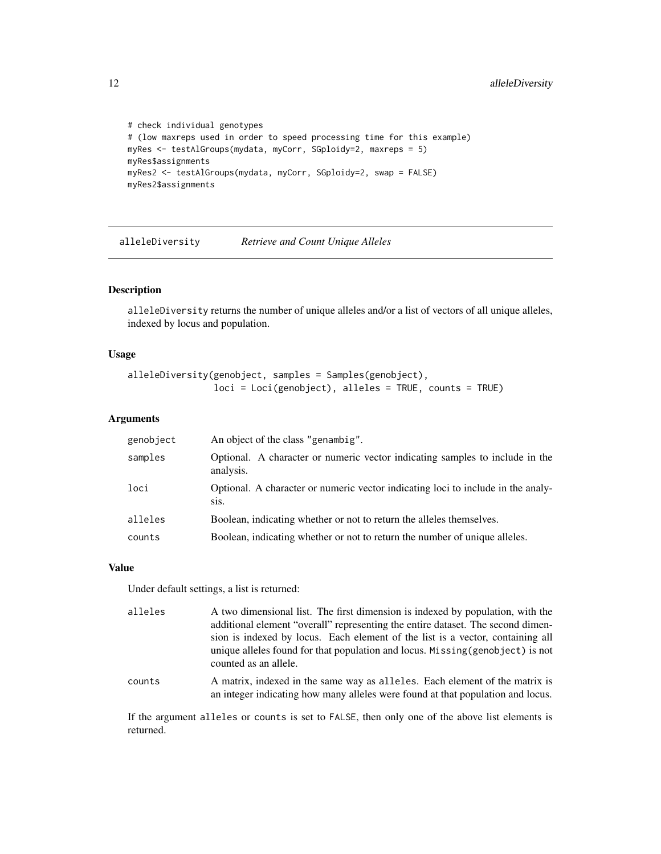```
# check individual genotypes
# (low maxreps used in order to speed processing time for this example)
myRes <- testAlGroups(mydata, myCorr, SGploidy=2, maxreps = 5)
myRes$assignments
myRes2 <- testAlGroups(mydata, myCorr, SGploidy=2, swap = FALSE)
myRes2$assignments
```
alleleDiversity *Retrieve and Count Unique Alleles*

# Description

alleleDiversity returns the number of unique alleles and/or a list of vectors of all unique alleles, indexed by locus and population.

# Usage

```
alleleDiversity(genobject, samples = Samples(genobject),
                loci = Loci(genobject), alleles = TRUE, counts = TRUE)
```
#### Arguments

| genobject | An object of the class "genambig".                                                                                |
|-----------|-------------------------------------------------------------------------------------------------------------------|
| samples   | Optional. A character or numeric vector indicating samples to include in the<br>analysis.                         |
| loci      | Optional. A character or numeric vector indicating loci to include in the analy-<br>S <sub>1</sub> S <sub>1</sub> |
| alleles   | Boolean, indicating whether or not to return the alleles themselves.                                              |
| counts    | Boolean, indicating whether or not to return the number of unique alleles.                                        |

# Value

Under default settings, a list is returned:

| alleles | A two dimensional list. The first dimension is indexed by population, with the<br>additional element "overall" representing the entire dataset. The second dimen-<br>sion is indexed by locus. Each element of the list is a vector, containing all<br>unique alleles found for that population and locus. Missing (genobject) is not<br>counted as an allele. |
|---------|----------------------------------------------------------------------------------------------------------------------------------------------------------------------------------------------------------------------------------------------------------------------------------------------------------------------------------------------------------------|
| counts  | A matrix, indexed in the same way as alleles. Each element of the matrix is<br>an integer indicating how many alleles were found at that population and locus.                                                                                                                                                                                                 |

If the argument alleles or counts is set to FALSE, then only one of the above list elements is returned.

<span id="page-11-0"></span>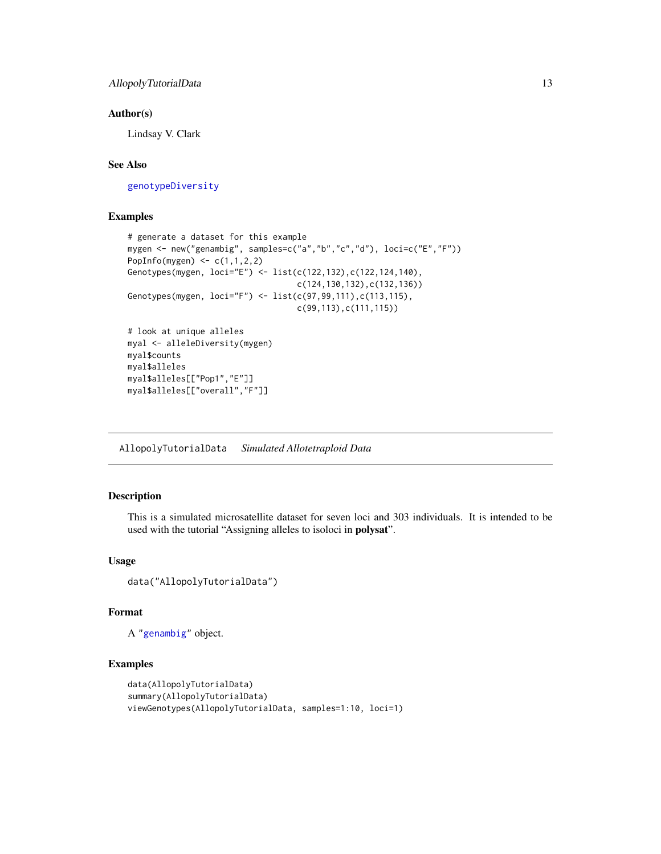### <span id="page-12-0"></span>Author(s)

Lindsay V. Clark

# See Also

[genotypeDiversity](#page-48-1)

# Examples

```
# generate a dataset for this example
mygen <- new("genambig", samples=c("a","b","c","d"), loci=c("E","F"))
PopInfo(mygen) <- c(1,1,2,2)Genotypes(mygen, loci="E") <- list(c(122,132),c(122,124,140),
                                   c(124,130,132),c(132,136))
Genotypes(mygen, loci="F") <- list(c(97,99,111),c(113,115),
                                   c(99,113),c(111,115))
# look at unique alleles
myal <- alleleDiversity(mygen)
myal$counts
myal$alleles
myal$alleles[["Pop1","E"]]
myal$alleles[["overall","F"]]
```
AllopolyTutorialData *Simulated Allotetraploid Data*

# Description

This is a simulated microsatellite dataset for seven loci and 303 individuals. It is intended to be used with the tutorial "Assigning alleles to isoloci in polysat".

# Usage

```
data("AllopolyTutorialData")
```
# Format

A ["genambig"](#page-34-1) object.

# Examples

```
data(AllopolyTutorialData)
summary(AllopolyTutorialData)
viewGenotypes(AllopolyTutorialData, samples=1:10, loci=1)
```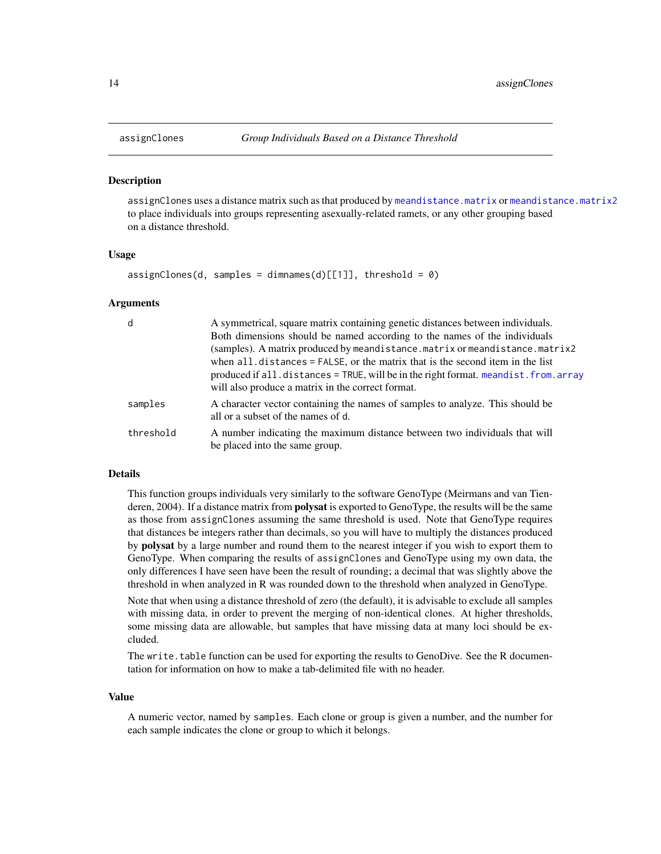#### **Description**

assignClones uses a distance matrix such as that produced by [meandistance.matrix](#page-59-1) or [meandistance.matrix2](#page-59-2) to place individuals into groups representing asexually-related ramets, or any other grouping based on a distance threshold.

#### Usage

```
assignChoose(d, samples = dimnames(d)[[1]], threshold = 0)
```
#### Arguments

| d         | A symmetrical, square matrix containing genetic distances between individuals.                                      |
|-----------|---------------------------------------------------------------------------------------------------------------------|
|           | Both dimensions should be named according to the names of the individuals                                           |
|           | (samples). A matrix produced by meandistance.matrix or meandistance.matrix2                                         |
|           | when all distances = FALSE, or the matrix that is the second item in the list                                       |
|           | produced if all.distances = TRUE, will be in the right format.meandist.from.array                                   |
|           | will also produce a matrix in the correct format.                                                                   |
| samples   | A character vector containing the names of samples to analyze. This should be<br>all or a subset of the names of d. |
| threshold | A number indicating the maximum distance between two individuals that will<br>be placed into the same group.        |

# Details

This function groups individuals very similarly to the software GenoType (Meirmans and van Tienderen, 2004). If a distance matrix from **polysat** is exported to GenoType, the results will be the same as those from assignClones assuming the same threshold is used. Note that GenoType requires that distances be integers rather than decimals, so you will have to multiply the distances produced by **polysat** by a large number and round them to the nearest integer if you wish to export them to GenoType. When comparing the results of assignClones and GenoType using my own data, the only differences I have seen have been the result of rounding; a decimal that was slightly above the threshold in when analyzed in R was rounded down to the threshold when analyzed in GenoType.

Note that when using a distance threshold of zero (the default), it is advisable to exclude all samples with missing data, in order to prevent the merging of non-identical clones. At higher thresholds, some missing data are allowable, but samples that have missing data at many loci should be excluded.

The write.table function can be used for exporting the results to GenoDive. See the R documentation for information on how to make a tab-delimited file with no header.

#### Value

A numeric vector, named by samples. Each clone or group is given a number, and the number for each sample indicates the clone or group to which it belongs.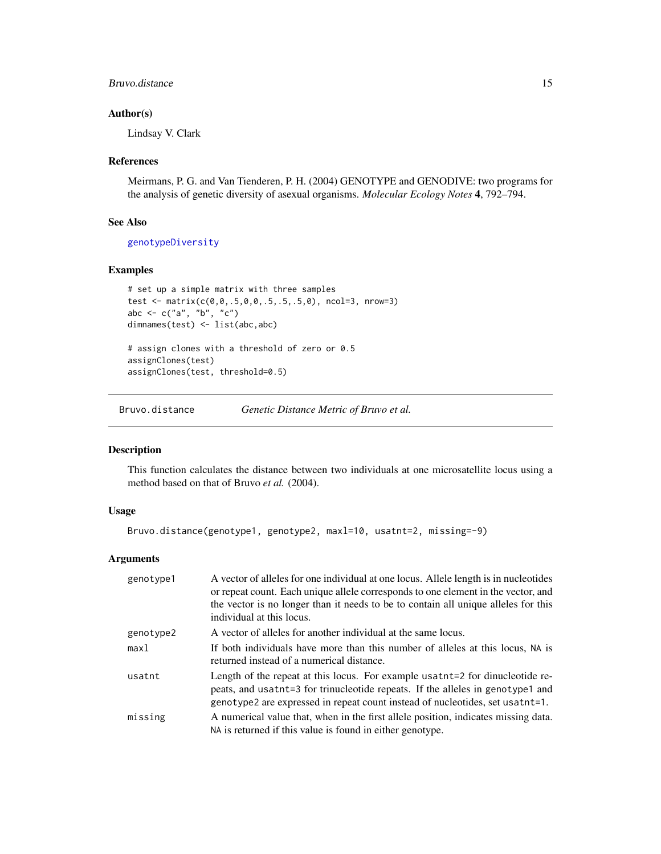# <span id="page-14-0"></span>Bruvo.distance 15

# Author(s)

Lindsay V. Clark

#### References

Meirmans, P. G. and Van Tienderen, P. H. (2004) GENOTYPE and GENODIVE: two programs for the analysis of genetic diversity of asexual organisms. *Molecular Ecology Notes* 4, 792–794.

#### See Also

[genotypeDiversity](#page-48-1)

# Examples

```
# set up a simple matrix with three samples
test <- matrix(c(0,0,.5,0,0,.5,.5,.5,0), ncol=3, nrow=3)
abc <- c("a", "b", "c")
dimnames(test) <- list(abc,abc)
# assign clones with a threshold of zero or 0.5
assignClones(test)
assignClones(test, threshold=0.5)
```
<span id="page-14-1"></span>Bruvo.distance *Genetic Distance Metric of Bruvo et al.*

# Description

This function calculates the distance between two individuals at one microsatellite locus using a method based on that of Bruvo *et al.* (2004).

# Usage

Bruvo.distance(genotype1, genotype2, maxl=10, usatnt=2, missing=-9)

# Arguments

| genotype1 | A vector of alleles for one individual at one locus. Allele length is in nucleotides<br>or repeat count. Each unique allele corresponds to one element in the vector, and                                                                               |
|-----------|---------------------------------------------------------------------------------------------------------------------------------------------------------------------------------------------------------------------------------------------------------|
|           | the vector is no longer than it needs to be to contain all unique alleles for this<br>individual at this locus.                                                                                                                                         |
| genotype2 | A vector of alleles for another individual at the same locus.                                                                                                                                                                                           |
| max1      | If both individuals have more than this number of alleles at this locus, NA is<br>returned instead of a numerical distance.                                                                                                                             |
| usatnt    | Length of the repeat at this locus. For example usates the dinucleotide re-<br>peats, and usatht=3 for trinucleotide repeats. If the alleles in genotype1 and<br>genotype2 are expressed in repeat count instead of nucleotides, set usates that $=1$ . |
| missing   | A numerical value that, when in the first allele position, indicates missing data.<br>NA is returned if this value is found in either genotype.                                                                                                         |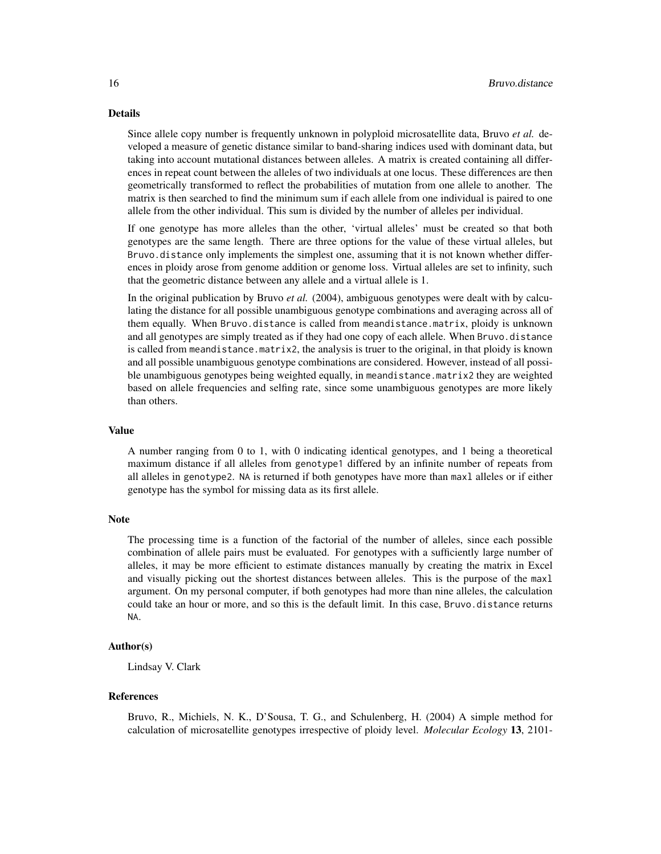#### Details

Since allele copy number is frequently unknown in polyploid microsatellite data, Bruvo *et al.* developed a measure of genetic distance similar to band-sharing indices used with dominant data, but taking into account mutational distances between alleles. A matrix is created containing all differences in repeat count between the alleles of two individuals at one locus. These differences are then geometrically transformed to reflect the probabilities of mutation from one allele to another. The matrix is then searched to find the minimum sum if each allele from one individual is paired to one allele from the other individual. This sum is divided by the number of alleles per individual.

If one genotype has more alleles than the other, 'virtual alleles' must be created so that both genotypes are the same length. There are three options for the value of these virtual alleles, but Bruvo.distance only implements the simplest one, assuming that it is not known whether differences in ploidy arose from genome addition or genome loss. Virtual alleles are set to infinity, such that the geometric distance between any allele and a virtual allele is 1.

In the original publication by Bruvo *et al.* (2004), ambiguous genotypes were dealt with by calculating the distance for all possible unambiguous genotype combinations and averaging across all of them equally. When Bruvo.distance is called from meandistance.matrix, ploidy is unknown and all genotypes are simply treated as if they had one copy of each allele. When Bruvo.distance is called from meandistance.matrix2, the analysis is truer to the original, in that ploidy is known and all possible unambiguous genotype combinations are considered. However, instead of all possible unambiguous genotypes being weighted equally, in meandistance.matrix2 they are weighted based on allele frequencies and selfing rate, since some unambiguous genotypes are more likely than others.

#### Value

A number ranging from 0 to 1, with 0 indicating identical genotypes, and 1 being a theoretical maximum distance if all alleles from genotype1 differed by an infinite number of repeats from all alleles in genotype2. NA is returned if both genotypes have more than maxl alleles or if either genotype has the symbol for missing data as its first allele.

#### Note

The processing time is a function of the factorial of the number of alleles, since each possible combination of allele pairs must be evaluated. For genotypes with a sufficiently large number of alleles, it may be more efficient to estimate distances manually by creating the matrix in Excel and visually picking out the shortest distances between alleles. This is the purpose of the maxl argument. On my personal computer, if both genotypes had more than nine alleles, the calculation could take an hour or more, and so this is the default limit. In this case, Bruvo.distance returns NA.

# Author(s)

Lindsay V. Clark

#### References

Bruvo, R., Michiels, N. K., D'Sousa, T. G., and Schulenberg, H. (2004) A simple method for calculation of microsatellite genotypes irrespective of ploidy level. *Molecular Ecology* 13, 2101-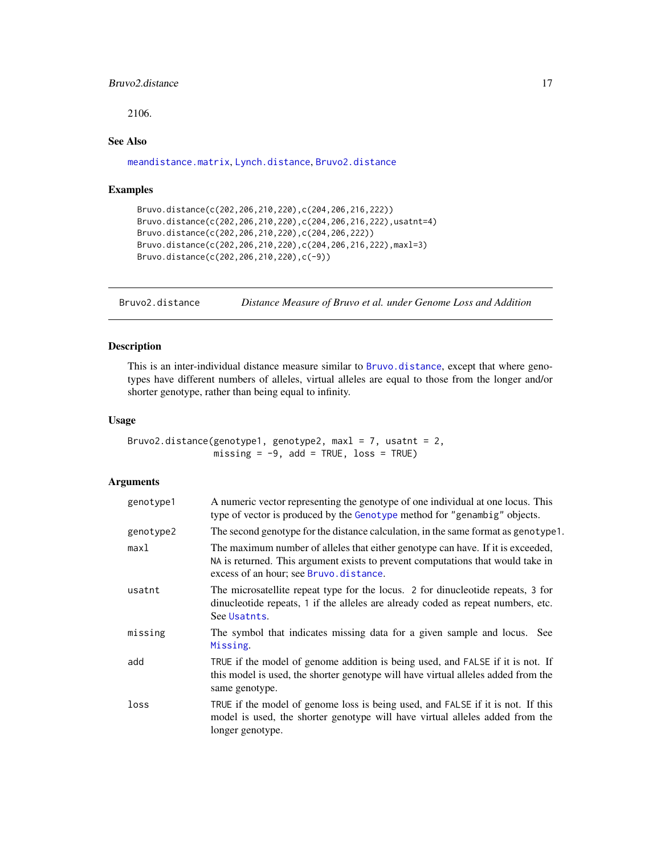# <span id="page-16-0"></span>Bruvo2.distance 17

2106.

# See Also

[meandistance.matrix](#page-59-1), [Lynch.distance](#page-56-1), [Bruvo2.distance](#page-16-1)

# Examples

```
Bruvo.distance(c(202,206,210,220),c(204,206,216,222))
Bruvo.distance(c(202,206,210,220),c(204,206,216,222),usatnt=4)
Bruvo.distance(c(202,206,210,220),c(204,206,222))
Bruvo.distance(c(202,206,210,220),c(204,206,216,222),maxl=3)
Bruvo.distance(c(202,206,210,220),c(-9))
```
<span id="page-16-1"></span>Bruvo2.distance *Distance Measure of Bruvo et al. under Genome Loss and Addition*

# Description

This is an inter-individual distance measure similar to [Bruvo.distance](#page-14-1), except that where genotypes have different numbers of alleles, virtual alleles are equal to those from the longer and/or shorter genotype, rather than being equal to infinity.

# Usage

```
Bruvo2.distance(genotype1, genotype2, maxl = 7, usatnt = 2,
               missing = -9, add = TRUE, loss = TRUE)
```
# Arguments

| genotype1 | A numeric vector representing the genotype of one individual at one locus. This<br>type of vector is produced by the Genotype method for "genambig" objects.                                                 |
|-----------|--------------------------------------------------------------------------------------------------------------------------------------------------------------------------------------------------------------|
| genotype2 | The second genotype for the distance calculation, in the same format as genotype 1.                                                                                                                          |
| maxl      | The maximum number of alleles that either genotype can have. If it is exceeded,<br>NA is returned. This argument exists to prevent computations that would take in<br>excess of an hour; see Bruvo.distance. |
| usatnt    | The microsatellite repeat type for the locus. 2 for dinucleotide repeats, 3 for<br>dinucleotide repeats, 1 if the alleles are already coded as repeat numbers, etc.<br>See Usatnts.                          |
| missing   | The symbol that indicates missing data for a given sample and locus. See<br>Missing.                                                                                                                         |
| add       | TRUE if the model of genome addition is being used, and FALSE if it is not. If<br>this model is used, the shorter genotype will have virtual alleles added from the<br>same genotype.                        |
| loss      | TRUE if the model of genome loss is being used, and FALSE if it is not. If this<br>model is used, the shorter genotype will have virtual alleles added from the<br>longer genotype.                          |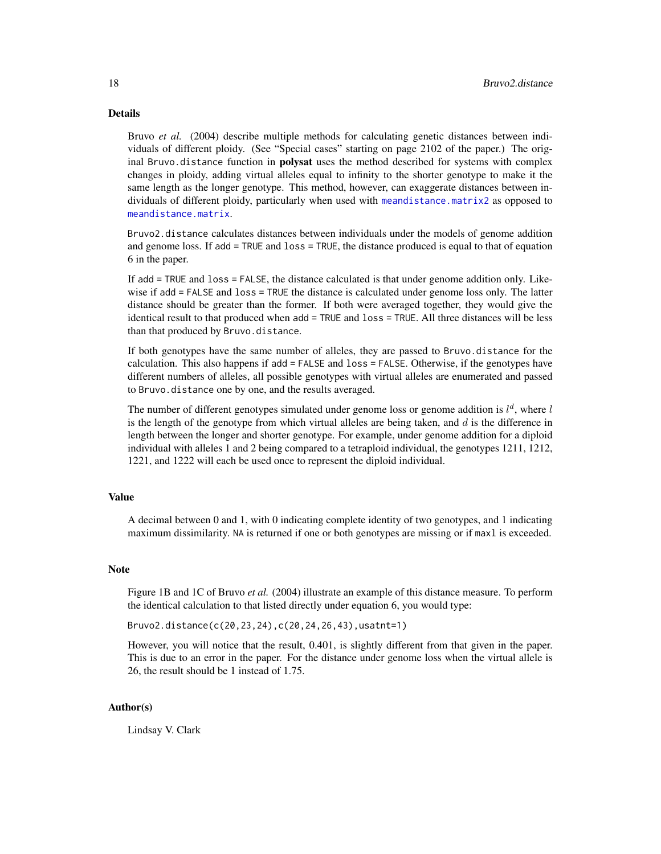# Details

Bruvo *et al.* (2004) describe multiple methods for calculating genetic distances between individuals of different ploidy. (See "Special cases" starting on page 2102 of the paper.) The original Bruvo. distance function in **polysat** uses the method described for systems with complex changes in ploidy, adding virtual alleles equal to infinity to the shorter genotype to make it the same length as the longer genotype. This method, however, can exaggerate distances between individuals of different ploidy, particularly when used with [meandistance.matrix2](#page-59-2) as opposed to [meandistance.matrix](#page-59-1).

Bruvo2.distance calculates distances between individuals under the models of genome addition and genome loss. If add = TRUE and loss = TRUE, the distance produced is equal to that of equation 6 in the paper.

If add = TRUE and loss = FALSE, the distance calculated is that under genome addition only. Likewise if add = FALSE and loss = TRUE the distance is calculated under genome loss only. The latter distance should be greater than the former. If both were averaged together, they would give the identical result to that produced when add = TRUE and loss = TRUE. All three distances will be less than that produced by Bruvo.distance.

If both genotypes have the same number of alleles, they are passed to Bruvo.distance for the calculation. This also happens if add = FALSE and loss = FALSE. Otherwise, if the genotypes have different numbers of alleles, all possible genotypes with virtual alleles are enumerated and passed to Bruvo.distance one by one, and the results averaged.

The number of different genotypes simulated under genome loss or genome addition is  $l^d$ , where  $l$ is the length of the genotype from which virtual alleles are being taken, and  $d$  is the difference in length between the longer and shorter genotype. For example, under genome addition for a diploid individual with alleles 1 and 2 being compared to a tetraploid individual, the genotypes 1211, 1212, 1221, and 1222 will each be used once to represent the diploid individual.

# Value

A decimal between 0 and 1, with 0 indicating complete identity of two genotypes, and 1 indicating maximum dissimilarity. NA is returned if one or both genotypes are missing or if maxl is exceeded.

#### **Note**

Figure 1B and 1C of Bruvo *et al.* (2004) illustrate an example of this distance measure. To perform the identical calculation to that listed directly under equation 6, you would type:

Bruvo2.distance(c(20,23,24),c(20,24,26,43),usatnt=1)

However, you will notice that the result, 0.401, is slightly different from that given in the paper. This is due to an error in the paper. For the distance under genome loss when the virtual allele is 26, the result should be 1 instead of 1.75.

# Author(s)

Lindsay V. Clark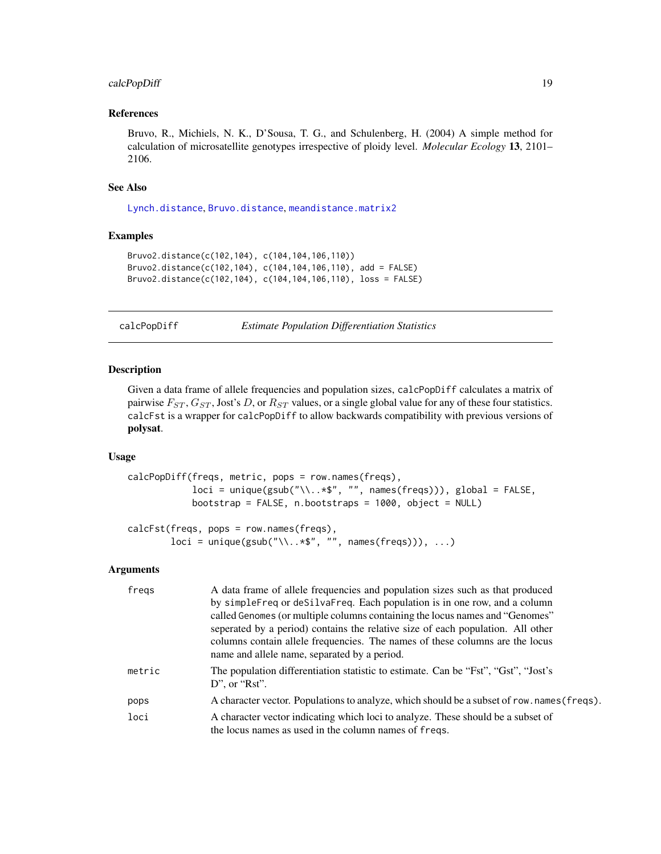# <span id="page-18-0"></span>calcPopDiff 19

# References

Bruvo, R., Michiels, N. K., D'Sousa, T. G., and Schulenberg, H. (2004) A simple method for calculation of microsatellite genotypes irrespective of ploidy level. *Molecular Ecology* 13, 2101– 2106.

# See Also

[Lynch.distance](#page-56-1), [Bruvo.distance](#page-14-1), [meandistance.matrix2](#page-59-2)

# Examples

```
Bruvo2.distance(c(102,104), c(104,104,106,110))
Bruvo2.distance(c(102,104), c(104,104,106,110), add = FALSE)
Bruvo2.distance(c(102,104), c(104,104,106,110), loss = FALSE)
```
calcPopDiff *Estimate Population Differentiation Statistics*

#### Description

Given a data frame of allele frequencies and population sizes, calcPopDiff calculates a matrix of pairwise  $F_{ST}$ ,  $G_{ST}$ , Jost's D, or  $R_{ST}$  values, or a single global value for any of these four statistics. calcFst is a wrapper for calcPopDiff to allow backwards compatibility with previous versions of polysat.

#### Usage

```
calcPopDiff(freqs, metric, pops = row.names(freqs),
            loci = unique(gsub("\\..*$", "", names(freqs))), global = FALSE,
            bootstrap = FALSE, n.bootstraps = 1000, object = NULL)
calcFst(freqs, pops = row.names(freqs),
```
# $loci = unique(gsub("\\..*$", "", names(freqs))), ...)$

# Arguments

| freqs  | A data frame of allele frequencies and population sizes such as that produced<br>by simpleFreq or deSilvaFreq. Each population is in one row, and a column<br>called Genomes (or multiple columns containing the locus names and "Genomes"<br>seperated by a period) contains the relative size of each population. All other<br>columns contain allele frequencies. The names of these columns are the locus<br>name and allele name, separated by a period. |
|--------|---------------------------------------------------------------------------------------------------------------------------------------------------------------------------------------------------------------------------------------------------------------------------------------------------------------------------------------------------------------------------------------------------------------------------------------------------------------|
| metric | The population differentiation statistic to estimate. Can be "Fst", "Gst", "Jost's<br>D", or " $Rst$ ".                                                                                                                                                                                                                                                                                                                                                       |
| pops   | A character vector. Populations to analyze, which should be a subset of row. names (freqs).                                                                                                                                                                                                                                                                                                                                                                   |
| loci   | A character vector indicating which loci to analyze. These should be a subset of<br>the locus names as used in the column names of freqs.                                                                                                                                                                                                                                                                                                                     |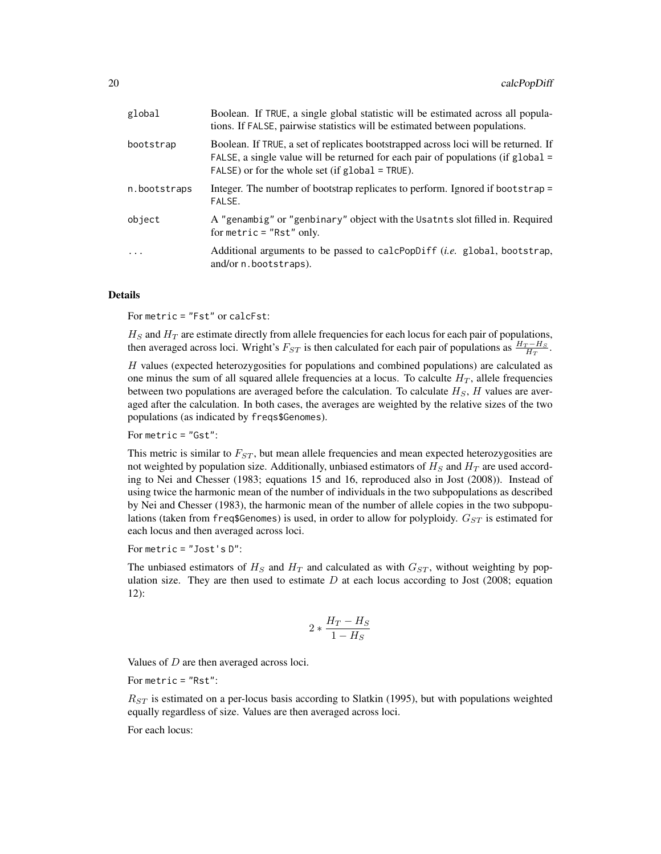| global       | Boolean. If TRUE, a single global statistic will be estimated across all popula-<br>tions. If FALSE, pairwise statistics will be estimated between populations.                                                                   |
|--------------|-----------------------------------------------------------------------------------------------------------------------------------------------------------------------------------------------------------------------------------|
| bootstrap    | Boolean. If TRUE, a set of replicates bootstrapped across loci will be returned. If<br>FALSE, a single value will be returned for each pair of populations (if $global =$<br>$FALSE)$ or for the whole set (if $global = TRUE$ ). |
| n.bootstraps | Integer. The number of bootstrap replicates to perform. Ignored if bootstrap =<br>FALSE.                                                                                                                                          |
| object       | A "genambig" or "genbinary" object with the Usatnts slot filled in. Required<br>for metric $=$ "Rst" only.                                                                                                                        |
| $\cdots$     | Additional arguments to be passed to calcPopDiff ( <i>i.e.</i> global, bootstrap,<br>and/or n.bootstraps).                                                                                                                        |

#### Details

For metric = "Fst" or calcFst:

 $H<sub>S</sub>$  and  $H<sub>T</sub>$  are estimate directly from allele frequencies for each locus for each pair of populations, then averaged across loci. Wright's  $F_{ST}$  is then calculated for each pair of populations as  $\frac{H_T - H_S}{H_T}$ .

H values (expected heterozygosities for populations and combined populations) are calculated as one minus the sum of all squared allele frequencies at a locus. To calculte  $H_T$ , allele frequencies between two populations are averaged before the calculation. To calculate  $H<sub>S</sub>$ ,  $H$  values are averaged after the calculation. In both cases, the averages are weighted by the relative sizes of the two populations (as indicated by freqs\$Genomes).

For metric = "Gst":

This metric is similar to  $F_{ST}$ , but mean allele frequencies and mean expected heterozygosities are not weighted by population size. Additionally, unbiased estimators of  $H<sub>S</sub>$  and  $H<sub>T</sub>$  are used according to Nei and Chesser (1983; equations 15 and 16, reproduced also in Jost (2008)). Instead of using twice the harmonic mean of the number of individuals in the two subpopulations as described by Nei and Chesser (1983), the harmonic mean of the number of allele copies in the two subpopulations (taken from freq\$Genomes) is used, in order to allow for polyploidy.  $G_{ST}$  is estimated for each locus and then averaged across loci.

For metric = "Jost's D":

The unbiased estimators of  $H<sub>S</sub>$  and  $H<sub>T</sub>$  and calculated as with  $G<sub>ST</sub>$ , without weighting by population size. They are then used to estimate  $D$  at each locus according to Jost (2008; equation 12):

$$
2*\frac{H_T-H_S}{1-H_S}
$$

Values of  $D$  are then averaged across loci.

For metric = "Rst":

 $R_{ST}$  is estimated on a per-locus basis according to Slatkin (1995), but with populations weighted equally regardless of size. Values are then averaged across loci.

For each locus: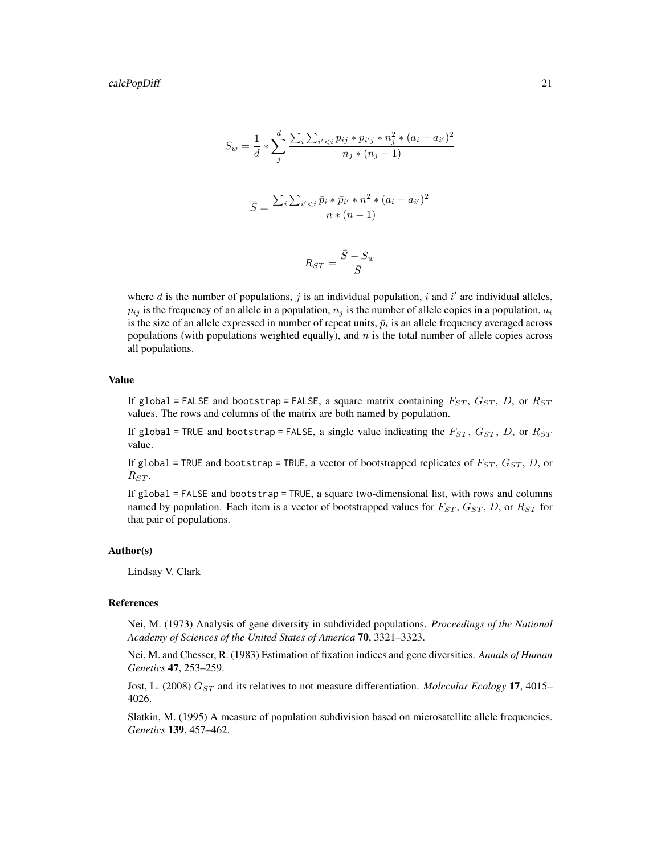$$
S_w = \frac{1}{d} * \sum_{j}^{d} \frac{\sum_{i} \sum_{i' < i} p_{ij} * p_{i'j} * n_j^2 * (a_i - a_{i'})^2}{n_j * (n_j - 1)}
$$
\n
$$
\bar{S} = \frac{\sum_{i} \sum_{i' < i} \bar{p}_i * \bar{p}_{i'} * n^2 * (a_i - a_{i'})^2}{n * (n - 1)}
$$
\n
$$
R_{ST} = \frac{\bar{S} - S_w}{\bar{S}}
$$

where  $d$  is the number of populations,  $j$  is an individual population,  $i$  and  $i'$  are individual alleles,  $p_{ij}$  is the frequency of an allele in a population,  $n_j$  is the number of allele copies in a population,  $a_i$ is the size of an allele expressed in number of repeat units,  $\bar{p}_i$  is an allele frequency averaged across populations (with populations weighted equally), and  $n$  is the total number of allele copies across all populations.

# Value

If global = FALSE and bootstrap = FALSE, a square matrix containing  $F_{ST}$ ,  $G_{ST}$ , D, or  $R_{ST}$ values. The rows and columns of the matrix are both named by population.

If global = TRUE and bootstrap = FALSE, a single value indicating the  $F_{ST}$ ,  $G_{ST}$ ,  $D$ , or  $R_{ST}$ value.

If global = TRUE and bootstrap = TRUE, a vector of bootstrapped replicates of  $F_{ST}$ ,  $G_{ST}$ ,  $D$ , or  $R_{ST}$ .

If global = FALSE and bootstrap = TRUE, a square two-dimensional list, with rows and columns named by population. Each item is a vector of bootstrapped values for  $F_{ST}$ ,  $G_{ST}$ ,  $D$ , or  $R_{ST}$  for that pair of populations.

# Author(s)

Lindsay V. Clark

#### References

Nei, M. (1973) Analysis of gene diversity in subdivided populations. *Proceedings of the National Academy of Sciences of the United States of America* 70, 3321–3323.

Nei, M. and Chesser, R. (1983) Estimation of fixation indices and gene diversities. *Annals of Human Genetics* 47, 253–259.

Jost, L. (2008)  $G_{ST}$  and its relatives to not measure differentiation. *Molecular Ecology* 17, 4015– 4026.

Slatkin, M. (1995) A measure of population subdivision based on microsatellite allele frequencies. *Genetics* 139, 457–462.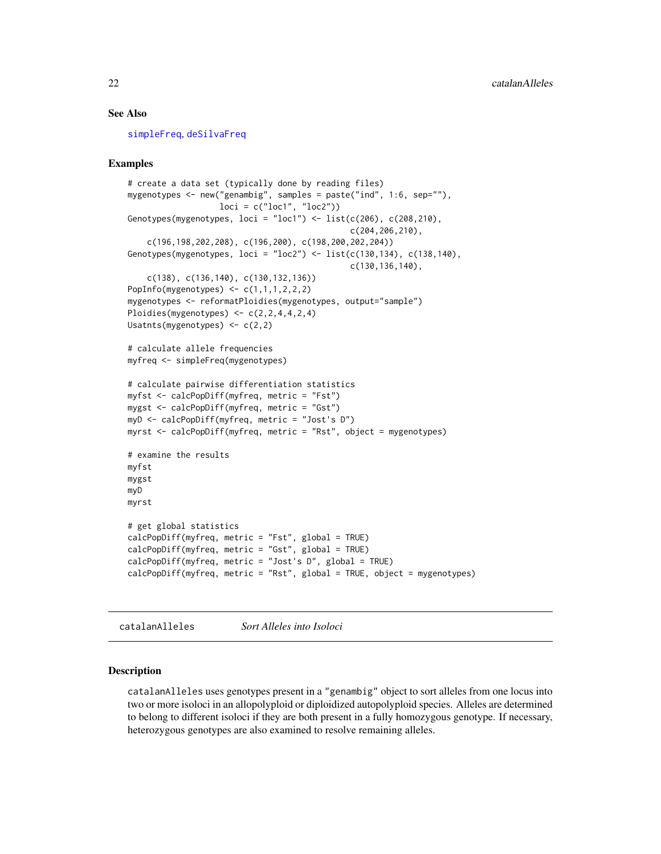### See Also

[simpleFreq](#page-95-1), [deSilvaFreq](#page-25-1)

### Examples

```
# create a data set (typically done by reading files)
mygenotypes <- new("genambig", samples = paste("ind", 1:6, sep=""),
                   loci = c("loc1", "loc2"))Genotypes(mygenotypes, loci = "loc1") \leftarrow list(c(206), c(208, 210),c(204,206,210),
    c(196,198,202,208), c(196,200), c(198,200,202,204))
Genotypes(mygenotypes, loci = "loc2") <- list(c(130,134), c(138,140),
                                               c(130,136,140),
    c(138), c(136,140), c(130,132,136))
PopInfo(mygenotypes) <- c(1,1,1,2,2,2)mygenotypes <- reformatPloidies(mygenotypes, output="sample")
Ploidies(mygenotypes) <- c(2,2,4,4,2,4)Usatnts(mygenotypes) <- c(2,2)
# calculate allele frequencies
myfreq <- simpleFreq(mygenotypes)
# calculate pairwise differentiation statistics
myfst <- calcPopDiff(myfreq, metric = "Fst")
mygst <- calcPopDiff(myfreq, metric = "Gst")
myD <- calcPopDiff(myfreq, metric = "Jost's D")
myrst <- calcPopDiff(myfreq, metric = "Rst", object = mygenotypes)
# examine the results
myfst
mygst
myD
myrst
# get global statistics
calcPopDiff(myfreq, metric = "Fst", global = TRUE)
calcPopDiff(myfreq, metric = "Gst", global = TRUE)
calcPopDiff(myfreq, metric = "Jost's D", global = TRUE)
calcPopDiff(myfreq, metric = "Rst", global = TRUE, object = mygenotypes)
```
<span id="page-21-1"></span>catalanAlleles *Sort Alleles into Isoloci*

#### Description

catalanAlleles uses genotypes present in a "genambig" object to sort alleles from one locus into two or more isoloci in an allopolyploid or diploidized autopolyploid species. Alleles are determined to belong to different isoloci if they are both present in a fully homozygous genotype. If necessary, heterozygous genotypes are also examined to resolve remaining alleles.

<span id="page-21-0"></span>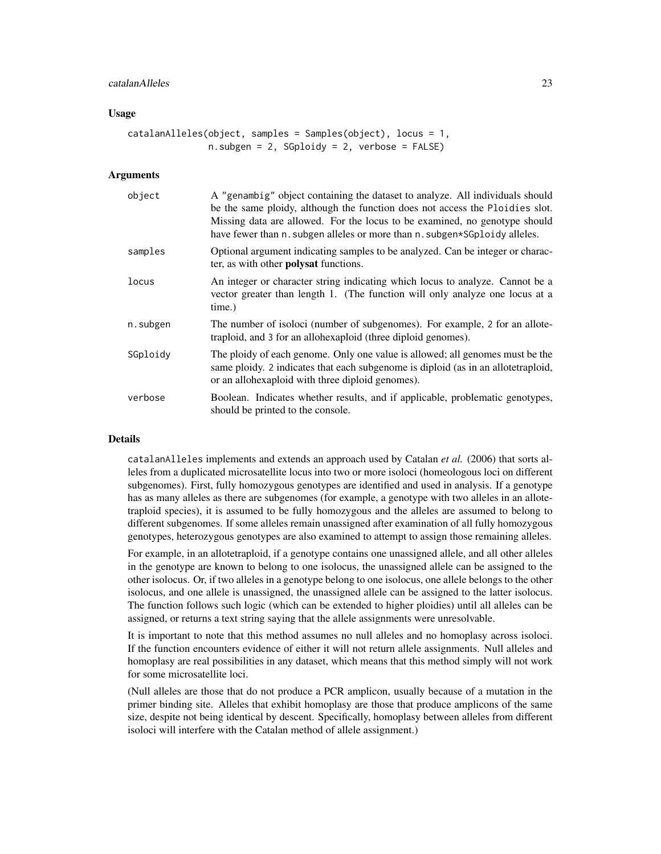#### catalanAlleles 23

#### Usage

```
catalanAlleles(object, samples = Samples(object), locus = 1,n.subgen = 2, SGploidy = 2, verbose = FALSE)
```
#### Arguments

| object   | A "genambig" object containing the dataset to analyze. All individuals should<br>be the same ploidy, although the function does not access the Ploidies slot.<br>Missing data are allowed. For the locus to be examined, no genotype should<br>have fewer than n. subgen alleles or more than n. subgen*SGploidy alleles. |
|----------|---------------------------------------------------------------------------------------------------------------------------------------------------------------------------------------------------------------------------------------------------------------------------------------------------------------------------|
| samples  | Optional argument indicating samples to be analyzed. Can be integer or charac-<br>ter, as with other <b>polysat</b> functions.                                                                                                                                                                                            |
| locus    | An integer or character string indicating which locus to analyze. Cannot be a<br>vector greater than length 1. (The function will only analyze one locus at a<br>time.)                                                                                                                                                   |
| n.subgen | The number of isoloci (number of subgenomes). For example, 2 for an allote-<br>traploid, and 3 for an allohexaploid (three diploid genomes).                                                                                                                                                                              |
| SGploidy | The ploidy of each genome. Only one value is allowed; all genomes must be the<br>same ploidy. 2 indicates that each subgenome is diploid (as in an allotetraploid,<br>or an allohexaploid with three diploid genomes).                                                                                                    |
| verbose  | Boolean. Indicates whether results, and if applicable, problematic genotypes,<br>should be printed to the console.                                                                                                                                                                                                        |

# Details

catalanAlleles implements and extends an approach used by Catalan *et al.* (2006) that sorts alleles from a duplicated microsatellite locus into two or more isoloci (homeologous loci on different subgenomes). First, fully homozygous genotypes are identified and used in analysis. If a genotype has as many alleles as there are subgenomes (for example, a genotype with two alleles in an allotetraploid species), it is assumed to be fully homozygous and the alleles are assumed to belong to different subgenomes. If some alleles remain unassigned after examination of all fully homozygous genotypes, heterozygous genotypes are also examined to attempt to assign those remaining alleles.

For example, in an allotetraploid, if a genotype contains one unassigned allele, and all other alleles in the genotype are known to belong to one isolocus, the unassigned allele can be assigned to the other isolocus. Or, if two alleles in a genotype belong to one isolocus, one allele belongs to the other isolocus, and one allele is unassigned, the unassigned allele can be assigned to the latter isolocus. The function follows such logic (which can be extended to higher ploidies) until all alleles can be assigned, or returns a text string saying that the allele assignments were unresolvable.

It is important to note that this method assumes no null alleles and no homoplasy across isoloci. If the function encounters evidence of either it will not return allele assignments. Null alleles and homoplasy are real possibilities in any dataset, which means that this method simply will not work for some microsatellite loci.

(Null alleles are those that do not produce a PCR amplicon, usually because of a mutation in the primer binding site. Alleles that exhibit homoplasy are those that produce amplicons of the same size, despite not being identical by descent. Specifically, homoplasy between alleles from different isoloci will interfere with the Catalan method of allele assignment.)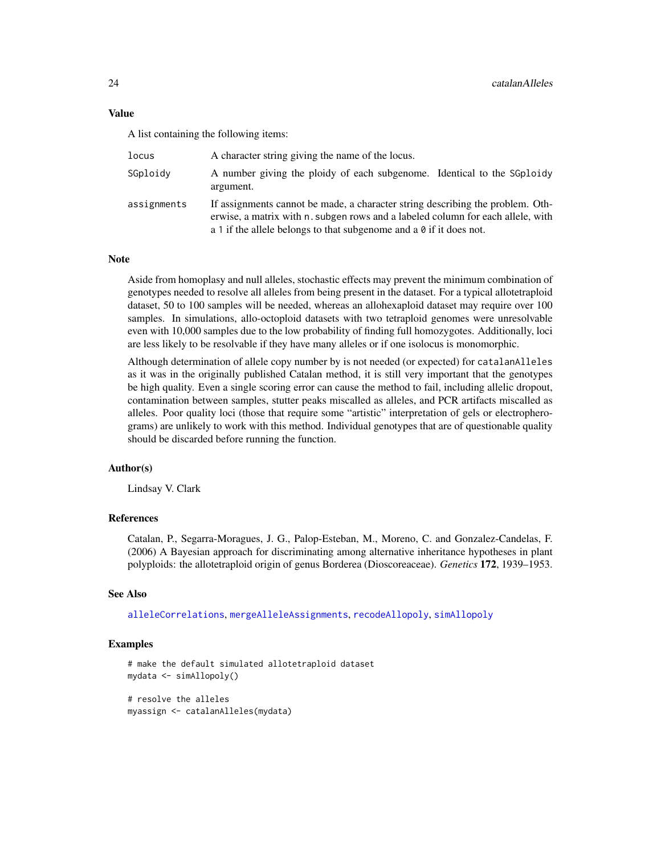Value

A list containing the following items:

| locus       | A character string giving the name of the locus.                                                                                                                                                                                                |
|-------------|-------------------------------------------------------------------------------------------------------------------------------------------------------------------------------------------------------------------------------------------------|
| SGploidy    | A number giving the ploidy of each subgenome. Identical to the SGploidy<br>argument.                                                                                                                                                            |
| assignments | If assignments cannot be made, a character string describing the problem. Oth-<br>erwise, a matrix with n. subgen rows and a labeled column for each allele, with<br>a 1 if the allele belongs to that subgenome and a $\theta$ if it does not. |

#### Note

Aside from homoplasy and null alleles, stochastic effects may prevent the minimum combination of genotypes needed to resolve all alleles from being present in the dataset. For a typical allotetraploid dataset, 50 to 100 samples will be needed, whereas an allohexaploid dataset may require over 100 samples. In simulations, allo-octoploid datasets with two tetraploid genomes were unresolvable even with 10,000 samples due to the low probability of finding full homozygotes. Additionally, loci are less likely to be resolvable if they have many alleles or if one isolocus is monomorphic.

Although determination of allele copy number by is not needed (or expected) for catalanAlleles as it was in the originally published Catalan method, it is still very important that the genotypes be high quality. Even a single scoring error can cause the method to fail, including allelic dropout, contamination between samples, stutter peaks miscalled as alleles, and PCR artifacts miscalled as alleles. Poor quality loci (those that require some "artistic" interpretation of gels or electropherograms) are unlikely to work with this method. Individual genotypes that are of questionable quality should be discarded before running the function.

#### Author(s)

Lindsay V. Clark

# References

Catalan, P., Segarra-Moragues, J. G., Palop-Esteban, M., Moreno, C. and Gonzalez-Candelas, F. (2006) A Bayesian approach for discriminating among alternative inheritance hypotheses in plant polyploids: the allotetraploid origin of genus Borderea (Dioscoreaceae). *Genetics* 172, 1939–1953.

# See Also

[alleleCorrelations](#page-6-1), [mergeAlleleAssignments](#page-63-1), [recodeAllopoly](#page-88-1), [simAllopoly](#page-92-1)

#### Examples

```
# make the default simulated allotetraploid dataset
mydata <- simAllopoly()
# resolve the alleles
myassign <- catalanAlleles(mydata)
```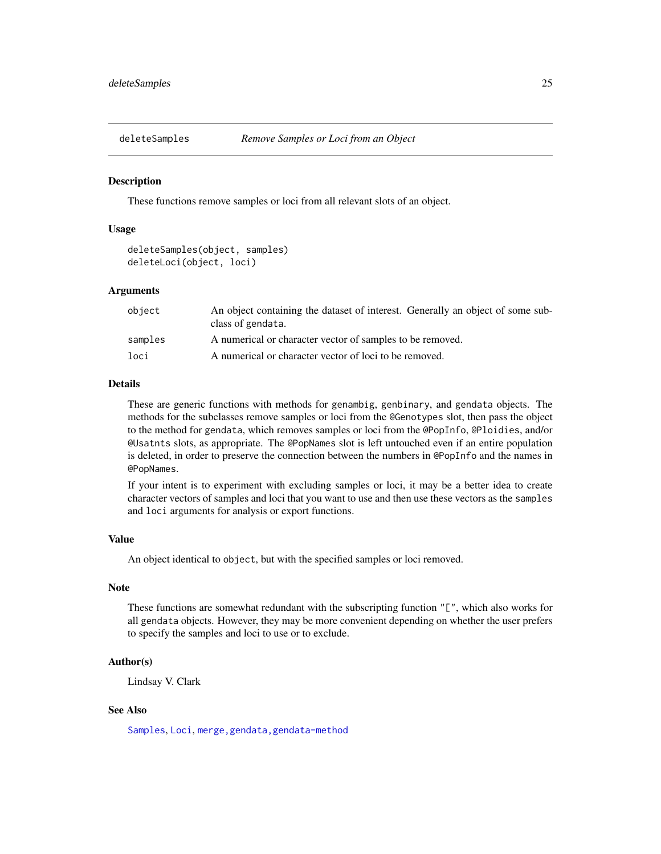<span id="page-24-1"></span><span id="page-24-0"></span>

#### <span id="page-24-2"></span>Description

These functions remove samples or loci from all relevant slots of an object.

# Usage

```
deleteSamples(object, samples)
deleteLoci(object, loci)
```
#### Arguments

| object  | An object containing the dataset of interest. Generally an object of some sub-<br>class of gendata. |
|---------|-----------------------------------------------------------------------------------------------------|
| samples | A numerical or character vector of samples to be removed.                                           |
| loci    | A numerical or character vector of loci to be removed.                                              |

#### Details

These are generic functions with methods for genambig, genbinary, and gendata objects. The methods for the subclasses remove samples or loci from the @Genotypes slot, then pass the object to the method for gendata, which removes samples or loci from the @PopInfo, @Ploidies, and/or @Usatnts slots, as appropriate. The @PopNames slot is left untouched even if an entire population is deleted, in order to preserve the connection between the numbers in @PopInfo and the names in @PopNames.

If your intent is to experiment with excluding samples or loci, it may be a better idea to create character vectors of samples and loci that you want to use and then use these vectors as the samples and loci arguments for analysis or export functions.

#### Value

An object identical to object, but with the specified samples or loci removed.

# Note

These functions are somewhat redundant with the subscripting function "[", which also works for all gendata objects. However, they may be more convenient depending on whether the user prefers to specify the samples and loci to use or to exclude.

# Author(s)

Lindsay V. Clark

# See Also

[Samples](#page-2-1), [Loci](#page-2-1), [merge,gendata,gendata-method](#page-0-0)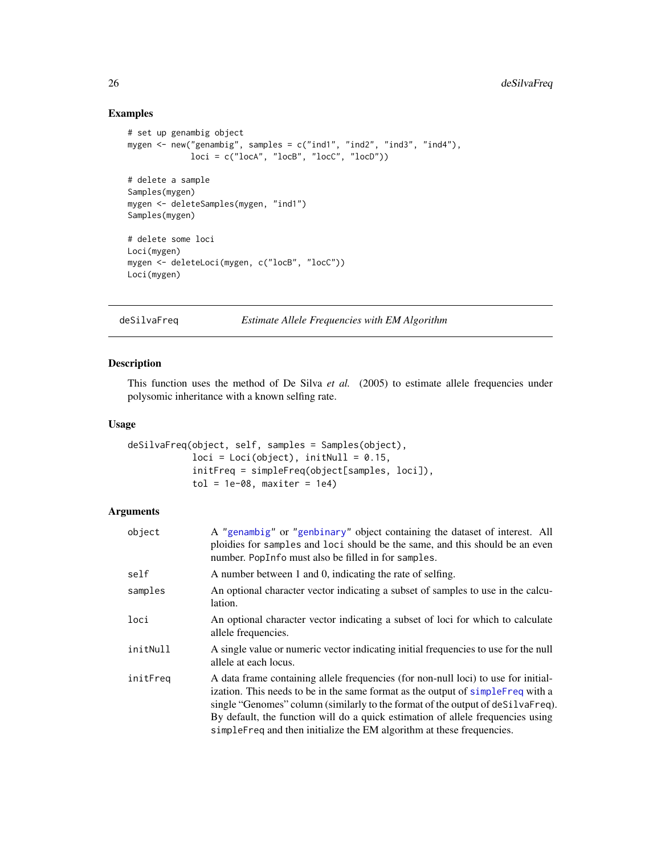# Examples

```
# set up genambig object
mygen <- new("genambig", samples = c("ind1", "ind2", "ind3", "ind4"),
             loci = c("locA", "locB", "locC", "locD"))# delete a sample
Samples(mygen)
mygen <- deleteSamples(mygen, "ind1")
Samples(mygen)
# delete some loci
Loci(mygen)
mygen <- deleteLoci(mygen, c("locB", "locC"))
Loci(mygen)
```
<span id="page-25-1"></span>deSilvaFreq *Estimate Allele Frequencies with EM Algorithm*

# Description

This function uses the method of De Silva *et al.* (2005) to estimate allele frequencies under polysomic inheritance with a known selfing rate.

#### Usage

```
deSilvaFreq(object, self, samples = Samples(object),
            loci = Loci(object), initNull = 0.15,initFreq = simpleFreq(object[samples, loci]),
            tol = 1e-08, maxiter = 1e4)
```
#### Arguments

| object   | A "genambig" or "genbinary" object containing the dataset of interest. All<br>ploidies for samples and loci should be the same, and this should be an even<br>number. PopInfo must also be filled in for samples.                                                                                                                                                                                                     |
|----------|-----------------------------------------------------------------------------------------------------------------------------------------------------------------------------------------------------------------------------------------------------------------------------------------------------------------------------------------------------------------------------------------------------------------------|
| self     | A number between 1 and 0, indicating the rate of selfing.                                                                                                                                                                                                                                                                                                                                                             |
| samples  | An optional character vector indicating a subset of samples to use in the calcu-<br>lation.                                                                                                                                                                                                                                                                                                                           |
| loci     | An optional character vector indicating a subset of loci for which to calculate<br>allele frequencies.                                                                                                                                                                                                                                                                                                                |
| initNull | A single value or numeric vector indicating initial frequencies to use for the null<br>allele at each locus.                                                                                                                                                                                                                                                                                                          |
| initFreq | A data frame containing allele frequencies (for non-null loci) to use for initial-<br>ization. This needs to be in the same format as the output of simpleFreq with a<br>single "Genomes" column (similarly to the format of the output of deSilvaFreq).<br>By default, the function will do a quick estimation of allele frequencies using<br>simple Freq and then initialize the EM algorithm at these frequencies. |

<span id="page-25-0"></span>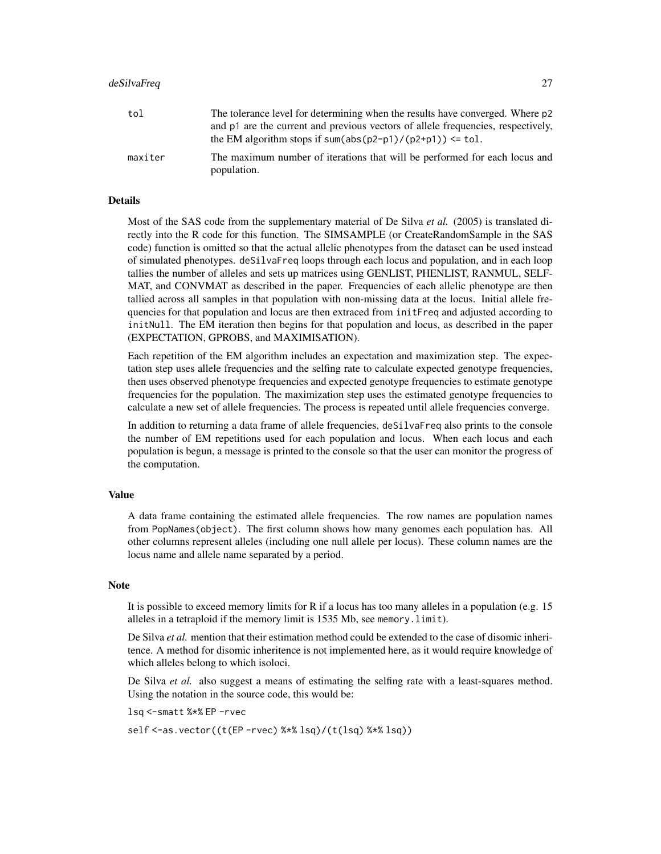#### deSilvaFreq 27

| tol     | The tolerance level for determining when the results have converged. Where p2<br>and p1 are the current and previous vectors of allele frequencies, respectively,<br>the EM algorithm stops if sum(abs( $p2-p1$ )/ $(p2+p1)$ ) <= tol. |
|---------|----------------------------------------------------------------------------------------------------------------------------------------------------------------------------------------------------------------------------------------|
| maxiter | The maximum number of iterations that will be performed for each locus and<br>population.                                                                                                                                              |

# Details

Most of the SAS code from the supplementary material of De Silva *et al.* (2005) is translated directly into the R code for this function. The SIMSAMPLE (or CreateRandomSample in the SAS code) function is omitted so that the actual allelic phenotypes from the dataset can be used instead of simulated phenotypes. deSilvaFreq loops through each locus and population, and in each loop tallies the number of alleles and sets up matrices using GENLIST, PHENLIST, RANMUL, SELF-MAT, and CONVMAT as described in the paper. Frequencies of each allelic phenotype are then tallied across all samples in that population with non-missing data at the locus. Initial allele frequencies for that population and locus are then extraced from initFreq and adjusted according to initNull. The EM iteration then begins for that population and locus, as described in the paper (EXPECTATION, GPROBS, and MAXIMISATION).

Each repetition of the EM algorithm includes an expectation and maximization step. The expectation step uses allele frequencies and the selfing rate to calculate expected genotype frequencies, then uses observed phenotype frequencies and expected genotype frequencies to estimate genotype frequencies for the population. The maximization step uses the estimated genotype frequencies to calculate a new set of allele frequencies. The process is repeated until allele frequencies converge.

In addition to returning a data frame of allele frequencies, deSilvaFreq also prints to the console the number of EM repetitions used for each population and locus. When each locus and each population is begun, a message is printed to the console so that the user can monitor the progress of the computation.

#### Value

A data frame containing the estimated allele frequencies. The row names are population names from PopNames(object). The first column shows how many genomes each population has. All other columns represent alleles (including one null allele per locus). These column names are the locus name and allele name separated by a period.

#### **Note**

It is possible to exceed memory limits for R if a locus has too many alleles in a population (e.g. 15 alleles in a tetraploid if the memory limit is 1535 Mb, see memory.limit).

De Silva *et al.* mention that their estimation method could be extended to the case of disomic inheritence. A method for disomic inheritence is not implemented here, as it would require knowledge of which alleles belong to which isoloci.

De Silva *et al.* also suggest a means of estimating the selfing rate with a least-squares method. Using the notation in the source code, this would be:

lsq <-smatt %\*% EP -rvec

self <-as.vector((t(EP -rvec) %\*% lsq)/(t(lsq) %\*% lsq))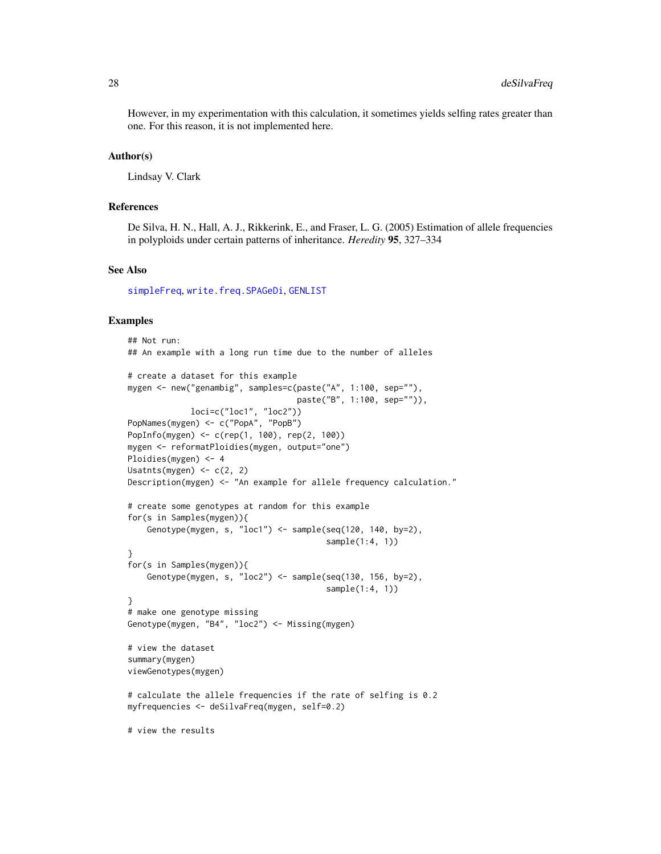However, in my experimentation with this calculation, it sometimes yields selfing rates greater than one. For this reason, it is not implemented here.

#### Author(s)

Lindsay V. Clark

#### References

De Silva, H. N., Hall, A. J., Rikkerink, E., and Fraser, L. G. (2005) Estimation of allele frequencies in polyploids under certain patterns of inheritance. *Heredity* 95, 327–334

#### See Also

[simpleFreq](#page-95-1), [write.freq.SPAGeDi](#page-100-1), [GENLIST](#page-52-1)

#### Examples

```
## Not run:
## An example with a long run time due to the number of alleles
# create a dataset for this example
mygen <- new("genambig", samples=c(paste("A", 1:100, sep=""),
                                   paste("B", 1:100, sep="")),
            loci=c("loc1", "loc2"))
PopNames(mygen) <- c("PopA", "PopB")
PopInfo(mygen) <- c(rep(1, 100), rep(2, 100))
mygen <- reformatPloidies(mygen, output="one")
Ploidies(mygen) <- 4
Usatnts(mygen) <- c(2, 2)
Description(mygen) <- "An example for allele frequency calculation."
# create some genotypes at random for this example
for(s in Samples(mygen)){
    Genotype(mygen, s, "loc1") <- sample(seq(120, 140, by=2),
                                         sample(1:4, 1))
}
for(s in Samples(mygen)){
    Genotype(mygen, s, "loc2") <- sample(seq(130, 156, by=2),
                                         sample(1:4, 1))
}
# make one genotype missing
Genotype(mygen, "B4", "loc2") <- Missing(mygen)
# view the dataset
summary(mygen)
viewGenotypes(mygen)
# calculate the allele frequencies if the rate of selfing is 0.2
myfrequencies <- deSilvaFreq(mygen, self=0.2)
# view the results
```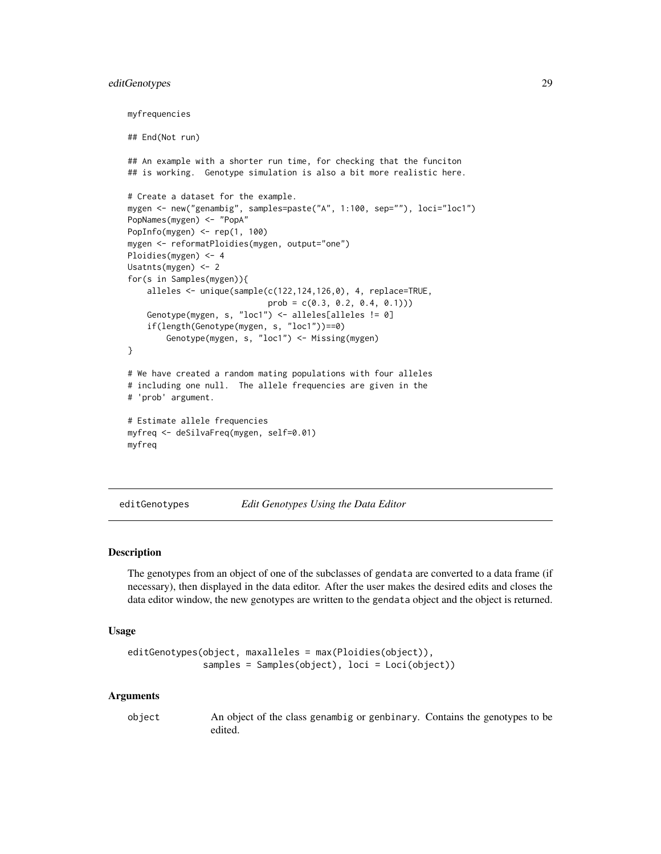# <span id="page-28-0"></span>editGenotypes 29

```
myfrequencies
## End(Not run)
## An example with a shorter run time, for checking that the funciton
## is working. Genotype simulation is also a bit more realistic here.
# Create a dataset for the example.
mygen <- new("genambig", samples=paste("A", 1:100, sep=""), loci="loc1")
PopNames(mygen) <- "PopA"
PopInfo(mygen) <- rep(1, 100)
mygen <- reformatPloidies(mygen, output="one")
Ploidies(mygen) <- 4
Usatnts(mygen) <- 2
for(s in Samples(mygen)){
    alleles <- unique(sample(c(122,124,126,0), 4, replace=TRUE,
                            prob = c(0.3, 0.2, 0.4, 0.1))Genotype(mygen, s, "loc1") <- alleles[alleles != 0]
    if(length(Genotype(mygen, s, "loc1"))==0)
       Genotype(mygen, s, "loc1") <- Missing(mygen)
}
# We have created a random mating populations with four alleles
# including one null. The allele frequencies are given in the
# 'prob' argument.
# Estimate allele frequencies
myfreq <- deSilvaFreq(mygen, self=0.01)
myfreq
```
<span id="page-28-1"></span>editGenotypes *Edit Genotypes Using the Data Editor*

# Description

The genotypes from an object of one of the subclasses of gendata are converted to a data frame (if necessary), then displayed in the data editor. After the user makes the desired edits and closes the data editor window, the new genotypes are written to the gendata object and the object is returned.

#### Usage

```
editGenotypes(object, maxalleles = max(Ploidies(object)),
              samples = Samples(object), loci = Loci(object))
```
#### Arguments

object An object of the class genambig or genbinary. Contains the genotypes to be edited.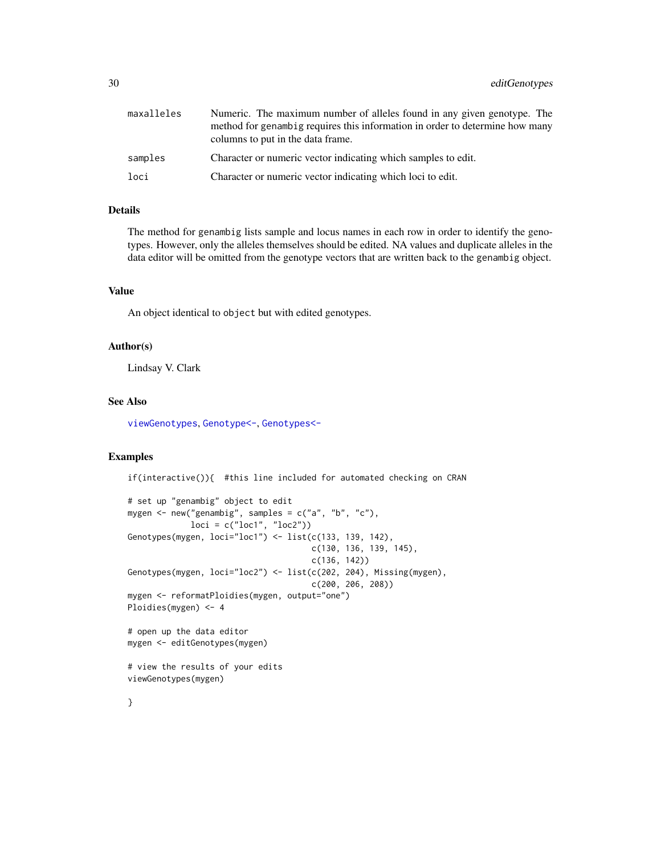| maxalleles | Numeric. The maximum number of alleles found in any given genotype. The<br>method for genambig requires this information in order to determine how many<br>columns to put in the data frame. |
|------------|----------------------------------------------------------------------------------------------------------------------------------------------------------------------------------------------|
| samples    | Character or numeric vector indicating which samples to edit.                                                                                                                                |
| loci       | Character or numeric vector indicating which loci to edit.                                                                                                                                   |

#### Details

The method for genambig lists sample and locus names in each row in order to identify the genotypes. However, only the alleles themselves should be edited. NA values and duplicate alleles in the data editor will be omitted from the genotype vectors that are written back to the genambig object.

# Value

An object identical to object but with edited genotypes.

### Author(s)

Lindsay V. Clark

#### See Also

[viewGenotypes](#page-97-1), [Genotype<-](#page-2-1), [Genotypes<-](#page-2-1)

# Examples

if(interactive()){ #this line included for automated checking on CRAN

```
# set up "genambig" object to edit
mygen <- new("genambig", samples = c("a", "b", "c"),
             loci = c("loc1", "loc2"))
Genotypes(mygen, loci="loc1") <- list(c(133, 139, 142),
                                      c(130, 136, 139, 145),
                                      c(136, 142))
Genotypes(mygen, loci="loc2") <- list(c(202, 204), Missing(mygen),
                                      c(200, 206, 208))
mygen <- reformatPloidies(mygen, output="one")
Ploidies(mygen) <- 4
# open up the data editor
mygen <- editGenotypes(mygen)
# view the results of your edits
viewGenotypes(mygen)
```
}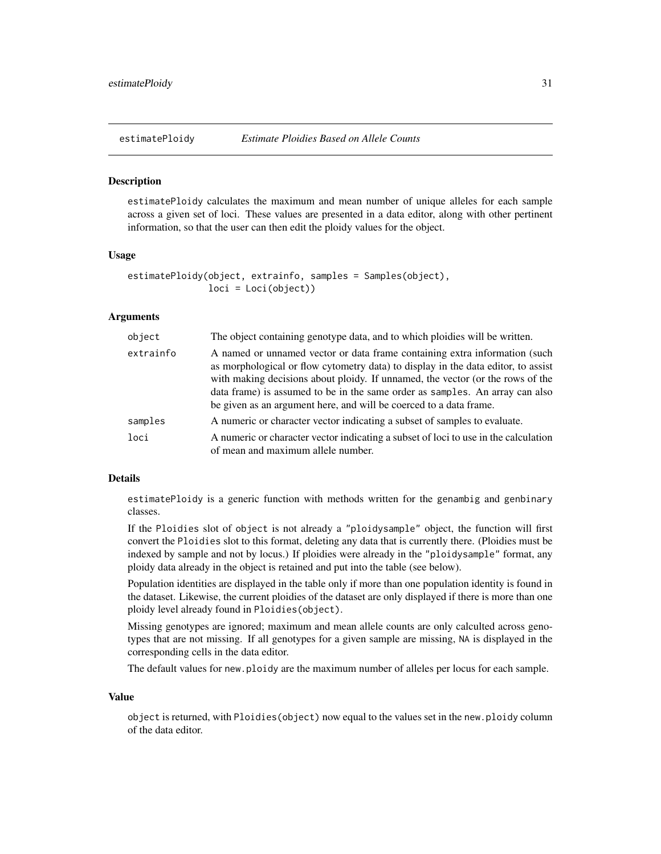<span id="page-30-1"></span><span id="page-30-0"></span>

#### **Description**

estimatePloidy calculates the maximum and mean number of unique alleles for each sample across a given set of loci. These values are presented in a data editor, along with other pertinent information, so that the user can then edit the ploidy values for the object.

#### Usage

```
estimatePloidy(object, extrainfo, samples = Samples(object),
               loci = Loci(object))
```
#### Arguments

| object    | The object containing genotype data, and to which ploidies will be written.                                                                                                                                                                                                                                                                                                                             |
|-----------|---------------------------------------------------------------------------------------------------------------------------------------------------------------------------------------------------------------------------------------------------------------------------------------------------------------------------------------------------------------------------------------------------------|
| extrainfo | A named or unnamed vector or data frame containing extra information (such<br>as morphological or flow cytometry data) to display in the data editor, to assist<br>with making decisions about ploidy. If unnamed, the vector (or the rows of the<br>data frame) is assumed to be in the same order as samples. An array can also<br>be given as an argument here, and will be coerced to a data frame. |
| samples   | A numeric or character vector indicating a subset of samples to evaluate.                                                                                                                                                                                                                                                                                                                               |
| loci      | A numeric or character vector indicating a subset of loci to use in the calculation<br>of mean and maximum allele number.                                                                                                                                                                                                                                                                               |

#### Details

estimatePloidy is a generic function with methods written for the genambig and genbinary classes.

If the Ploidies slot of object is not already a "ploidysample" object, the function will first convert the Ploidies slot to this format, deleting any data that is currently there. (Ploidies must be indexed by sample and not by locus.) If ploidies were already in the "ploidysample" format, any ploidy data already in the object is retained and put into the table (see below).

Population identities are displayed in the table only if more than one population identity is found in the dataset. Likewise, the current ploidies of the dataset are only displayed if there is more than one ploidy level already found in Ploidies(object).

Missing genotypes are ignored; maximum and mean allele counts are only calculted across genotypes that are not missing. If all genotypes for a given sample are missing, NA is displayed in the corresponding cells in the data editor.

The default values for new.ploidy are the maximum number of alleles per locus for each sample.

#### Value

object is returned, with Ploidies(object) now equal to the values set in the new.ploidy column of the data editor.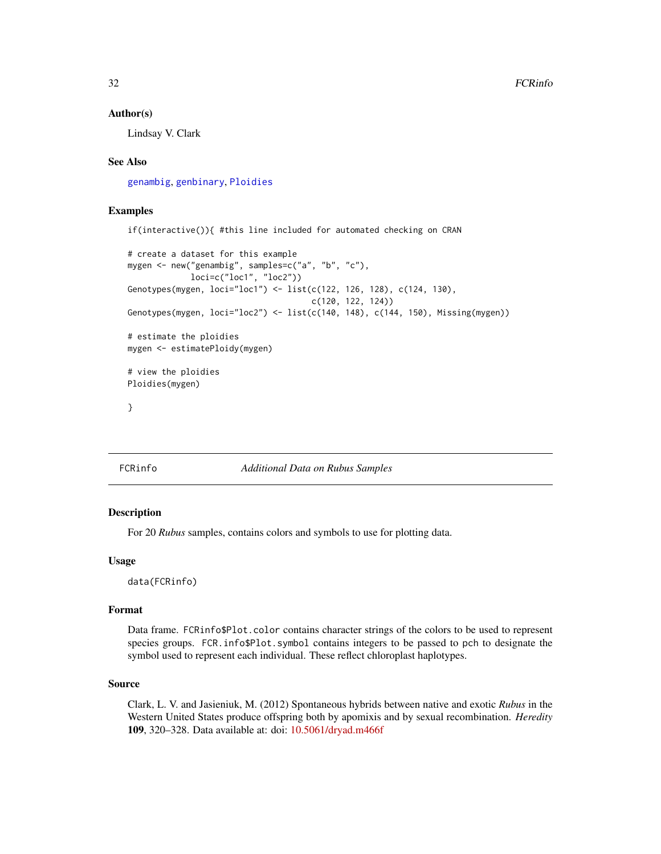#### <span id="page-31-0"></span>Author(s)

Lindsay V. Clark

# See Also

[genambig](#page-34-1), [genbinary](#page-39-1), [Ploidies](#page-2-1)

# Examples

if(interactive()){ #this line included for automated checking on CRAN

```
# create a dataset for this example
mygen <- new("genambig", samples=c("a", "b", "c"),
             loci=c("loc1", "loc2"))
Genotypes(mygen, loci="loc1") <- list(c(122, 126, 128), c(124, 130),
                                      c(120, 122, 124))
Genotypes(mygen, loci="loc2") <- list(c(140, 148), c(144, 150), Missing(mygen))
# estimate the ploidies
mygen <- estimatePloidy(mygen)
# view the ploidies
Ploidies(mygen)
}
```
# FCRinfo *Additional Data on Rubus Samples*

#### Description

For 20 *Rubus* samples, contains colors and symbols to use for plotting data.

#### Usage

data(FCRinfo)

#### Format

Data frame. FCRinfo\$Plot.color contains character strings of the colors to be used to represent species groups. FCR.info\$Plot.symbol contains integers to be passed to pch to designate the symbol used to represent each individual. These reflect chloroplast haplotypes.

# Source

Clark, L. V. and Jasieniuk, M. (2012) Spontaneous hybrids between native and exotic *Rubus* in the Western United States produce offspring both by apomixis and by sexual recombination. *Heredity* 109, 320–328. Data available at: doi: [10.5061/dryad.m466f](https://doi.org/10.5061/dryad.m466f)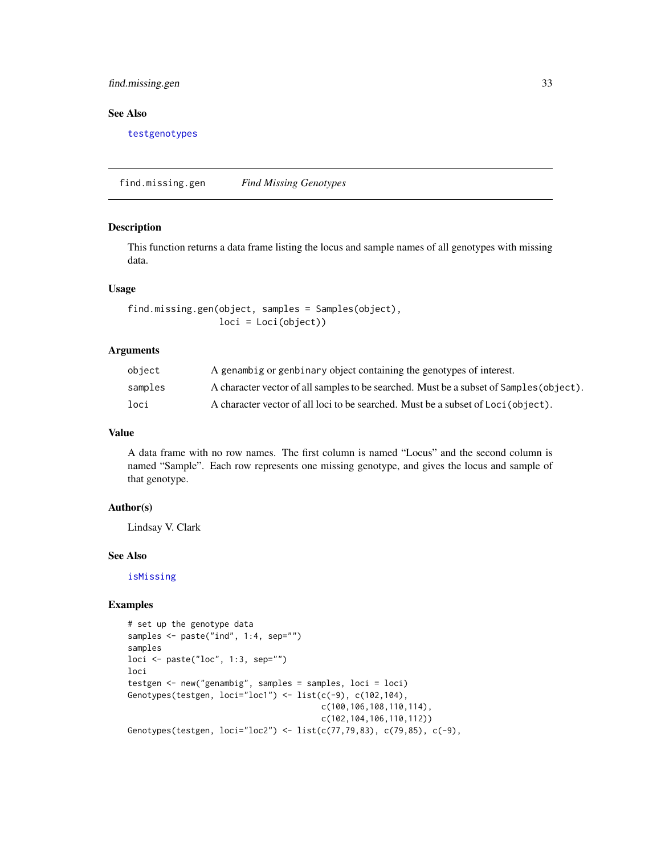# <span id="page-32-0"></span>find.missing.gen 33

# See Also

[testgenotypes](#page-96-1)

find.missing.gen *Find Missing Genotypes*

#### Description

This function returns a data frame listing the locus and sample names of all genotypes with missing data.

#### Usage

find.missing.gen(object, samples = Samples(object), loci = Loci(object))

# Arguments

| object  | A genambig or genbinary object containing the genotypes of interest.                    |
|---------|-----------------------------------------------------------------------------------------|
| samples | A character vector of all samples to be searched. Must be a subset of Samples (object). |
| loci    | A character vector of all loci to be searched. Must be a subset of Loci (object).       |

# Value

A data frame with no row names. The first column is named "Locus" and the second column is named "Sample". Each row represents one missing genotype, and gives the locus and sample of that genotype.

#### Author(s)

Lindsay V. Clark

# See Also

[isMissing](#page-55-1)

# Examples

```
# set up the genotype data
samples <- paste("ind", 1:4, sep="")
samples
loci \leq paste("loc", 1:3, sep="")
loci
testgen <- new("genambig", samples = samples, loci = loci)
Genotypes(testgen, loci="loc1") <- list(c(-9), c(102, 104),c(100,106,108,110,114),
                                        c(102,104,106,110,112))
Genotypes(testgen, loci="loc2") <- list(c(77,79,83), c(79,85), c(-9),
```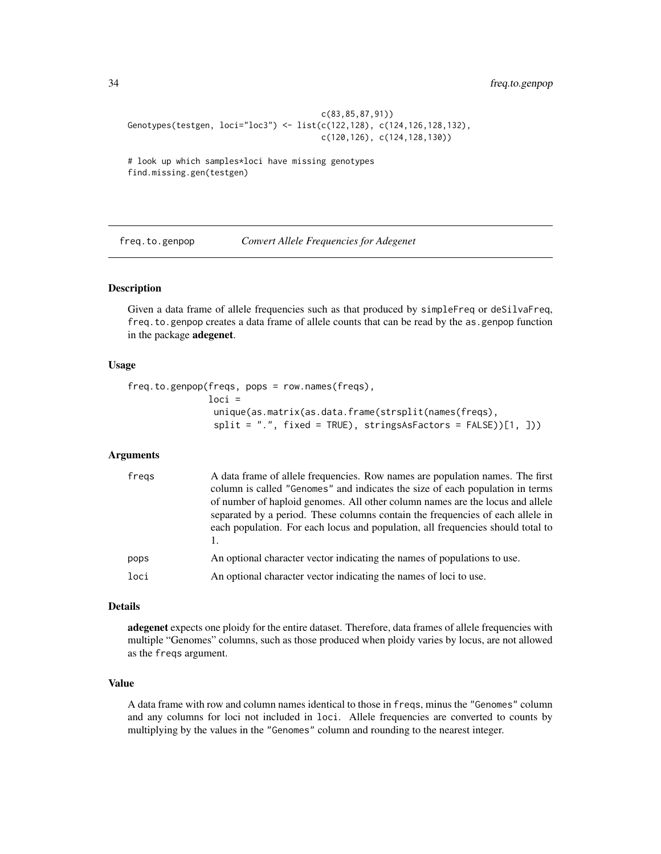```
c(83,85,87,91))
Genotypes(testgen, loci="loc3") <- list(c(122,128), c(124,126,128,132),
                                        c(120,126), c(124,128,130))
```
# look up which samples\*loci have missing genotypes find.missing.gen(testgen)

freq.to.genpop *Convert Allele Frequencies for Adegenet*

# Description

Given a data frame of allele frequencies such as that produced by simpleFreq or deSilvaFreq, freq.to.genpop creates a data frame of allele counts that can be read by the as.genpop function in the package adegenet.

#### Usage

```
freq.to.genpop(freqs, pops = row.names(freqs),
               loci =
                unique(as.matrix(as.data.frame(strsplit(names(freqs),
                split = ".", fixed = TRUE), stringsAsFactors = FALSE))[1, ]))
```
# Arguments

| fregs | A data frame of allele frequencies. Row names are population names. The first<br>column is called "Genomes" and indicates the size of each population in terms<br>of number of haploid genomes. All other column names are the locus and allele<br>separated by a period. These columns contain the frequencies of each allele in<br>each population. For each locus and population, all frequencies should total to |
|-------|----------------------------------------------------------------------------------------------------------------------------------------------------------------------------------------------------------------------------------------------------------------------------------------------------------------------------------------------------------------------------------------------------------------------|
| pops  | An optional character vector indicating the names of populations to use.                                                                                                                                                                                                                                                                                                                                             |
| loci  | An optional character vector indicating the names of loci to use.                                                                                                                                                                                                                                                                                                                                                    |

#### Details

adegenet expects one ploidy for the entire dataset. Therefore, data frames of allele frequencies with multiple "Genomes" columns, such as those produced when ploidy varies by locus, are not allowed as the freqs argument.

#### Value

A data frame with row and column names identical to those in freqs, minus the "Genomes" column and any columns for loci not included in loci. Allele frequencies are converted to counts by multiplying by the values in the "Genomes" column and rounding to the nearest integer.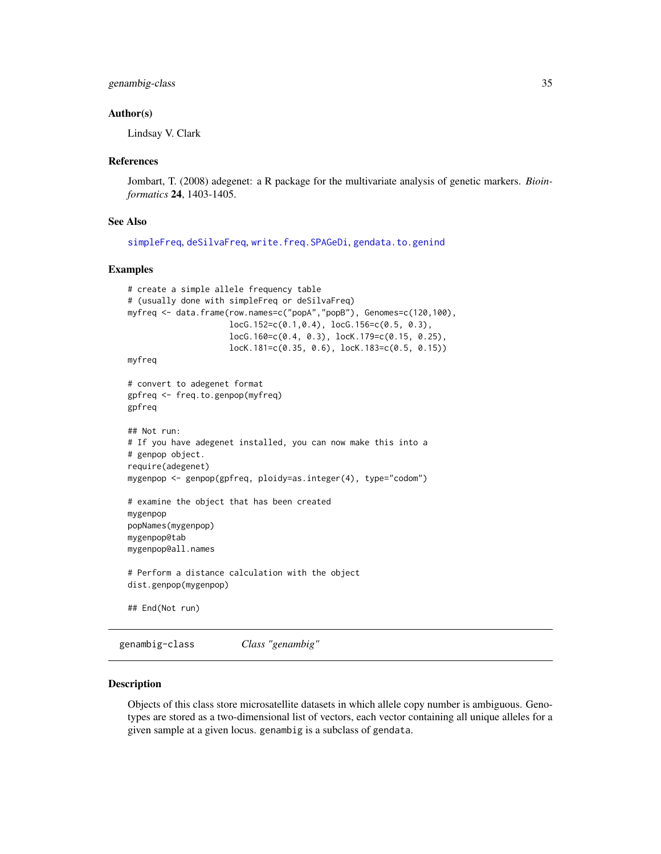# <span id="page-34-0"></span>genambig-class 35

#### Author(s)

Lindsay V. Clark

#### References

Jombart, T. (2008) adegenet: a R package for the multivariate analysis of genetic markers. *Bioinformatics* 24, 1403-1405.

#### See Also

```
simpleFreq, deSilvaFreq, write.freq.SPAGeDi, gendata.to.genind
```
# Examples

```
# create a simple allele frequency table
# (usually done with simpleFreq or deSilvaFreq)
myfreq <- data.frame(row.names=c("popA","popB"), Genomes=c(120,100),
                     locG.152=c(0.1,0.4), locG.156=c(0.5, 0.3),
                     locG.160=c(0.4, 0.3), locK.179=c(0.15, 0.25),
                     locK.181=c(0.35, 0.6), locK.183=c(0.5, 0.15))
myfreq
# convert to adegenet format
gpfreq <- freq.to.genpop(myfreq)
gpfreq
## Not run:
# If you have adegenet installed, you can now make this into a
# genpop object.
require(adegenet)
mygenpop <- genpop(gpfreq, ploidy=as.integer(4), type="codom")
# examine the object that has been created
mygenpop
popNames(mygenpop)
mygenpop@tab
mygenpop@all.names
# Perform a distance calculation with the object
dist.genpop(mygenpop)
## End(Not run)
```
<span id="page-34-1"></span>genambig-class *Class "genambig"*

#### Description

Objects of this class store microsatellite datasets in which allele copy number is ambiguous. Genotypes are stored as a two-dimensional list of vectors, each vector containing all unique alleles for a given sample at a given locus. genambig is a subclass of gendata.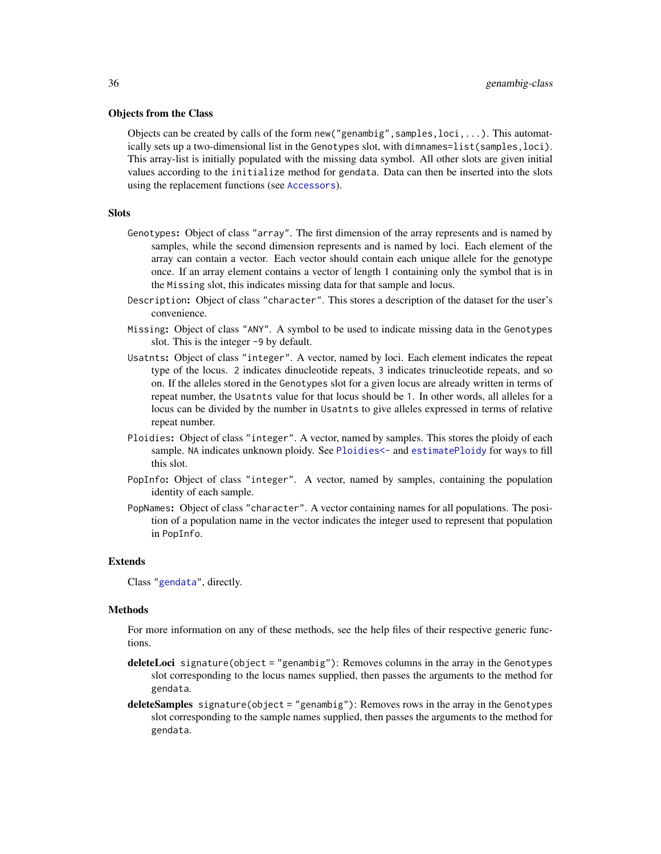#### Objects from the Class

Objects can be created by calls of the form new ("genambig", samples,  $loci$ ,...). This automatically sets up a two-dimensional list in the Genotypes slot, with dimnames=list(samples, loci). This array-list is initially populated with the missing data symbol. All other slots are given initial values according to the initialize method for gendata. Data can then be inserted into the slots using the replacement functions (see [Accessors](#page-2-1)).

# **Slots**

- Genotypes: Object of class "array". The first dimension of the array represents and is named by samples, while the second dimension represents and is named by loci. Each element of the array can contain a vector. Each vector should contain each unique allele for the genotype once. If an array element contains a vector of length 1 containing only the symbol that is in the Missing slot, this indicates missing data for that sample and locus.
- Description: Object of class "character". This stores a description of the dataset for the user's convenience.
- Missing: Object of class "ANY". A symbol to be used to indicate missing data in the Genotypes slot. This is the integer -9 by default.
- Usatnts: Object of class "integer". A vector, named by loci. Each element indicates the repeat type of the locus. 2 indicates dinucleotide repeats, 3 indicates trinucleotide repeats, and so on. If the alleles stored in the Genotypes slot for a given locus are already written in terms of repeat number, the Usatnts value for that locus should be 1. In other words, all alleles for a locus can be divided by the number in Usatnts to give alleles expressed in terms of relative repeat number.
- Ploidies: Object of class "integer". A vector, named by samples. This stores the ploidy of each sample. NA indicates unknown ploidy. See [Ploidies<-](#page-2-1) and [estimatePloidy](#page-30-1) for ways to fill this slot.
- PopInfo: Object of class "integer". A vector, named by samples, containing the population identity of each sample.
- PopNames: Object of class "character". A vector containing names for all populations. The position of a population name in the vector indicates the integer used to represent that population in PopInfo.

#### Extends

Class ["gendata"](#page-42-1), directly.

#### Methods

For more information on any of these methods, see the help files of their respective generic functions.

- deleteLoci signature(object = "genambig"): Removes columns in the array in the Genotypes slot corresponding to the locus names supplied, then passes the arguments to the method for gendata.
- deleteSamples signature(object = "genambig"): Removes rows in the array in the Genotypes slot corresponding to the sample names supplied, then passes the arguments to the method for gendata.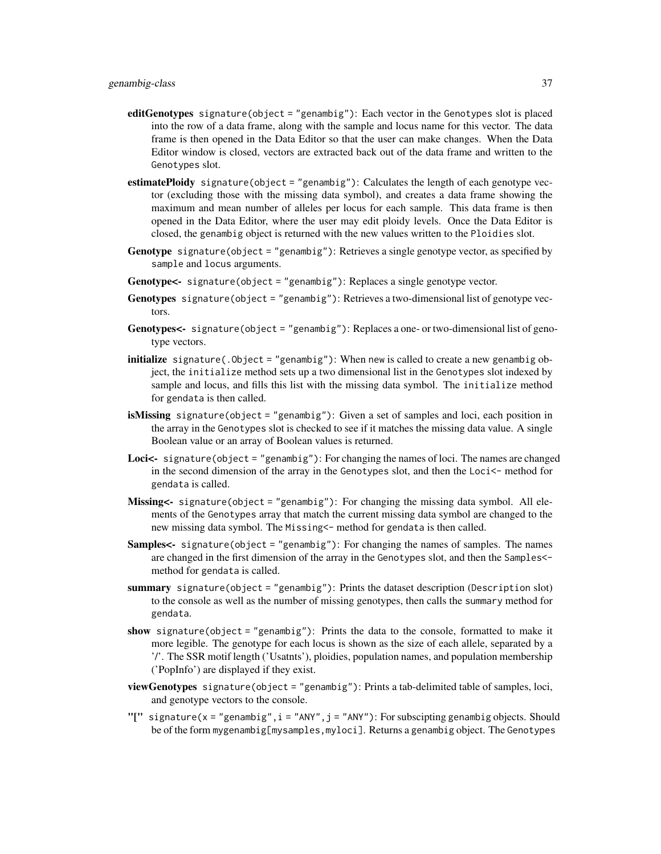- editGenotypes signature(object = "genambig"): Each vector in the Genotypes slot is placed into the row of a data frame, along with the sample and locus name for this vector. The data frame is then opened in the Data Editor so that the user can make changes. When the Data Editor window is closed, vectors are extracted back out of the data frame and written to the Genotypes slot.
- estimatePloidy signature(object = "genambig"): Calculates the length of each genotype vector (excluding those with the missing data symbol), and creates a data frame showing the maximum and mean number of alleles per locus for each sample. This data frame is then opened in the Data Editor, where the user may edit ploidy levels. Once the Data Editor is closed, the genambig object is returned with the new values written to the Ploidies slot.
- Genotype signature(object = "genambig"): Retrieves a single genotype vector, as specified by sample and locus arguments.
- Genotype  $\leq$  signature(object = "genambig"): Replaces a single genotype vector.
- Genotypes signature(object = "genambig"): Retrieves a two-dimensional list of genotype vectors.
- Genotypes<- signature(object = "genambig"): Replaces a one- or two-dimensional list of genotype vectors.
- initialize signature(.Object = "genambig"): When new is called to create a new genambig object, the initialize method sets up a two dimensional list in the Genotypes slot indexed by sample and locus, and fills this list with the missing data symbol. The initialize method for gendata is then called.
- isMissing signature(object = "genambig"): Given a set of samples and loci, each position in the array in the Genotypes slot is checked to see if it matches the missing data value. A single Boolean value or an array of Boolean values is returned.
- **Loci** $\leq$  signature(object = "genambig"): For changing the names of loci. The names are changed in the second dimension of the array in the Genotypes slot, and then the Loci<- method for gendata is called.
- Missing<- signature(object = "genambig"): For changing the missing data symbol. All elements of the Genotypes array that match the current missing data symbol are changed to the new missing data symbol. The Missing<- method for gendata is then called.
- Samples<- signature(object = "genambig"): For changing the names of samples. The names are changed in the first dimension of the array in the Genotypes slot, and then the Samples< method for gendata is called.
- summary signature(object = "genambig"): Prints the dataset description (Description slot) to the console as well as the number of missing genotypes, then calls the summary method for gendata.
- show signature(object = "genambig"): Prints the data to the console, formatted to make it more legible. The genotype for each locus is shown as the size of each allele, separated by a '/'. The SSR motif length ('Usatnts'), ploidies, population names, and population membership ('PopInfo') are displayed if they exist.
- viewGenotypes signature(object = "genambig"): Prints a tab-delimited table of samples, loci, and genotype vectors to the console.
- "[" signature(x = "genambig",  $i = "ANY", j = "ANY")$ : For subscipting genambig objects. Should be of the form mygenambig[mysamples,myloci]. Returns a genambig object. The Genotypes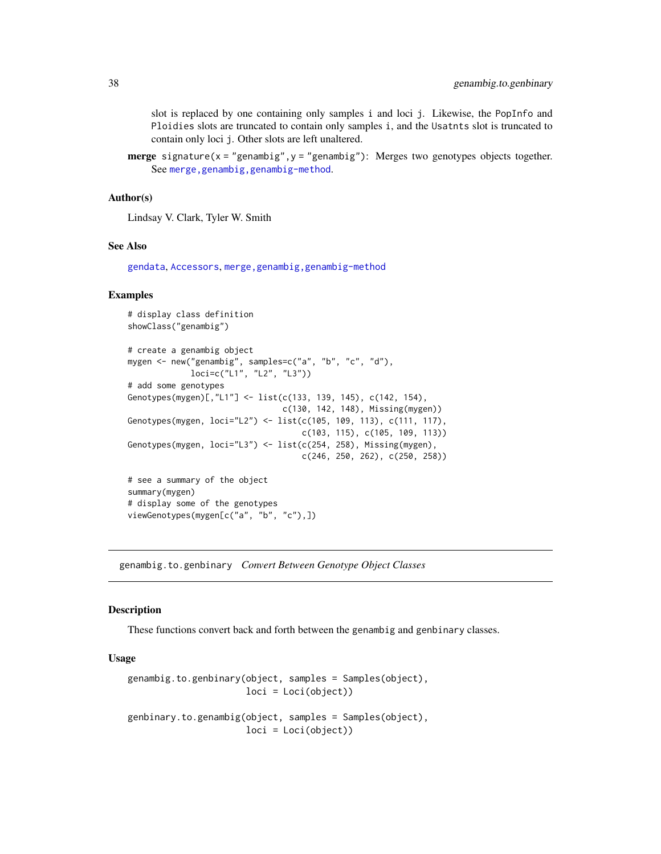slot is replaced by one containing only samples i and loci j. Likewise, the PopInfo and Ploidies slots are truncated to contain only samples i, and the Usatnts slot is truncated to contain only loci j. Other slots are left unaltered.

**merge** signature( $x =$ "genambig", $y =$ "genambig"): Merges two genotypes objects together. See [merge,genambig,genambig-method](#page-0-0).

# Author(s)

Lindsay V. Clark, Tyler W. Smith

# See Also

[gendata](#page-42-0), [Accessors](#page-2-0), [merge,genambig,genambig-method](#page-0-0)

# Examples

```
# display class definition
showClass("genambig")
# create a genambig object
mygen <- new("genambig", samples=c("a", "b", "c", "d"),
            loci=c("L1", "L2", "L3"))
# add some genotypes
Genotypes(mygen)[,"L1"] <- list(c(133, 139, 145), c(142, 154),
                                c(130, 142, 148), Missing(mygen))
Genotypes(mygen, loci="L2") <- list(c(105, 109, 113), c(111, 117),
                                   c(103, 115), c(105, 109, 113))
Genotypes(mygen, loci="L3") <- list(c(254, 258), Missing(mygen),
                                    c(246, 250, 262), c(250, 258))
# see a summary of the object
summary(mygen)
# display some of the genotypes
viewGenotypes(mygen[c("a", "b", "c"),])
```
<span id="page-37-0"></span>genambig.to.genbinary *Convert Between Genotype Object Classes*

# Description

These functions convert back and forth between the genambig and genbinary classes.

# Usage

```
genambig.to.genbinary(object, samples = Samples(object),
                      loci = Loci(object))
genbinary.to.genambig(object, samples = Samples(object),
                      loci = Loci(object))
```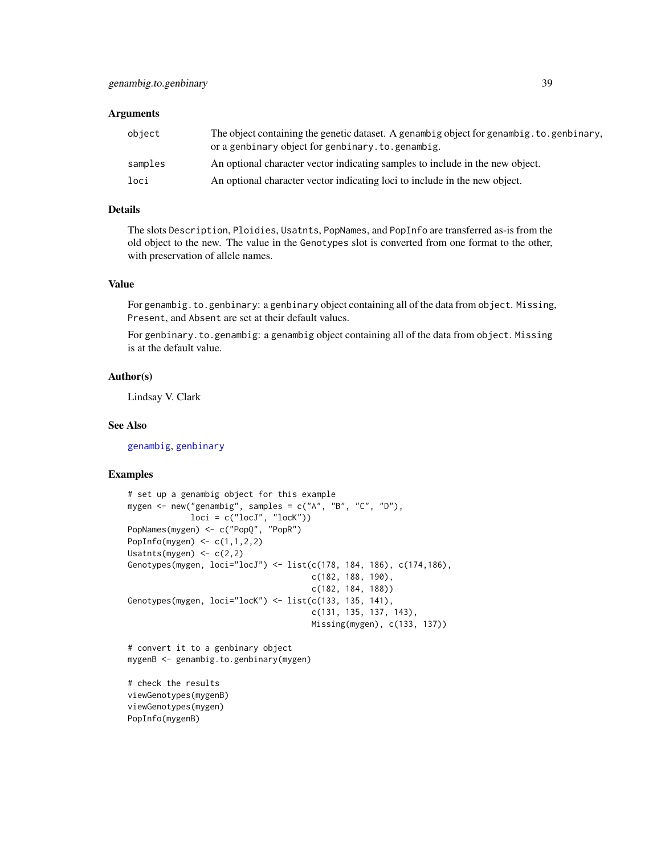## **Arguments**

| object  | The object containing the genetic dataset. A genambig object for genambig, to, genbinary,<br>or a genbinary object for genbinary. to. genambig. |
|---------|-------------------------------------------------------------------------------------------------------------------------------------------------|
| samples | An optional character vector indicating samples to include in the new object.                                                                   |
| loci    | An optional character vector indicating loci to include in the new object.                                                                      |

# Details

The slots Description, Ploidies, Usatnts, PopNames, and PopInfo are transferred as-is from the old object to the new. The value in the Genotypes slot is converted from one format to the other, with preservation of allele names.

# Value

For genambig.to.genbinary: a genbinary object containing all of the data from object. Missing, Present, and Absent are set at their default values.

For genbinary.to.genambig: a genambig object containing all of the data from object. Missing is at the default value.

# Author(s)

Lindsay V. Clark

# See Also

[genambig](#page-34-0), [genbinary](#page-39-0)

## Examples

```
# set up a genambig object for this example
mygen <- new("genambig", samples = c("A", "B", "C", "D"),
            loci = c("locJ", "locK"))
PopNames(mygen) <- c("PopQ", "PopR")
PopInfo(mygen) <- c(1,1,2,2)
Usatnts(mygen) <-c(2,2)Genotypes(mygen, loci="locJ") <- list(c(178, 184, 186), c(174,186),
                                      c(182, 188, 190),
                                      c(182, 184, 188))
Genotypes(mygen, loci="lock") <- list(c(133, 135, 141),c(131, 135, 137, 143),
                                      Missing(mygen), c(133, 137))
# convert it to a genbinary object
mygenB <- genambig.to.genbinary(mygen)
```
# check the results viewGenotypes(mygenB) viewGenotypes(mygen) PopInfo(mygenB)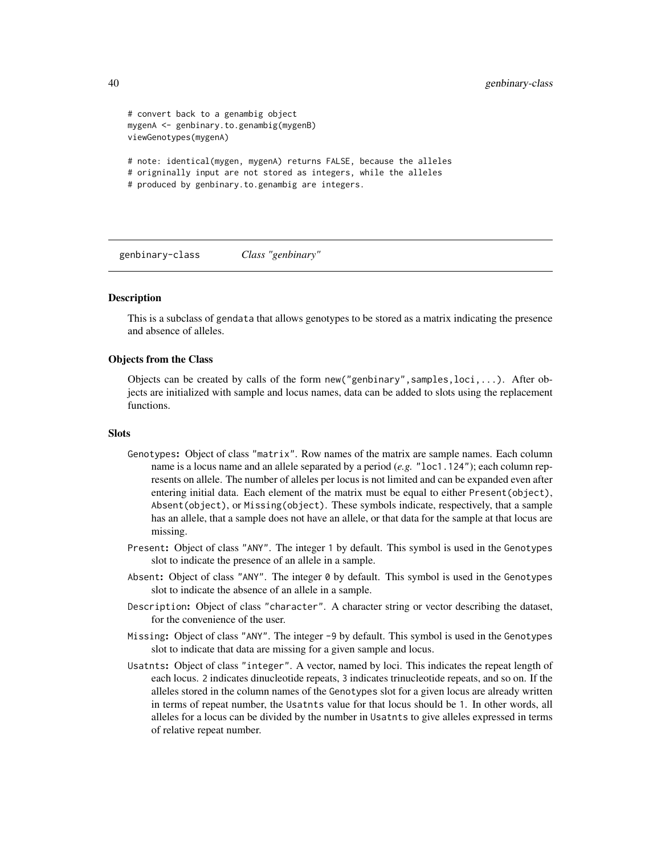```
# convert back to a genambig object
mygenA <- genbinary.to.genambig(mygenB)
viewGenotypes(mygenA)
# note: identical(mygen, mygenA) returns FALSE, because the alleles
# origninally input are not stored as integers, while the alleles
# produced by genbinary.to.genambig are integers.
```
<span id="page-39-0"></span>genbinary-class *Class "genbinary"*

#### **Description**

This is a subclass of gendata that allows genotypes to be stored as a matrix indicating the presence and absence of alleles.

# Objects from the Class

Objects can be created by calls of the form new("genbinary",samples,loci,...). After objects are initialized with sample and locus names, data can be added to slots using the replacement functions.

#### **Slots**

- Genotypes: Object of class "matrix". Row names of the matrix are sample names. Each column name is a locus name and an allele separated by a period (*e.g.* "loc1.124"); each column represents on allele. The number of alleles per locus is not limited and can be expanded even after entering initial data. Each element of the matrix must be equal to either Present(object), Absent(object), or Missing(object). These symbols indicate, respectively, that a sample has an allele, that a sample does not have an allele, or that data for the sample at that locus are missing.
- Present: Object of class "ANY". The integer 1 by default. This symbol is used in the Genotypes slot to indicate the presence of an allele in a sample.
- Absent: Object of class "ANY". The integer  $\theta$  by default. This symbol is used in the Genotypes slot to indicate the absence of an allele in a sample.
- Description: Object of class "character". A character string or vector describing the dataset, for the convenience of the user.
- Missing: Object of class "ANY". The integer -9 by default. This symbol is used in the Genotypes slot to indicate that data are missing for a given sample and locus.
- Usatnts: Object of class "integer". A vector, named by loci. This indicates the repeat length of each locus. 2 indicates dinucleotide repeats, 3 indicates trinucleotide repeats, and so on. If the alleles stored in the column names of the Genotypes slot for a given locus are already written in terms of repeat number, the Usatnts value for that locus should be 1. In other words, all alleles for a locus can be divided by the number in Usatnts to give alleles expressed in terms of relative repeat number.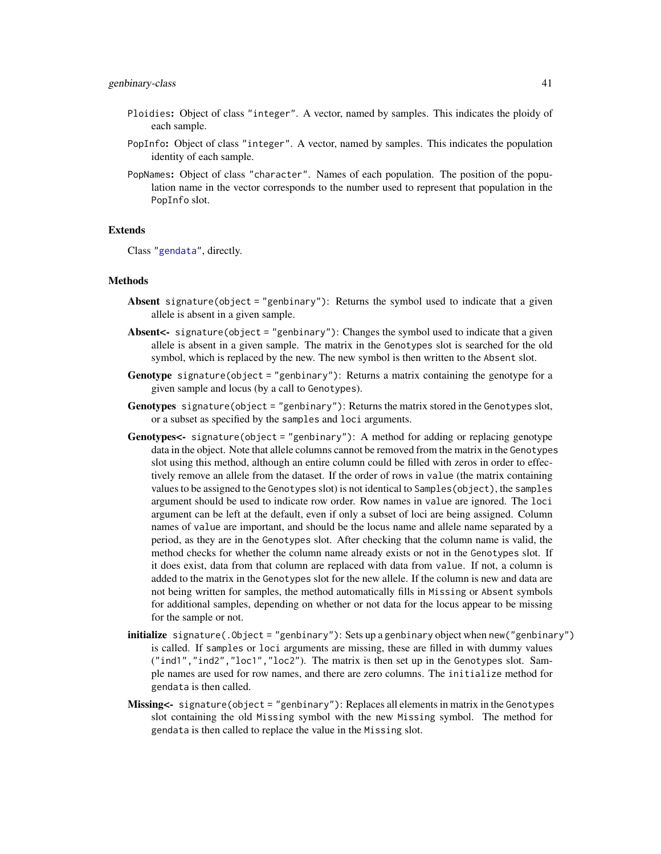- Ploidies: Object of class "integer". A vector, named by samples. This indicates the ploidy of each sample.
- PopInfo: Object of class "integer". A vector, named by samples. This indicates the population identity of each sample.
- PopNames: Object of class "character". Names of each population. The position of the population name in the vector corresponds to the number used to represent that population in the PopInfo slot.

#### Extends

Class ["gendata"](#page-42-0), directly.

# Methods

- Absent signature(object = "genbinary"): Returns the symbol used to indicate that a given allele is absent in a given sample.
- Absent<- signature(object = "genbinary"): Changes the symbol used to indicate that a given allele is absent in a given sample. The matrix in the Genotypes slot is searched for the old symbol, which is replaced by the new. The new symbol is then written to the Absent slot.
- **Genotype** signature(object = "genbinary"): Returns a matrix containing the genotype for a given sample and locus (by a call to Genotypes).
- Genotypes signature(object = "genbinary"): Returns the matrix stored in the Genotypes slot, or a subset as specified by the samples and loci arguments.
- Genotypes<- signature(object = "genbinary"): A method for adding or replacing genotype data in the object. Note that allele columns cannot be removed from the matrix in the Genotypes slot using this method, although an entire column could be filled with zeros in order to effectively remove an allele from the dataset. If the order of rows in value (the matrix containing values to be assigned to the Genotypes slot) is not identical to Samples(object), the samples argument should be used to indicate row order. Row names in value are ignored. The loci argument can be left at the default, even if only a subset of loci are being assigned. Column names of value are important, and should be the locus name and allele name separated by a period, as they are in the Genotypes slot. After checking that the column name is valid, the method checks for whether the column name already exists or not in the Genotypes slot. If it does exist, data from that column are replaced with data from value. If not, a column is added to the matrix in the Genotypes slot for the new allele. If the column is new and data are not being written for samples, the method automatically fills in Missing or Absent symbols for additional samples, depending on whether or not data for the locus appear to be missing for the sample or not.
- initialize signature(.Object = "genbinary"): Sets up a genbinary object when new("genbinary") is called. If samples or loci arguments are missing, these are filled in with dummy values ("ind1","ind2","loc1","loc2"). The matrix is then set up in the Genotypes slot. Sample names are used for row names, and there are zero columns. The initialize method for gendata is then called.
- Missing<- signature(object = "genbinary"): Replaces all elements in matrix in the Genotypes slot containing the old Missing symbol with the new Missing symbol. The method for gendata is then called to replace the value in the Missing slot.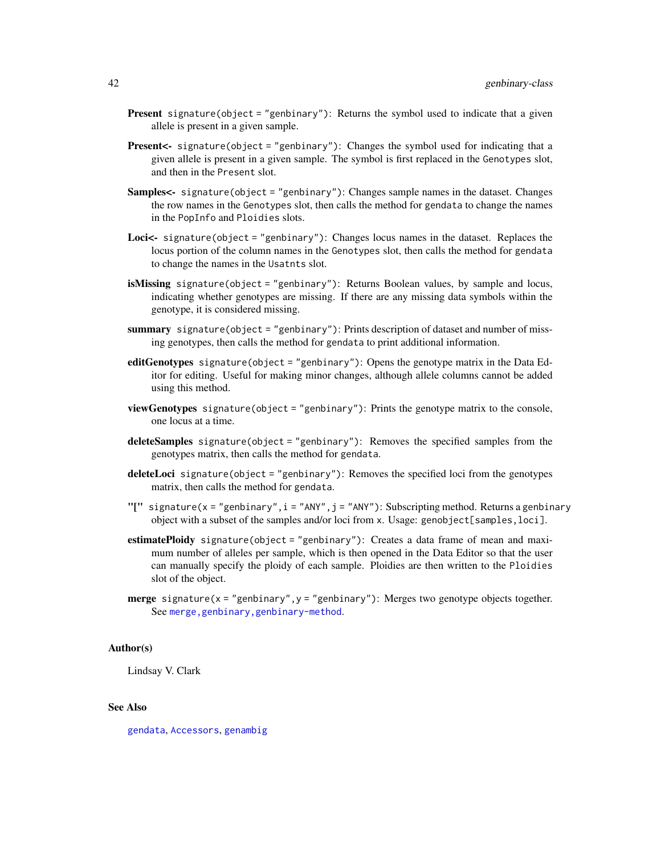- Present signature(object = "genbinary"): Returns the symbol used to indicate that a given allele is present in a given sample.
- Present<- signature(object = "genbinary"): Changes the symbol used for indicating that a given allele is present in a given sample. The symbol is first replaced in the Genotypes slot, and then in the Present slot.
- Samples<- signature(object = "genbinary"): Changes sample names in the dataset. Changes the row names in the Genotypes slot, then calls the method for gendata to change the names in the PopInfo and Ploidies slots.
- Loci<- signature(object = "genbinary"): Changes locus names in the dataset. Replaces the locus portion of the column names in the Genotypes slot, then calls the method for gendata to change the names in the Usatnts slot.
- isMissing signature(object = "genbinary"): Returns Boolean values, by sample and locus, indicating whether genotypes are missing. If there are any missing data symbols within the genotype, it is considered missing.
- summary signature(object = "genbinary"): Prints description of dataset and number of missing genotypes, then calls the method for gendata to print additional information.
- editGenotypes signature(object = "genbinary"): Opens the genotype matrix in the Data Editor for editing. Useful for making minor changes, although allele columns cannot be added using this method.
- viewGenotypes signature(object = "genbinary"): Prints the genotype matrix to the console, one locus at a time.
- deleteSamples signature(object = "genbinary"): Removes the specified samples from the genotypes matrix, then calls the method for gendata.
- deleteLoci signature(object = "genbinary"): Removes the specified loci from the genotypes matrix, then calls the method for gendata.
- "[" signature(x = "genbinary", i = "ANY", j = "ANY"): Subscripting method. Returns a genbinary object with a subset of the samples and/or loci from x. Usage: genobject[samples,loci].
- estimatePloidy signature(object = "genbinary"): Creates a data frame of mean and maximum number of alleles per sample, which is then opened in the Data Editor so that the user can manually specify the ploidy of each sample. Ploidies are then written to the Ploidies slot of the object.
- merge signature( $x =$  "genbinary",  $y =$  "genbinary"): Merges two genotype objects together. See [merge,genbinary,genbinary-method](#page-0-0).

#### Author(s)

Lindsay V. Clark

# See Also

[gendata](#page-42-0), [Accessors](#page-2-0), [genambig](#page-34-0)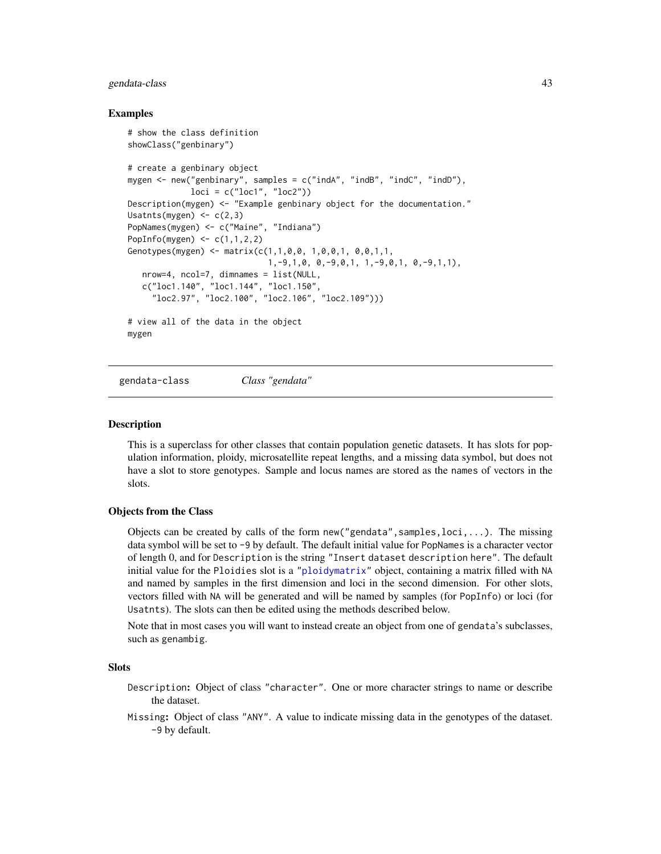# gendata-class 43

# Examples

```
# show the class definition
showClass("genbinary")
# create a genbinary object
mygen <- new("genbinary", samples = c("indA", "indB", "indC", "indD"),
             loci = c("loc1", "loc2"))Description(mygen) <- "Example genbinary object for the documentation."
Usatnts(mygen) <-c(2,3)PopNames(mygen) <- c("Maine", "Indiana")
PopInfo(mygen) \leq c(1,1,2,2)Genotypes(mygen) <- matrix(c(1,1,0,0, 1,0,0,1, 0,0,1,1,
                            1,-9,1,0, 0,-9,0,1, 1,-9,0,1, 0,-9,1,1),
  nrow=4, ncol=7, dimnames = list(NULL,
  c("loc1.140", "loc1.144", "loc1.150",
     "loc2.97", "loc2.100", "loc2.106", "loc2.109")))
# view all of the data in the object
mygen
```
<span id="page-42-0"></span>gendata-class *Class "gendata"*

#### **Description**

This is a superclass for other classes that contain population genetic datasets. It has slots for population information, ploidy, microsatellite repeat lengths, and a missing data symbol, but does not have a slot to store genotypes. Sample and locus names are stored as the names of vectors in the slots.

#### Objects from the Class

Objects can be created by calls of the form new ("gendata", samples,  $loci, \ldots$ ). The missing data symbol will be set to -9 by default. The default initial value for PopNames is a character vector of length 0, and for Description is the string "Insert dataset description here". The default initial value for the Ploidies slot is a ["ploidymatrix"](#page-68-0) object, containing a matrix filled with NA and named by samples in the first dimension and loci in the second dimension. For other slots, vectors filled with NA will be generated and will be named by samples (for PopInfo) or loci (for Usatnts). The slots can then be edited using the methods described below.

Note that in most cases you will want to instead create an object from one of gendata's subclasses, such as genambig.

# Slots

- Description: Object of class "character". One or more character strings to name or describe the dataset.
- Missing: Object of class "ANY". A value to indicate missing data in the genotypes of the dataset. -9 by default.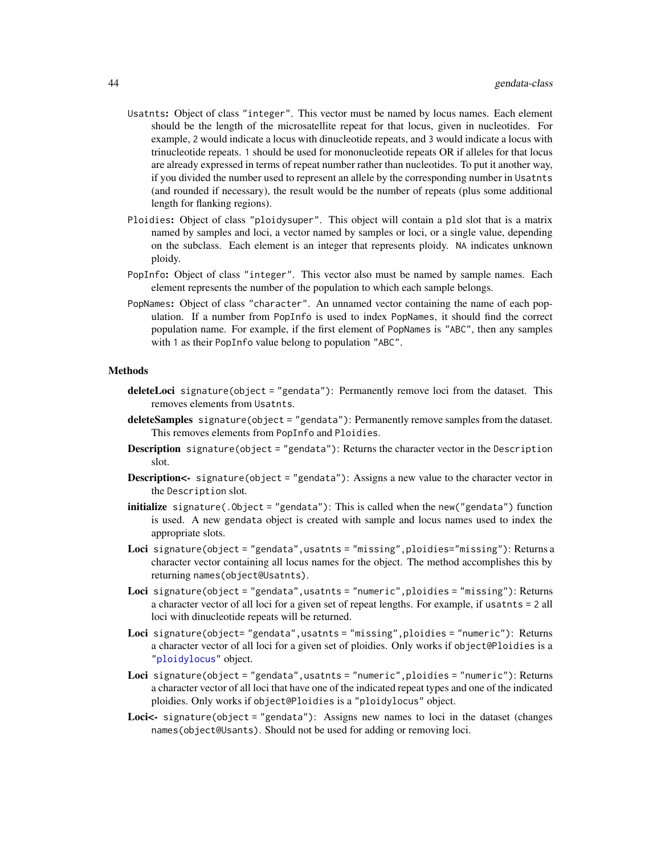- Usatnts: Object of class "integer". This vector must be named by locus names. Each element should be the length of the microsatellite repeat for that locus, given in nucleotides. For example, 2 would indicate a locus with dinucleotide repeats, and 3 would indicate a locus with trinucleotide repeats. 1 should be used for mononucleotide repeats OR if alleles for that locus are already expressed in terms of repeat number rather than nucleotides. To put it another way, if you divided the number used to represent an allele by the corresponding number in Usatnts (and rounded if necessary), the result would be the number of repeats (plus some additional length for flanking regions).
- Ploidies: Object of class "ploidysuper". This object will contain a pld slot that is a matrix named by samples and loci, a vector named by samples or loci, or a single value, depending on the subclass. Each element is an integer that represents ploidy. NA indicates unknown ploidy.
- PopInfo: Object of class "integer". This vector also must be named by sample names. Each element represents the number of the population to which each sample belongs.
- PopNames: Object of class "character". An unnamed vector containing the name of each population. If a number from PopInfo is used to index PopNames, it should find the correct population name. For example, if the first element of PopNames is "ABC", then any samples with 1 as their PopInfo value belong to population "ABC".

# Methods

- deleteLoci signature(object = "gendata"): Permanently remove loci from the dataset. This removes elements from Usatnts.
- deleteSamples signature(object = "gendata"): Permanently remove samples from the dataset. This removes elements from PopInfo and Ploidies.
- **Description** signature(object = "gendata"): Returns the character vector in the Description slot.
- **Description<-** signature(object = "gendata"): Assigns a new value to the character vector in the Description slot.
- **initialize** signature(. $Object = "gendata")$ : This is called when the new("gendata") function is used. A new gendata object is created with sample and locus names used to index the appropriate slots.
- Loci signature(object = "gendata",usatnts = "missing",ploidies="missing"): Returns a character vector containing all locus names for the object. The method accomplishes this by returning names(object@Usatnts).
- Loci signature(object = "gendata",usatnts = "numeric",ploidies = "missing"): Returns a character vector of all loci for a given set of repeat lengths. For example, if usatnts = 2 all loci with dinucleotide repeats will be returned.
- Loci signature(object= "gendata", usatnts = "missing", ploidies = "numeric"): Returns a character vector of all loci for a given set of ploidies. Only works if object@Ploidies is a ["ploidylocus"](#page-68-0) object.
- Loci signature(object = "gendata", usatnts = "numeric", ploidies = "numeric"): Returns a character vector of all loci that have one of the indicated repeat types and one of the indicated ploidies. Only works if object@Ploidies is a "ploidylocus" object.
- Loci<- signature(object = "gendata"): Assigns new names to loci in the dataset (changes names(object@Usants). Should not be used for adding or removing loci.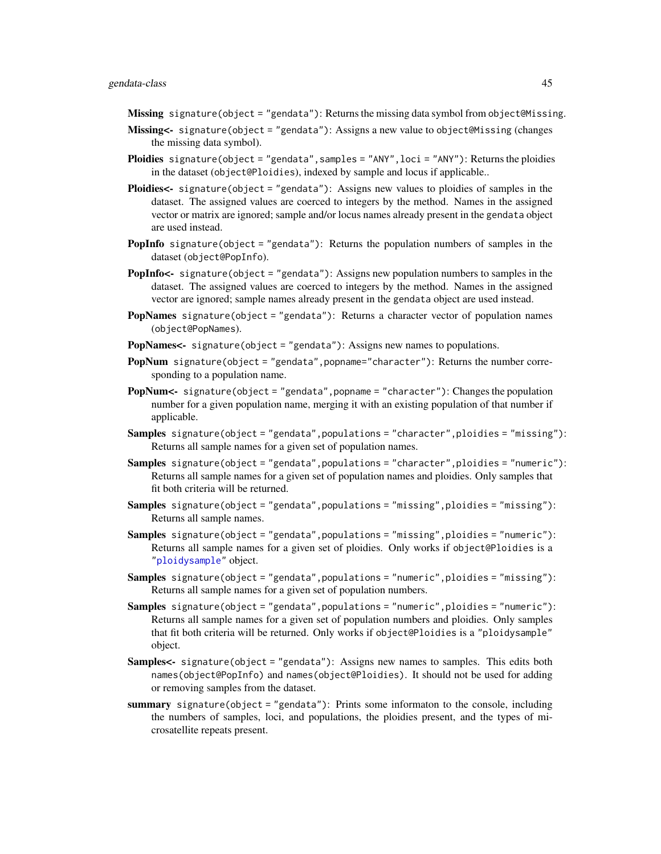Missing signature(object = "gendata"): Returns the missing data symbol from object@Missing.

- Missing<- signature(object = "gendata"): Assigns a new value to object@Missing (changes the missing data symbol).
- Ploidies signature(object = "gendata", samples = "ANY", loci = "ANY"): Returns the ploidies in the dataset (object@Ploidies), indexed by sample and locus if applicable..
- Ploidies<- signature(object = "gendata"): Assigns new values to ploidies of samples in the dataset. The assigned values are coerced to integers by the method. Names in the assigned vector or matrix are ignored; sample and/or locus names already present in the gendata object are used instead.
- **PopInfo** signature(object = "gendata"): Returns the population numbers of samples in the dataset (object@PopInfo).
- PopInfo<- signature(object = "gendata"): Assigns new population numbers to samples in the dataset. The assigned values are coerced to integers by the method. Names in the assigned vector are ignored; sample names already present in the gendata object are used instead.
- **PopNames** signature(object = "gendata"): Returns a character vector of population names (object@PopNames).
- PopNames<- signature(object = "gendata"): Assigns new names to populations.
- PopNum signature(object = "gendata", popname="character"): Returns the number corresponding to a population name.
- PopNum<- signature(object = "gendata", popname = "character"): Changes the population number for a given population name, merging it with an existing population of that number if applicable.
- Samples signature(object = "gendata", populations = "character", ploidies = "missing"): Returns all sample names for a given set of population names.
- Samples signature(object = "gendata", populations = "character", ploidies = "numeric"): Returns all sample names for a given set of population names and ploidies. Only samples that fit both criteria will be returned.
- Samples signature(object = "gendata",populations = "missing",ploidies = "missing"): Returns all sample names.
- Samples signature(object = "gendata", populations = "missing", ploidies = "numeric"): Returns all sample names for a given set of ploidies. Only works if object@Ploidies is a ["ploidysample"](#page-68-0) object.
- Samples signature(object = "gendata",populations = "numeric",ploidies = "missing"): Returns all sample names for a given set of population numbers.
- Samples signature(object = "gendata",populations = "numeric",ploidies = "numeric"): Returns all sample names for a given set of population numbers and ploidies. Only samples that fit both criteria will be returned. Only works if object@Ploidies is a "ploidysample" object.
- Samples<- signature(object = "gendata"): Assigns new names to samples. This edits both names(object@PopInfo) and names(object@Ploidies). It should not be used for adding or removing samples from the dataset.
- summary signature(object = "gendata"): Prints some informaton to the console, including the numbers of samples, loci, and populations, the ploidies present, and the types of microsatellite repeats present.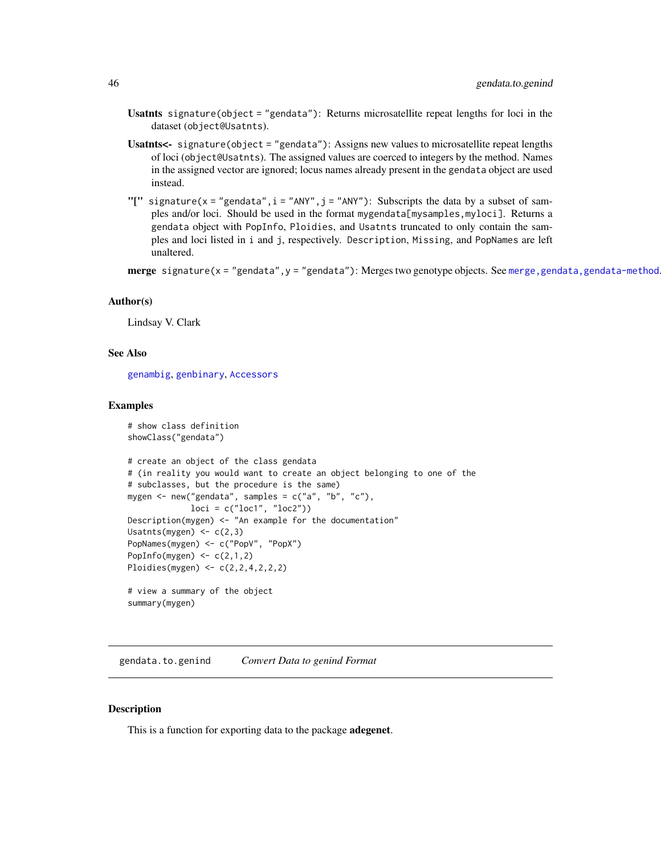- Usatnts signature(object = "gendata"): Returns microsatellite repeat lengths for loci in the dataset (object@Usatnts).
- Usatnts<- signature(object = "gendata"): Assigns new values to microsatellite repeat lengths of loci (object@Usatnts). The assigned values are coerced to integers by the method. Names in the assigned vector are ignored; locus names already present in the gendata object are used instead.
- "[" signature(x = "gendata", i = "ANY", j = "ANY"): Subscripts the data by a subset of samples and/or loci. Should be used in the format mygendata[mysamples, myloci]. Returns a gendata object with PopInfo, Ploidies, and Usatnts truncated to only contain the samples and loci listed in i and j, respectively. Description, Missing, and PopNames are left unaltered.

merge signature(x = "gendata", y = "gendata"): Merges two genotype objects. See merge, gendata, gendata-method

## Author(s)

Lindsay V. Clark

# See Also

[genambig](#page-34-0), [genbinary](#page-39-0), [Accessors](#page-2-0)

#### Examples

```
# show class definition
showClass("gendata")
# create an object of the class gendata
# (in reality you would want to create an object belonging to one of the
# subclasses, but the procedure is the same)
mygen <- new("gendata", samples = c("a", "b", "c"),
             loci = c("loc1", "loc2"))
Description(mygen) <- "An example for the documentation"
Usatnts(mygen) \leq c(2,3)
PopNames(mygen) <- c("PopV", "PopX")
PopInfo(mygen) \leq c(2,1,2)Ploidies(mygen) <- c(2,2,4,2,2,2)
# view a summary of the object
summary(mygen)
```
gendata.to.genind *Convert Data to genind Format*

# Description

This is a function for exporting data to the package adegenet.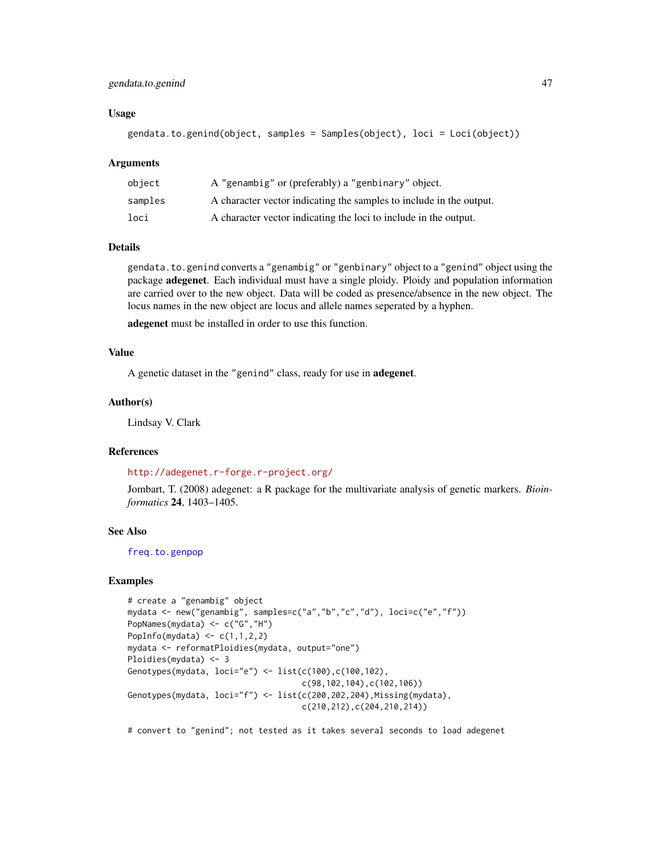# gendata.to.genind 47

# Usage

```
gendata.to.genind(object, samples = Samples(object), loci = Loci(object))
```
#### Arguments

| obiect  | A "genambig" or (preferably) a "genbinary" object.                  |
|---------|---------------------------------------------------------------------|
| samples | A character vector indicating the samples to include in the output. |
| loci    | A character vector indicating the loci to include in the output.    |

# Details

gendata.to.genind converts a "genambig" or "genbinary" object to a "genind" object using the package adegenet. Each individual must have a single ploidy. Ploidy and population information are carried over to the new object. Data will be coded as presence/absence in the new object. The locus names in the new object are locus and allele names seperated by a hyphen.

adegenet must be installed in order to use this function.

# Value

A genetic dataset in the "genind" class, ready for use in adegenet.

# Author(s)

Lindsay V. Clark

# References

#### <http://adegenet.r-forge.r-project.org/>

Jombart, T. (2008) adegenet: a R package for the multivariate analysis of genetic markers. *Bioinformatics* 24, 1403–1405.

# See Also

[freq.to.genpop](#page-33-0)

# Examples

```
# create a "genambig" object
mydata <- new("genambig", samples=c("a","b","c","d"), loci=c("e","f"))
PopNames(mydata) <- c("G","H")
PopInfo(mydata) \leq c(1,1,2,2)mydata <- reformatPloidies(mydata, output="one")
Ploidies(mydata) <- 3
Genotypes(mydata, loci="e") <- list(c(100),c(100,102),
                                    c(98,102,104),c(102,106))
Genotypes(mydata, loci="f") <- list(c(200,202,204), Missing(mydata),
                                    c(210,212),c(204,210,214))
```
# convert to "genind"; not tested as it takes several seconds to load adegenet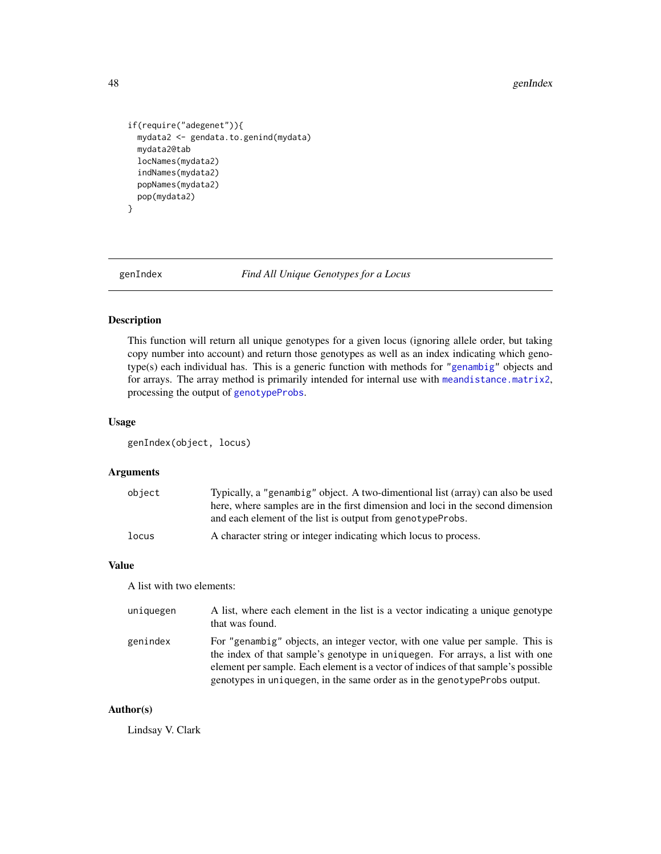#### 48 genIndex

```
if(require("adegenet")){
 mydata2 <- gendata.to.genind(mydata)
 mydata2@tab
 locNames(mydata2)
 indNames(mydata2)
 popNames(mydata2)
 pop(mydata2)
}
```
genIndex *Find All Unique Genotypes for a Locus*

# Description

This function will return all unique genotypes for a given locus (ignoring allele order, but taking copy number into account) and return those genotypes as well as an index indicating which genotype(s) each individual has. This is a generic function with methods for ["genambig"](#page-34-0) objects and for arrays. The array method is primarily intended for internal use with [meandistance.matrix2](#page-59-0), processing the output of [genotypeProbs](#page-50-0).

# Usage

genIndex(object, locus)

#### Arguments

| object | Typically, a "genambig" object. A two-dimentional list (array) can also be used |
|--------|---------------------------------------------------------------------------------|
|        | here, where samples are in the first dimension and loci in the second dimension |
|        | and each element of the list is output from genotype Probs.                     |
| locus  | A character string or integer indicating which locus to process.                |

# Value

A list with two elements:

| uniquegen | A list, where each element in the list is a vector indicating a unique genotype<br>that was found.                                                                                                                                                                                                                                |
|-----------|-----------------------------------------------------------------------------------------------------------------------------------------------------------------------------------------------------------------------------------------------------------------------------------------------------------------------------------|
| genindex  | For "genambig" objects, an integer vector, with one value per sample. This is<br>the index of that sample's genotype in uniquegen. For arrays, a list with one<br>element per sample. Each element is a vector of indices of that sample's possible<br>genotypes in uniquegen, in the same order as in the genotype Probs output. |

# Author(s)

Lindsay V. Clark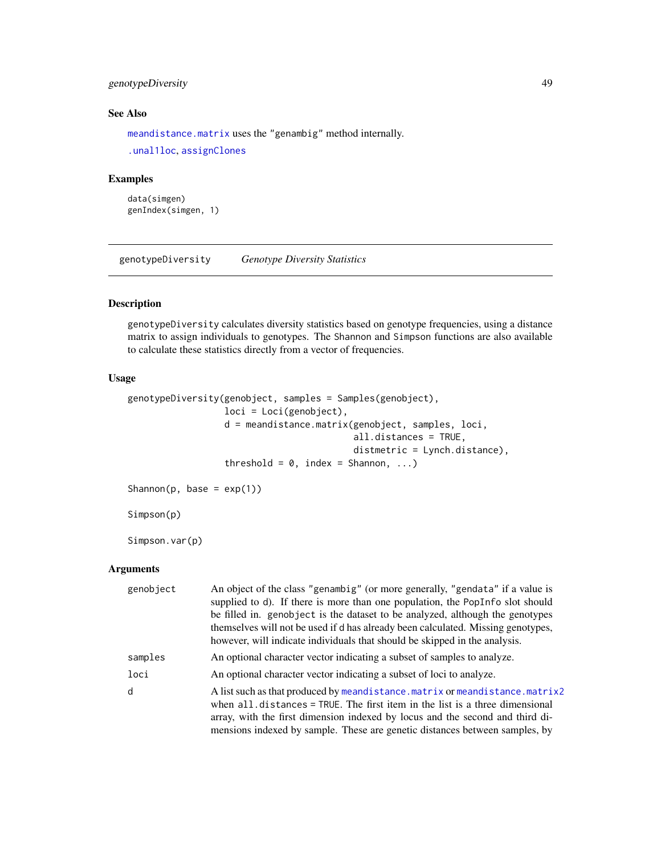# genotypeDiversity 49

# See Also

[meandistance.matrix](#page-59-1) uses the "genambig" method internally.

```
.unal1loc, assignClones
```
# Examples

```
data(simgen)
genIndex(simgen, 1)
```
genotypeDiversity *Genotype Diversity Statistics*

# Description

genotypeDiversity calculates diversity statistics based on genotype frequencies, using a distance matrix to assign individuals to genotypes. The Shannon and Simpson functions are also available to calculate these statistics directly from a vector of frequencies.

# Usage

```
genotypeDiversity(genobject, samples = Samples(genobject),
                  loci = Loci(genobject),
                  d = meandistance.matrix(genobject, samples, loci,
                                          all.distances = TRUE,
                                          distmetric = Lynch.distance),
                  threshold = 0, index = Shannon, ...)
Shannon(p, base = exp(1))
Simpson(p)
Simpson.var(p)
```
# Arguments

| genobject | An object of the class "genambig" (or more generally, "gendata" if a value is<br>supplied to d). If there is more than one population, the PopInfo slot should                                                                                                                                                                 |
|-----------|--------------------------------------------------------------------------------------------------------------------------------------------------------------------------------------------------------------------------------------------------------------------------------------------------------------------------------|
|           | be filled in. genobject is the dataset to be analyzed, although the genotypes<br>themselves will not be used if d has already been calculated. Missing genotypes,<br>however, will indicate individuals that should be skipped in the analysis.                                                                                |
| samples   | An optional character vector indicating a subset of samples to analyze.                                                                                                                                                                                                                                                        |
| loci      | An optional character vector indicating a subset of loci to analyze.                                                                                                                                                                                                                                                           |
| d         | A list such as that produced by meandistance.matrix or meandistance.matrix2<br>when $all.distances = TRUE$ . The first item in the list is a three dimensional<br>array, with the first dimension indexed by locus and the second and third di-<br>mensions indexed by sample. These are genetic distances between samples, by |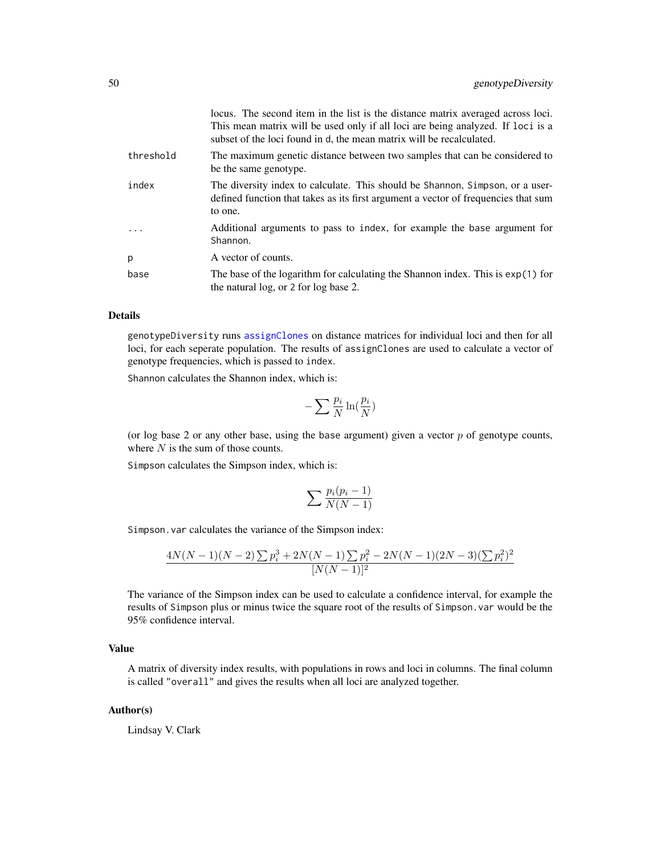|           | locus. The second item in the list is the distance matrix averaged across loci.<br>This mean matrix will be used only if all loci are being analyzed. If loci is a<br>subset of the loci found in d, the mean matrix will be recalculated. |
|-----------|--------------------------------------------------------------------------------------------------------------------------------------------------------------------------------------------------------------------------------------------|
| threshold | The maximum genetic distance between two samples that can be considered to<br>be the same genotype.                                                                                                                                        |
| index     | The diversity index to calculate. This should be Shannon, Simpson, or a user-<br>defined function that takes as its first argument a vector of frequencies that sum<br>to one.                                                             |
| .         | Additional arguments to pass to index, for example the base argument for<br>Shannon.                                                                                                                                                       |
| p         | A vector of counts.                                                                                                                                                                                                                        |
| base      | The base of the logarithm for calculating the Shannon index. This is $exp(1)$ for<br>the natural log, or 2 for log base 2.                                                                                                                 |

# Details

genotypeDiversity runs [assignClones](#page-13-0) on distance matrices for individual loci and then for all loci, for each seperate population. The results of assignClones are used to calculate a vector of genotype frequencies, which is passed to index.

Shannon calculates the Shannon index, which is:

$$
-\sum \frac{p_i}{N}\ln(\frac{p_i}{N})
$$

(or log base 2 or any other base, using the base argument) given a vector  $p$  of genotype counts, where  $N$  is the sum of those counts.

Simpson calculates the Simpson index, which is:

$$
\sum \frac{p_i(p_i-1)}{N(N-1)}
$$

Simpson.var calculates the variance of the Simpson index:

$$
\frac{4N(N-1)(N-2)\sum p_i^3 + 2N(N-1)\sum p_i^2 - 2N(N-1)(2N-3)(\sum p_i^2)^2}{[N(N-1)]^2}
$$

The variance of the Simpson index can be used to calculate a confidence interval, for example the results of Simpson plus or minus twice the square root of the results of Simpson.var would be the 95% confidence interval.

# Value

A matrix of diversity index results, with populations in rows and loci in columns. The final column is called "overall" and gives the results when all loci are analyzed together.

#### Author(s)

Lindsay V. Clark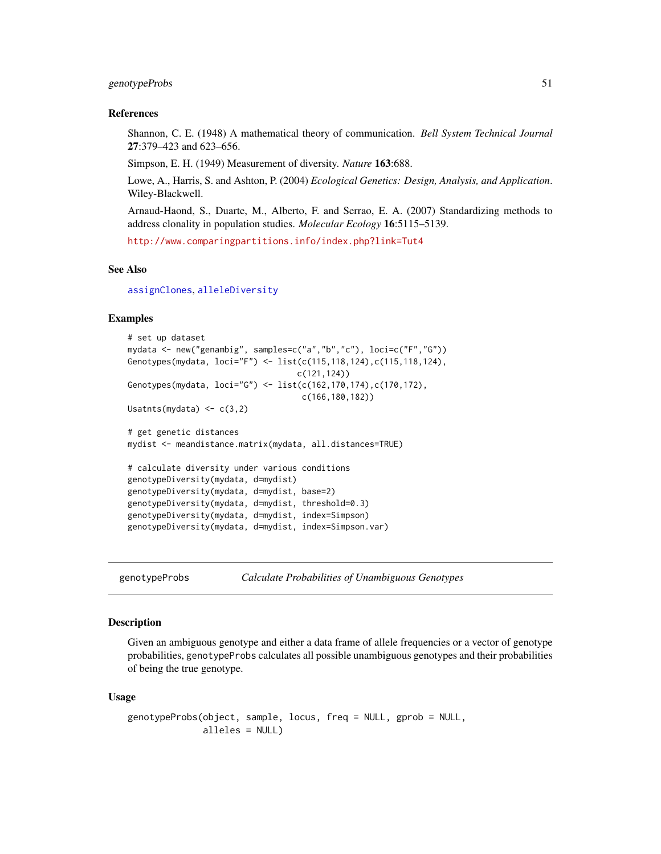# genotypeProbs 51

#### References

Shannon, C. E. (1948) A mathematical theory of communication. *Bell System Technical Journal* 27:379–423 and 623–656.

Simpson, E. H. (1949) Measurement of diversity. *Nature* 163:688.

Lowe, A., Harris, S. and Ashton, P. (2004) *Ecological Genetics: Design, Analysis, and Application*. Wiley-Blackwell.

Arnaud-Haond, S., Duarte, M., Alberto, F. and Serrao, E. A. (2007) Standardizing methods to address clonality in population studies. *Molecular Ecology* 16:5115–5139.

<http://www.comparingpartitions.info/index.php?link=Tut4>

#### See Also

[assignClones](#page-13-0), [alleleDiversity](#page-11-0)

# Examples

```
# set up dataset
mydata <- new("genambig", samples=c("a","b","c"), loci=c("F","G"))
Genotypes(mydata, loci="F") <- list(c(115,118,124),c(115,118,124),
                                   c(121,124))
Genotypes(mydata, loci="G") <- list(c(162,170,174),c(170,172),
                                    c(166,180,182))
Usatnts(mydata) \leq -c(3,2)# get genetic distances
mydist <- meandistance.matrix(mydata, all.distances=TRUE)
# calculate diversity under various conditions
genotypeDiversity(mydata, d=mydist)
genotypeDiversity(mydata, d=mydist, base=2)
genotypeDiversity(mydata, d=mydist, threshold=0.3)
genotypeDiversity(mydata, d=mydist, index=Simpson)
genotypeDiversity(mydata, d=mydist, index=Simpson.var)
```
<span id="page-50-0"></span>genotypeProbs *Calculate Probabilities of Unambiguous Genotypes*

# Description

Given an ambiguous genotype and either a data frame of allele frequencies or a vector of genotype probabilities, genotypeProbs calculates all possible unambiguous genotypes and their probabilities of being the true genotype.

#### Usage

```
genotypeProbs(object, sample, locus, freq = NULL, gprob = NULL,
             alleles = NULL)
```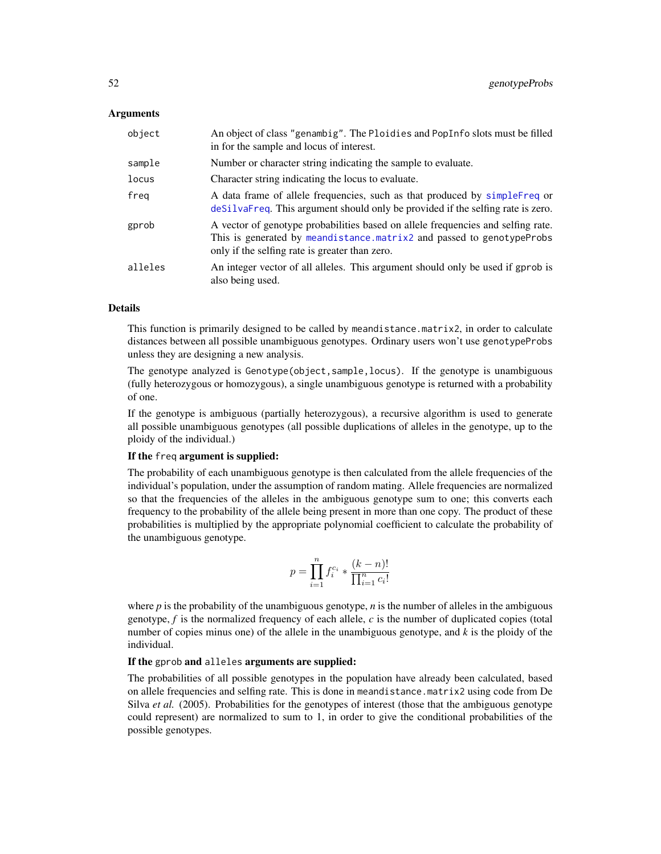# Arguments

| object  | An object of class "genambig". The Ploidies and PopInfo slots must be filled<br>in for the sample and locus of interest.                                                                                    |
|---------|-------------------------------------------------------------------------------------------------------------------------------------------------------------------------------------------------------------|
| sample  | Number or character string indicating the sample to evaluate.                                                                                                                                               |
| locus   | Character string indicating the locus to evaluate.                                                                                                                                                          |
| freg    | A data frame of allele frequencies, such as that produced by simple Freq or<br>desilvatived. This argument should only be provided if the selfing rate is zero.                                             |
| gprob   | A vector of genotype probabilities based on allele frequencies and selfing rate.<br>This is generated by meandistance.matrix2 and passed to genotypeProbs<br>only if the selfing rate is greater than zero. |
| alleles | An integer vector of all alleles. This argument should only be used if gprob is<br>also being used.                                                                                                         |

# Details

This function is primarily designed to be called by meandistance.matrix2, in order to calculate distances between all possible unambiguous genotypes. Ordinary users won't use genotypeProbs unless they are designing a new analysis.

The genotype analyzed is Genotype(object,sample,locus). If the genotype is unambiguous (fully heterozygous or homozygous), a single unambiguous genotype is returned with a probability of one.

If the genotype is ambiguous (partially heterozygous), a recursive algorithm is used to generate all possible unambiguous genotypes (all possible duplications of alleles in the genotype, up to the ploidy of the individual.)

# If the freq argument is supplied:

The probability of each unambiguous genotype is then calculated from the allele frequencies of the individual's population, under the assumption of random mating. Allele frequencies are normalized so that the frequencies of the alleles in the ambiguous genotype sum to one; this converts each frequency to the probability of the allele being present in more than one copy. The product of these probabilities is multiplied by the appropriate polynomial coefficient to calculate the probability of the unambiguous genotype.

$$
p = \prod_{i=1}^{n} f_i^{c_i} * \frac{(k-n)!}{\prod_{i=1}^{n} c_i!}
$$

where  $p$  is the probability of the unambiguous genotype,  $n$  is the number of alleles in the ambiguous genotype, *f* is the normalized frequency of each allele, *c* is the number of duplicated copies (total number of copies minus one) of the allele in the unambiguous genotype, and *k* is the ploidy of the individual.

## If the gprob and alleles arguments are supplied:

The probabilities of all possible genotypes in the population have already been calculated, based on allele frequencies and selfing rate. This is done in meandistance.matrix2 using code from De Silva *et al.* (2005). Probabilities for the genotypes of interest (those that the ambiguous genotype could represent) are normalized to sum to 1, in order to give the conditional probabilities of the possible genotypes.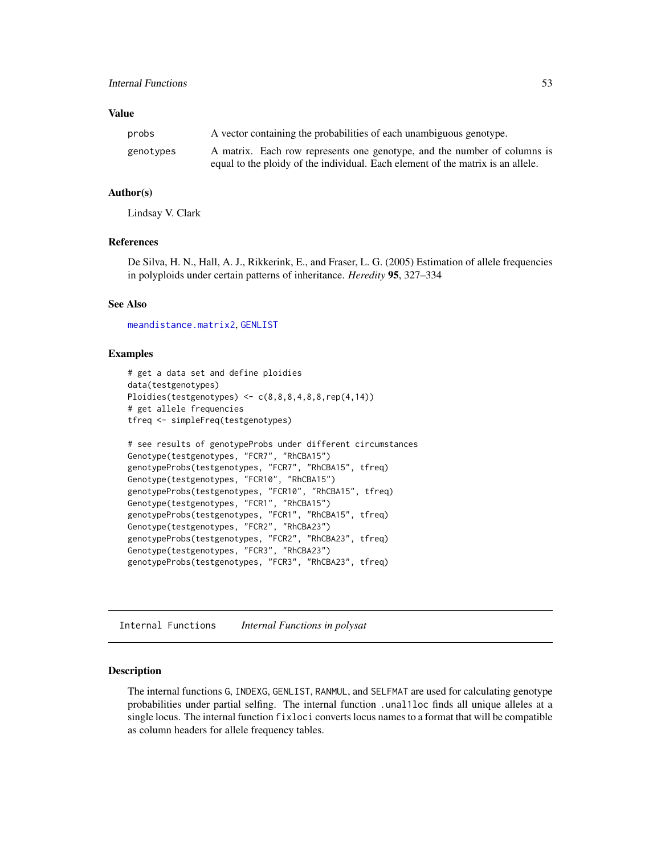# Value

| probs     | A vector containing the probabilities of each unambiguous genotype.             |
|-----------|---------------------------------------------------------------------------------|
| genotypes | A matrix. Each row represents one genotype, and the number of columns is        |
|           | equal to the ploidy of the individual. Each element of the matrix is an allele. |

# Author(s)

Lindsay V. Clark

# References

De Silva, H. N., Hall, A. J., Rikkerink, E., and Fraser, L. G. (2005) Estimation of allele frequencies in polyploids under certain patterns of inheritance. *Heredity* 95, 327–334

## See Also

[meandistance.matrix2](#page-59-0), [GENLIST](#page-52-0)

# Examples

```
# get a data set and define ploidies
data(testgenotypes)
Ploidies(testgenotypes) <- c(8, 8, 8, 4, 8, 8, rep(4, 14))# get allele frequencies
tfreq <- simpleFreq(testgenotypes)
# see results of genotypeProbs under different circumstances
Genotype(testgenotypes, "FCR7", "RhCBA15")
genotypeProbs(testgenotypes, "FCR7", "RhCBA15", tfreq)
Genotype(testgenotypes, "FCR10", "RhCBA15")
genotypeProbs(testgenotypes, "FCR10", "RhCBA15", tfreq)
Genotype(testgenotypes, "FCR1", "RhCBA15")
genotypeProbs(testgenotypes, "FCR1", "RhCBA15", tfreq)
Genotype(testgenotypes, "FCR2", "RhCBA23")
genotypeProbs(testgenotypes, "FCR2", "RhCBA23", tfreq)
Genotype(testgenotypes, "FCR3", "RhCBA23")
genotypeProbs(testgenotypes, "FCR3", "RhCBA23", tfreq)
```
Internal Functions *Internal Functions in polysat*

#### <span id="page-52-0"></span>Description

The internal functions G, INDEXG, GENLIST, RANMUL, and SELFMAT are used for calculating genotype probabilities under partial selfing. The internal function .unal1loc finds all unique alleles at a single locus. The internal function fixloci converts locus names to a format that will be compatible as column headers for allele frequency tables.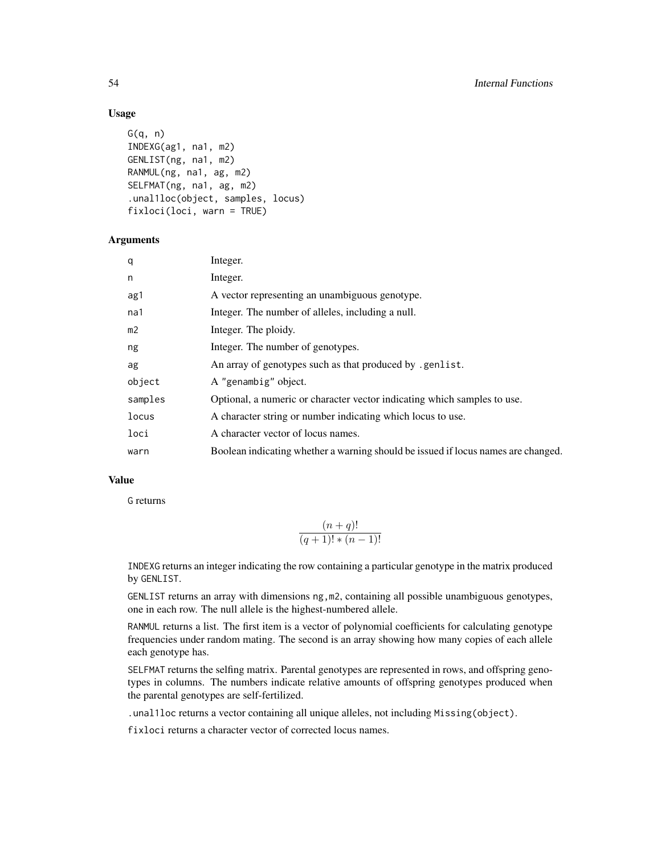# Usage

```
G(q, n)INDEXG(ag1, na1, m2)
GENLIST(ng, na1, m2)
RANMUL(ng, na1, ag, m2)
SELFMAT(ng, na1, ag, m2)
.unal1loc(object, samples, locus)
fixloci(loci, warn = TRUE)
```
# Arguments

| q              | Integer.                                                                          |
|----------------|-----------------------------------------------------------------------------------|
| n              | Integer.                                                                          |
| ag1            | A vector representing an unambiguous genotype.                                    |
| na1            | Integer. The number of alleles, including a null.                                 |
| m <sub>2</sub> | Integer. The ploidy.                                                              |
| ng             | Integer. The number of genotypes.                                                 |
| ag             | An array of genotypes such as that produced by .genlist.                          |
| object         | A "genambig" object.                                                              |
| samples        | Optional, a numeric or character vector indicating which samples to use.          |
| locus          | A character string or number indicating which locus to use.                       |
| loci           | A character vector of locus names.                                                |
| warn           | Boolean indicating whether a warning should be issued if locus names are changed. |
|                |                                                                                   |

# Value

G returns

$$
\frac{(n+q)!}{(q+1)!*(n-1)!}
$$

INDEXG returns an integer indicating the row containing a particular genotype in the matrix produced by GENLIST.

GENLIST returns an array with dimensions ng,m2, containing all possible unambiguous genotypes, one in each row. The null allele is the highest-numbered allele.

RANMUL returns a list. The first item is a vector of polynomial coefficients for calculating genotype frequencies under random mating. The second is an array showing how many copies of each allele each genotype has.

SELFMAT returns the selfing matrix. Parental genotypes are represented in rows, and offspring genotypes in columns. The numbers indicate relative amounts of offspring genotypes produced when the parental genotypes are self-fertilized.

.unal1loc returns a vector containing all unique alleles, not including Missing(object).

fixloci returns a character vector of corrected locus names.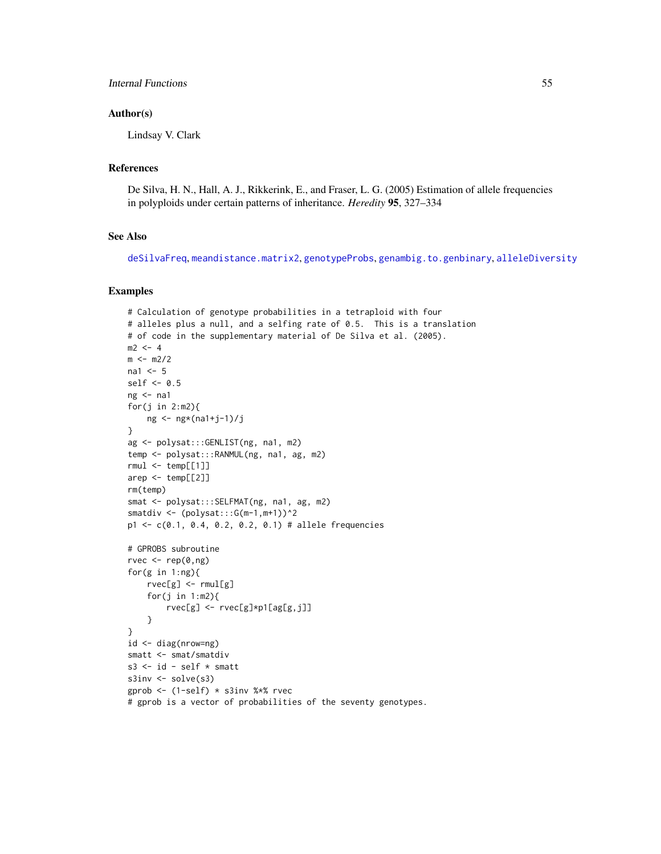# Author(s)

Lindsay V. Clark

# References

De Silva, H. N., Hall, A. J., Rikkerink, E., and Fraser, L. G. (2005) Estimation of allele frequencies in polyploids under certain patterns of inheritance. *Heredity* 95, 327–334

# See Also

[deSilvaFreq](#page-25-0), [meandistance.matrix2](#page-59-0), [genotypeProbs](#page-50-0), [genambig.to.genbinary](#page-37-0), [alleleDiversity](#page-11-0)

# Examples

```
# Calculation of genotype probabilities in a tetraploid with four
# alleles plus a null, and a selfing rate of 0.5. This is a translation
# of code in the supplementary material of De Silva et al. (2005).
m2 < -4m < - m2/2na1 <-5self <-0.5ng < - na1
for(j in 2:m2){
    ng <- ng*(na1+j-1)/j
}
ag <- polysat:::GENLIST(ng, na1, m2)
temp <- polysat:::RANMUL(ng, na1, ag, m2)
rmul \leq temp[[1]]arep \leftarrow temp[[2]]rm(temp)
smat <- polysat:::SELFMAT(ng, na1, ag, m2)
smatdiv \leq (polysat:::G(m-1, m+1))^2
p1 <- c(0.1, 0.4, 0.2, 0.2, 0.1) # allele frequencies
# GPROBS subroutine
rvec \leq rep(0,ng)
for(g in 1:ng{
    rvec[g] <- rmul[g]
    for(j in 1:m2){
        rvec[g] <- rvec[g]*p1[ag[g,j]]
    }
}
id <- diag(nrow=ng)
smatt <- smat/smatdiv
s3 \le id - self * smatt
s3inv <- solve(s3)
gprob <- (1-self) * s3inv %*% rvec
# gprob is a vector of probabilities of the seventy genotypes.
```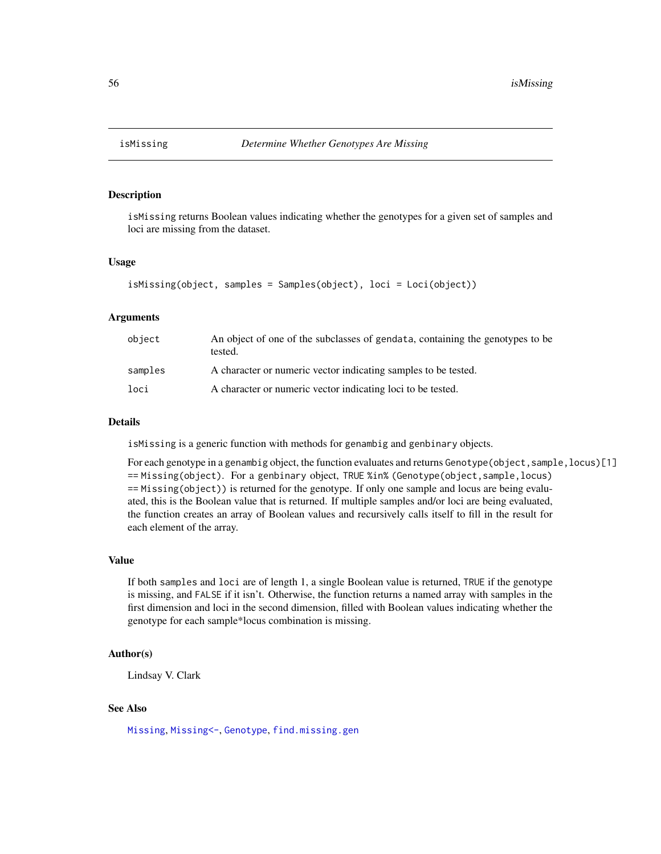# Description

isMissing returns Boolean values indicating whether the genotypes for a given set of samples and loci are missing from the dataset.

## Usage

```
isMissing(object, samples = Samples(object), loci = Loci(object))
```
#### **Arguments**

| object  | An object of one of the subclasses of gendata, containing the genotypes to be<br>tested. |
|---------|------------------------------------------------------------------------------------------|
| samples | A character or numeric vector indicating samples to be tested.                           |
| loci    | A character or numeric vector indicating loci to be tested.                              |

# Details

isMissing is a generic function with methods for genambig and genbinary objects.

For each genotype in a genambig object, the function evaluates and returns Genotype (object, sample, locus)[1] == Missing(object). For a genbinary object, TRUE %in% (Genotype(object,sample,locus) == Missing(object)) is returned for the genotype. If only one sample and locus are being evaluated, this is the Boolean value that is returned. If multiple samples and/or loci are being evaluated, the function creates an array of Boolean values and recursively calls itself to fill in the result for each element of the array.

#### Value

If both samples and loci are of length 1, a single Boolean value is returned, TRUE if the genotype is missing, and FALSE if it isn't. Otherwise, the function returns a named array with samples in the first dimension and loci in the second dimension, filled with Boolean values indicating whether the genotype for each sample\*locus combination is missing.

# Author(s)

Lindsay V. Clark

# See Also

[Missing](#page-2-0), [Missing<-](#page-2-0), [Genotype](#page-2-0), [find.missing.gen](#page-32-0)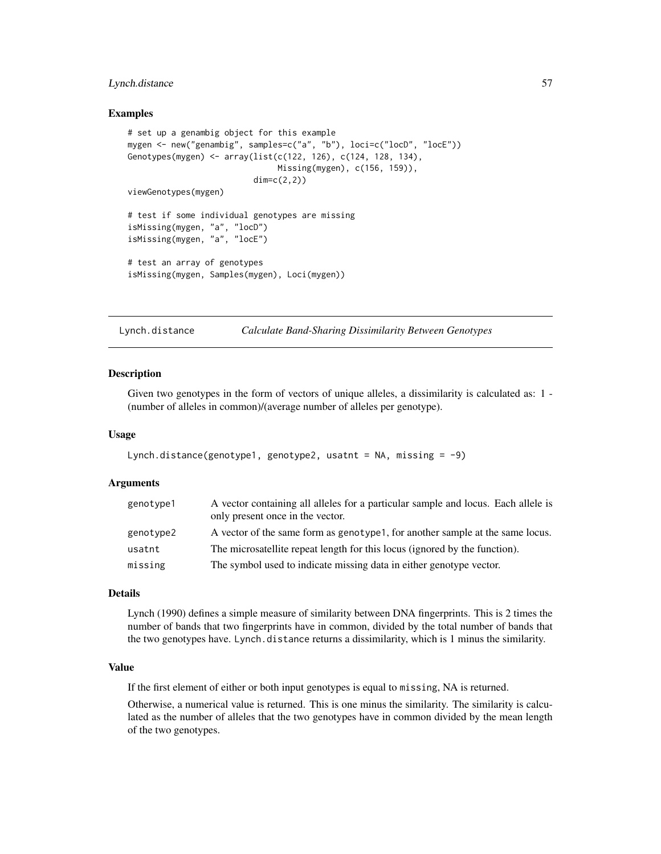# Lynch.distance 57

# Examples

```
# set up a genambig object for this example
mygen <- new("genambig", samples=c("a", "b"), loci=c("locD", "locE"))
Genotypes(mygen) <- array(list(c(122, 126), c(124, 128, 134),
                               Missing(mygen), c(156, 159)),
                          dim=c(2,2))
viewGenotypes(mygen)
# test if some individual genotypes are missing
isMissing(mygen, "a", "locD")
isMissing(mygen, "a", "locE")
# test an array of genotypes
isMissing(mygen, Samples(mygen), Loci(mygen))
```
<span id="page-56-0"></span>Lynch.distance *Calculate Band-Sharing Dissimilarity Between Genotypes*

# Description

Given two genotypes in the form of vectors of unique alleles, a dissimilarity is calculated as: 1 -(number of alleles in common)/(average number of alleles per genotype).

#### Usage

```
Lynch.distance(genotype1, genotype2, usatnt = NA, missing = -9)
```
#### Arguments

| genotype1 | A vector containing all alleles for a particular sample and locus. Each allele is<br>only present once in the vector. |
|-----------|-----------------------------------------------------------------------------------------------------------------------|
| genotype2 | A vector of the same form as genotype 1, for another sample at the same locus.                                        |
| usatnt    | The microsatellite repeat length for this locus (ignored by the function).                                            |
| missing   | The symbol used to indicate missing data in either genotype vector.                                                   |

# Details

Lynch (1990) defines a simple measure of similarity between DNA fingerprints. This is 2 times the number of bands that two fingerprints have in common, divided by the total number of bands that the two genotypes have. Lynch.distance returns a dissimilarity, which is 1 minus the similarity.

# Value

If the first element of either or both input genotypes is equal to missing, NA is returned.

Otherwise, a numerical value is returned. This is one minus the similarity. The similarity is calculated as the number of alleles that the two genotypes have in common divided by the mean length of the two genotypes.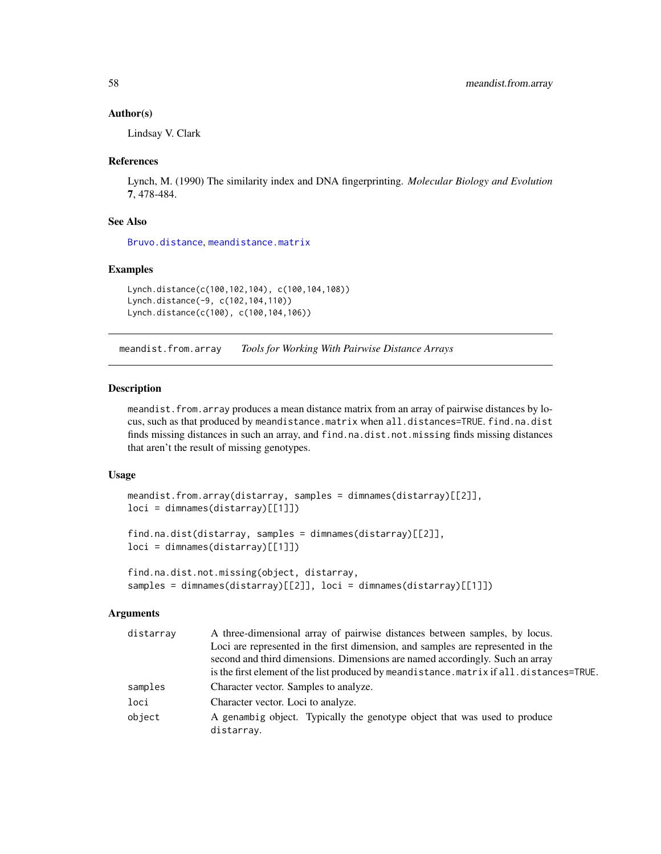## Author(s)

Lindsay V. Clark

# References

Lynch, M. (1990) The similarity index and DNA fingerprinting. *Molecular Biology and Evolution* 7, 478-484.

# See Also

[Bruvo.distance](#page-14-0), [meandistance.matrix](#page-59-1)

# Examples

```
Lynch.distance(c(100,102,104), c(100,104,108))
Lynch.distance(-9, c(102,104,110))
Lynch.distance(c(100), c(100,104,106))
```
<span id="page-57-0"></span>meandist.from.array *Tools for Working With Pairwise Distance Arrays*

# Description

meandist. from. array produces a mean distance matrix from an array of pairwise distances by locus, such as that produced by meandistance.matrix when all.distances=TRUE. find.na.dist finds missing distances in such an array, and find.na.dist.not.missing finds missing distances that aren't the result of missing genotypes.

# Usage

```
meandist.from.array(distarray, samples = dimnames(distarray)[[2]],
loci = dimnames(distarray)[[1]])
```

```
find.na.dist(distarray, samples = dimnames(distarray)[[2]],
loci = dimnames(distarray)[[1]])
```

```
find.na.dist.not.missing(object, distarray,
samples = dimnames(distarray)[[2]], loci = dimnames(distarray)[[1]])
```
# Arguments

| A three-dimensional array of pairwise distances between samples, by locus.               |
|------------------------------------------------------------------------------------------|
| Loci are represented in the first dimension, and samples are represented in the          |
| second and third dimensions. Dimensions are named accordingly. Such an array             |
| is the first element of the list produced by meandistance. matrix if all.distances=TRUE. |
| Character vector. Samples to analyze.                                                    |
| Character vector. Loci to analyze.                                                       |
| A genambig object. Typically the genotype object that was used to produce<br>distarray.  |
|                                                                                          |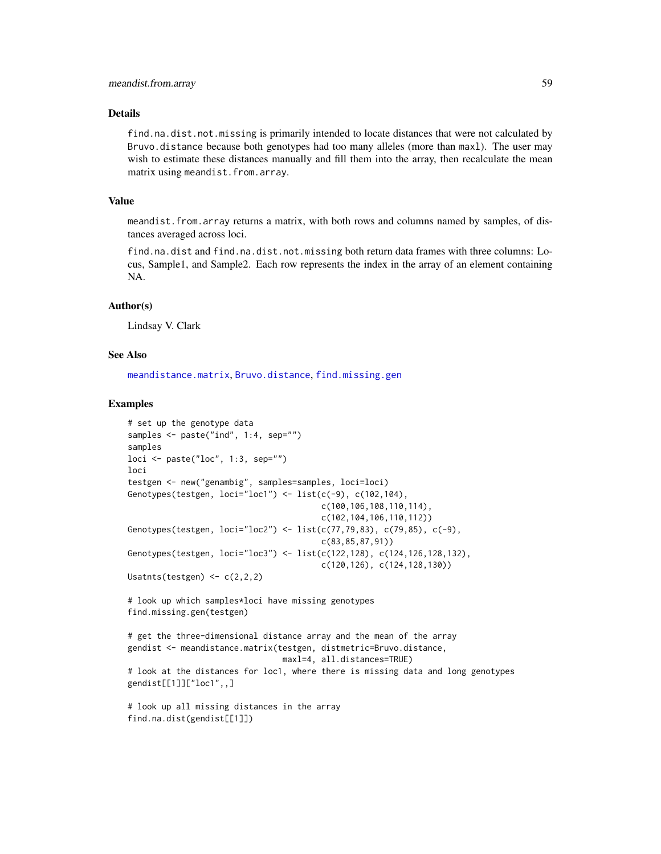# Details

find.na.dist.not.missing is primarily intended to locate distances that were not calculated by Bruvo.distance because both genotypes had too many alleles (more than maxl). The user may wish to estimate these distances manually and fill them into the array, then recalculate the mean matrix using meandist.from.array.

## Value

meandist.from.array returns a matrix, with both rows and columns named by samples, of distances averaged across loci.

find.na.dist and find.na.dist.not.missing both return data frames with three columns: Locus, Sample1, and Sample2. Each row represents the index in the array of an element containing NA.

# Author(s)

Lindsay V. Clark

# See Also

[meandistance.matrix](#page-59-1), [Bruvo.distance](#page-14-0), [find.missing.gen](#page-32-0)

## Examples

```
# set up the genotype data
samples <- paste("ind", 1:4, sep="")
samples
loci \leftarrow paste("loc", 1:3, sep="")loci
testgen <- new("genambig", samples=samples, loci=loci)
Genotypes(testgen, loci="loc1") \leftarrow list(c(-9), c(102, 104),c(100,106,108,110,114),
                                         c(102,104,106,110,112))
Genotypes(testgen, loci="loc2") <- list(c(77,79,83), c(79,85), c(-9),
                                         c(83,85,87,91))
Genotypes(testgen, loci="loc3") <- list(c(122,128), c(124,126,128,132),
                                         c(120,126), c(124,128,130))
Usatnts(testgen) <- c(2,2,2)
# look up which samples*loci have missing genotypes
find.missing.gen(testgen)
# get the three-dimensional distance array and the mean of the array
gendist <- meandistance.matrix(testgen, distmetric=Bruvo.distance,
                                 maxl=4, all.distances=TRUE)
# look at the distances for loc1, where there is missing data and long genotypes
gendist[[1]]["loc1",,]
# look up all missing distances in the array
```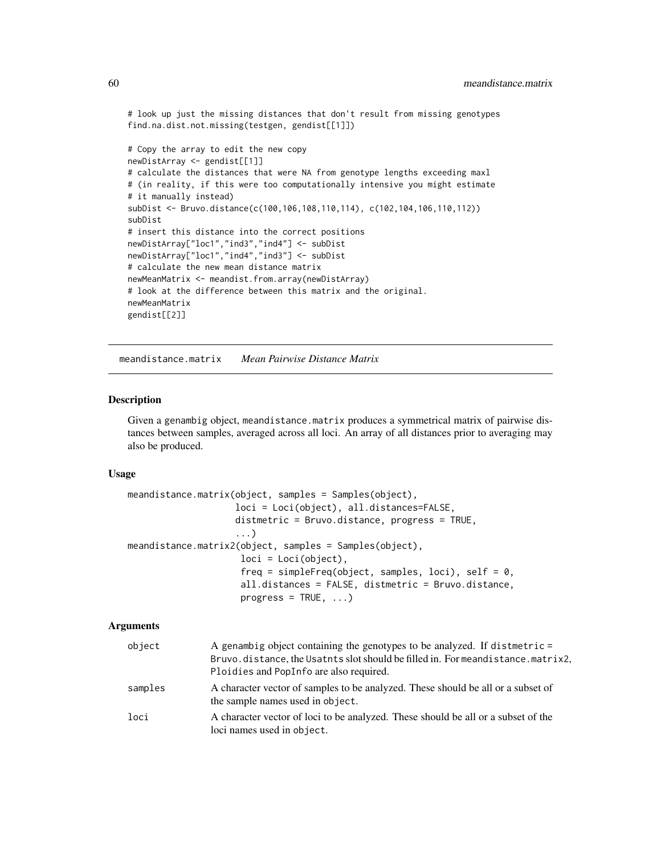```
# look up just the missing distances that don't result from missing genotypes
find.na.dist.not.missing(testgen, gendist[[1]])
# Copy the array to edit the new copy
newDistArray <- gendist[[1]]
# calculate the distances that were NA from genotype lengths exceeding maxl
# (in reality, if this were too computationally intensive you might estimate
# it manually instead)
subDist <- Bruvo.distance(c(100,106,108,110,114), c(102,104,106,110,112))
subDist
# insert this distance into the correct positions
newDistArray["loc1","ind3","ind4"] <- subDist
```

```
newDistArray["loc1","ind4","ind3"] <- subDist
# calculate the new mean distance matrix
newMeanMatrix <- meandist.from.array(newDistArray)
# look at the difference between this matrix and the original.
newMeanMatrix
gendist[[2]]
```
<span id="page-59-1"></span>meandistance.matrix *Mean Pairwise Distance Matrix*

# <span id="page-59-0"></span>Description

Given a genambig object, meandistance.matrix produces a symmetrical matrix of pairwise distances between samples, averaged across all loci. An array of all distances prior to averaging may also be produced.

## Usage

```
meandistance.matrix(object, samples = Samples(object),
                    loci = Loci(object), all.distances=FALSE,
                    distmetric = Bruvo.distance, progress = TRUE,
                    ...)
meandistance.matrix2(object, samples = Samples(object),
                     loci = Loci(object),
                     freq = simpleFreq(object, samples, loci), self = 0,
                     all.distances = FALSE, distmetric = Bruvo.distance,
                     progress = TRUE, ...)
```
#### Arguments

| object  | A genambig object containing the genotypes to be analyzed. If distmetric =                                                 |
|---------|----------------------------------------------------------------------------------------------------------------------------|
|         | Bruvo.distance, the Usatnts slot should be filled in. For meandistance.matrix2,<br>Ploidies and PopInfo are also required. |
| samples | A character vector of samples to be analyzed. These should be all or a subset of<br>the sample names used in object.       |
| loci    | A character vector of loci to be analyzed. These should be all or a subset of the<br>loci names used in object.            |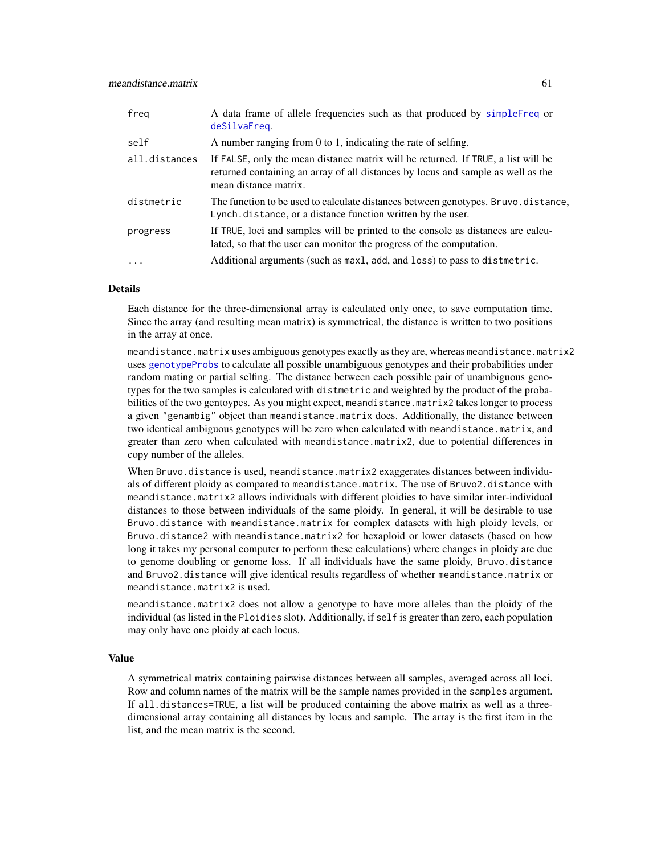| freq          | A data frame of allele frequencies such as that produced by simpleFreq or<br>deSilvaFreq.                                                                                                      |
|---------------|------------------------------------------------------------------------------------------------------------------------------------------------------------------------------------------------|
| self          | A number ranging from 0 to 1, indicating the rate of selfing.                                                                                                                                  |
| all.distances | If FALSE, only the mean distance matrix will be returned. If TRUE, a list will be<br>returned containing an array of all distances by locus and sample as well as the<br>mean distance matrix. |
| distmetric    | The function to be used to calculate distances between genotypes. Bruvo. distance,<br>Lynch. distance, or a distance function written by the user.                                             |
| progress      | If TRUE, loci and samples will be printed to the console as distances are calcu-<br>lated, so that the user can monitor the progress of the computation.                                       |
| $\cdots$      | Additional arguments (such as maxl, add, and loss) to pass to distmetric.                                                                                                                      |

# **Details**

Each distance for the three-dimensional array is calculated only once, to save computation time. Since the array (and resulting mean matrix) is symmetrical, the distance is written to two positions in the array at once.

meandistance.matrix uses ambiguous genotypes exactly as they are, whereas meandistance.matrix2 uses [genotypeProbs](#page-50-0) to calculate all possible unambiguous genotypes and their probabilities under random mating or partial selfing. The distance between each possible pair of unambiguous genotypes for the two samples is calculated with distmetric and weighted by the product of the probabilities of the two gentoypes. As you might expect, meandistance.matrix2 takes longer to process a given "genambig" object than meandistance.matrix does. Additionally, the distance between two identical ambiguous genotypes will be zero when calculated with meandistance.matrix, and greater than zero when calculated with meandistance.matrix2, due to potential differences in copy number of the alleles.

When Bruvo.distance is used, meandistance.matrix2 exaggerates distances between individuals of different ploidy as compared to meandistance.matrix. The use of Bruvo2.distance with meandistance.matrix2 allows individuals with different ploidies to have similar inter-individual distances to those between individuals of the same ploidy. In general, it will be desirable to use Bruvo.distance with meandistance.matrix for complex datasets with high ploidy levels, or Bruvo.distance2 with meandistance.matrix2 for hexaploid or lower datasets (based on how long it takes my personal computer to perform these calculations) where changes in ploidy are due to genome doubling or genome loss. If all individuals have the same ploidy, Bruvo.distance and Bruvo2.distance will give identical results regardless of whether meandistance.matrix or meandistance.matrix2 is used.

meandistance.matrix2 does not allow a genotype to have more alleles than the ploidy of the individual (as listed in the Ploidies slot). Additionally, if self is greater than zero, each population may only have one ploidy at each locus.

# Value

A symmetrical matrix containing pairwise distances between all samples, averaged across all loci. Row and column names of the matrix will be the sample names provided in the samples argument. If all.distances=TRUE, a list will be produced containing the above matrix as well as a threedimensional array containing all distances by locus and sample. The array is the first item in the list, and the mean matrix is the second.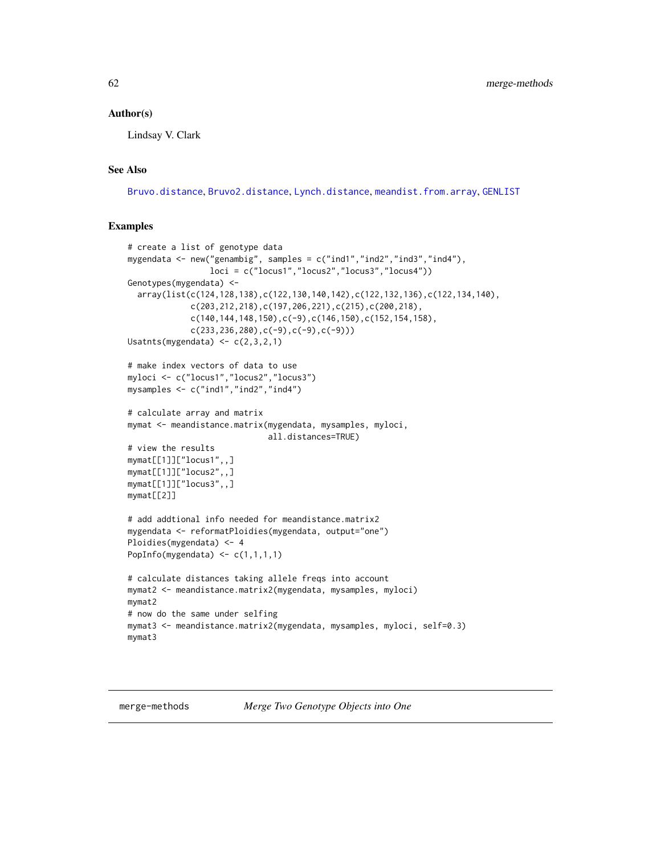# Author(s)

Lindsay V. Clark

# See Also

[Bruvo.distance](#page-14-0), [Bruvo2.distance](#page-16-0), [Lynch.distance](#page-56-0), [meandist.from.array](#page-57-0), [GENLIST](#page-52-0)

# Examples

```
# create a list of genotype data
mygendata <- new("genambig", samples = c("ind1","ind2","ind3","ind4"),
                 loci = c("locus1","locus2","locus3","locus4"))
Genotypes(mygendata) <-
  array(list(c(124,128,138),c(122,130,140,142),c(122,132,136),c(122,134,140),
             c(203,212,218),c(197,206,221),c(215),c(200,218),
             c(140, 144, 148, 150), c(-9), c(146, 150), c(152, 154, 158),c(233,236,280),c(-9),c(-9),c(-9)))
Usatnts(mygendata) \leq c(2,3,2,1)# make index vectors of data to use
myloci <- c("locus1","locus2","locus3")
mysamples <- c("ind1","ind2","ind4")
# calculate array and matrix
mymat <- meandistance.matrix(mygendata, mysamples, myloci,
                             all.distances=TRUE)
# view the results
mymat[[1]]["locus1",,]
mymat[[1]]["locus2",,]
mymat[[1]]["locus3",,]
mymat[[2]]
# add addtional info needed for meandistance.matrix2
mygendata <- reformatPloidies(mygendata, output="one")
Ploidies(mygendata) <- 4
PopInfo(mygendata) \leq c(1,1,1,1)# calculate distances taking allele freqs into account
mymat2 <- meandistance.matrix2(mygendata, mysamples, myloci)
mymat2
# now do the same under selfing
mymat3 <- meandistance.matrix2(mygendata, mysamples, myloci, self=0.3)
mymat3
```
merge-methods *Merge Two Genotype Objects into One*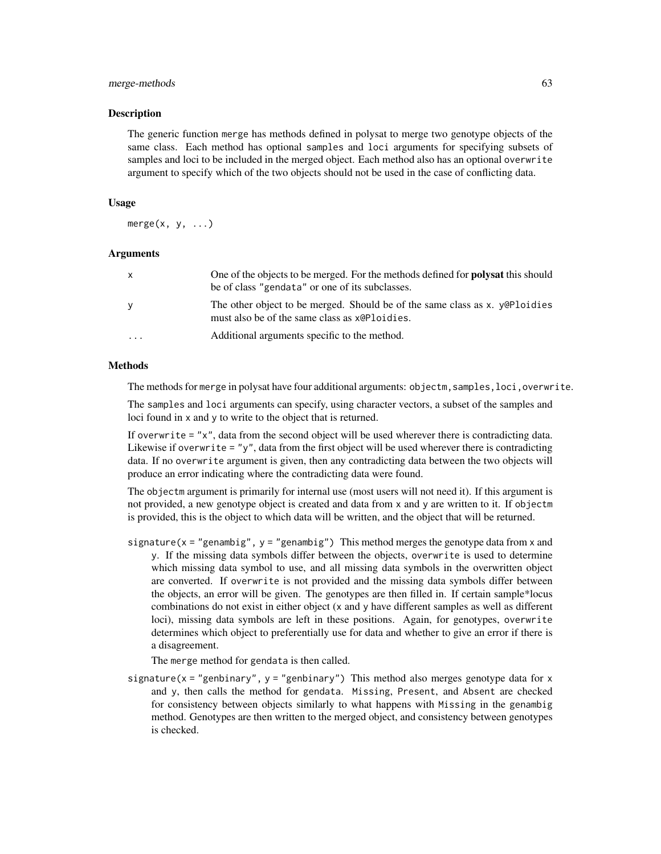## merge-methods 63

# **Description**

The generic function merge has methods defined in polysat to merge two genotype objects of the same class. Each method has optional samples and loci arguments for specifying subsets of samples and loci to be included in the merged object. Each method also has an optional overwrite argument to specify which of the two objects should not be used in the case of conflicting data.

#### Usage

 $merge(x, y, \ldots)$ 

# Arguments

| $\mathsf{x}$ | One of the objects to be merged. For the methods defined for <b>polysat</b> this should<br>be of class "gendata" or one of its subclasses. |
|--------------|--------------------------------------------------------------------------------------------------------------------------------------------|
| <b>y</b>     | The other object to be merged. Should be of the same class as x. y QP loidies<br>must also be of the same class as x@Ploidies.             |
| $\cdots$     | Additional arguments specific to the method.                                                                                               |

# Methods

The methods for merge in polysat have four additional arguments: objectm, samples, loci, overwrite.

The samples and loci arguments can specify, using character vectors, a subset of the samples and loci found in x and y to write to the object that is returned.

If overwrite  $=$  "x", data from the second object will be used wherever there is contradicting data. Likewise if overwrite = "y", data from the first object will be used wherever there is contradicting data. If no overwrite argument is given, then any contradicting data between the two objects will produce an error indicating where the contradicting data were found.

The objectm argument is primarily for internal use (most users will not need it). If this argument is not provided, a new genotype object is created and data from x and y are written to it. If objectm is provided, this is the object to which data will be written, and the object that will be returned.

signature( $x =$  "genambig",  $y =$  "genambig") This method merges the genotype data from  $x$  and y. If the missing data symbols differ between the objects, overwrite is used to determine which missing data symbol to use, and all missing data symbols in the overwritten object are converted. If overwrite is not provided and the missing data symbols differ between the objects, an error will be given. The genotypes are then filled in. If certain sample\*locus combinations do not exist in either object (x and y have different samples as well as different loci), missing data symbols are left in these positions. Again, for genotypes, overwrite determines which object to preferentially use for data and whether to give an error if there is a disagreement.

The merge method for gendata is then called.

signature( $x =$ "genbinary",  $y =$ "genbinary") This method also merges genotype data for x and y, then calls the method for gendata. Missing, Present, and Absent are checked for consistency between objects similarly to what happens with Missing in the genambig method. Genotypes are then written to the merged object, and consistency between genotypes is checked.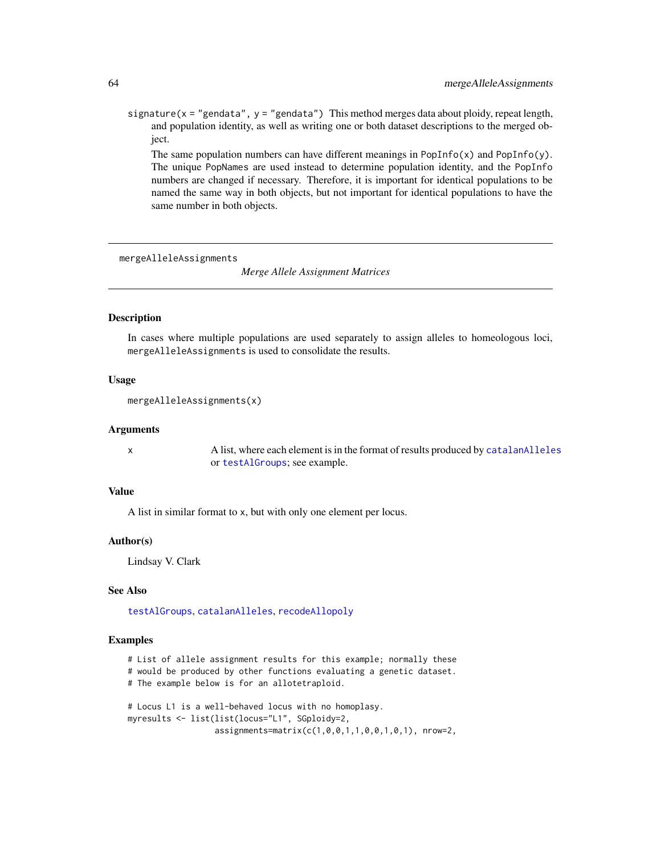signature( $x =$  "gendata",  $y =$  "gendata") This method merges data about ploidy, repeat length, and population identity, as well as writing one or both dataset descriptions to the merged object.

The same population numbers can have different meanings in  $PopInfo(x)$  and  $PopInfo(y)$ . The unique PopNames are used instead to determine population identity, and the PopInfo numbers are changed if necessary. Therefore, it is important for identical populations to be named the same way in both objects, but not important for identical populations to have the same number in both objects.

<span id="page-63-0"></span>mergeAlleleAssignments

*Merge Allele Assignment Matrices*

## Description

In cases where multiple populations are used separately to assign alleles to homeologous loci, mergeAlleleAssignments is used to consolidate the results.

# Usage

```
mergeAlleleAssignments(x)
```
#### Arguments

x A list, where each element is in the format of results produced by [catalanAlleles](#page-21-0) or [testAlGroups](#page-6-0); see example.

# Value

A list in similar format to x, but with only one element per locus.

# Author(s)

Lindsay V. Clark

# See Also

[testAlGroups](#page-6-0), [catalanAlleles](#page-21-0), [recodeAllopoly](#page-88-0)

# Examples

# List of allele assignment results for this example; normally these

- # would be produced by other functions evaluating a genetic dataset.
- # The example below is for an allotetraploid.

```
# Locus L1 is a well-behaved locus with no homoplasy.
myresults <- list(list(locus="L1", SGploidy=2,
                  assignments=matrix(c(1,0,0,1,1,0,0,1,0,1), nrow=2,
```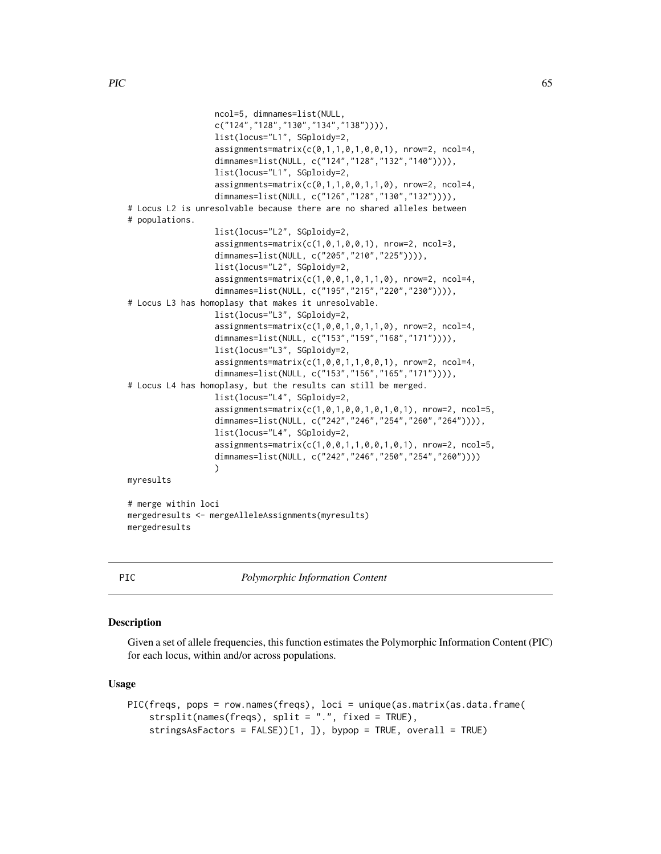```
ncol=5, dimnames=list(NULL,
                  c("124","128","130","134","138")))),
                  list(locus="L1", SGploidy=2,
                  \text{assignments} = \text{matrix}(c(0,1,1,0,1,0,0,1), \text{ nrow=2}, \text{ ncol=4},dimnames=list(NULL, c("124","128","132","140")))),
                  list(locus="L1", SGploidy=2,
                  \text{assignments} = \text{matrix}(c(0,1,1,0,0,1,1,0), \text{ nrow=2}, \text{ ncol=4},dimnames=list(NULL, c("126","128","130","132")))),
# Locus L2 is unresolvable because there are no shared alleles between
# populations.
                  list(locus="L2", SGploidy=2,
                  assignments=matrix(c(1,0,1,0,0,1), nrow=2, ncol=3,
                  dimnames=list(NULL, c("205","210","225")))),
                  list(locus="L2", SGploidy=2,
                  assignments=matrix(c(1,0,0,1,0,1,1,0), nrow=2, ncol=4,
                  dimnames=list(NULL, c("195","215","220","230")))),
# Locus L3 has homoplasy that makes it unresolvable.
                  list(locus="L3", SGploidy=2,
                  assignments=matrix(c(1,0,0,1,0,1,1,0), nrow=2, ncol=4,
                  dimnames=list(NULL, c("153","159","168","171")))),
                  list(locus="L3", SGploidy=2,
                  assignments=matrix(c(1,0,0,1,1,0,0,1), nrow=2, ncol=4,
                  dimnames=list(NULL, c("153","156","165","171")))),
# Locus L4 has homoplasy, but the results can still be merged.
                  list(locus="L4", SGploidy=2,
                  assignments=matrix(c(1,0,1,0,0,1,0,1,0,1), nrow=2, ncol=5,
                  dimnames=list(NULL, c("242","246","254","260","264")))),
                  list(locus="L4", SGploidy=2,
                  assignments=matrix(c(1,0,0,1,1,0,0,1,0,1), nrow=2, ncol=5,
                  dimnames=list(NULL, c("242","246","250","254","260"))))
                  )
myresults
# merge within loci
mergedresults <- mergeAlleleAssignments(myresults)
mergedresults
```
PIC *Polymorphic Information Content*

# Description

Given a set of allele frequencies, this function estimates the Polymorphic Information Content (PIC) for each locus, within and/or across populations.

#### Usage

```
PIC(freqs, pops = row.names(freqs), loci = unique(as.matrix(as.data.frame(
    strsplit(names(freqs), split = ".", fixed = TRUE),
    stringsAsFactors = FALSE))[1, ]), bypop = TRUE, overall = TRUE)
```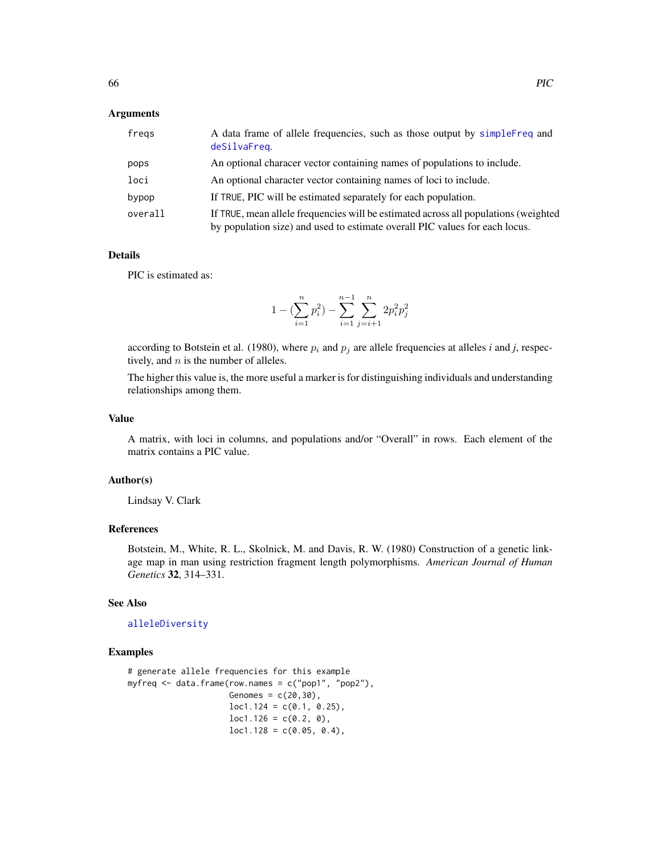# **Arguments**

| fregs   | A data frame of allele frequencies, such as those output by simpleFreq and<br>deSilvaFreq.                                                                         |
|---------|--------------------------------------------------------------------------------------------------------------------------------------------------------------------|
| pops    | An optional characer vector containing names of populations to include.                                                                                            |
| loci    | An optional character vector containing names of loci to include.                                                                                                  |
| bypop   | If TRUE, PIC will be estimated separately for each population.                                                                                                     |
| overall | If TRUE, mean allele frequencies will be estimated across all populations (weighted<br>by population size) and used to estimate overall PIC values for each locus. |

# Details

PIC is estimated as:

$$
1-(\sum_{i=1}^n p_i^2)-\sum_{i=1}^{n-1}\sum_{j=i+1}^n 2p_i^2p_j^2
$$

according to Botstein et al. (1980), where  $p_i$  and  $p_j$  are allele frequencies at alleles *i* and *j*, respectively, and  $n$  is the number of alleles.

The higher this value is, the more useful a marker is for distinguishing individuals and understanding relationships among them.

#### Value

A matrix, with loci in columns, and populations and/or "Overall" in rows. Each element of the matrix contains a PIC value.

# Author(s)

Lindsay V. Clark

# References

Botstein, M., White, R. L., Skolnick, M. and Davis, R. W. (1980) Construction of a genetic linkage map in man using restriction fragment length polymorphisms. *American Journal of Human Genetics* 32, 314–331.

# See Also

## [alleleDiversity](#page-11-0)

# Examples

```
# generate allele frequencies for this example
myfreq <- data.frame(row.names = c("pop1", "pop2"),
                     Genomes = c(20, 30),
                     loc1.124 = c(0.1, 0.25),
                     loc1.126 = c(0.2, 0),
                     loc1.128 = c(0.05, 0.4),
```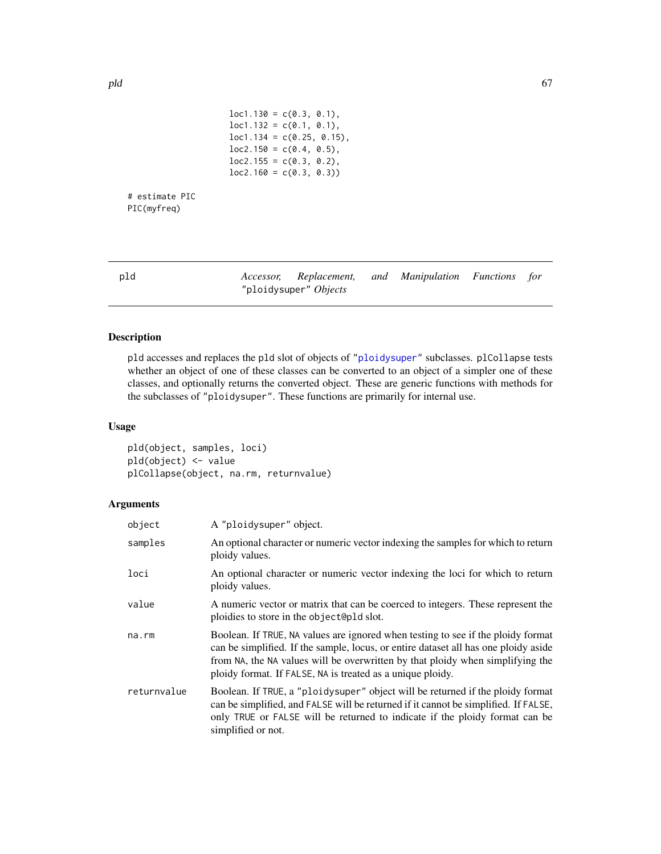```
loc1.130 = c(0.3, 0.1),loc1.132 = c(0.1, 0.1),loc1.134 = c(0.25, 0.15),
loc2.150 = c(0.4, 0.5),
loc2.155 = c(0.3, 0.2),
loc2.160 = c(0.3, 0.3)
```
<span id="page-66-0"></span>

| pld | Accessor, Replacement, and Manipulation Functions for |  |  |
|-----|-------------------------------------------------------|--|--|
|     | "ploidysuper" <i>Objects</i>                          |  |  |

# <span id="page-66-1"></span>Description

# estimate PIC PIC(myfreq)

pld accesses and replaces the pld slot of objects of ["ploidysuper"](#page-68-1) subclasses. plCollapse tests whether an object of one of these classes can be converted to an object of a simpler one of these classes, and optionally returns the converted object. These are generic functions with methods for the subclasses of "ploidysuper". These functions are primarily for internal use.

# Usage

pld(object, samples, loci) pld(object) <- value plCollapse(object, na.rm, returnvalue)

# Arguments

| object      | A "ploidysuper" object.                                                                                                                                                                                                                                                                                                 |
|-------------|-------------------------------------------------------------------------------------------------------------------------------------------------------------------------------------------------------------------------------------------------------------------------------------------------------------------------|
| samples     | An optional character or numeric vector indexing the samples for which to return<br>ploidy values.                                                                                                                                                                                                                      |
| loci        | An optional character or numeric vector indexing the loci for which to return<br>ploidy values.                                                                                                                                                                                                                         |
| value       | A numeric vector or matrix that can be coerced to integers. These represent the<br>ploidies to store in the object@pld slot.                                                                                                                                                                                            |
| $na$ . $rm$ | Boolean. If TRUE, NA values are ignored when testing to see if the ploidy format<br>can be simplified. If the sample, locus, or entire dataset all has one ploidy aside<br>from NA, the NA values will be overwritten by that ploidy when simplifying the<br>ploidy format. If FALSE, NA is treated as a unique ploidy. |
| returnvalue | Boolean. If TRUE, a "ploidysuper" object will be returned if the ploidy format<br>can be simplified, and FALSE will be returned if it cannot be simplified. If FALSE,<br>only TRUE or FALSE will be returned to indicate if the ploidy format can be<br>simplified or not.                                              |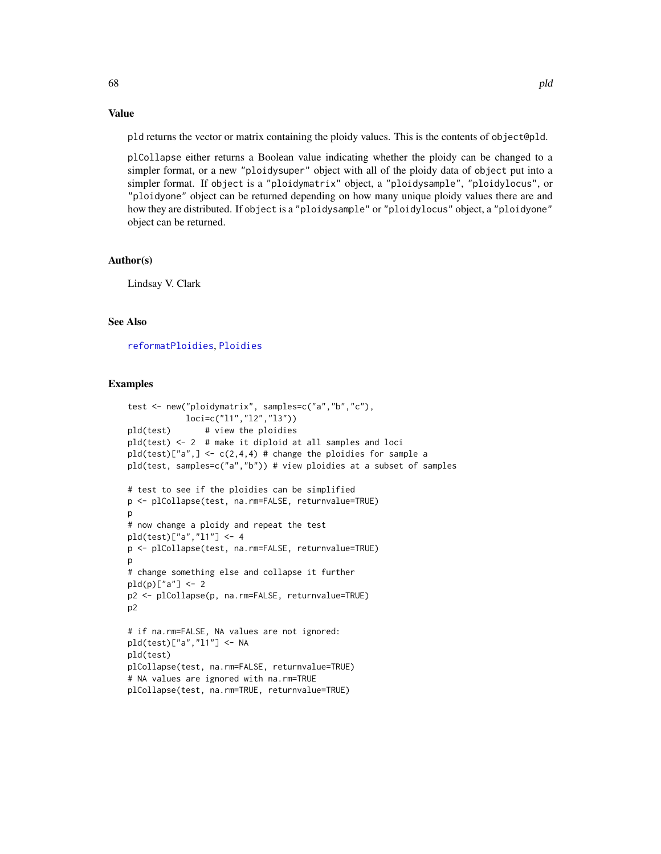## pld returns the vector or matrix containing the ploidy values. This is the contents of object@pld.

plCollapse either returns a Boolean value indicating whether the ploidy can be changed to a simpler format, or a new "ploidysuper" object with all of the ploidy data of object put into a simpler format. If object is a "ploidymatrix" object, a "ploidysample", "ploidylocus", or "ploidyone" object can be returned depending on how many unique ploidy values there are and how they are distributed. If object is a "ploidysample" or "ploidylocus" object, a "ploidyone" object can be returned.

# Author(s)

Lindsay V. Clark

# See Also

[reformatPloidies](#page-90-0), [Ploidies](#page-2-0)

## Examples

```
test <- new("ploidymatrix", samples=c("a","b","c"),
           loci=c("l1","l2","l3"))
pld(test) # view the ploidies
pld(test) <- 2 # make it diploid at all samples and loci
pld(test)["a",] \leq c(2,4,4) \# change the policies for sample apld(test, samples=c("a","b")) # view ploidies at a subset of samples
# test to see if the ploidies can be simplified
p <- plCollapse(test, na.rm=FALSE, returnvalue=TRUE)
p
# now change a ploidy and repeat the test
pld(test)["a","l1"] <- 4
p <- plCollapse(test, na.rm=FALSE, returnvalue=TRUE)
p
# change something else and collapse it further
pld(p)["a"] <- 2
p2 <- plCollapse(p, na.rm=FALSE, returnvalue=TRUE)
p2# if na.rm=FALSE, NA values are not ignored:
pld(test)["a","l1"] <- NA
pld(test)
plCollapse(test, na.rm=FALSE, returnvalue=TRUE)
# NA values are ignored with na.rm=TRUE
plCollapse(test, na.rm=TRUE, returnvalue=TRUE)
```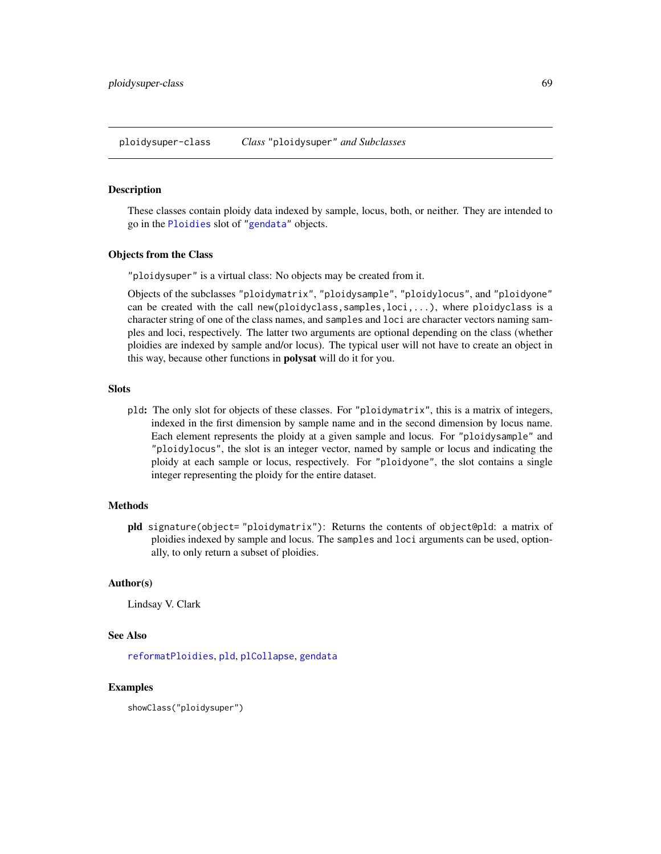# <span id="page-68-1"></span><span id="page-68-0"></span>Description

These classes contain ploidy data indexed by sample, locus, both, or neither. They are intended to go in the [Ploidies](#page-2-0) slot of ["gendata"](#page-42-0) objects.

# Objects from the Class

"ploidysuper" is a virtual class: No objects may be created from it.

Objects of the subclasses "ploidymatrix", "ploidysample", "ploidylocus", and "ploidyone" can be created with the call new(ploidyclass,samples,loci,...), where ploidyclass is a character string of one of the class names, and samples and loci are character vectors naming samples and loci, respectively. The latter two arguments are optional depending on the class (whether ploidies are indexed by sample and/or locus). The typical user will not have to create an object in this way, because other functions in **polysat** will do it for you.

## **Slots**

pld: The only slot for objects of these classes. For "ploidymatrix", this is a matrix of integers, indexed in the first dimension by sample name and in the second dimension by locus name. Each element represents the ploidy at a given sample and locus. For "ploidysample" and "ploidylocus", the slot is an integer vector, named by sample or locus and indicating the ploidy at each sample or locus, respectively. For "ploidyone", the slot contains a single integer representing the ploidy for the entire dataset.

#### Methods

pld signature(object= "ploidymatrix"): Returns the contents of object@pld: a matrix of ploidies indexed by sample and locus. The samples and loci arguments can be used, optionally, to only return a subset of ploidies.

# Author(s)

Lindsay V. Clark

# See Also

[reformatPloidies](#page-90-0), [pld](#page-66-0), [plCollapse](#page-66-1), [gendata](#page-42-0)

# Examples

showClass("ploidysuper")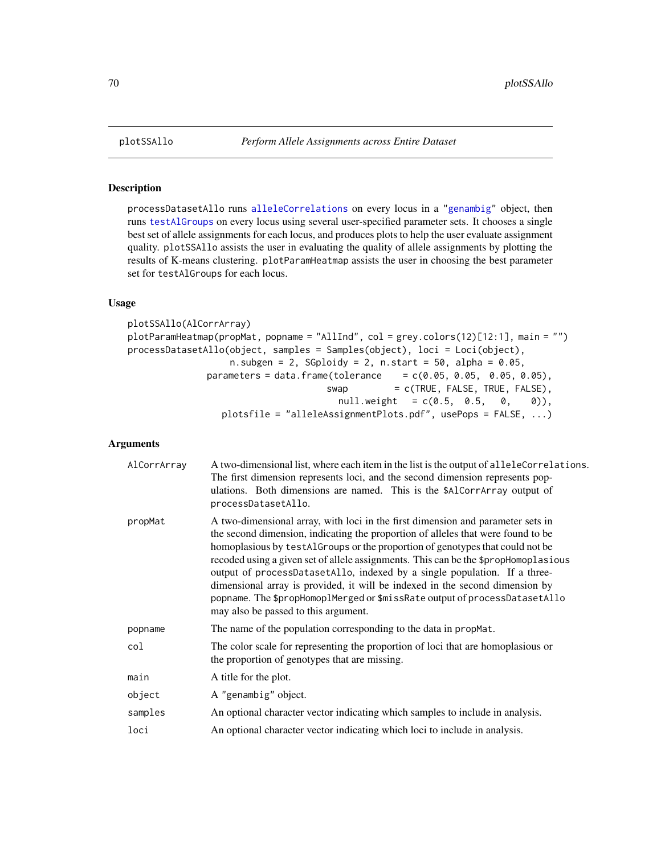# Description

processDatasetAllo runs [alleleCorrelations](#page-6-1) on every locus in a ["genambig"](#page-34-0) object, then runs [testAlGroups](#page-6-0) on every locus using several user-specified parameter sets. It chooses a single best set of allele assignments for each locus, and produces plots to help the user evaluate assignment quality. plotSSAllo assists the user in evaluating the quality of allele assignments by plotting the results of K-means clustering. plotParamHeatmap assists the user in choosing the best parameter set for testAlGroups for each locus.

# Usage

```
plotSSAllo(AlCorrArray)
plotParamHeatmap(propMat, popname = "AllInd", col = grey.colors(12)[12:1], main = "")
processDatasetAllo(object, samples = Samples(object), loci = Loci(object),
                  n.subgen = 2, SGploidy = 2, n.start = 50, alpha = 0.05,
              parameters = data. frame(tolerance = c(0.05, 0.05, 0.05, 0.05),
                                    swap = c(TRUE, FALSE, TRUE, FALSE),null. weight = c(0.5, 0.5, 0, 0),
                 plotsfile = "alleleAssignmentPlots.pdf", usePops = FALSE, ...)
```
# **Arguments**

| AlCorrArray | A two-dimensional list, where each item in the list is the output of alleleCorrelations.<br>The first dimension represents loci, and the second dimension represents pop-<br>ulations. Both dimensions are named. This is the \$AlCorrArray output of<br>processDatasetAllo.                                                                                                                                                                                                                                                                                                                                                   |
|-------------|--------------------------------------------------------------------------------------------------------------------------------------------------------------------------------------------------------------------------------------------------------------------------------------------------------------------------------------------------------------------------------------------------------------------------------------------------------------------------------------------------------------------------------------------------------------------------------------------------------------------------------|
| propMat     | A two-dimensional array, with loci in the first dimension and parameter sets in<br>the second dimension, indicating the proportion of alleles that were found to be<br>homoplasious by testAlGroups or the proportion of genotypes that could not be<br>recoded using a given set of allele assignments. This can be the \$propHomoplasious<br>output of processDatasetAllo, indexed by a single population. If a three-<br>dimensional array is provided, it will be indexed in the second dimension by<br>popname. The \$propHomoplMerged or \$missRate output of processDatasetAllo<br>may also be passed to this argument. |
| popname     | The name of the population corresponding to the data in propMat.                                                                                                                                                                                                                                                                                                                                                                                                                                                                                                                                                               |
| col         | The color scale for representing the proportion of loci that are homoplasious or<br>the proportion of genotypes that are missing.                                                                                                                                                                                                                                                                                                                                                                                                                                                                                              |
| main        | A title for the plot.                                                                                                                                                                                                                                                                                                                                                                                                                                                                                                                                                                                                          |
| object      | A "genambig" object.                                                                                                                                                                                                                                                                                                                                                                                                                                                                                                                                                                                                           |
| samples     | An optional character vector indicating which samples to include in analysis.                                                                                                                                                                                                                                                                                                                                                                                                                                                                                                                                                  |
| loci        | An optional character vector indicating which loci to include in analysis.                                                                                                                                                                                                                                                                                                                                                                                                                                                                                                                                                     |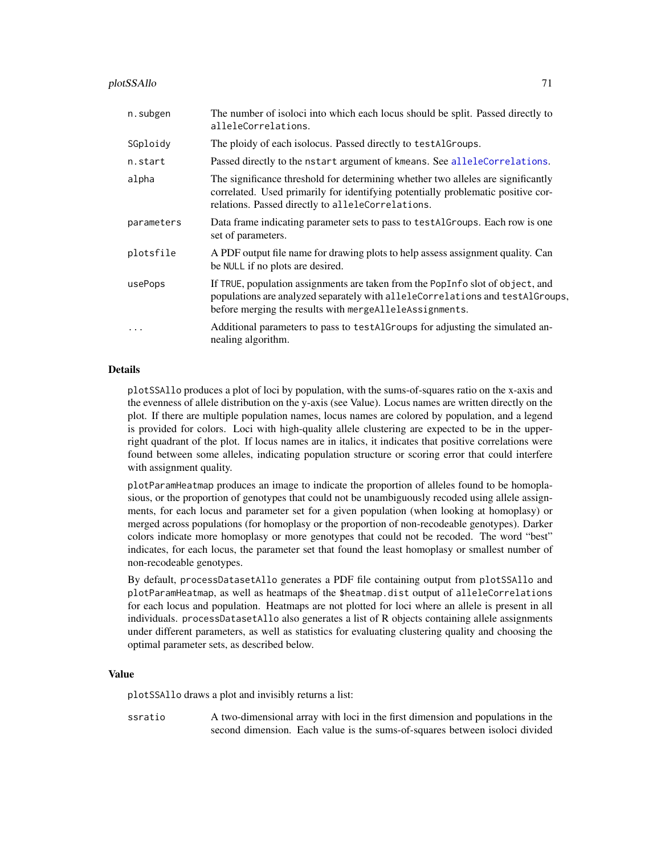#### plotSSAllo 71

| n.subgen   | The number of isoloci into which each locus should be split. Passed directly to<br>alleleCorrelations.                                                                                                                     |
|------------|----------------------------------------------------------------------------------------------------------------------------------------------------------------------------------------------------------------------------|
| SGploidy   | The ploidy of each isolocus. Passed directly to testAlGroups.                                                                                                                                                              |
| n.start    | Passed directly to the nstart argument of kmeans. See alleleCorrelations.                                                                                                                                                  |
| alpha      | The significance threshold for determining whether two alleles are significantly<br>correlated. Used primarily for identifying potentially problematic positive cor-<br>relations. Passed directly to alleleCorrelations.  |
| parameters | Data frame indicating parameter sets to pass to testAlGroups. Each row is one<br>set of parameters.                                                                                                                        |
| plotsfile  | A PDF output file name for drawing plots to help assess assignment quality. Can<br>be NULL if no plots are desired.                                                                                                        |
| usePops    | If TRUE, population assignments are taken from the PopInfo slot of object, and<br>populations are analyzed separately with alleleCorrelations and testAlGroups,<br>before merging the results with mergeAlleleAssignments. |
| $\ddotsc$  | Additional parameters to pass to testAlGroups for adjusting the simulated an-<br>nealing algorithm.                                                                                                                        |

## Details

plotSSAllo produces a plot of loci by population, with the sums-of-squares ratio on the x-axis and the evenness of allele distribution on the y-axis (see Value). Locus names are written directly on the plot. If there are multiple population names, locus names are colored by population, and a legend is provided for colors. Loci with high-quality allele clustering are expected to be in the upperright quadrant of the plot. If locus names are in italics, it indicates that positive correlations were found between some alleles, indicating population structure or scoring error that could interfere with assignment quality.

plotParamHeatmap produces an image to indicate the proportion of alleles found to be homoplasious, or the proportion of genotypes that could not be unambiguously recoded using allele assignments, for each locus and parameter set for a given population (when looking at homoplasy) or merged across populations (for homoplasy or the proportion of non-recodeable genotypes). Darker colors indicate more homoplasy or more genotypes that could not be recoded. The word "best" indicates, for each locus, the parameter set that found the least homoplasy or smallest number of non-recodeable genotypes.

By default, processDatasetAllo generates a PDF file containing output from plotSSAllo and plotParamHeatmap, as well as heatmaps of the \$heatmap.dist output of alleleCorrelations for each locus and population. Heatmaps are not plotted for loci where an allele is present in all individuals. processDatasetAllo also generates a list of R objects containing allele assignments under different parameters, as well as statistics for evaluating clustering quality and choosing the optimal parameter sets, as described below.

#### Value

plotSSAllo draws a plot and invisibly returns a list:

ssratio A two-dimensional array with loci in the first dimension and populations in the second dimension. Each value is the sums-of-squares between isoloci divided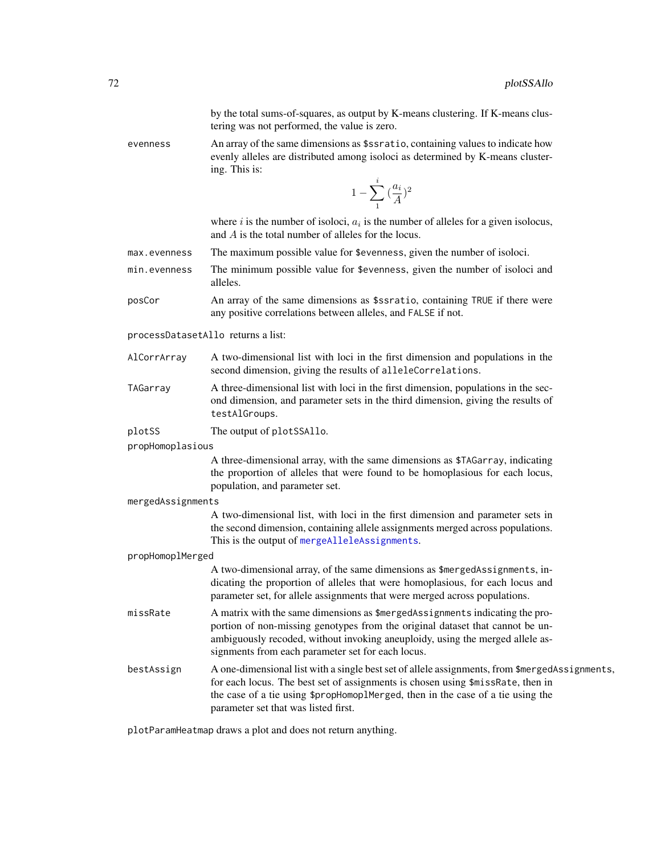by the total sums-of-squares, as output by K-means clustering. If K-means clustering was not performed, the value is zero.

evenness An array of the same dimensions as \$ssratio, containing values to indicate how evenly alleles are distributed among isoloci as determined by K-means clustering. This is:

$$
1-\sum_1^i{a_i\choose A}^2
$$

where i is the number of isoloci,  $a_i$  is the number of alleles for a given isolocus, and A is the total number of alleles for the locus.

- max.evenness The maximum possible value for \$evenness, given the number of isoloci.
- min.evenness The minimum possible value for \$evenness, given the number of isoloci and alleles.
- posCor An array of the same dimensions as \$ssratio, containing TRUE if there were any positive correlations between alleles, and FALSE if not.

processDatasetAllo returns a list:

- AlCorrArray A two-dimensional list with loci in the first dimension and populations in the second dimension, giving the results of alleleCorrelations.
- TAGarray A three-dimensional list with loci in the first dimension, populations in the second dimension, and parameter sets in the third dimension, giving the results of testAlGroups.

plotSS The output of plotSSAllo.

propHomoplasious

A three-dimensional array, with the same dimensions as \$TAGarray, indicating the proportion of alleles that were found to be homoplasious for each locus, population, and parameter set.

mergedAssignments

A two-dimensional list, with loci in the first dimension and parameter sets in the second dimension, containing allele assignments merged across populations. This is the output of [mergeAlleleAssignments](#page-63-0).

propHomoplMerged

A two-dimensional array, of the same dimensions as \$mergedAssignments, indicating the proportion of alleles that were homoplasious, for each locus and parameter set, for allele assignments that were merged across populations.

- missRate A matrix with the same dimensions as \$mergedAssignments indicating the proportion of non-missing genotypes from the original dataset that cannot be unambiguously recoded, without invoking aneuploidy, using the merged allele assignments from each parameter set for each locus.
- bestAssign A one-dimensional list with a single best set of allele assignments, from \$mergedAssignments, for each locus. The best set of assignments is chosen using \$missRate, then in the case of a tie using \$propHomoplMerged, then in the case of a tie using the parameter set that was listed first.

plotParamHeatmap draws a plot and does not return anything.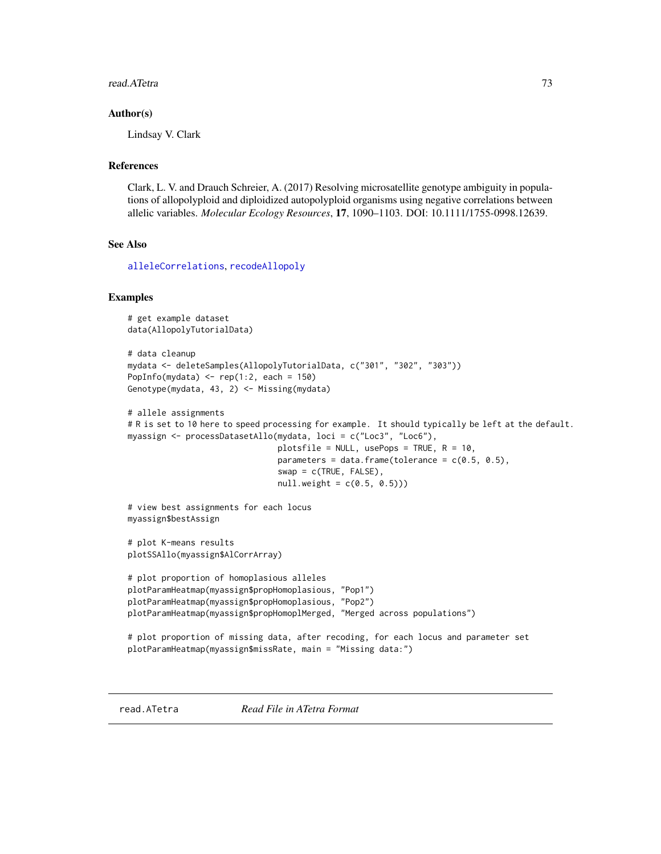## read.ATetra 73

## Author(s)

Lindsay V. Clark

# References

Clark, L. V. and Drauch Schreier, A. (2017) Resolving microsatellite genotype ambiguity in populations of allopolyploid and diploidized autopolyploid organisms using negative correlations between allelic variables. *Molecular Ecology Resources*, 17, 1090–1103. DOI: 10.1111/1755-0998.12639.

## See Also

[alleleCorrelations](#page-6-0), [recodeAllopoly](#page-88-0)

## Examples

```
# get example dataset
data(AllopolyTutorialData)
# data cleanup
mydata <- deleteSamples(AllopolyTutorialData, c("301", "302", "303"))
PopInfo(mydata) <- rep(1:2, each = 150)
Genotype(mydata, 43, 2) <- Missing(mydata)
# allele assignments
# R is set to 10 here to speed processing for example. It should typically be left at the default.
myassign <- processDatasetAllo(mydata, loci = c("Loc3", "Loc6"),
                               plotsfile = NULL, usePops = TRUE, R = 10,
                               parameters = data.frame(tolerance = c(0.5, 0.5),
                               swap = c(TRUE, FALSE),
                               null. weight = c(0.5, 0.5))# view best assignments for each locus
myassign$bestAssign
# plot K-means results
plotSSAllo(myassign$AlCorrArray)
# plot proportion of homoplasious alleles
plotParamHeatmap(myassign$propHomoplasious, "Pop1")
plotParamHeatmap(myassign$propHomoplasious, "Pop2")
plotParamHeatmap(myassign$propHomoplMerged, "Merged across populations")
# plot proportion of missing data, after recoding, for each locus and parameter set
plotParamHeatmap(myassign$missRate, main = "Missing data:")
```
<span id="page-72-0"></span>read.ATetra *Read File in ATetra Format*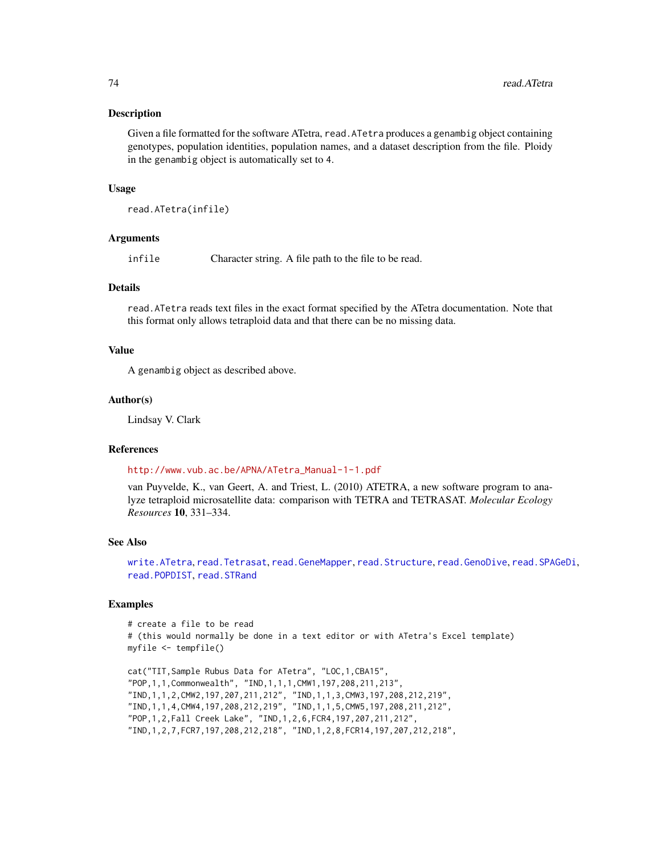## Description

Given a file formatted for the software ATetra, read.ATetra produces a genambig object containing genotypes, population identities, population names, and a dataset description from the file. Ploidy in the genambig object is automatically set to 4.

## Usage

read.ATetra(infile)

## Arguments

infile Character string. A file path to the file to be read.

## Details

read.ATetra reads text files in the exact format specified by the ATetra documentation. Note that this format only allows tetraploid data and that there can be no missing data.

## Value

A genambig object as described above.

#### Author(s)

Lindsay V. Clark

## References

#### [http://www.vub.ac.be/APNA/ATetra\\_Manual-1-1.pdf](http://www.vub.ac.be/APNA/ATetra_Manual-1-1.pdf)

van Puyvelde, K., van Geert, A. and Triest, L. (2010) ATETRA, a new software program to analyze tetraploid microsatellite data: comparison with TETRA and TETRASAT. *Molecular Ecology Resources* 10, 331–334.

# See Also

[write.ATetra](#page-98-0), [read.Tetrasat](#page-86-0), [read.GeneMapper](#page-74-0), [read.Structure](#page-83-0), [read.GenoDive](#page-76-0), [read.SPAGeDi](#page-79-0), [read.POPDIST](#page-78-0), [read.STRand](#page-82-0)

```
# create a file to be read
# (this would normally be done in a text editor or with ATetra's Excel template)
myfile <- tempfile()
```

```
cat("TIT,Sample Rubus Data for ATetra", "LOC,1,CBA15",
"POP,1,1,Commonwealth", "IND,1,1,1,CMW1,197,208,211,213",
"IND,1,1,2,CMW2,197,207,211,212", "IND,1,1,3,CMW3,197,208,212,219",
"IND,1,1,4,CMW4,197,208,212,219", "IND,1,1,5,CMW5,197,208,211,212",
"POP,1,2,Fall Creek Lake", "IND,1,2,6,FCR4,197,207,211,212",
"IND,1,2,7,FCR7,197,208,212,218", "IND,1,2,8,FCR14,197,207,212,218",
```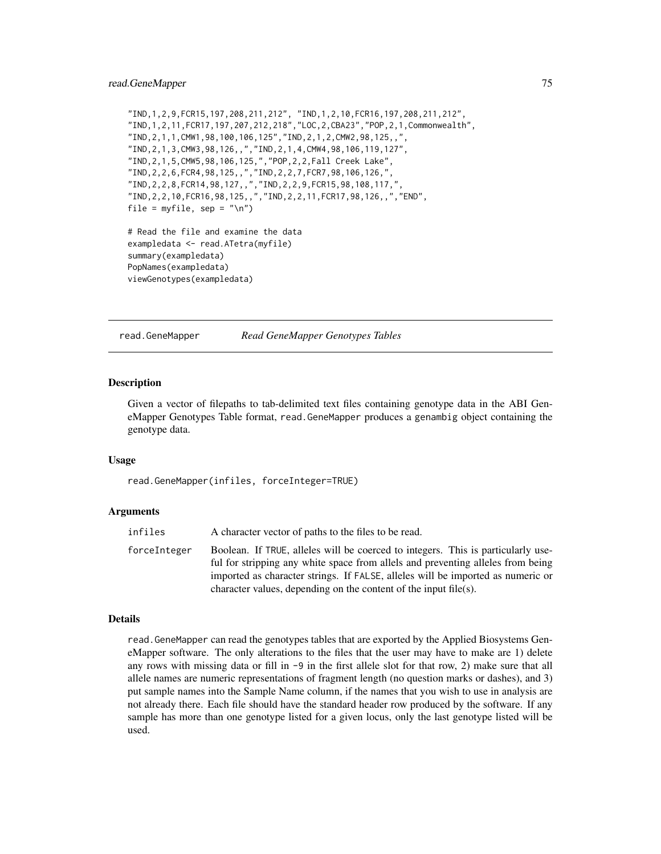```
"IND,1,2,9,FCR15,197,208,211,212", "IND,1,2,10,FCR16,197,208,211,212",
"IND,1,2,11,FCR17,197,207,212,218","LOC,2,CBA23","POP,2,1,Commonwealth",
"IND,2,1,1,CMW1,98,100,106,125","IND,2,1,2,CMW2,98,125,,",
"IND,2,1,3,CMW3,98,126,,","IND,2,1,4,CMW4,98,106,119,127",
"IND,2,1,5,CMW5,98,106,125,","POP,2,2,Fall Creek Lake",
"IND,2,2,6,FCR4,98,125,,","IND,2,2,7,FCR7,98,106,126,",
"IND,2,2,8,FCR14,98,127,,","IND,2,2,9,FCR15,98,108,117,",
"IND,2,2,10,FCR16,98,125,,","IND,2,2,11,FCR17,98,126,,","END",
file = myfile, sep = "\n\n\in# Read the file and examine the data
exampledata <- read.ATetra(myfile)
summary(exampledata)
PopNames(exampledata)
viewGenotypes(exampledata)
```
<span id="page-74-0"></span>

read.GeneMapper *Read GeneMapper Genotypes Tables*

## Description

Given a vector of filepaths to tab-delimited text files containing genotype data in the ABI GeneMapper Genotypes Table format, read.GeneMapper produces a genambig object containing the genotype data.

#### Usage

read.GeneMapper(infiles, forceInteger=TRUE)

#### Arguments

infiles A character vector of paths to the files to be read.

forceInteger Boolean. If TRUE, alleles will be coerced to integers. This is particularly useful for stripping any white space from allels and preventing alleles from being imported as character strings. If FALSE, alleles will be imported as numeric or character values, depending on the content of the input file(s).

## Details

read.GeneMapper can read the genotypes tables that are exported by the Applied Biosystems GeneMapper software. The only alterations to the files that the user may have to make are 1) delete any rows with missing data or fill in  $-9$  in the first allele slot for that row, 2) make sure that all allele names are numeric representations of fragment length (no question marks or dashes), and 3) put sample names into the Sample Name column, if the names that you wish to use in analysis are not already there. Each file should have the standard header row produced by the software. If any sample has more than one genotype listed for a given locus, only the last genotype listed will be used.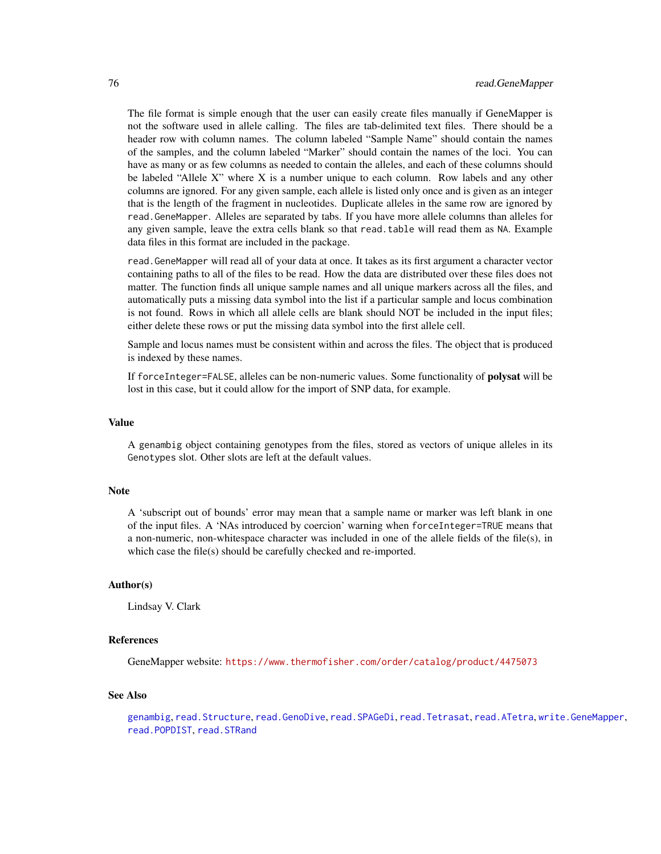The file format is simple enough that the user can easily create files manually if GeneMapper is not the software used in allele calling. The files are tab-delimited text files. There should be a header row with column names. The column labeled "Sample Name" should contain the names of the samples, and the column labeled "Marker" should contain the names of the loci. You can have as many or as few columns as needed to contain the alleles, and each of these columns should be labeled "Allele X" where X is a number unique to each column. Row labels and any other columns are ignored. For any given sample, each allele is listed only once and is given as an integer that is the length of the fragment in nucleotides. Duplicate alleles in the same row are ignored by read.GeneMapper. Alleles are separated by tabs. If you have more allele columns than alleles for any given sample, leave the extra cells blank so that read.table will read them as NA. Example data files in this format are included in the package.

read.GeneMapper will read all of your data at once. It takes as its first argument a character vector containing paths to all of the files to be read. How the data are distributed over these files does not matter. The function finds all unique sample names and all unique markers across all the files, and automatically puts a missing data symbol into the list if a particular sample and locus combination is not found. Rows in which all allele cells are blank should NOT be included in the input files; either delete these rows or put the missing data symbol into the first allele cell.

Sample and locus names must be consistent within and across the files. The object that is produced is indexed by these names.

If forceInteger=FALSE, alleles can be non-numeric values. Some functionality of **polysat** will be lost in this case, but it could allow for the import of SNP data, for example.

## Value

A genambig object containing genotypes from the files, stored as vectors of unique alleles in its Genotypes slot. Other slots are left at the default values.

## **Note**

A 'subscript out of bounds' error may mean that a sample name or marker was left blank in one of the input files. A 'NAs introduced by coercion' warning when forceInteger=TRUE means that a non-numeric, non-whitespace character was included in one of the allele fields of the file(s), in which case the file(s) should be carefully checked and re-imported.

## Author(s)

Lindsay V. Clark

# References

GeneMapper website: <https://www.thermofisher.com/order/catalog/product/4475073>

## See Also

```
genambig, read.Structure, read.GenoDive, read.SPAGeDi, read.Tetrasat, read.ATetra, write.GeneMapper,
read.POPDIST, read.STRand
```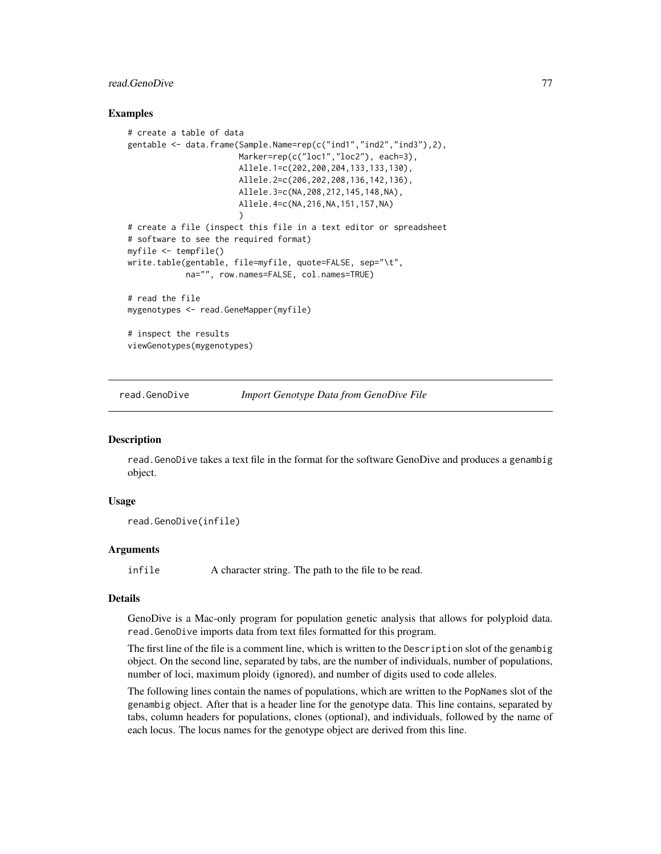# read.GenoDive 77

## Examples

```
# create a table of data
gentable \leq data.frame(Sample.Name=rep(c("ind1","ind2","ind3"),2),
                       Marker=rep(c("loc1","loc2"), each=3),
                       Allele.1=c(202,200,204,133,133,130),
                       Allele.2=c(206,202,208,136,142,136),
                       Allele.3=c(NA,208,212,145,148,NA),
                       Allele.4=c(NA,216,NA,151,157,NA)
                       )
# create a file (inspect this file in a text editor or spreadsheet
# software to see the required format)
myfile <- tempfile()
write.table(gentable, file=myfile, quote=FALSE, sep="\t",
            na="", row.names=FALSE, col.names=TRUE)
# read the file
mygenotypes <- read.GeneMapper(myfile)
# inspect the results
viewGenotypes(mygenotypes)
```
<span id="page-76-0"></span>read.GenoDive *Import Genotype Data from GenoDive File*

## Description

read.GenoDive takes a text file in the format for the software GenoDive and produces a genambig object.

## Usage

```
read.GenoDive(infile)
```
## Arguments

infile A character string. The path to the file to be read.

# Details

GenoDive is a Mac-only program for population genetic analysis that allows for polyploid data. read.GenoDive imports data from text files formatted for this program.

The first line of the file is a comment line, which is written to the Description slot of the genambig object. On the second line, separated by tabs, are the number of individuals, number of populations, number of loci, maximum ploidy (ignored), and number of digits used to code alleles.

The following lines contain the names of populations, which are written to the PopNames slot of the genambig object. After that is a header line for the genotype data. This line contains, separated by tabs, column headers for populations, clones (optional), and individuals, followed by the name of each locus. The locus names for the genotype object are derived from this line.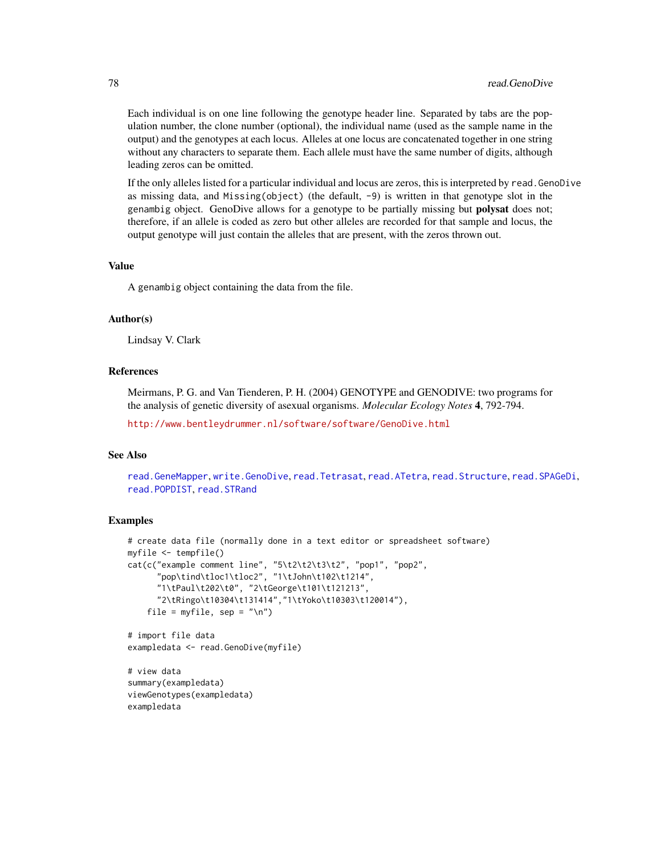Each individual is on one line following the genotype header line. Separated by tabs are the population number, the clone number (optional), the individual name (used as the sample name in the output) and the genotypes at each locus. Alleles at one locus are concatenated together in one string without any characters to separate them. Each allele must have the same number of digits, although leading zeros can be omitted.

If the only alleles listed for a particular individual and locus are zeros, this is interpreted by read.GenoDive as missing data, and Missing(object) (the default, -9) is written in that genotype slot in the genambig object. GenoDive allows for a genotype to be partially missing but **polysat** does not; therefore, if an allele is coded as zero but other alleles are recorded for that sample and locus, the output genotype will just contain the alleles that are present, with the zeros thrown out.

## Value

A genambig object containing the data from the file.

## Author(s)

Lindsay V. Clark

## **References**

Meirmans, P. G. and Van Tienderen, P. H. (2004) GENOTYPE and GENODIVE: two programs for the analysis of genetic diversity of asexual organisms. *Molecular Ecology Notes* 4, 792-794.

<http://www.bentleydrummer.nl/software/software/GenoDive.html>

## See Also

[read.GeneMapper](#page-74-0), [write.GenoDive](#page-104-0), [read.Tetrasat](#page-86-0), [read.ATetra](#page-72-0), [read.Structure](#page-83-0), [read.SPAGeDi](#page-79-0), [read.POPDIST](#page-78-0), [read.STRand](#page-82-0)

## Examples

```
# create data file (normally done in a text editor or spreadsheet software)
myfile <- tempfile()
cat(c("example comment line", "5\t2\t2\t3\t2", "pop1", "pop2",
      "pop\tind\tloc1\tloc2", "1\tJohn\t102\t1214",
      "1\tPaul\t202\t0", "2\tGeorge\t101\t121213",
      "2\tRingo\t10304\t131414","1\tYoko\t10303\t120014"),
    file = myfile, sep = "n")# import file data
```
exampledata <- read.GenoDive(myfile)

# view data summary(exampledata) viewGenotypes(exampledata) exampledata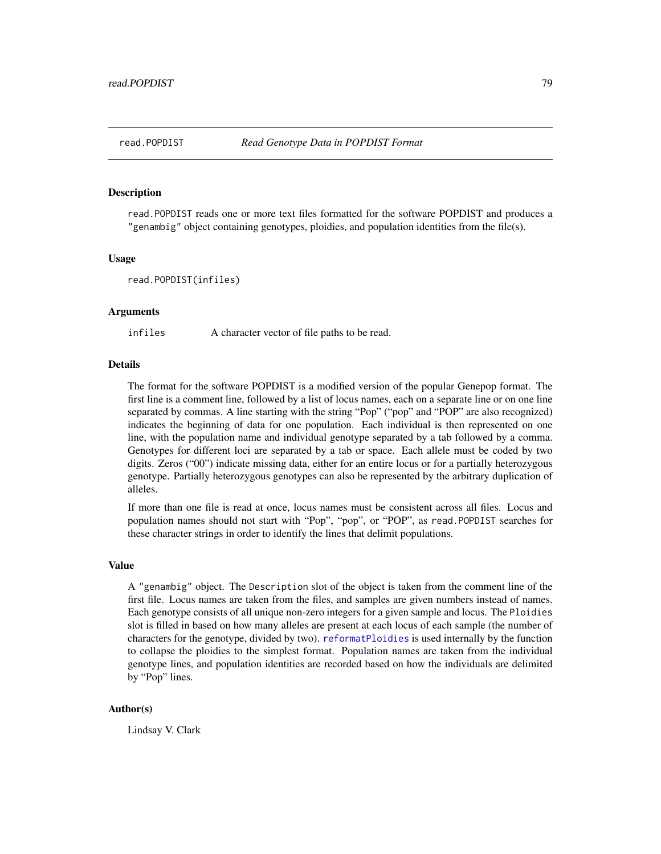<span id="page-78-0"></span>

## **Description**

read.POPDIST reads one or more text files formatted for the software POPDIST and produces a "genambig" object containing genotypes, ploidies, and population identities from the file(s).

#### Usage

```
read.POPDIST(infiles)
```
#### Arguments

infiles A character vector of file paths to be read.

## **Details**

The format for the software POPDIST is a modified version of the popular Genepop format. The first line is a comment line, followed by a list of locus names, each on a separate line or on one line separated by commas. A line starting with the string "Pop" ("pop" and "POP" are also recognized) indicates the beginning of data for one population. Each individual is then represented on one line, with the population name and individual genotype separated by a tab followed by a comma. Genotypes for different loci are separated by a tab or space. Each allele must be coded by two digits. Zeros ("00") indicate missing data, either for an entire locus or for a partially heterozygous genotype. Partially heterozygous genotypes can also be represented by the arbitrary duplication of alleles.

If more than one file is read at once, locus names must be consistent across all files. Locus and population names should not start with "Pop", "pop", or "POP", as read.POPDIST searches for these character strings in order to identify the lines that delimit populations.

## Value

A "genambig" object. The Description slot of the object is taken from the comment line of the first file. Locus names are taken from the files, and samples are given numbers instead of names. Each genotype consists of all unique non-zero integers for a given sample and locus. The Ploidies slot is filled in based on how many alleles are present at each locus of each sample (the number of characters for the genotype, divided by two). [reformatPloidies](#page-90-0) is used internally by the function to collapse the ploidies to the simplest format. Population names are taken from the individual genotype lines, and population identities are recorded based on how the individuals are delimited by "Pop" lines.

## Author(s)

Lindsay V. Clark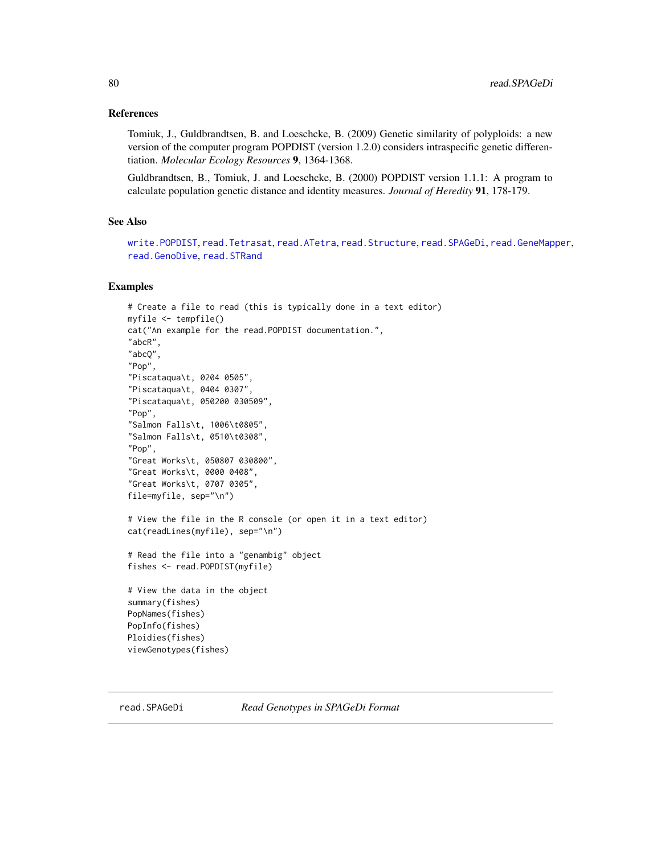## References

Tomiuk, J., Guldbrandtsen, B. and Loeschcke, B. (2009) Genetic similarity of polyploids: a new version of the computer program POPDIST (version 1.2.0) considers intraspecific genetic differentiation. *Molecular Ecology Resources* 9, 1364-1368.

Guldbrandtsen, B., Tomiuk, J. and Loeschcke, B. (2000) POPDIST version 1.1.1: A program to calculate population genetic distance and identity measures. *Journal of Heredity* 91, 178-179.

## See Also

```
write.POPDIST, read.Tetrasat, read.ATetra, read.Structure, read.SPAGeDi, read.GeneMapper,
read.GenoDive, read.STRand
```
#### Examples

```
# Create a file to read (this is typically done in a text editor)
myfile <- tempfile()
cat("An example for the read.POPDIST documentation.",
"abcR",
"abcQ",
"Pop",
"Piscataqua\t, 0204 0505",
"Piscataqua\t, 0404 0307",
"Piscataqua\t, 050200 030509",
"Pop",
"Salmon Falls\t, 1006\t0805",
"Salmon Falls\t, 0510\t0308",
"Pop",
"Great Works\t, 050807 030800",
"Great Works\t, 0000 0408",
"Great Works\t, 0707 0305",
file=myfile, sep="\n")
# View the file in the R console (or open it in a text editor)
cat(readLines(myfile), sep="\n")
# Read the file into a "genambig" object
fishes <- read.POPDIST(myfile)
# View the data in the object
summary(fishes)
PopNames(fishes)
PopInfo(fishes)
Ploidies(fishes)
viewGenotypes(fishes)
```
<span id="page-79-0"></span>

read.SPAGeDi *Read Genotypes in SPAGeDi Format*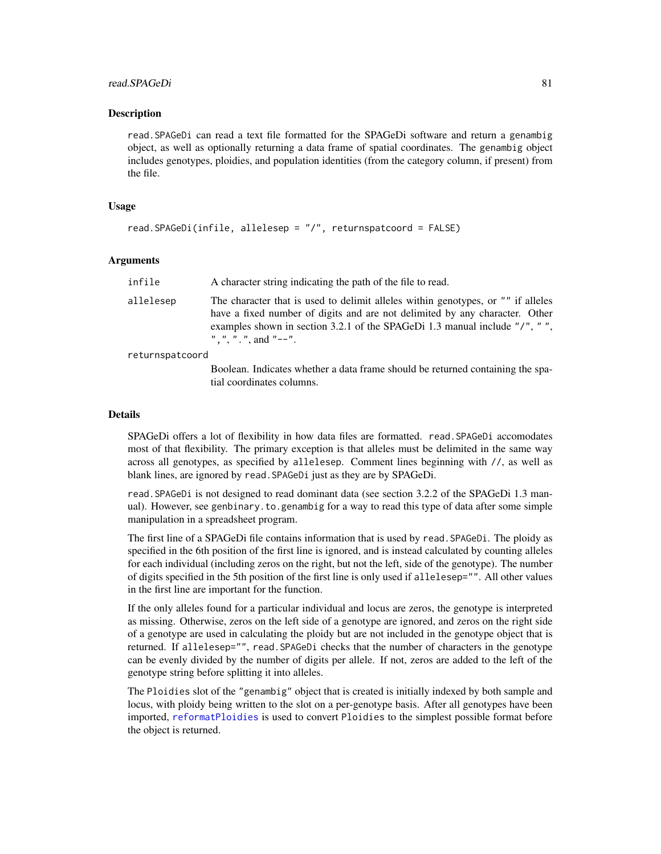## read.SPAGeDi 81

## **Description**

read.SPAGeDi can read a text file formatted for the SPAGeDi software and return a genambig object, as well as optionally returning a data frame of spatial coordinates. The genambig object includes genotypes, ploidies, and population identities (from the category column, if present) from the file.

## Usage

```
read.SPAGeDi(infile, allelesep = "/", returnspatcoord = FALSE)
```
## **Arguments**

| infile          | A character string indicating the path of the file to read.                                                                                                                                                                                                            |
|-----------------|------------------------------------------------------------------------------------------------------------------------------------------------------------------------------------------------------------------------------------------------------------------------|
| allelesep       | The character that is used to delimit alleles within genotypes, or "" if alleles<br>have a fixed number of digits and are not delimited by any character. Other<br>examples shown in section 3.2.1 of the SPAGeDi 1.3 manual include "/", "",<br>", ", ". ", and "--". |
| returnspatcoord |                                                                                                                                                                                                                                                                        |
|                 | Boolean. Indicates whether a data frame should be returned containing the spa-<br>tial coordinates columns.                                                                                                                                                            |

#### Details

SPAGeDi offers a lot of flexibility in how data files are formatted. read.SPAGeDi accomodates most of that flexibility. The primary exception is that alleles must be delimited in the same way across all genotypes, as specified by allelesep. Comment lines beginning with //, as well as blank lines, are ignored by read.SPAGeDi just as they are by SPAGeDi.

read.SPAGeDi is not designed to read dominant data (see section 3.2.2 of the SPAGeDi 1.3 manual). However, see genbinary.to.genambig for a way to read this type of data after some simple manipulation in a spreadsheet program.

The first line of a SPAGeDi file contains information that is used by read.SPAGeDi. The ploidy as specified in the 6th position of the first line is ignored, and is instead calculated by counting alleles for each individual (including zeros on the right, but not the left, side of the genotype). The number of digits specified in the 5th position of the first line is only used if allelesep="". All other values in the first line are important for the function.

If the only alleles found for a particular individual and locus are zeros, the genotype is interpreted as missing. Otherwise, zeros on the left side of a genotype are ignored, and zeros on the right side of a genotype are used in calculating the ploidy but are not included in the genotype object that is returned. If allelesep="", read.SPAGeDi checks that the number of characters in the genotype can be evenly divided by the number of digits per allele. If not, zeros are added to the left of the genotype string before splitting it into alleles.

The Ploidies slot of the "genambig" object that is created is initially indexed by both sample and locus, with ploidy being written to the slot on a per-genotype basis. After all genotypes have been imported, [reformatPloidies](#page-90-0) is used to convert Ploidies to the simplest possible format before the object is returned.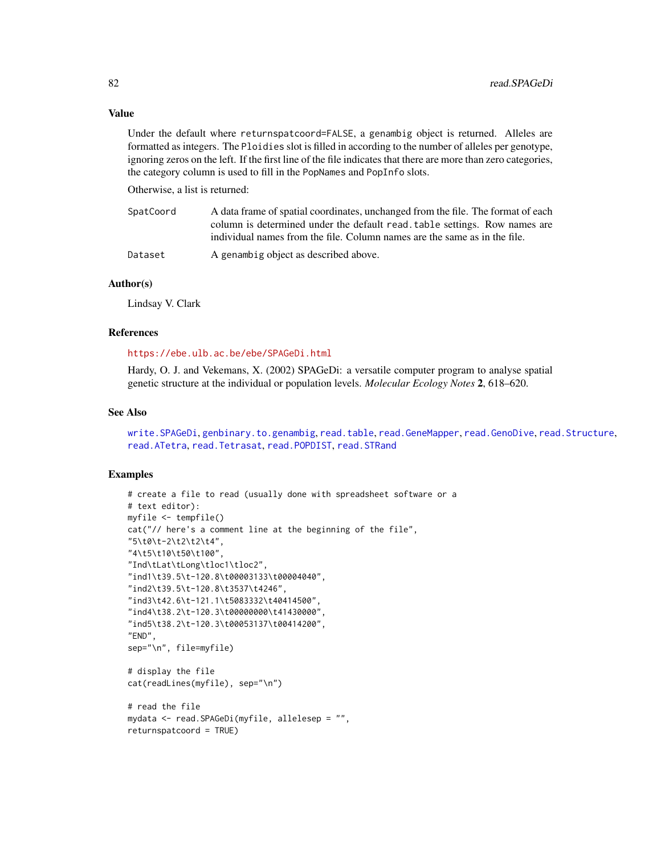## Value

Under the default where returnspatcoord=FALSE, a genambig object is returned. Alleles are formatted as integers. The Ploidies slot is filled in according to the number of alleles per genotype, ignoring zeros on the left. If the first line of the file indicates that there are more than zero categories, the category column is used to fill in the PopNames and PopInfo slots.

Otherwise, a list is returned:

| SpatCoord | A data frame of spatial coordinates, unchanged from the file. The format of each |
|-----------|----------------------------------------------------------------------------------|
|           | column is determined under the default read, table settings. Row names are       |
|           | individual names from the file. Column names are the same as in the file.        |
| Dataset   | A genambig object as described above.                                            |

## Author(s)

Lindsay V. Clark

## References

#### <https://ebe.ulb.ac.be/ebe/SPAGeDi.html>

Hardy, O. J. and Vekemans, X. (2002) SPAGeDi: a versatile computer program to analyse spatial genetic structure at the individual or population levels. *Molecular Ecology Notes* 2, 618–620.

#### See Also

[write.SPAGeDi](#page-107-0), [genbinary.to.genambig](#page-37-0), [read.table](#page-0-0), [read.GeneMapper](#page-74-0), [read.GenoDive](#page-76-0), [read.Structure](#page-83-0), [read.ATetra](#page-72-0), [read.Tetrasat](#page-86-0), [read.POPDIST](#page-78-0), [read.STRand](#page-82-0)

```
# create a file to read (usually done with spreadsheet software or a
# text editor):
myfile <- tempfile()
cat("// here's a comment line at the beginning of the file",
"5\t0\t-2\t2\t2\t4",
"4\t5\t10\t50\t100",
"Ind\tLat\tLong\tloc1\tloc2",
"ind1\t39.5\t-120.8\t00003133\t00004040",
"ind2\t39.5\t-120.8\t3537\t4246",
"ind3\t42.6\t-121.1\t5083332\t40414500",
"ind4\t38.2\t-120.3\t00000000\t41430000",
"ind5\t38.2\t-120.3\t00053137\t00414200",
"END",
sep="\n", file=myfile)
# display the file
cat(readLines(myfile), sep="\n")
# read the file
mydata <- read.SPAGeDi(myfile, allelesep = "",
returnspatcoord = TRUE)
```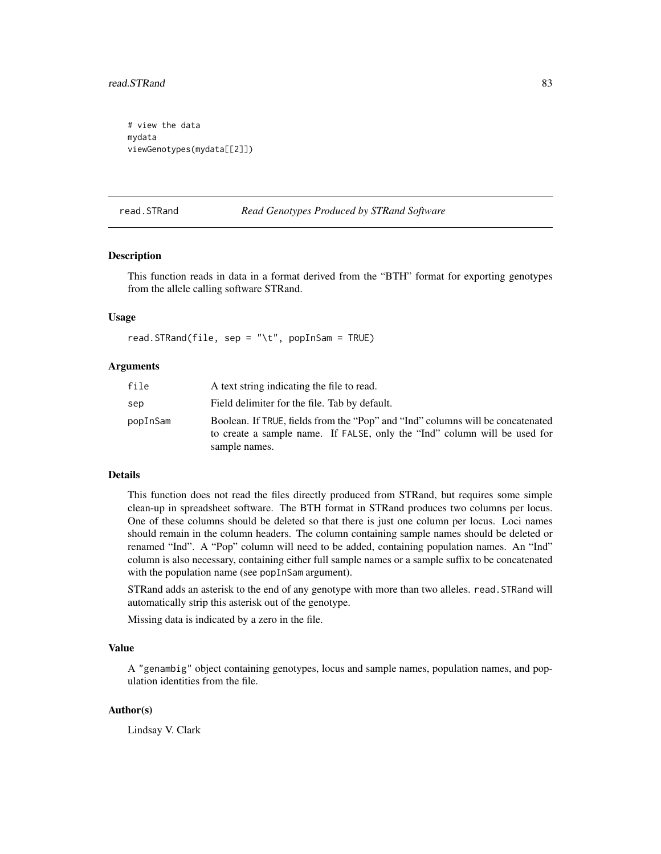# view the data mydata viewGenotypes(mydata[[2]])

<span id="page-82-0"></span>read.STRand *Read Genotypes Produced by STRand Software*

## **Description**

This function reads in data in a format derived from the "BTH" format for exporting genotypes from the allele calling software STRand.

#### Usage

read.STRand(file, sep = "\t", popInSam = TRUE)

## Arguments

| file     | A text string indicating the file to read.                                                                                                                                   |
|----------|------------------------------------------------------------------------------------------------------------------------------------------------------------------------------|
| sep      | Field delimiter for the file. Tab by default.                                                                                                                                |
| popInSam | Boolean. If TRUE, fields from the "Pop" and "Ind" columns will be concatenated<br>to create a sample name. If FALSE, only the "Ind" column will be used for<br>sample names. |

## Details

This function does not read the files directly produced from STRand, but requires some simple clean-up in spreadsheet software. The BTH format in STRand produces two columns per locus. One of these columns should be deleted so that there is just one column per locus. Loci names should remain in the column headers. The column containing sample names should be deleted or renamed "Ind". A "Pop" column will need to be added, containing population names. An "Ind" column is also necessary, containing either full sample names or a sample suffix to be concatenated with the population name (see popInSam argument).

STRand adds an asterisk to the end of any genotype with more than two alleles. read.STRand will automatically strip this asterisk out of the genotype.

Missing data is indicated by a zero in the file.

#### Value

A "genambig" object containing genotypes, locus and sample names, population names, and population identities from the file.

## Author(s)

Lindsay V. Clark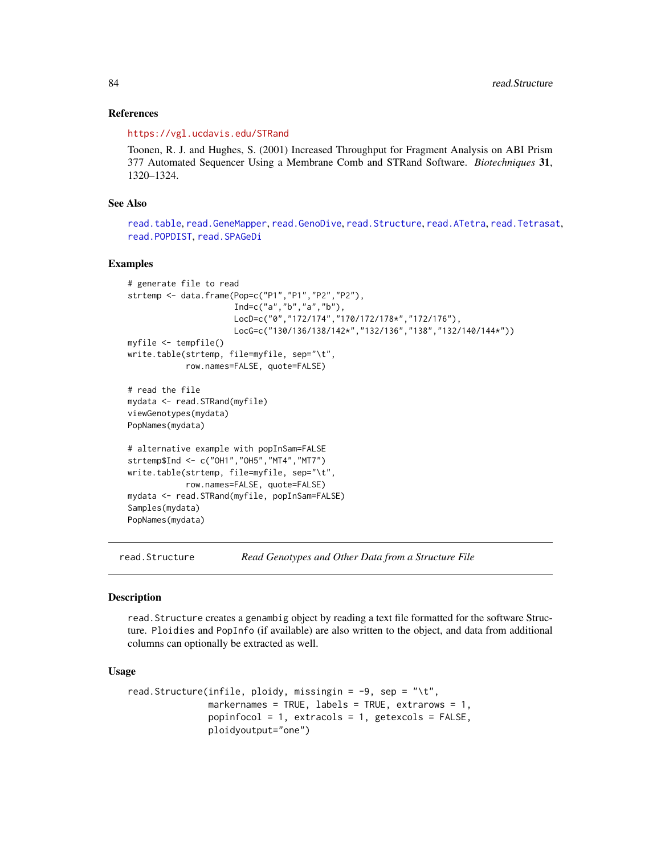## References

<https://vgl.ucdavis.edu/STRand>

Toonen, R. J. and Hughes, S. (2001) Increased Throughput for Fragment Analysis on ABI Prism 377 Automated Sequencer Using a Membrane Comb and STRand Software. *Biotechniques* 31, 1320–1324.

## See Also

[read.table](#page-0-0), [read.GeneMapper](#page-74-0), [read.GenoDive](#page-76-0), [read.Structure](#page-83-0), [read.ATetra](#page-72-0), [read.Tetrasat](#page-86-0), [read.POPDIST](#page-78-0), [read.SPAGeDi](#page-79-0)

#### Examples

```
# generate file to read
strtemp <- data.frame(Pop=c("P1","P1","P2","P2"),
                      Ind=c("a","b","a","b"),
                      LocD=c("0","172/174","170/172/178*","172/176"),
                      LocG=c("130/136/138/142*","132/136","138","132/140/144*"))
myfile <- tempfile()
write.table(strtemp, file=myfile, sep="\t",
            row.names=FALSE, quote=FALSE)
# read the file
mydata <- read.STRand(myfile)
viewGenotypes(mydata)
PopNames(mydata)
# alternative example with popInSam=FALSE
strtemp$Ind <- c("OH1","OH5","MT4","MT7")
write.table(strtemp, file=myfile, sep="\t",
            row.names=FALSE, quote=FALSE)
mydata <- read.STRand(myfile, popInSam=FALSE)
Samples(mydata)
PopNames(mydata)
```
<span id="page-83-0"></span>read.Structure *Read Genotypes and Other Data from a Structure File*

## **Description**

read.Structure creates a genambig object by reading a text file formatted for the software Structure. Ploidies and PopInfo (if available) are also written to the object, and data from additional columns can optionally be extracted as well.

## Usage

```
read.Structure(infile, ploidy, missingin = -9, sep = "\t",
              markernames = TRUE, labels = TRUE, extrarows = 1,
              popinfocol = 1, extracols = 1, getexcols = FALSE,
              ploidyoutput="one")
```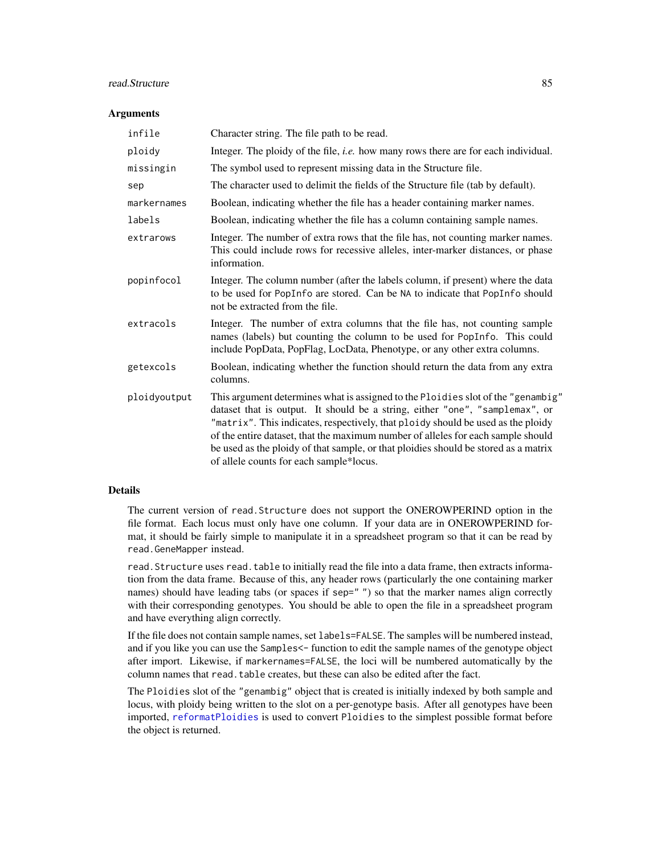# read.Structure 85

## **Arguments**

| infile       | Character string. The file path to be read.                                                                                                                                                                                                                                                                                                                                                                                                                                |
|--------------|----------------------------------------------------------------------------------------------------------------------------------------------------------------------------------------------------------------------------------------------------------------------------------------------------------------------------------------------------------------------------------------------------------------------------------------------------------------------------|
| ploidy       | Integer. The ploidy of the file, i.e. how many rows there are for each individual.                                                                                                                                                                                                                                                                                                                                                                                         |
| missingin    | The symbol used to represent missing data in the Structure file.                                                                                                                                                                                                                                                                                                                                                                                                           |
| sep          | The character used to delimit the fields of the Structure file (tab by default).                                                                                                                                                                                                                                                                                                                                                                                           |
| markernames  | Boolean, indicating whether the file has a header containing marker names.                                                                                                                                                                                                                                                                                                                                                                                                 |
| labels       | Boolean, indicating whether the file has a column containing sample names.                                                                                                                                                                                                                                                                                                                                                                                                 |
| extrarows    | Integer. The number of extra rows that the file has, not counting marker names.<br>This could include rows for recessive alleles, inter-marker distances, or phase<br>information.                                                                                                                                                                                                                                                                                         |
| popinfocol   | Integer. The column number (after the labels column, if present) where the data<br>to be used for PopInfo are stored. Can be NA to indicate that PopInfo should<br>not be extracted from the file.                                                                                                                                                                                                                                                                         |
| extracols    | Integer. The number of extra columns that the file has, not counting sample<br>names (labels) but counting the column to be used for PopInfo. This could<br>include PopData, PopFlag, LocData, Phenotype, or any other extra columns.                                                                                                                                                                                                                                      |
| getexcols    | Boolean, indicating whether the function should return the data from any extra<br>columns.                                                                                                                                                                                                                                                                                                                                                                                 |
| ploidyoutput | This argument determines what is assigned to the Ploidies slot of the "genambig"<br>dataset that is output. It should be a string, either "one", "samplemax", or<br>"matrix". This indicates, respectively, that ploidy should be used as the ploidy<br>of the entire dataset, that the maximum number of alleles for each sample should<br>be used as the ploidy of that sample, or that ploidies should be stored as a matrix<br>of allele counts for each sample*locus. |

## Details

The current version of read.Structure does not support the ONEROWPERIND option in the file format. Each locus must only have one column. If your data are in ONEROWPERIND format, it should be fairly simple to manipulate it in a spreadsheet program so that it can be read by read.GeneMapper instead.

read.Structure uses read.table to initially read the file into a data frame, then extracts information from the data frame. Because of this, any header rows (particularly the one containing marker names) should have leading tabs (or spaces if sep="") so that the marker names align correctly with their corresponding genotypes. You should be able to open the file in a spreadsheet program and have everything align correctly.

If the file does not contain sample names, set labels=FALSE. The samples will be numbered instead, and if you like you can use the Samples<- function to edit the sample names of the genotype object after import. Likewise, if markernames=FALSE, the loci will be numbered automatically by the column names that read. table creates, but these can also be edited after the fact.

The Ploidies slot of the "genambig" object that is created is initially indexed by both sample and locus, with ploidy being written to the slot on a per-genotype basis. After all genotypes have been imported, [reformatPloidies](#page-90-0) is used to convert Ploidies to the simplest possible format before the object is returned.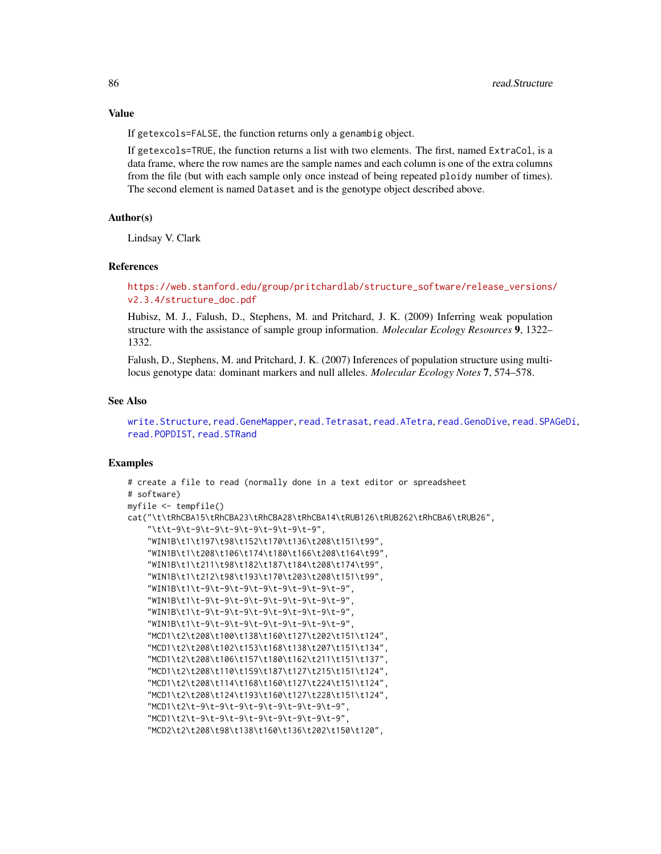If getexcols=FALSE, the function returns only a genambig object.

If getexcols=TRUE, the function returns a list with two elements. The first, named ExtraCol, is a data frame, where the row names are the sample names and each column is one of the extra columns from the file (but with each sample only once instead of being repeated ploidy number of times). The second element is named Dataset and is the genotype object described above.

## Author(s)

Lindsay V. Clark

## References

[https://web.stanford.edu/group/pritchardlab/structure\\_software/release\\_versions/](https://web.stanford.edu/group/pritchardlab/structure_software/release_versions/v2.3.4/structure_doc.pdf) [v2.3.4/structure\\_doc.pdf](https://web.stanford.edu/group/pritchardlab/structure_software/release_versions/v2.3.4/structure_doc.pdf)

Hubisz, M. J., Falush, D., Stephens, M. and Pritchard, J. K. (2009) Inferring weak population structure with the assistance of sample group information. *Molecular Ecology Resources* 9, 1322– 1332.

Falush, D., Stephens, M. and Pritchard, J. K. (2007) Inferences of population structure using multilocus genotype data: dominant markers and null alleles. *Molecular Ecology Notes* 7, 574–578.

#### See Also

[write.Structure](#page-109-0), [read.GeneMapper](#page-74-0), [read.Tetrasat](#page-86-0), [read.ATetra](#page-72-0), [read.GenoDive](#page-76-0), [read.SPAGeDi](#page-79-0), [read.POPDIST](#page-78-0), [read.STRand](#page-82-0)

```
# create a file to read (normally done in a text editor or spreadsheet
# software)
myfile <- tempfile()
cat("\t\tRhCBA15\tRhCBA23\tRhCBA28\tRhCBA14\tRUB126\tRUB262\tRhCBA6\tRUB26",
    "\t\t-9\t-9\t-9\t-9\t-9\t-9\t-9\t-9",
    "WIN1B\t1\t197\t98\t152\t170\t136\t208\t151\t99",
    "WIN1B\t1\t208\t106\t174\t180\t166\t208\t164\t99",
    "WIN1B\t1\t211\t98\t182\t187\t184\t208\t174\t99",
    "WIN1B\t1\t212\t98\t193\t170\t203\t208\t151\t99",
    "WIN1B\t1\t-9\t-9\t-9\t-9\t-9\t-9\t-9\t-9",
    "WIN1B\t1\t-9\t-9\t-9\t-9\t-9\t-9\t-9\t-9",
    "WIN1B\t1\t-9\t-9\t-9\t-9\t-9\t-9\t-9\t-9",
    "WIN1B\t1\t-9\t-9\t-9\t-9\t-9\t-9\t-9\t-9",
    "MCD1\t2\t208\t100\t138\t160\t127\t202\t151\t124",
    "MCD1\t2\t208\t102\t153\t168\t138\t207\t151\t134",
    "MCD1\t2\t208\t106\t157\t180\t162\t211\t151\t137",
    "MCD1\t2\t208\t110\t159\t187\t127\t215\t151\t124",
    "MCD1\t2\t208\t114\t168\t160\t127\t224\t151\t124",
    "MCD1\t2\t208\t124\t193\t160\t127\t228\t151\t124",
    "MCD1\t2\t-9\t-9\t-9\t-9\t-9\t-9\t-9\t-9",
    "MCD1\t2\t-9\t-9\t-9\t-9\t-9\t-9\t-9\t-9",
    "MCD2\t2\t208\t98\t138\t160\t136\t202\t150\t120",
```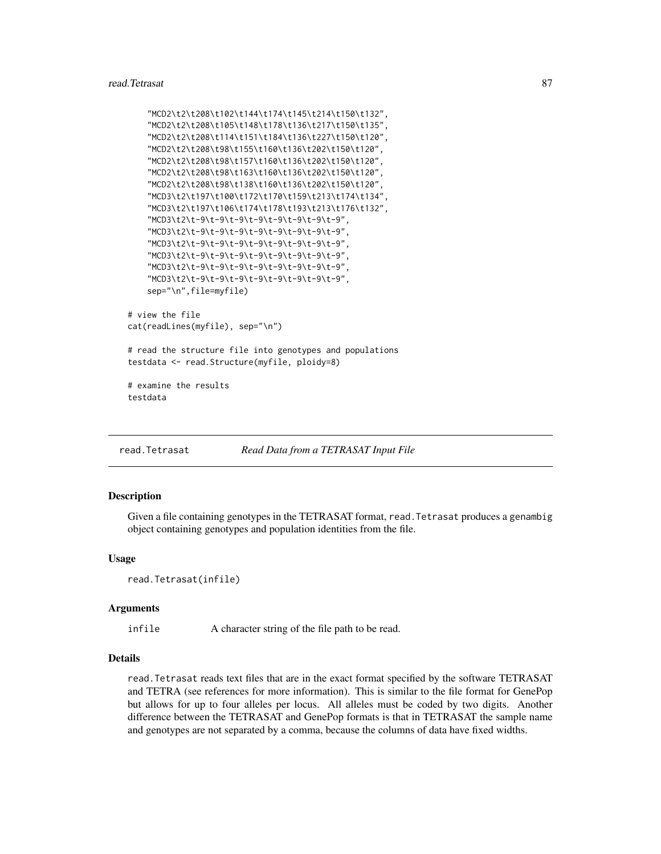```
"MCD2\t2\t208\t102\t144\t174\t145\t214\t150\t132",
    "MCD2\t2\t208\t105\t148\t178\t136\t217\t150\t135",
    "MCD2\t2\t208\t114\t151\t184\t136\t227\t150\t120",
    "MCD2\t2\t208\t98\t155\t160\t136\t202\t150\t120",
    "MCD2\t2\t208\t98\t157\t160\t136\t202\t150\t120",
    "MCD2\t2\t208\t98\t163\t160\t136\t202\t150\t120",
    "MCD2\t2\t208\t98\t138\t160\t136\t202\t150\t120",
    "MCD3\t2\t197\t100\t172\t170\t159\t213\t174\t134",
    "MCD3\t2\t197\t106\t174\t178\t193\t213\t176\t132",
    "MCD3\t2\t-9\t-9\t-9\t-9\t-9\t-9\t-9\t-9",
    "MCD3\t2\t-9\t-9\t-9\t-9\t-9\t-9\t-9\t-9",
    "MCD3\t2\t-9\t-9\t-9\t-9\t-9\t-9\t-9\t-9",
    "MCD3\t2\t-9\t-9\t-9\t-9\t-9\t-9\t-9\t-9",
    "MCD3\t2\t-9\t-9\t-9\t-9\t-9\t-9\t-9\t-9",
    "MCD3\t2\t-9\t-9\t-9\t-9\t-9\t-9\t-9\t-9",
    sep="\n",file=myfile)
# view the file
cat(readLines(myfile), sep="\n")
# read the structure file into genotypes and populations
testdata <- read.Structure(myfile, ploidy=8)
```
# examine the results testdata

<span id="page-86-0"></span>read.Tetrasat *Read Data from a TETRASAT Input File*

## Description

Given a file containing genotypes in the TETRASAT format, read.Tetrasat produces a genambig object containing genotypes and population identities from the file.

## Usage

```
read.Tetrasat(infile)
```
#### Arguments

infile A character string of the file path to be read.

## Details

read.Tetrasat reads text files that are in the exact format specified by the software TETRASAT and TETRA (see references for more information). This is similar to the file format for GenePop but allows for up to four alleles per locus. All alleles must be coded by two digits. Another difference between the TETRASAT and GenePop formats is that in TETRASAT the sample name and genotypes are not separated by a comma, because the columns of data have fixed widths.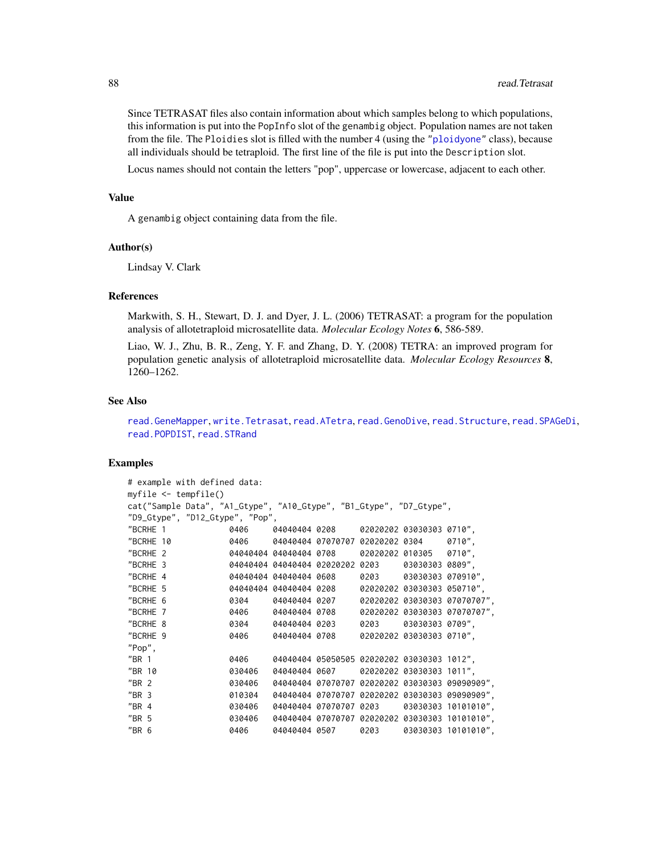Since TETRASAT files also contain information about which samples belong to which populations, this information is put into the PopInfo slot of the genambig object. Population names are not taken from the file. The Ploidies slot is filled with the number 4 (using the ["ploidyone"](#page-68-0) class), because all individuals should be tetraploid. The first line of the file is put into the Description slot.

Locus names should not contain the letters "pop", uppercase or lowercase, adjacent to each other.

#### Value

A genambig object containing data from the file.

## Author(s)

Lindsay V. Clark

## References

Markwith, S. H., Stewart, D. J. and Dyer, J. L. (2006) TETRASAT: a program for the population analysis of allotetraploid microsatellite data. *Molecular Ecology Notes* 6, 586-589.

Liao, W. J., Zhu, B. R., Zeng, Y. F. and Zhang, D. Y. (2008) TETRA: an improved program for population genetic analysis of allotetraploid microsatellite data. *Molecular Ecology Resources* 8, 1260–1262.

#### See Also

```
read.GeneMapper, write.Tetrasat, read.ATetra, read.GenoDive, read.Structure, read.SPAGeDi,
read.POPDIST, read.STRand
```

```
# example with defined data:
myfile <- tempfile()
cat("Sample Data", "A1_Gtype", "A10_Gtype", "B1_Gtype", "D7_Gtype",
"D9_Gtype", "D12_Gtype", "Pop",
"BCRHE 1 0406 04040404 0208 02020202 03030303 0710",
"BCRHE 10 0406 04040404 07070707 02020202 0304 0710",
"BCRHE 2 04040404 04040404 0708 02020202 010305 0710",
"BCRHE 3 04040404 04040404 02020202 0203 03030303 0809",
"BCRHE 4 04040404 04040404 0608 0203 03030303 070910",
"BCRHE 5 04040404 04040404 0208 02020202 03030303 050710",
"BCRHE 6 0304 04040404 0207 02020202 03030303 07070707",
"BCRHE 7 0406 04040404 0708 02020202 03030303 07070707",
"BCRHE 8 0304 04040404 0203 0203 03030303 0709",
"BCRHE 9 0406 04040404 0708 02020202 03030303 0710",
"Pop",
"BR 1 0406 04040404 05050505 02020202 03030303 1012",
"BR 10 030406 04040404 0607 02020202 03030303 1011",
"BR 2 030406 04040404 07070707 02020202 03030303 09090909",
"BR 3 010304 04040404 07070707 02020202 03030303 09090909",
"BR 4 030406 04040404 07070707 0203 03030303 10101010",
"BR 5 030406 04040404 07070707 02020202 03030303 10101010",
"BR 6 0406 04040404 0507 0203 03030303 10101010",
```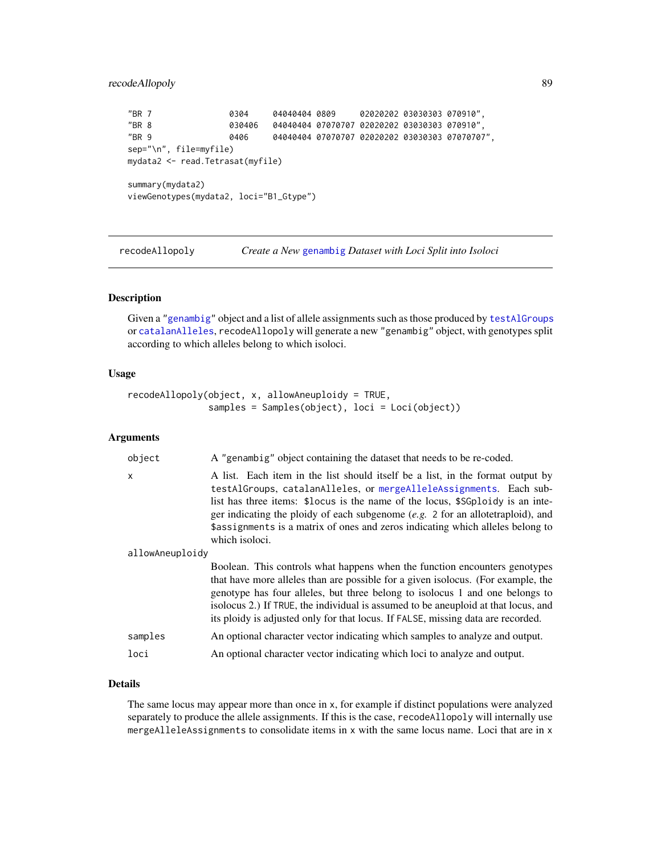```
"BR 7 0304 04040404 0809 02020202 03030303 070910",
"BR 8 030406 04040404 07070707 02020202 03030303 070910",
"BR 9 0406 04040404 07070707 02020202 03030303 07070707",
sep="\n", file=myfile)
mydata2 <- read.Tetrasat(myfile)
summary(mydata2)
viewGenotypes(mydata2, loci="B1_Gtype")
```
<span id="page-88-0"></span>recodeAllopoly *Create a New* [genambig](#page-34-0) *Dataset with Loci Split into Isoloci*

# Description

Given a ["genambig"](#page-34-0) object and a list of allele assignments such as those produced by [testAlGroups](#page-6-1) or [catalanAlleles](#page-21-0), recodeAllopoly will generate a new "genambig" object, with genotypes split according to which alleles belong to which isoloci.

# Usage

```
recodeAllopoly(object, x, allowAneuploidy = TRUE,
               samples = Samples(object), loci = Loci(object))
```
## Arguments

| object          | A "genambig" object containing the dataset that needs to be re-coded.                                                                                                                                                                                                                                                                                                                                                            |
|-----------------|----------------------------------------------------------------------------------------------------------------------------------------------------------------------------------------------------------------------------------------------------------------------------------------------------------------------------------------------------------------------------------------------------------------------------------|
| $\mathsf{x}$    | A list. Each item in the list should itself be a list, in the format output by<br>testAlGroups, catalanAlleles, or mergeAlleleAssignments. Each sub-<br>list has three items: \$10cus is the name of the locus, \$SGp10idy is an inte-<br>ger indicating the ploidy of each subgenome $(e.g. 2 for an allotetraploid)$ , and<br>\$assignments is a matrix of ones and zeros indicating which alleles belong to<br>which isoloci. |
| allowAneuploidy |                                                                                                                                                                                                                                                                                                                                                                                                                                  |
|                 | Boolean. This controls what happens when the function encounters genotypes<br>that have more alleles than are possible for a given isolocus. (For example, the<br>genotype has four alleles, but three belong to isolocus 1 and one belongs to<br>isolocus 2.) If TRUE, the individual is assumed to be aneuploid at that locus, and<br>its ploidy is adjusted only for that locus. If FALSE, missing data are recorded.         |
| samples         | An optional character vector indicating which samples to analyze and output.                                                                                                                                                                                                                                                                                                                                                     |
| loci            | An optional character vector indicating which loci to analyze and output.                                                                                                                                                                                                                                                                                                                                                        |
|                 |                                                                                                                                                                                                                                                                                                                                                                                                                                  |

## Details

The same locus may appear more than once in x, for example if distinct populations were analyzed separately to produce the allele assignments. If this is the case, recodeAllopoly will internally use mergeAlleleAssignments to consolidate items in x with the same locus name. Loci that are in x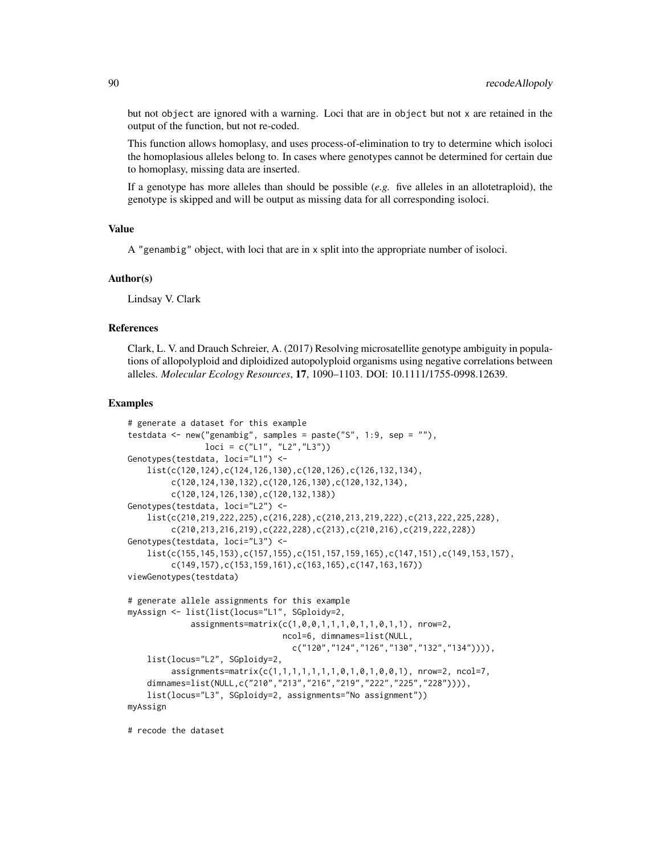but not object are ignored with a warning. Loci that are in object but not x are retained in the output of the function, but not re-coded.

This function allows homoplasy, and uses process-of-elimination to try to determine which isoloci the homoplasious alleles belong to. In cases where genotypes cannot be determined for certain due to homoplasy, missing data are inserted.

If a genotype has more alleles than should be possible (*e.g.* five alleles in an allotetraploid), the genotype is skipped and will be output as missing data for all corresponding isoloci.

#### Value

A "genambig" object, with loci that are in x split into the appropriate number of isoloci.

#### Author(s)

Lindsay V. Clark

# References

Clark, L. V. and Drauch Schreier, A. (2017) Resolving microsatellite genotype ambiguity in populations of allopolyploid and diploidized autopolyploid organisms using negative correlations between alleles. *Molecular Ecology Resources*, 17, 1090–1103. DOI: 10.1111/1755-0998.12639.

#### Examples

```
# generate a dataset for this example
testdata \leq new("genambig", samples = paste("S", 1:9, sep = ""),
                loci = c("L1", "L2", "L3"))Genotypes(testdata, loci="L1") <-
    list(c(120,124),c(124,126,130),c(120,126),c(126,132,134),
         c(120,124,130,132),c(120,126,130),c(120,132,134),
         c(120,124,126,130),c(120,132,138))
Genotypes(testdata, loci="L2") <-
    list(c(210,219,222,225),c(216,228),c(210,213,219,222),c(213,222,225,228),
         c(210,213,216,219),c(222,228),c(213),c(210,216),c(219,222,228))
Genotypes(testdata, loci="L3") <-
    list(c(155,145,153),c(157,155),c(151,157,159,165),c(147,151),c(149,153,157),
         c(149,157),c(153,159,161),c(163,165),c(147,163,167))
viewGenotypes(testdata)
# generate allele assignments for this example
myAssign <- list(list(locus="L1", SGploidy=2,
             assignments=matrix(c(1,0,0,1,1,1,0,1,1,0,1,1), nrow=2,
                                ncol=6, dimnames=list(NULL,
                                  c("120","124","126","130","132","134")))),
   list(locus="L2", SGploidy=2,
         assignments=matrix(c(1,1,1,1,1,1,1,0,1,0,1,0,0,1), nrow=2, ncol=7,
    dimnames=list(NULL,c("210","213","216","219","222","225","228")))),
    list(locus="L3", SGploidy=2, assignments="No assignment"))
myAssign
```
# recode the dataset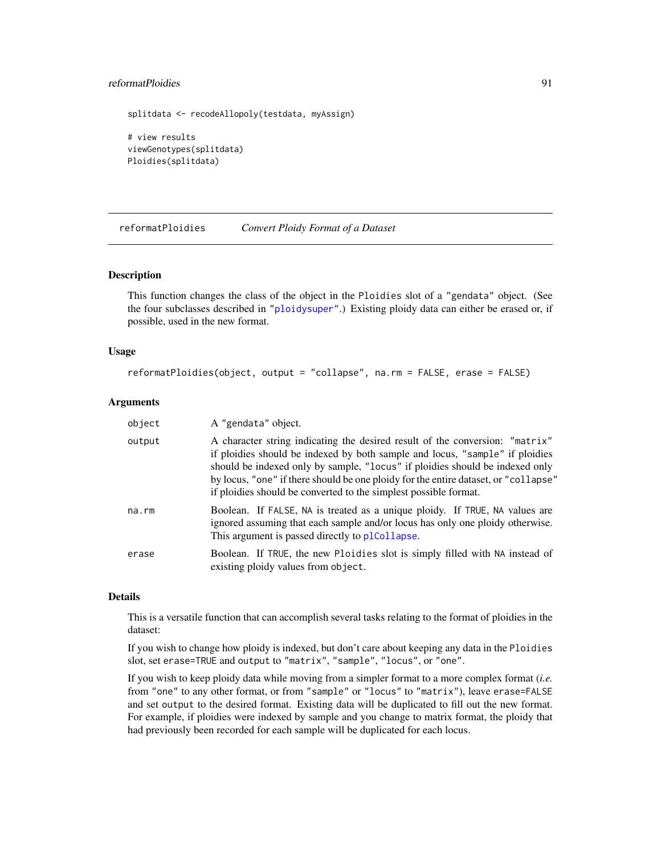# reformatPloidies 91

```
splitdata <- recodeAllopoly(testdata, myAssign)
# view results
viewGenotypes(splitdata)
Ploidies(splitdata)
```
<span id="page-90-0"></span>reformatPloidies *Convert Ploidy Format of a Dataset*

#### Description

This function changes the class of the object in the Ploidies slot of a "gendata" object. (See the four subclasses described in ["ploidysuper"](#page-68-1).) Existing ploidy data can either be erased or, if possible, used in the new format.

# Usage

```
reformatPloidies(object, output = "collapse", na.rm = FALSE, erase = FALSE)
```
# Arguments

| object      | A "gendata" object.                                                                                                                                                                                                                                                                                                                                                                                     |
|-------------|---------------------------------------------------------------------------------------------------------------------------------------------------------------------------------------------------------------------------------------------------------------------------------------------------------------------------------------------------------------------------------------------------------|
| output      | A character string indicating the desired result of the conversion: "matrix"<br>if ploidies should be indexed by both sample and locus, "sample" if ploidies<br>should be indexed only by sample, "locus" if ploidies should be indexed only<br>by locus, "one" if there should be one ploidy for the entire dataset, or "collapse"<br>if ploidies should be converted to the simplest possible format. |
| $na$ . $rm$ | Boolean. If FALSE, NA is treated as a unique ploidy. If TRUE, NA values are<br>ignored assuming that each sample and/or locus has only one ploidy otherwise.<br>This argument is passed directly to plCollapse.                                                                                                                                                                                         |
| erase       | Boolean. If TRUE, the new Ploidies slot is simply filled with NA instead of<br>existing ploidy values from object.                                                                                                                                                                                                                                                                                      |

## Details

This is a versatile function that can accomplish several tasks relating to the format of ploidies in the dataset:

If you wish to change how ploidy is indexed, but don't care about keeping any data in the Ploidies slot, set erase=TRUE and output to "matrix", "sample", "locus", or "one".

If you wish to keep ploidy data while moving from a simpler format to a more complex format (*i.e.* from "one" to any other format, or from "sample" or "locus" to "matrix"), leave erase=FALSE and set output to the desired format. Existing data will be duplicated to fill out the new format. For example, if ploidies were indexed by sample and you change to matrix format, the ploidy that had previously been recorded for each sample will be duplicated for each locus.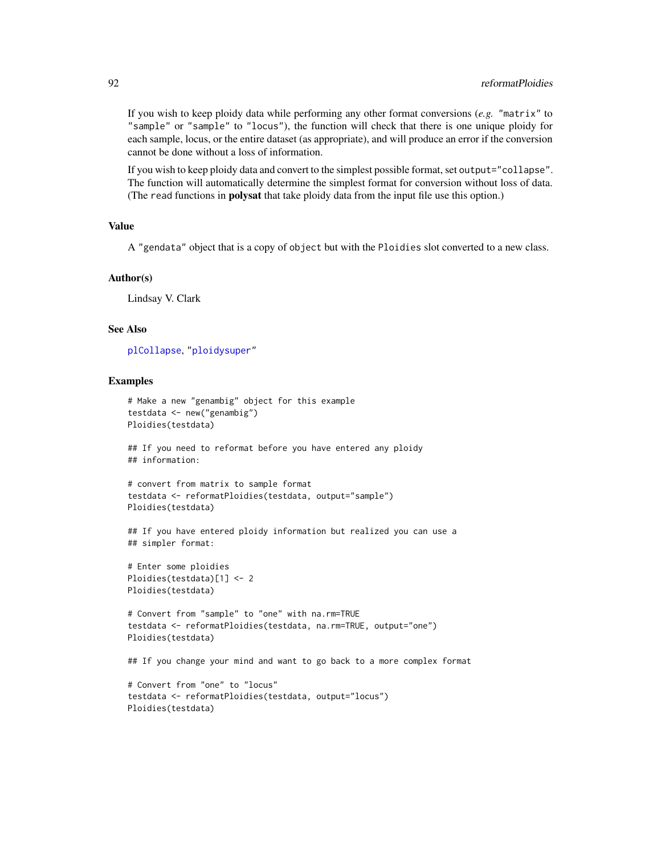If you wish to keep ploidy data while performing any other format conversions (*e.g.* "matrix" to "sample" or "sample" to "locus"), the function will check that there is one unique ploidy for each sample, locus, or the entire dataset (as appropriate), and will produce an error if the conversion cannot be done without a loss of information.

If you wish to keep ploidy data and convert to the simplest possible format, set output="collapse". The function will automatically determine the simplest format for conversion without loss of data. (The read functions in **polysat** that take ploidy data from the input file use this option.)

# Value

A "gendata" object that is a copy of object but with the Ploidies slot converted to a new class.

#### Author(s)

Lindsay V. Clark

## See Also

[plCollapse](#page-66-0), ["ploidysuper"](#page-68-1)

## Examples

```
# Make a new "genambig" object for this example
testdata <- new("genambig")
Ploidies(testdata)
```
## If you need to reformat before you have entered any ploidy ## information:

```
# convert from matrix to sample format
testdata <- reformatPloidies(testdata, output="sample")
Ploidies(testdata)
```

```
## If you have entered ploidy information but realized you can use a
## simpler format:
```

```
# Enter some ploidies
Ploidies(testdata)[1] <- 2
Ploidies(testdata)
```

```
# Convert from "sample" to "one" with na.rm=TRUE
testdata <- reformatPloidies(testdata, na.rm=TRUE, output="one")
Ploidies(testdata)
```
## If you change your mind and want to go back to a more complex format

```
# Convert from "one" to "locus"
testdata <- reformatPloidies(testdata, output="locus")
Ploidies(testdata)
```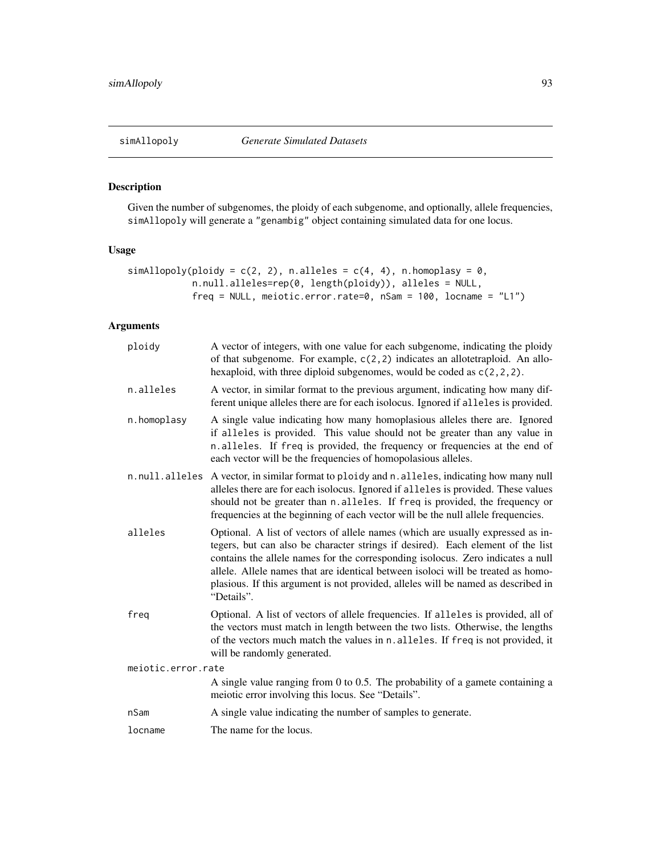# Description

Given the number of subgenomes, the ploidy of each subgenome, and optionally, allele frequencies, simAllopoly will generate a "genambig" object containing simulated data for one locus.

# Usage

```
simAllopoly(ploidy = c(2, 2), n.alleles = c(4, 4), n.homoplasy = 0,
            n.null.alleles=rep(0, length(ploidy)), alleles = NULL,
            freq = NULL, meiotic.error.rate=0, nSam = 100, locname = "L1")
```
# Arguments

| ploidy             | A vector of integers, with one value for each subgenome, indicating the ploidy<br>of that subgenome. For example, $c(2,2)$ indicates an allotetraploid. An allo-<br>hexaploid, with three diploid subgenomes, would be coded as $c(2, 2, 2)$ .                                                                                                                                                                                               |  |
|--------------------|----------------------------------------------------------------------------------------------------------------------------------------------------------------------------------------------------------------------------------------------------------------------------------------------------------------------------------------------------------------------------------------------------------------------------------------------|--|
| n.alleles          | A vector, in similar format to the previous argument, indicating how many dif-<br>ferent unique alleles there are for each isolocus. Ignored if alleles is provided.                                                                                                                                                                                                                                                                         |  |
| n.homoplasy        | A single value indicating how many homoplasious alleles there are. Ignored<br>if alleles is provided. This value should not be greater than any value in<br>n.alleles. If freq is provided, the frequency or frequencies at the end of<br>each vector will be the frequencies of homopolasious alleles.                                                                                                                                      |  |
| n.null.alleles     | A vector, in similar format to ploidy and n. alleles, indicating how many null<br>alleles there are for each isolocus. Ignored if alleles is provided. These values<br>should not be greater than n.alleles. If freq is provided, the frequency or<br>frequencies at the beginning of each vector will be the null allele frequencies.                                                                                                       |  |
| alleles            | Optional. A list of vectors of allele names (which are usually expressed as in-<br>tegers, but can also be character strings if desired). Each element of the list<br>contains the allele names for the corresponding isolocus. Zero indicates a null<br>allele. Allele names that are identical between isoloci will be treated as homo-<br>plasious. If this argument is not provided, alleles will be named as described in<br>"Details". |  |
| freg               | Optional. A list of vectors of allele frequencies. If alleles is provided, all of<br>the vectors must match in length between the two lists. Otherwise, the lengths<br>of the vectors much match the values in n. alleles. If freq is not provided, it<br>will be randomly generated.                                                                                                                                                        |  |
| meiotic.error.rate |                                                                                                                                                                                                                                                                                                                                                                                                                                              |  |
|                    | A single value ranging from 0 to 0.5. The probability of a gamete containing a<br>meiotic error involving this locus. See "Details".                                                                                                                                                                                                                                                                                                         |  |
| nSam               | A single value indicating the number of samples to generate.                                                                                                                                                                                                                                                                                                                                                                                 |  |
| locname            | The name for the locus.                                                                                                                                                                                                                                                                                                                                                                                                                      |  |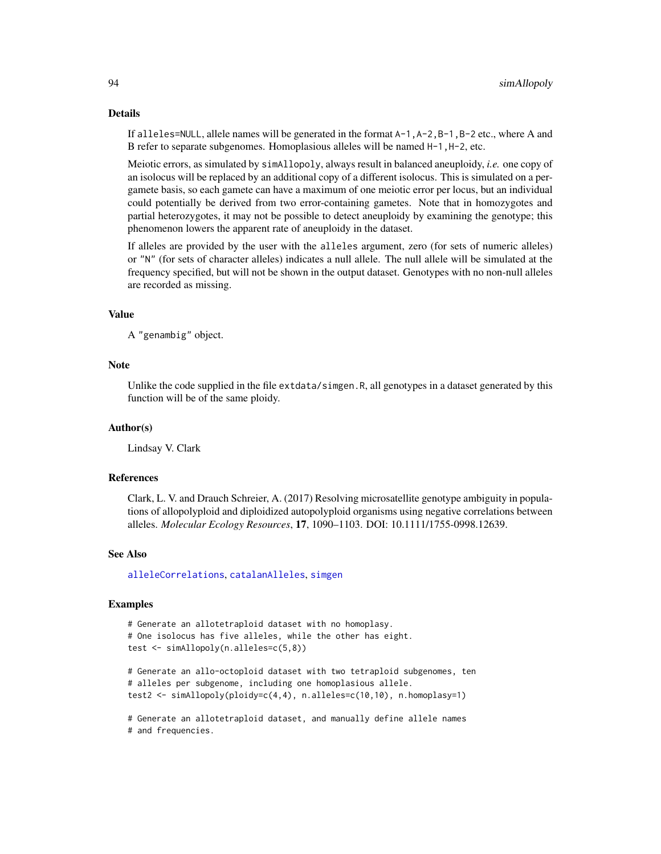## Details

If alleles=NULL, allele names will be generated in the format A-1,A-2,B-1,B-2 etc., where A and B refer to separate subgenomes. Homoplasious alleles will be named H-1,H-2, etc.

Meiotic errors, as simulated by simAllopoly, always result in balanced aneuploidy, *i.e.* one copy of an isolocus will be replaced by an additional copy of a different isolocus. This is simulated on a pergamete basis, so each gamete can have a maximum of one meiotic error per locus, but an individual could potentially be derived from two error-containing gametes. Note that in homozygotes and partial heterozygotes, it may not be possible to detect aneuploidy by examining the genotype; this phenomenon lowers the apparent rate of aneuploidy in the dataset.

If alleles are provided by the user with the alleles argument, zero (for sets of numeric alleles) or "N" (for sets of character alleles) indicates a null allele. The null allele will be simulated at the frequency specified, but will not be shown in the output dataset. Genotypes with no non-null alleles are recorded as missing.

# Value

A "genambig" object.

# **Note**

Unlike the code supplied in the file extdata/simgen.R, all genotypes in a dataset generated by this function will be of the same ploidy.

## Author(s)

Lindsay V. Clark

## References

Clark, L. V. and Drauch Schreier, A. (2017) Resolving microsatellite genotype ambiguity in populations of allopolyploid and diploidized autopolyploid organisms using negative correlations between alleles. *Molecular Ecology Resources*, 17, 1090–1103. DOI: 10.1111/1755-0998.12639.

## See Also

[alleleCorrelations](#page-6-0), [catalanAlleles](#page-21-0), [simgen](#page-94-0)

```
# Generate an allotetraploid dataset with no homoplasy.
# One isolocus has five alleles, while the other has eight.
test <- simAllopoly(n.alleles=c(5,8))
```

```
# Generate an allo-octoploid dataset with two tetraploid subgenomes, ten
# alleles per subgenome, including one homoplasious allele.
test2 <- simAllopoly(ploidy=c(4,4), n.alleles=c(10,10), n.homoplasy=1)
```

```
# Generate an allotetraploid dataset, and manually define allele names
# and frequencies.
```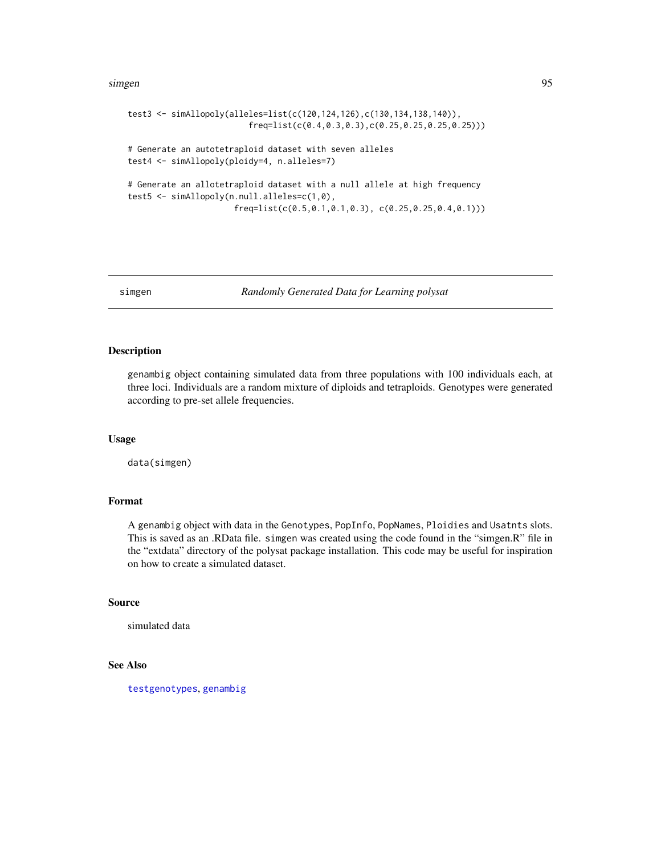## simgen 95

```
test3 <- simAllopoly(alleles=list(c(120,124,126),c(130,134,138,140)),
                         freq=list(c(0.4,0.3,0.3),c(0.25,0.25,0.25,0.25)))
# Generate an autotetraploid dataset with seven alleles
test4 <- simAllopoly(ploidy=4, n.alleles=7)
# Generate an allotetraploid dataset with a null allele at high frequency
test5 <- simAllopoly(n.null.alleles=c(1,0),
                     freq=list(c(0.5,0.1,0.1,0.3), c(0.25,0.25,0.4,0.1)))
```
<span id="page-94-0"></span>simgen *Randomly Generated Data for Learning polysat*

# Description

genambig object containing simulated data from three populations with 100 individuals each, at three loci. Individuals are a random mixture of diploids and tetraploids. Genotypes were generated according to pre-set allele frequencies.

# Usage

data(simgen)

## Format

A genambig object with data in the Genotypes, PopInfo, PopNames, Ploidies and Usatnts slots. This is saved as an .RData file. simgen was created using the code found in the "simgen.R" file in the "extdata" directory of the polysat package installation. This code may be useful for inspiration on how to create a simulated dataset.

## Source

simulated data

# See Also

[testgenotypes](#page-96-0), [genambig](#page-34-0)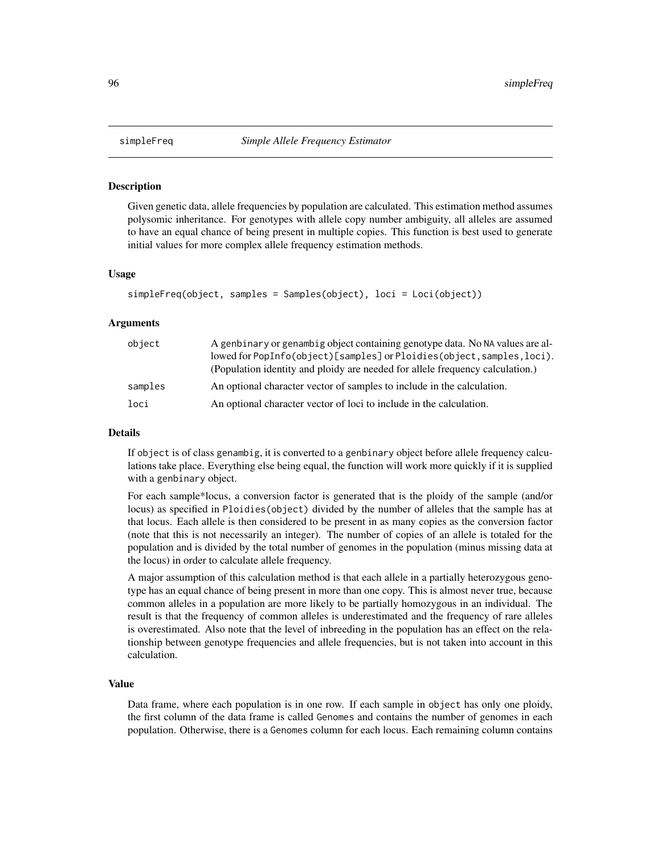## Description

Given genetic data, allele frequencies by population are calculated. This estimation method assumes polysomic inheritance. For genotypes with allele copy number ambiguity, all alleles are assumed to have an equal chance of being present in multiple copies. This function is best used to generate initial values for more complex allele frequency estimation methods.

## Usage

```
simpleFreq(object, samples = Samples(object), loci = Loci(object))
```
#### Arguments

| object  | A genbinary or genambig object containing genotype data. No NA values are al-<br>lowed for PopInfo(object)[samples] or Ploidies(object, samples, loci).<br>(Population identity and ploidy are needed for allele frequency calculation.) |
|---------|------------------------------------------------------------------------------------------------------------------------------------------------------------------------------------------------------------------------------------------|
| samples | An optional character vector of samples to include in the calculation.                                                                                                                                                                   |
| loci    | An optional character vector of loci to include in the calculation.                                                                                                                                                                      |

## Details

If object is of class genambig, it is converted to a genbinary object before allele frequency calculations take place. Everything else being equal, the function will work more quickly if it is supplied with a genbinary object.

For each sample\*locus, a conversion factor is generated that is the ploidy of the sample (and/or locus) as specified in Ploidies(object) divided by the number of alleles that the sample has at that locus. Each allele is then considered to be present in as many copies as the conversion factor (note that this is not necessarily an integer). The number of copies of an allele is totaled for the population and is divided by the total number of genomes in the population (minus missing data at the locus) in order to calculate allele frequency.

A major assumption of this calculation method is that each allele in a partially heterozygous genotype has an equal chance of being present in more than one copy. This is almost never true, because common alleles in a population are more likely to be partially homozygous in an individual. The result is that the frequency of common alleles is underestimated and the frequency of rare alleles is overestimated. Also note that the level of inbreeding in the population has an effect on the relationship between genotype frequencies and allele frequencies, but is not taken into account in this calculation.

## Value

Data frame, where each population is in one row. If each sample in object has only one ploidy, the first column of the data frame is called Genomes and contains the number of genomes in each population. Otherwise, there is a Genomes column for each locus. Each remaining column contains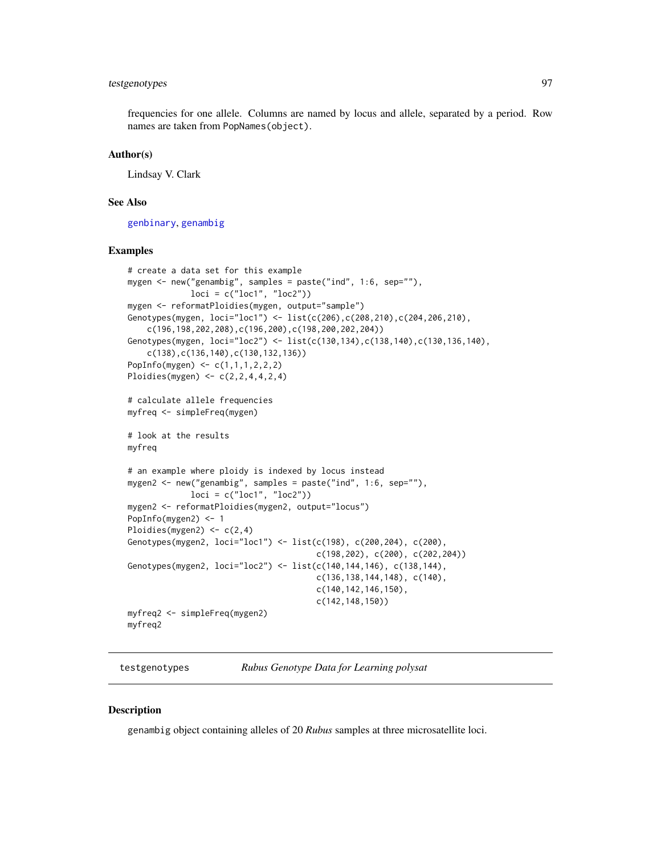# testgenotypes 97

frequencies for one allele. Columns are named by locus and allele, separated by a period. Row names are taken from PopNames(object).

# Author(s)

Lindsay V. Clark

# See Also

[genbinary](#page-39-0), [genambig](#page-34-0)

## Examples

```
# create a data set for this example
mygen <- new("genambig", samples = paste("ind", 1:6, sep=""),
            loci = c("loc1", "loc2"))mygen <- reformatPloidies(mygen, output="sample")
Genotypes(mygen, loci="loc1") <- list(c(206),c(208,210),c(204,206,210),
    c(196,198,202,208),c(196,200),c(198,200,202,204))
Genotypes(mygen, loci="loc2") <- list(c(130,134),c(138,140),c(130,136,140),
    c(138),c(136,140),c(130,132,136))
PopInfo(mygen) <- c(1,1,1,2,2,2)
Ploidies(mygen) <- c(2,2,4,4,2,4)
# calculate allele frequencies
myfreq <- simpleFreq(mygen)
# look at the results
myfreq
# an example where ploidy is indexed by locus instead
mygen2 <- new("genambig", samples = paste("ind", 1:6, sep=""),
             loci = c("loc1", "loc2"))
mygen2 <- reformatPloidies(mygen2, output="locus")
PopInfo(mygen2) <- 1
Ploidies(mygen2) <- c(2,4)
Genotypes(mygen2, loci="loc1") <- list(c(198), c(200,204), c(200),
                                       c(198,202), c(200), c(202,204))
Genotypes(mygen2, loci="loc2") <- list(c(140,144,146), c(138,144),
                                       c(136,138,144,148), c(140),
                                       c(140,142,146,150),
                                       c(142,148,150))
myfreq2 <- simpleFreq(mygen2)
myfreq2
```
<span id="page-96-0"></span>testgenotypes *Rubus Genotype Data for Learning polysat*

## **Description**

genambig object containing alleles of 20 *Rubus* samples at three microsatellite loci.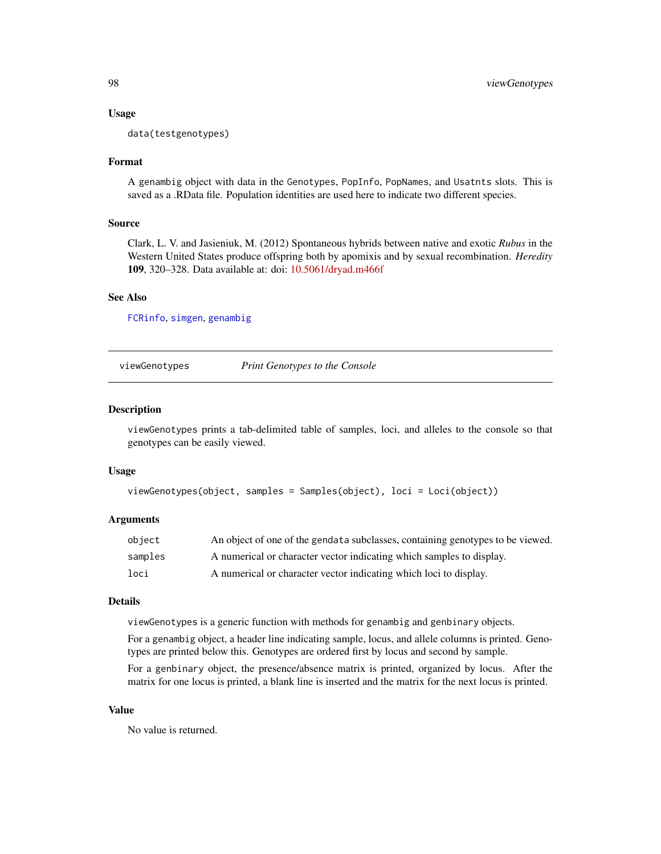## Usage

data(testgenotypes)

## Format

A genambig object with data in the Genotypes, PopInfo, PopNames, and Usatnts slots. This is saved as a .RData file. Population identities are used here to indicate two different species.

## Source

Clark, L. V. and Jasieniuk, M. (2012) Spontaneous hybrids between native and exotic *Rubus* in the Western United States produce offspring both by apomixis and by sexual recombination. *Heredity* 109, 320–328. Data available at: doi: [10.5061/dryad.m466f](https://doi.org/10.5061/dryad.m466f)

## See Also

[FCRinfo](#page-31-0), [simgen](#page-94-0), [genambig](#page-34-0)

viewGenotypes *Print Genotypes to the Console*

## Description

viewGenotypes prints a tab-delimited table of samples, loci, and alleles to the console so that genotypes can be easily viewed.

#### Usage

```
viewGenotypes(object, samples = Samples(object), loci = Loci(object))
```
#### Arguments

| obiect  | An object of one of the gendata subclasses, containing genotypes to be viewed. |
|---------|--------------------------------------------------------------------------------|
| samples | A numerical or character vector indicating which samples to display.           |
| loci    | A numerical or character vector indicating which loci to display.              |

## Details

viewGenotypes is a generic function with methods for genambig and genbinary objects.

For a genambig object, a header line indicating sample, locus, and allele columns is printed. Genotypes are printed below this. Genotypes are ordered first by locus and second by sample.

For a genbinary object, the presence/absence matrix is printed, organized by locus. After the matrix for one locus is printed, a blank line is inserted and the matrix for the next locus is printed.

## Value

No value is returned.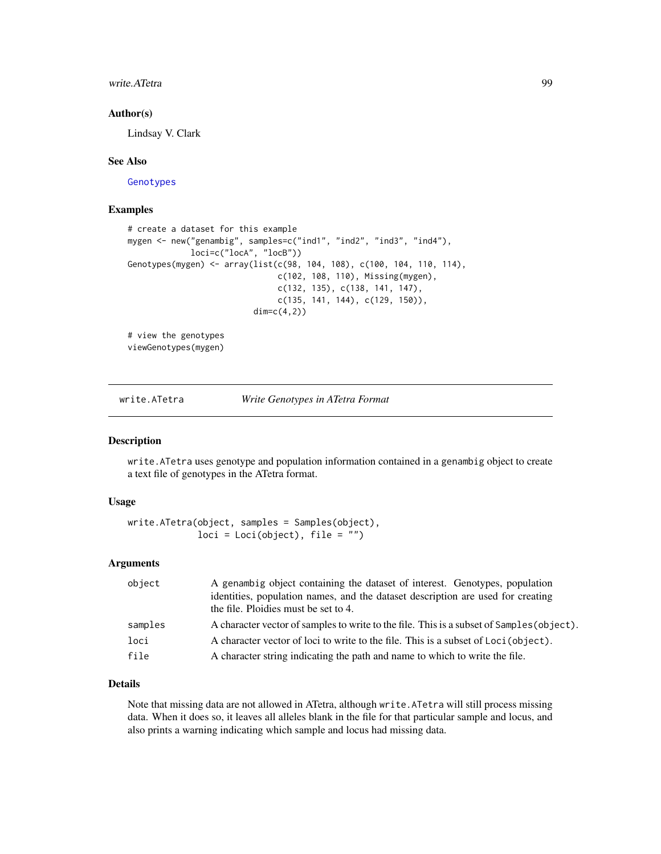## write.ATetra 99

## Author(s)

Lindsay V. Clark

## See Also

[Genotypes](#page-2-0)

## Examples

```
# create a dataset for this example
mygen <- new("genambig", samples=c("ind1", "ind2", "ind3", "ind4"),
            loci=c("locA", "locB"))
Genotypes(mygen) <- array(list(c(98, 104, 108), c(100, 104, 110, 114),
                               c(102, 108, 110), Missing(mygen),
                               c(132, 135), c(138, 141, 147),
                               c(135, 141, 144), c(129, 150)),
                          dim=c(4,2))
# view the genotypes
viewGenotypes(mygen)
```
<span id="page-98-0"></span>write.ATetra *Write Genotypes in ATetra Format*

#### Description

write.ATetra uses genotype and population information contained in a genambig object to create a text file of genotypes in the ATetra format.

## Usage

```
write.ATetra(object, samples = Samples(object),
             loci = Loci(object), file = "")
```
## Arguments

| object  | A genambig object containing the dataset of interest. Genotypes, population<br>identities, population names, and the dataset description are used for creating<br>the file. Ploidies must be set to 4. |
|---------|--------------------------------------------------------------------------------------------------------------------------------------------------------------------------------------------------------|
| samples | A character vector of samples to write to the file. This is a subset of Samples (object).                                                                                                              |
| loci    | A character vector of loci to write to the file. This is a subset of Loci (object).                                                                                                                    |
| file    | A character string indicating the path and name to which to write the file.                                                                                                                            |

## Details

Note that missing data are not allowed in ATetra, although write.ATetra will still process missing data. When it does so, it leaves all alleles blank in the file for that particular sample and locus, and also prints a warning indicating which sample and locus had missing data.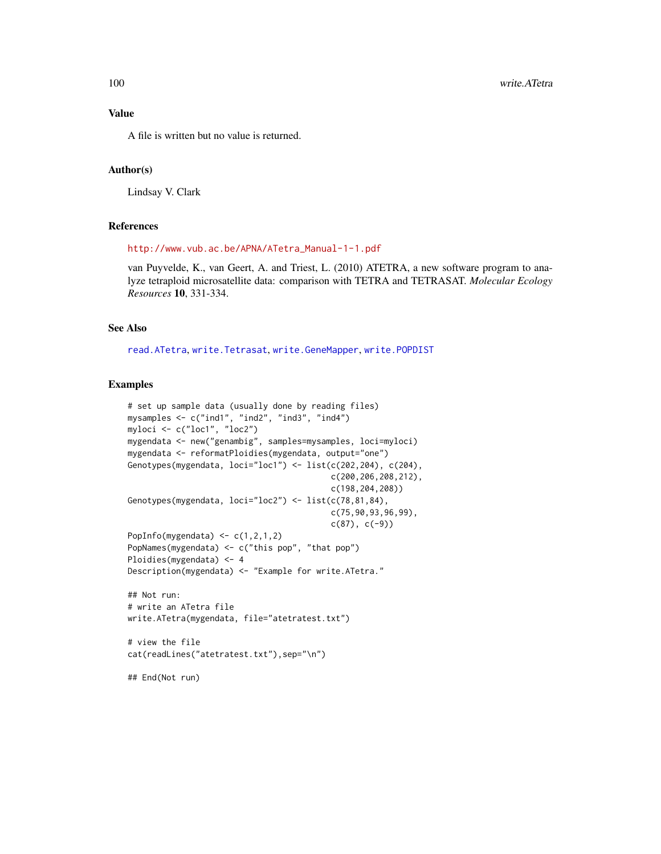## Value

A file is written but no value is returned.

## Author(s)

Lindsay V. Clark

# References

[http://www.vub.ac.be/APNA/ATetra\\_Manual-1-1.pdf](http://www.vub.ac.be/APNA/ATetra_Manual-1-1.pdf)

van Puyvelde, K., van Geert, A. and Triest, L. (2010) ATETRA, a new software program to analyze tetraploid microsatellite data: comparison with TETRA and TETRASAT. *Molecular Ecology Resources* 10, 331-334.

# See Also

[read.ATetra](#page-72-0), [write.Tetrasat](#page-112-0), [write.GeneMapper](#page-102-0), [write.POPDIST](#page-106-0)

```
# set up sample data (usually done by reading files)
mysamples <- c("ind1", "ind2", "ind3", "ind4")
myloci <- c("loc1", "loc2")
mygendata <- new("genambig", samples=mysamples, loci=myloci)
mygendata <- reformatPloidies(mygendata, output="one")
Genotypes(mygendata, loci="loc1") <- list(c(202,204), c(204),
                                          c(200,206,208,212),
                                          c(198,204,208))
Genotypes(mygendata, loci="loc2") <- list(c(78,81,84),
                                          c(75,90,93,96,99),
                                          c(87), c(-9)PopInfo(mygendata) \leq c(1,2,1,2)PopNames(mygendata) <- c("this pop", "that pop")
Ploidies(mygendata) <- 4
Description(mygendata) <- "Example for write.ATetra."
## Not run:
# write an ATetra file
write.ATetra(mygendata, file="atetratest.txt")
# view the file
cat(readLines("atetratest.txt"),sep="\n")
## End(Not run)
```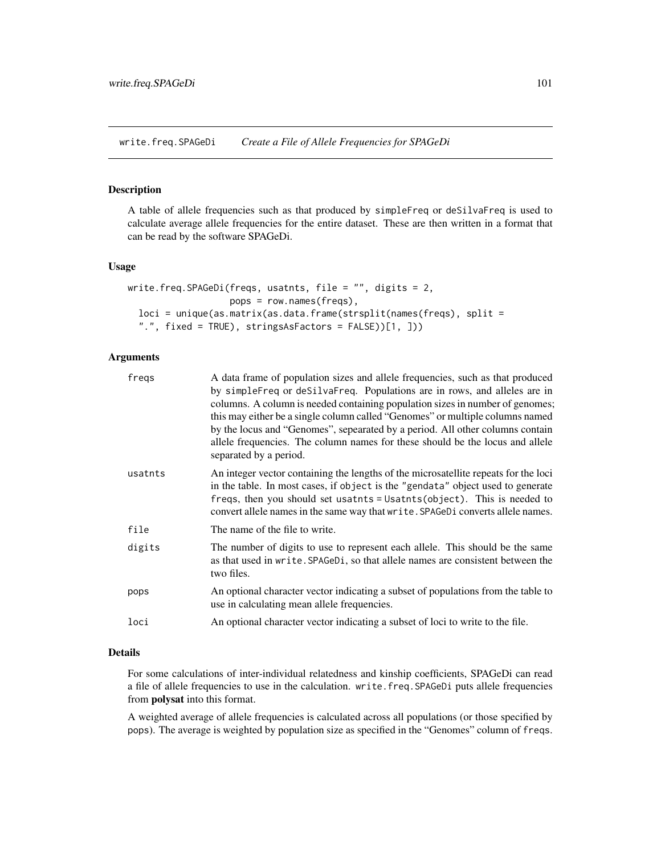write.freq.SPAGeDi *Create a File of Allele Frequencies for SPAGeDi*

# Description

A table of allele frequencies such as that produced by simpleFreq or deSilvaFreq is used to calculate average allele frequencies for the entire dataset. These are then written in a format that can be read by the software SPAGeDi.

## Usage

```
write.freq.SPAGeDi(freqs, usatnts, file = ", digits = 2,
                   pops = row.names(freqs),
  loci = unique(as.matrix(as.data.frame(strsplit(names(freqs), split =
  ".", fixed = TRUE), stringsAsFactors = FALSE))[1, ]))
```
## Arguments

| fregs   | A data frame of population sizes and allele frequencies, such as that produced                                                                                                                                                                                                                                                        |
|---------|---------------------------------------------------------------------------------------------------------------------------------------------------------------------------------------------------------------------------------------------------------------------------------------------------------------------------------------|
|         | by simpleFreq or deSilvaFreq. Populations are in rows, and alleles are in<br>columns. A column is needed containing population sizes in number of genomes;                                                                                                                                                                            |
|         | this may either be a single column called "Genomes" or multiple columns named                                                                                                                                                                                                                                                         |
|         | by the locus and "Genomes", sepearated by a period. All other columns contain<br>allele frequencies. The column names for these should be the locus and allele                                                                                                                                                                        |
|         | separated by a period.                                                                                                                                                                                                                                                                                                                |
| usatnts | An integer vector containing the lengths of the microsatellite repeats for the loci<br>in the table. In most cases, if object is the "gendata" object used to generate<br>freqs, then you should set usatnts = Usatnts (object). This is needed to<br>convert allele names in the same way that write. SPAGeDi converts allele names. |
| file    | The name of the file to write.                                                                                                                                                                                                                                                                                                        |
| digits  | The number of digits to use to represent each allele. This should be the same<br>as that used in write. SPAGeD <sub>1</sub> , so that allele names are consistent between the<br>two files.                                                                                                                                           |
| pops    | An optional character vector indicating a subset of populations from the table to<br>use in calculating mean allele frequencies.                                                                                                                                                                                                      |
| loci    | An optional character vector indicating a subset of loci to write to the file.                                                                                                                                                                                                                                                        |
|         |                                                                                                                                                                                                                                                                                                                                       |

# Details

For some calculations of inter-individual relatedness and kinship coefficients, SPAGeDi can read a file of allele frequencies to use in the calculation. write.freq.SPAGeDi puts allele frequencies from polysat into this format.

A weighted average of allele frequencies is calculated across all populations (or those specified by pops). The average is weighted by population size as specified in the "Genomes" column of freqs.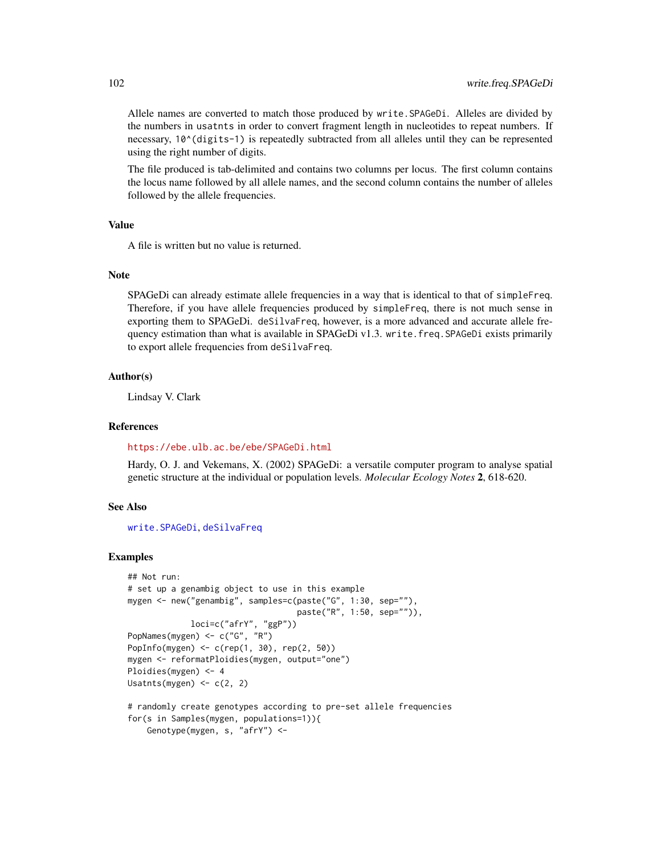Allele names are converted to match those produced by write.SPAGeDi. Alleles are divided by the numbers in usatnts in order to convert fragment length in nucleotides to repeat numbers. If necessary, 10<sup> $\wedge$ </sup>(digits-1) is repeatedly subtracted from all alleles until they can be represented using the right number of digits.

The file produced is tab-delimited and contains two columns per locus. The first column contains the locus name followed by all allele names, and the second column contains the number of alleles followed by the allele frequencies.

## Value

A file is written but no value is returned.

## **Note**

SPAGeDi can already estimate allele frequencies in a way that is identical to that of simpleFreq. Therefore, if you have allele frequencies produced by simpleFreq, there is not much sense in exporting them to SPAGeDi. deSilvaFreq, however, is a more advanced and accurate allele frequency estimation than what is available in SPAGeDi v1.3. write.freq.SPAGeDi exists primarily to export allele frequencies from deSilvaFreq.

## Author(s)

Lindsay V. Clark

## References

<https://ebe.ulb.ac.be/ebe/SPAGeDi.html>

Hardy, O. J. and Vekemans, X. (2002) SPAGeDi: a versatile computer program to analyse spatial genetic structure at the individual or population levels. *Molecular Ecology Notes* 2, 618-620.

## See Also

[write.SPAGeDi](#page-107-0), [deSilvaFreq](#page-25-0)

```
## Not run:
# set up a genambig object to use in this example
mygen <- new("genambig", samples=c(paste("G", 1:30, sep=""),
                                   paste("R", 1:50, sep="")),
             loci=c("afrY", "ggP"))
PopNames(mygen) <- c("G", "R")
PopInfo(mygen) <- c(rep(1, 30), rep(2, 50))
mygen <- reformatPloidies(mygen, output="one")
Ploidies(mygen) <- 4
Usatnts(mygen) <- c(2, 2)
# randomly create genotypes according to pre-set allele frequencies
for(s in Samples(mygen, populations=1)){
```

```
Genotype(mygen, s, "afrY") <-
```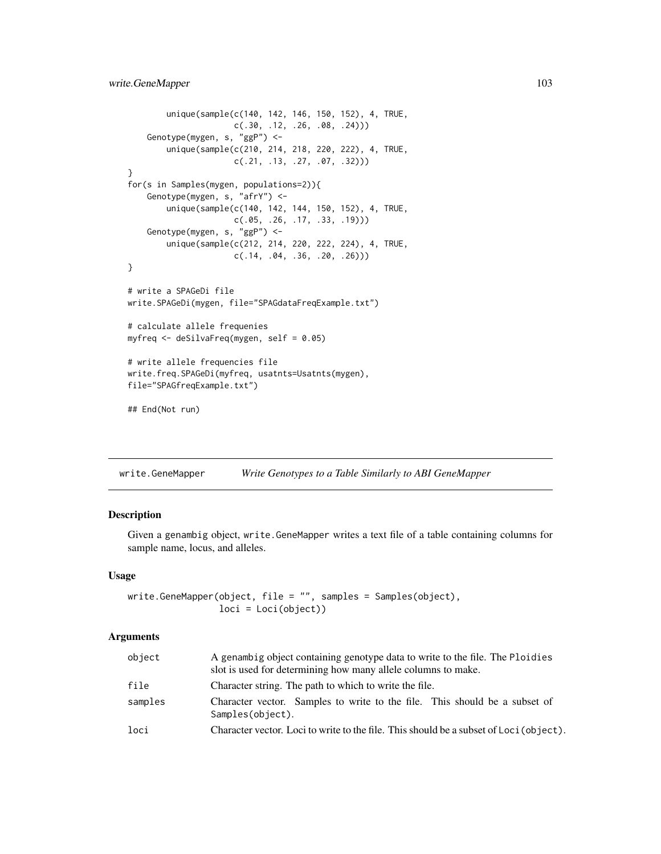```
unique(sample(c(140, 142, 146, 150, 152), 4, TRUE,
                     c(.30, .12, .26, .08, .24)))
    Genotype(mygen, s, "ggP") <-
       unique(sample(c(210, 214, 218, 220, 222), 4, TRUE,
                     c(.21, .13, .27, .07, .32)))
}
for(s in Samples(mygen, populations=2)){
    Genotype(mygen, s, "afrY") <-
       unique(sample(c(140, 142, 144, 150, 152), 4, TRUE,
                     c(.05, .26, .17, .33, .19)))
    Genotype(mygen, s, "ggP") <-
       unique(sample(c(212, 214, 220, 222, 224), 4, TRUE,
                     c(.14, .04, .36, .20, .26)))
}
# write a SPAGeDi file
write.SPAGeDi(mygen, file="SPAGdataFreqExample.txt")
# calculate allele frequenies
myfreq <- deSilvaFreq(mygen, self = 0.05)
# write allele frequencies file
write.freq.SPAGeDi(myfreq, usatnts=Usatnts(mygen),
file="SPAGfreqExample.txt")
## End(Not run)
```
<span id="page-102-0"></span>write.GeneMapper *Write Genotypes to a Table Similarly to ABI GeneMapper*

## Description

Given a genambig object, write.GeneMapper writes a text file of a table containing columns for sample name, locus, and alleles.

# Usage

```
write.GeneMapper(object, file = "", samples = Samples(object),
                 loci = Loci(object))
```
#### **Arguments**

| object  | A genambig object containing genotype data to write to the file. The Ploidies<br>slot is used for determining how many allele columns to make. |
|---------|------------------------------------------------------------------------------------------------------------------------------------------------|
| file    | Character string. The path to which to write the file.                                                                                         |
| samples | Character vector. Samples to write to the file. This should be a subset of<br>Samples(object).                                                 |
| loci    | Character vector. Loci to write to the file. This should be a subset of Loci (object).                                                         |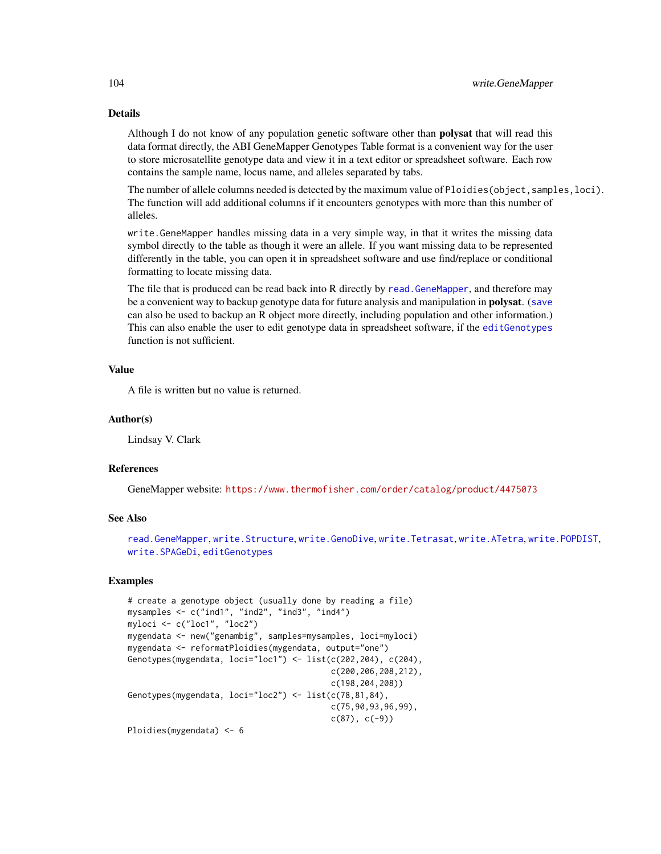# Details

Although I do not know of any population genetic software other than **polysat** that will read this data format directly, the ABI GeneMapper Genotypes Table format is a convenient way for the user to store microsatellite genotype data and view it in a text editor or spreadsheet software. Each row contains the sample name, locus name, and alleles separated by tabs.

The number of allele columns needed is detected by the maximum value of Ploidies (object, samples, loci). The function will add additional columns if it encounters genotypes with more than this number of alleles.

write.GeneMapper handles missing data in a very simple way, in that it writes the missing data symbol directly to the table as though it were an allele. If you want missing data to be represented differently in the table, you can open it in spreadsheet software and use find/replace or conditional formatting to locate missing data.

The file that is produced can be read back into R directly by [read.GeneMapper](#page-74-0), and therefore may be a convenient way to backup genotype data for future analysis and manipulation in **polysat**. ([save](#page-0-0) can also be used to backup an R object more directly, including population and other information.) This can also enable the user to edit genotype data in spreadsheet software, if the [editGenotypes](#page-28-0) function is not sufficient.

## Value

A file is written but no value is returned.

## Author(s)

Lindsay V. Clark

## References

GeneMapper website: <https://www.thermofisher.com/order/catalog/product/4475073>

#### See Also

[read.GeneMapper](#page-74-0), [write.Structure](#page-109-0), [write.GenoDive](#page-104-0), [write.Tetrasat](#page-112-0), [write.ATetra](#page-98-0), [write.POPDIST](#page-106-0), [write.SPAGeDi](#page-107-0), [editGenotypes](#page-28-0)

```
# create a genotype object (usually done by reading a file)
mysamples <- c("ind1", "ind2", "ind3", "ind4")
myloci <- c("loc1", "loc2")
mygendata <- new("genambig", samples=mysamples, loci=myloci)
mygendata <- reformatPloidies(mygendata, output="one")
Genotypes(mygendata, loci="loc1") <- list(c(202,204), c(204),
                                          c(200,206,208,212),
                                          c(198,204,208))
Genotypes(mygendata, loci="loc2") <- list(c(78,81,84),
                                          c(75,90,93,96,99),
                                          c(87), c(-9)Ploidies(mygendata) <- 6
```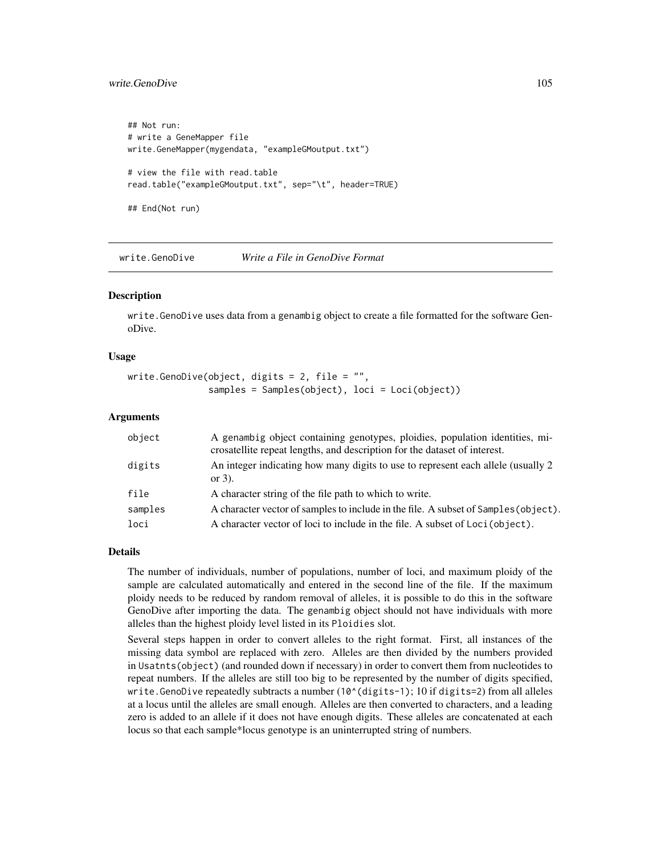# write.GenoDive 105

```
## Not run:
# write a GeneMapper file
write.GeneMapper(mygendata, "exampleGMoutput.txt")
# view the file with read.table
read.table("exampleGMoutput.txt", sep="\t", header=TRUE)
## End(Not run)
```
<span id="page-104-0"></span>write.GenoDive *Write a File in GenoDive Format*

## **Description**

write.GenoDive uses data from a genambig object to create a file formatted for the software GenoDive.

## Usage

```
write.GenoDive(object, digits = 2, file = "",
               samples = Samples(object), loci = Loci(object))
```
## Arguments

| object  | A genambig object containing genotypes, ploidies, population identities, mi-<br>crosatellite repeat lengths, and description for the dataset of interest. |
|---------|-----------------------------------------------------------------------------------------------------------------------------------------------------------|
| digits  | An integer indicating how many digits to use to represent each allele (usually 2)<br>or $3$ ).                                                            |
| file    | A character string of the file path to which to write.                                                                                                    |
| samples | A character vector of samples to include in the file. A subset of Samples (object).                                                                       |
| loci    | A character vector of loci to include in the file. A subset of Loci (object).                                                                             |

## Details

The number of individuals, number of populations, number of loci, and maximum ploidy of the sample are calculated automatically and entered in the second line of the file. If the maximum ploidy needs to be reduced by random removal of alleles, it is possible to do this in the software GenoDive after importing the data. The genambig object should not have individuals with more alleles than the highest ploidy level listed in its Ploidies slot.

Several steps happen in order to convert alleles to the right format. First, all instances of the missing data symbol are replaced with zero. Alleles are then divided by the numbers provided in Usatnts(object) (and rounded down if necessary) in order to convert them from nucleotides to repeat numbers. If the alleles are still too big to be represented by the number of digits specified, write.GenoDive repeatedly subtracts a number  $(10^(digits-1); 10$  if digits=2) from all alleles at a locus until the alleles are small enough. Alleles are then converted to characters, and a leading zero is added to an allele if it does not have enough digits. These alleles are concatenated at each locus so that each sample\*locus genotype is an uninterrupted string of numbers.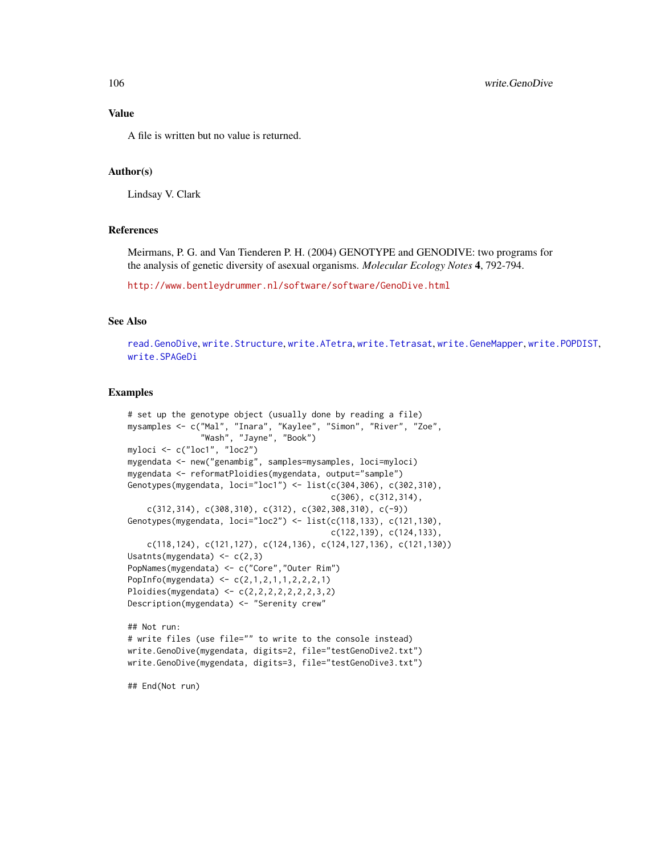## Value

A file is written but no value is returned.

# Author(s)

Lindsay V. Clark

## References

Meirmans, P. G. and Van Tienderen P. H. (2004) GENOTYPE and GENODIVE: two programs for the analysis of genetic diversity of asexual organisms. *Molecular Ecology Notes* 4, 792-794.

<http://www.bentleydrummer.nl/software/software/GenoDive.html>

## See Also

[read.GenoDive](#page-76-0), [write.Structure](#page-109-0), [write.ATetra](#page-98-0), [write.Tetrasat](#page-112-0), [write.GeneMapper](#page-102-0), [write.POPDIST](#page-106-0), [write.SPAGeDi](#page-107-0)

## Examples

```
# set up the genotype object (usually done by reading a file)
mysamples <- c("Mal", "Inara", "Kaylee", "Simon", "River", "Zoe",
               "Wash", "Jayne", "Book")
myloci <- c("loc1", "loc2")
mygendata <- new("genambig", samples=mysamples, loci=myloci)
mygendata <- reformatPloidies(mygendata, output="sample")
Genotypes(mygendata, loci="loc1") <- list(c(304,306), c(302,310),
                                          c(306), c(312,314),
    c(312,314), c(308,310), c(312), c(302,308,310), c(-9))Genotypes(mygendata, loci="loc2") <- list(c(118,133), c(121,130),
                                          c(122,139), c(124,133),
    c(118,124), c(121,127), c(124,136), c(124,127,136), c(121,130))
Usatnts(mygendata) <- c(2,3)
PopNames(mygendata) <- c("Core","Outer Rim")
PopInfo(mygendata) <- c(2,1,2,1,1,2,2,2,1)
Ploidies(mygendata) <- c(2,2,2,2,2,2,2,3,2)
Description(mygendata) <- "Serenity crew"
## Not run:
# write files (use file="" to write to the console instead)
write.GenoDive(mygendata, digits=2, file="testGenoDive2.txt")
write.GenoDive(mygendata, digits=3, file="testGenoDive3.txt")
```
## End(Not run)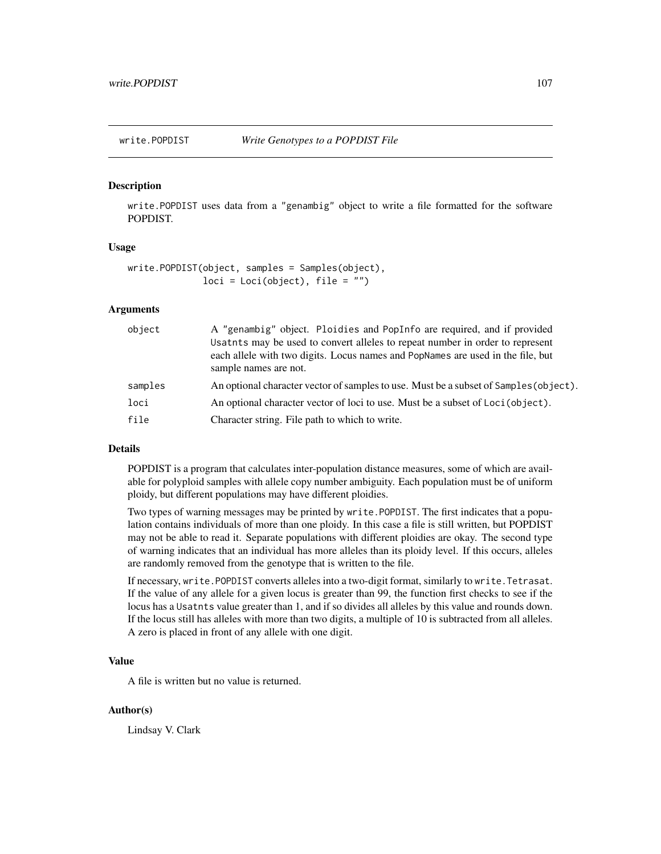<span id="page-106-0"></span>

## Description

write.POPDIST uses data from a "genambig" object to write a file formatted for the software POPDIST.

## Usage

```
write.POPDIST(object, samples = Samples(object),
              loci = Loci(object), file = "")
```
## Arguments

| object  | A "genambig" object. Ploidies and PopInfo are required, and if provided<br>Usatnts may be used to convert alleles to repeat number in order to represent<br>each allele with two digits. Locus names and PopNames are used in the file, but<br>sample names are not. |
|---------|----------------------------------------------------------------------------------------------------------------------------------------------------------------------------------------------------------------------------------------------------------------------|
| samples | An optional character vector of samples to use. Must be a subset of Samples (object).                                                                                                                                                                                |
| loci    | An optional character vector of loci to use. Must be a subset of Loci (object).                                                                                                                                                                                      |
| file    | Character string. File path to which to write.                                                                                                                                                                                                                       |

## Details

POPDIST is a program that calculates inter-population distance measures, some of which are available for polyploid samples with allele copy number ambiguity. Each population must be of uniform ploidy, but different populations may have different ploidies.

Two types of warning messages may be printed by write.POPDIST. The first indicates that a population contains individuals of more than one ploidy. In this case a file is still written, but POPDIST may not be able to read it. Separate populations with different ploidies are okay. The second type of warning indicates that an individual has more alleles than its ploidy level. If this occurs, alleles are randomly removed from the genotype that is written to the file.

If necessary, write.POPDIST converts alleles into a two-digit format, similarly to write.Tetrasat. If the value of any allele for a given locus is greater than 99, the function first checks to see if the locus has a Usatnts value greater than 1, and if so divides all alleles by this value and rounds down. If the locus still has alleles with more than two digits, a multiple of 10 is subtracted from all alleles. A zero is placed in front of any allele with one digit.

# Value

A file is written but no value is returned.

## Author(s)

Lindsay V. Clark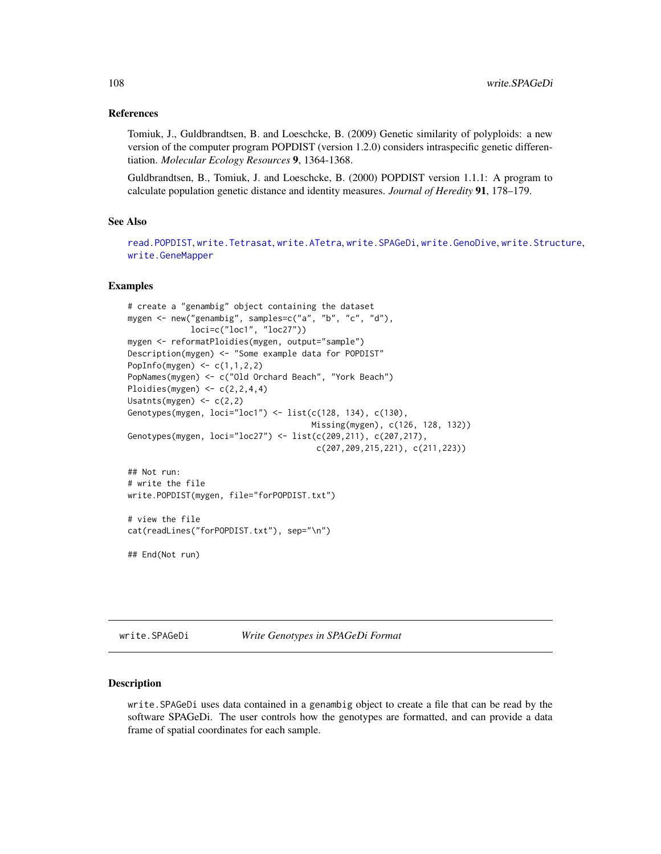## References

Tomiuk, J., Guldbrandtsen, B. and Loeschcke, B. (2009) Genetic similarity of polyploids: a new version of the computer program POPDIST (version 1.2.0) considers intraspecific genetic differentiation. *Molecular Ecology Resources* 9, 1364-1368.

Guldbrandtsen, B., Tomiuk, J. and Loeschcke, B. (2000) POPDIST version 1.1.1: A program to calculate population genetic distance and identity measures. *Journal of Heredity* 91, 178–179.

## See Also

[read.POPDIST](#page-78-0), [write.Tetrasat](#page-112-0), [write.ATetra](#page-98-0), [write.SPAGeDi](#page-107-0), [write.GenoDive](#page-104-0), [write.Structure](#page-109-0), [write.GeneMapper](#page-102-0)

#### Examples

```
# create a "genambig" object containing the dataset
mygen <- new("genambig", samples=c("a", "b", "c", "d"),
             loci=c("loc1", "loc27"))
mygen <- reformatPloidies(mygen, output="sample")
Description(mygen) <- "Some example data for POPDIST"
PopInfo(mygen) \leq c(1,1,2,2)
PopNames(mygen) <- c("Old Orchard Beach", "York Beach")
Ploidies(mygen) \leq c(2,2,4,4)Usatnts(mygen) \leq -c(2,2)Genotypes(mygen, loci="loc1") <- list(c(128, 134), c(130),
                                      Missing(mygen), c(126, 128, 132))
Genotypes(mygen, loci="loc27") <- list(c(209,211), c(207,217),
                                       c(207,209,215,221), c(211,223))
## Not run:
# write the file
write.POPDIST(mygen, file="forPOPDIST.txt")
# view the file
cat(readLines("forPOPDIST.txt"), sep="\n")
## End(Not run)
```
<span id="page-107-0"></span>write.SPAGeDi *Write Genotypes in SPAGeDi Format*

## **Description**

write.SPAGeDi uses data contained in a genambig object to create a file that can be read by the software SPAGeDi. The user controls how the genotypes are formatted, and can provide a data frame of spatial coordinates for each sample.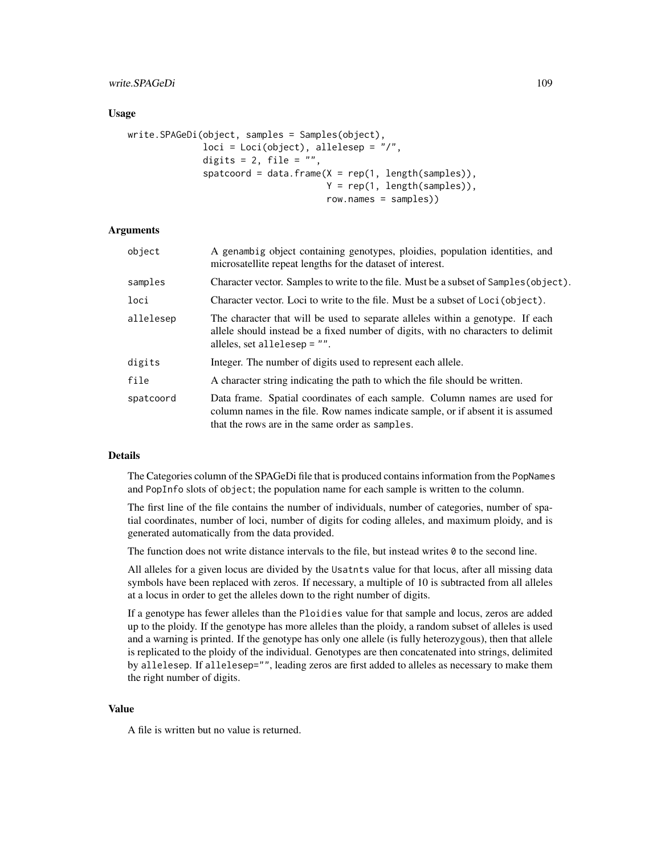# write.SPAGeDi 109

### Usage

```
write.SPAGeDi(object, samples = Samples(object),
              loci = Loci(object), allelesep = ''/,
              digits = 2, file = ",
              spatcoord = data.frame(X = rep(1, length(samples)),Y = rep(1, length(samples)),
                                     row.names = samples))
```
# Arguments

| object    | A genambig object containing genotypes, ploidies, population identities, and<br>microsatellite repeat lengths for the dataset of interest.                                                                      |
|-----------|-----------------------------------------------------------------------------------------------------------------------------------------------------------------------------------------------------------------|
| samples   | Character vector. Samples to write to the file. Must be a subset of Samples (object).                                                                                                                           |
| loci      | Character vector. Loci to write to the file. Must be a subset of Loci (object).                                                                                                                                 |
| allelesep | The character that will be used to separate alleles within a genotype. If each<br>allele should instead be a fixed number of digits, with no characters to delimit<br>alleles, set allelesep = "".              |
| digits    | Integer. The number of digits used to represent each allele.                                                                                                                                                    |
| file      | A character string indicating the path to which the file should be written.                                                                                                                                     |
| spatcoord | Data frame. Spatial coordinates of each sample. Column names are used for<br>column names in the file. Row names indicate sample, or if absent it is assumed<br>that the rows are in the same order as samples. |

### Details

The Categories column of the SPAGeDi file that is produced contains information from the PopNames and PopInfo slots of object; the population name for each sample is written to the column.

The first line of the file contains the number of individuals, number of categories, number of spatial coordinates, number of loci, number of digits for coding alleles, and maximum ploidy, and is generated automatically from the data provided.

The function does not write distance intervals to the file, but instead writes  $\theta$  to the second line.

All alleles for a given locus are divided by the Usatnts value for that locus, after all missing data symbols have been replaced with zeros. If necessary, a multiple of 10 is subtracted from all alleles at a locus in order to get the alleles down to the right number of digits.

If a genotype has fewer alleles than the Ploidies value for that sample and locus, zeros are added up to the ploidy. If the genotype has more alleles than the ploidy, a random subset of alleles is used and a warning is printed. If the genotype has only one allele (is fully heterozygous), then that allele is replicated to the ploidy of the individual. Genotypes are then concatenated into strings, delimited by allelesep. If allelesep="", leading zeros are first added to alleles as necessary to make them the right number of digits.

#### Value

A file is written but no value is returned.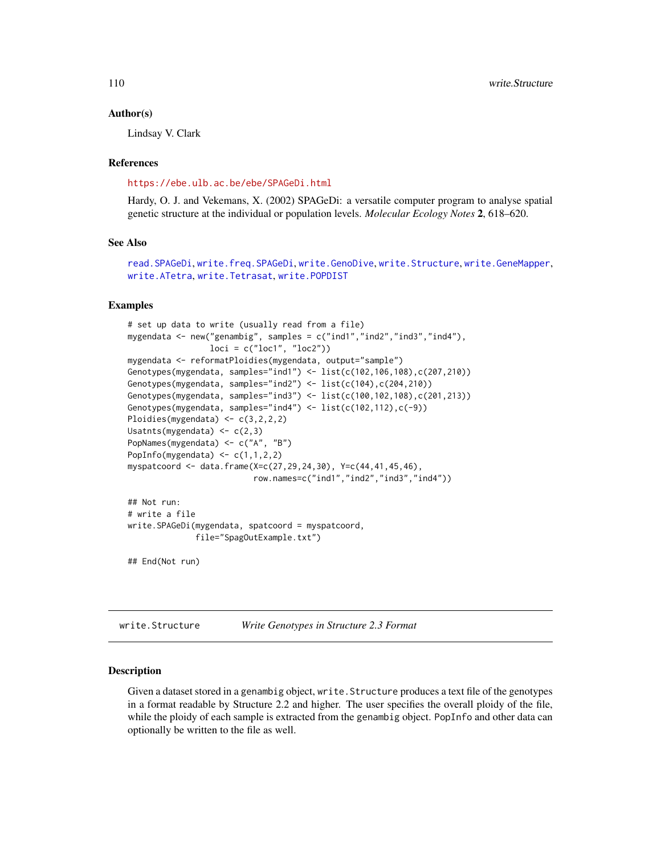#### <span id="page-109-1"></span>Author(s)

Lindsay V. Clark

### References

<https://ebe.ulb.ac.be/ebe/SPAGeDi.html>

Hardy, O. J. and Vekemans, X. (2002) SPAGeDi: a versatile computer program to analyse spatial genetic structure at the individual or population levels. *Molecular Ecology Notes* 2, 618–620.

# See Also

```
read.SPAGeDi, write.freq.SPAGeDi, write.GenoDive, write.Structure, write.GeneMapper,
write.ATetra, write.Tetrasat, write.POPDIST
```
### Examples

```
# set up data to write (usually read from a file)
mygendata <- new("genambig", samples = c("ind1","ind2","ind3","ind4"),
                 loci = c("loc1", "loc2"))
mygendata <- reformatPloidies(mygendata, output="sample")
Genotypes(mygendata, samples="ind1") <- list(c(102,106,108),c(207,210))
Genotypes(mygendata, samples="ind2") <- list(c(104),c(204,210))
Genotypes(mygendata, samples="ind3") <- list(c(100,102,108),c(201,213))
Genotypes(mygendata, samples="ind4") <- list(c(102,112),c(-9))
Ploidies(mygendata) <- c(3,2,2,2)
Usatnts(mygendata) \leq c(2,3)PopNames(mygendata) <- c("A", "B")
PopInfo(mygendata) \leq c(1,1,2,2)myspatcoord <- data.frame(X=c(27,29,24,30), Y=c(44,41,45,46),
                          row.names=c("ind1","ind2","ind3","ind4"))
## Not run:
```

```
# write a file
write.SPAGeDi(mygendata, spatcoord = myspatcoord,
              file="SpagOutExample.txt")
```

```
## End(Not run)
```
<span id="page-109-0"></span>write.Structure *Write Genotypes in Structure 2.3 Format*

#### Description

Given a dataset stored in a genambig object, write.Structure produces a text file of the genotypes in a format readable by Structure 2.2 and higher. The user specifies the overall ploidy of the file, while the ploidy of each sample is extracted from the genambig object. PopInfo and other data can optionally be written to the file as well.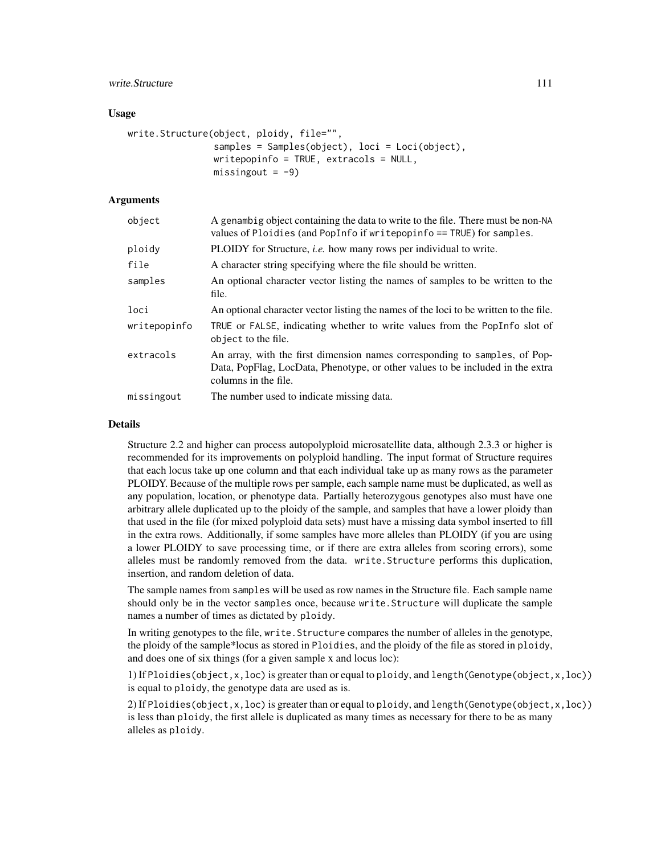# write.Structure 111

### Usage

```
write.Structure(object, ploidy, file="",
                samples = Samples(object), loci = Loci(object),
                writepopinfo = TRUE, extracols = NULL,
                missingout = -9)
```
# Arguments

| object       | A genambig object containing the data to write to the file. There must be non-NA<br>values of Ploidies (and PopInfo if write popinfo = TRUE) for samples.                            |
|--------------|--------------------------------------------------------------------------------------------------------------------------------------------------------------------------------------|
| ploidy       | PLOIDY for Structure, <i>i.e.</i> how many rows per individual to write.                                                                                                             |
| file         | A character string specifying where the file should be written.                                                                                                                      |
| samples      | An optional character vector listing the names of samples to be written to the<br>file.                                                                                              |
| loci         | An optional character vector listing the names of the loci to be written to the file.                                                                                                |
| writepopinfo | TRUE or FALSE, indicating whether to write values from the PopInfo slot of<br>object to the file.                                                                                    |
| extracols    | An array, with the first dimension names corresponding to samples, of Pop-<br>Data, PopFlag, LocData, Phenotype, or other values to be included in the extra<br>columns in the file. |
| missingout   | The number used to indicate missing data.                                                                                                                                            |

#### Details

Structure 2.2 and higher can process autopolyploid microsatellite data, although 2.3.3 or higher is recommended for its improvements on polyploid handling. The input format of Structure requires that each locus take up one column and that each individual take up as many rows as the parameter PLOIDY. Because of the multiple rows per sample, each sample name must be duplicated, as well as any population, location, or phenotype data. Partially heterozygous genotypes also must have one arbitrary allele duplicated up to the ploidy of the sample, and samples that have a lower ploidy than that used in the file (for mixed polyploid data sets) must have a missing data symbol inserted to fill in the extra rows. Additionally, if some samples have more alleles than PLOIDY (if you are using a lower PLOIDY to save processing time, or if there are extra alleles from scoring errors), some alleles must be randomly removed from the data. write.Structure performs this duplication, insertion, and random deletion of data.

The sample names from samples will be used as row names in the Structure file. Each sample name should only be in the vector samples once, because write.Structure will duplicate the sample names a number of times as dictated by ploidy.

In writing genotypes to the file, write.Structure compares the number of alleles in the genotype, the ploidy of the sample\*locus as stored in Ploidies, and the ploidy of the file as stored in ploidy, and does one of six things (for a given sample x and locus loc):

1) If Ploidies(object,x,loc) is greater than or equal to ploidy, and length(Genotype(object,x,loc)) is equal to ploidy, the genotype data are used as is.

2) If Ploidies(object,x,loc) is greater than or equal to ploidy, and length(Genotype(object,x,loc)) is less than ploidy, the first allele is duplicated as many times as necessary for there to be as many alleles as ploidy.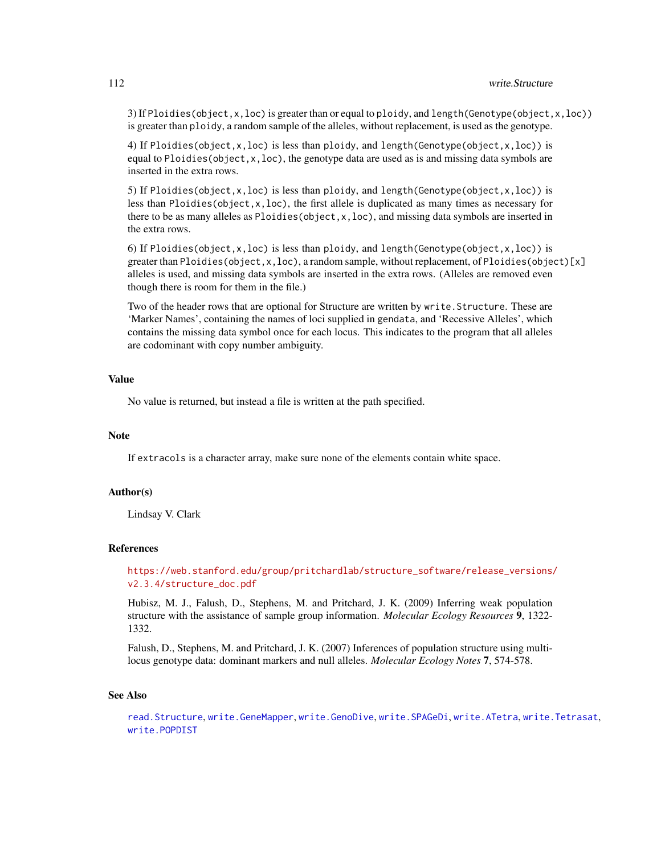<span id="page-111-0"></span>3) If Ploidies(object,  $x,$  loc) is greater than or equal to ploidy, and length(Genotype(object,  $x,$  loc)) is greater than ploidy, a random sample of the alleles, without replacement, is used as the genotype.

4) If Ploidies(object,x,loc) is less than ploidy, and length(Genotype(object,x,loc)) is equal to Ploidies (object, $x,$ loc), the genotype data are used as is and missing data symbols are inserted in the extra rows.

5) If Ploidies(object,x,loc) is less than ploidy, and length(Genotype(object,x,loc)) is less than Ploidies(object,x,loc), the first allele is duplicated as many times as necessary for there to be as many alleles as Ploidies( $object, x, loc$ ), and missing data symbols are inserted in the extra rows.

6) If Ploidies(object, x, loc) is less than ploidy, and length(Genotype(object, x, loc)) is greater than Ploidies(object,x,loc), a random sample, without replacement, of Ploidies(object)[x] alleles is used, and missing data symbols are inserted in the extra rows. (Alleles are removed even though there is room for them in the file.)

Two of the header rows that are optional for Structure are written by write.Structure. These are 'Marker Names', containing the names of loci supplied in gendata, and 'Recessive Alleles', which contains the missing data symbol once for each locus. This indicates to the program that all alleles are codominant with copy number ambiguity.

# Value

No value is returned, but instead a file is written at the path specified.

#### Note

If extracols is a character array, make sure none of the elements contain white space.

#### Author(s)

Lindsay V. Clark

#### References

[https://web.stanford.edu/group/pritchardlab/structure\\_software/release\\_versions/](https://web.stanford.edu/group/pritchardlab/structure_software/release_versions/v2.3.4/structure_doc.pdf) [v2.3.4/structure\\_doc.pdf](https://web.stanford.edu/group/pritchardlab/structure_software/release_versions/v2.3.4/structure_doc.pdf)

Hubisz, M. J., Falush, D., Stephens, M. and Pritchard, J. K. (2009) Inferring weak population structure with the assistance of sample group information. *Molecular Ecology Resources* 9, 1322- 1332.

Falush, D., Stephens, M. and Pritchard, J. K. (2007) Inferences of population structure using multilocus genotype data: dominant markers and null alleles. *Molecular Ecology Notes* 7, 574-578.

#### See Also

[read.Structure](#page-83-0), [write.GeneMapper](#page-102-0), [write.GenoDive](#page-104-0), [write.SPAGeDi](#page-107-0), [write.ATetra](#page-98-0), [write.Tetrasat](#page-112-0), [write.POPDIST](#page-106-0)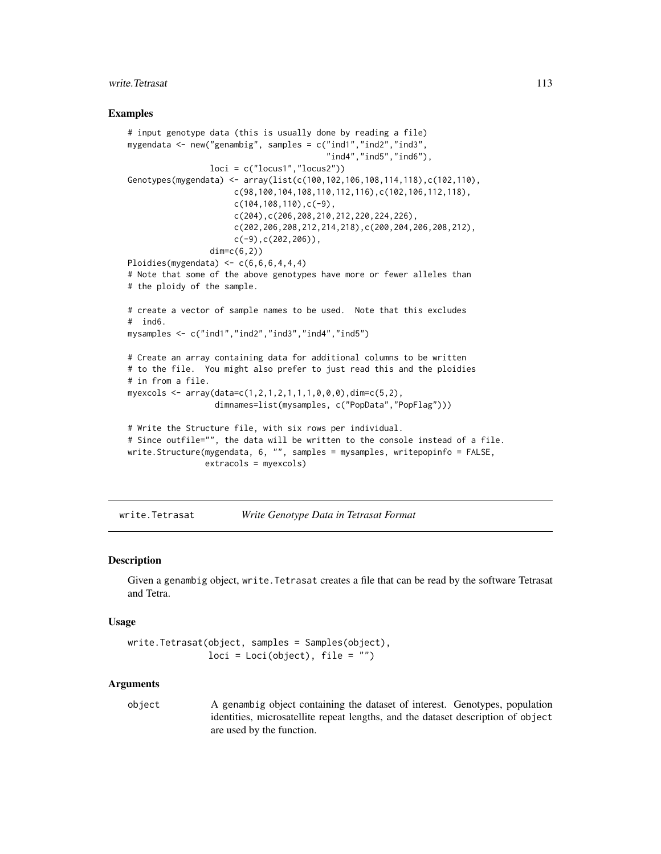# <span id="page-112-1"></span>write. Tetrasat 113

### Examples

```
# input genotype data (this is usually done by reading a file)
mygendata <- new("genambig", samples = c("ind1","ind2","ind3",
                                         "ind4","ind5","ind6"),
                 loci = c("locus1", "locus2"))Genotypes(mygendata) <- array(list(c(100,102,106,108,114,118),c(102,110),
                      c(98,100,104,108,110,112,116),c(102,106,112,118),
                      c(104, 108, 110), c(-9),
                      c(204),c(206,208,210,212,220,224,226),
                      c(202,206,208,212,214,218),c(200,204,206,208,212),
                      c(-9),c(202,206),
                 dim=c(6,2)Ploidies(mygendata) \leq c(6, 6, 6, 4, 4, 4)# Note that some of the above genotypes have more or fewer alleles than
# the ploidy of the sample.
# create a vector of sample names to be used. Note that this excludes
# ind6.
mysamples <- c("ind1","ind2","ind3","ind4","ind5")
# Create an array containing data for additional columns to be written
# to the file. You might also prefer to just read this and the ploidies
# in from a file.
myexcols <- array(data=c(1,2,1,2,1,1,1,0,0,0),dim=c(5,2),
                  dimnames=list(mysamples, c("PopData","PopFlag")))
# Write the Structure file, with six rows per individual.
# Since outfile="", the data will be written to the console instead of a file.
write.Structure(mygendata, 6, "", samples = mysamples, writepopinfo = FALSE,
                extracols = myexcols)
```
<span id="page-112-0"></span>write.Tetrasat *Write Genotype Data in Tetrasat Format*

#### **Description**

Given a genambig object, write.Tetrasat creates a file that can be read by the software Tetrasat and Tetra.

# Usage

```
write.Tetrasat(object, samples = Samples(object),
               loci = Loci(object), file = "")
```
#### Arguments

object A genambig object containing the dataset of interest. Genotypes, population identities, microsatellite repeat lengths, and the dataset description of object are used by the function.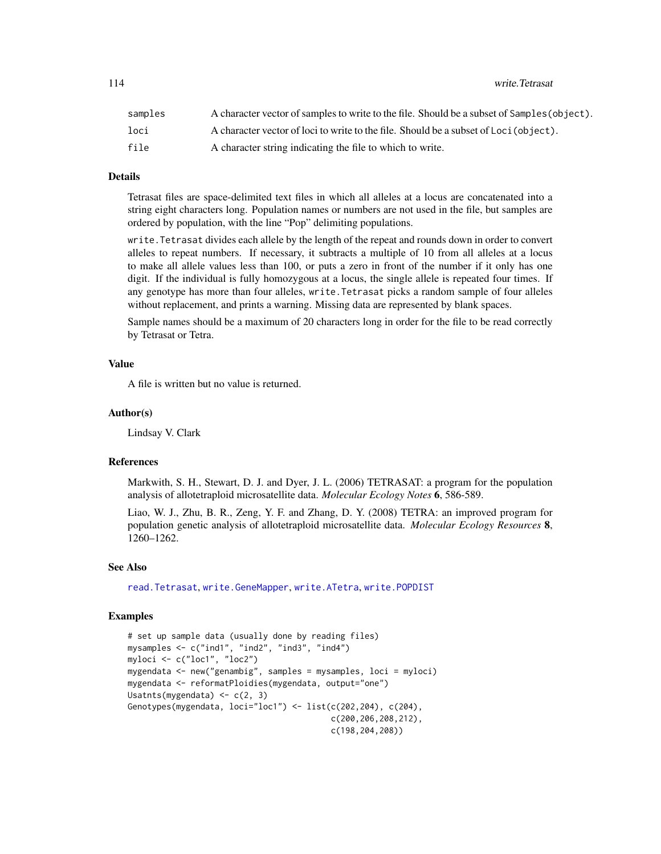<span id="page-113-0"></span>114 write.Tetrasat

| samples | A character vector of samples to write to the file. Should be a subset of Samples (object). |
|---------|---------------------------------------------------------------------------------------------|
| loci    | A character vector of loci to write to the file. Should be a subset of Loci (object).       |
| file    | A character string indicating the file to which to write.                                   |

# Details

Tetrasat files are space-delimited text files in which all alleles at a locus are concatenated into a string eight characters long. Population names or numbers are not used in the file, but samples are ordered by population, with the line "Pop" delimiting populations.

write.Tetrasat divides each allele by the length of the repeat and rounds down in order to convert alleles to repeat numbers. If necessary, it subtracts a multiple of 10 from all alleles at a locus to make all allele values less than 100, or puts a zero in front of the number if it only has one digit. If the individual is fully homozygous at a locus, the single allele is repeated four times. If any genotype has more than four alleles, write.Tetrasat picks a random sample of four alleles without replacement, and prints a warning. Missing data are represented by blank spaces.

Sample names should be a maximum of 20 characters long in order for the file to be read correctly by Tetrasat or Tetra.

#### Value

A file is written but no value is returned.

#### Author(s)

Lindsay V. Clark

# References

Markwith, S. H., Stewart, D. J. and Dyer, J. L. (2006) TETRASAT: a program for the population analysis of allotetraploid microsatellite data. *Molecular Ecology Notes* 6, 586-589.

Liao, W. J., Zhu, B. R., Zeng, Y. F. and Zhang, D. Y. (2008) TETRA: an improved program for population genetic analysis of allotetraploid microsatellite data. *Molecular Ecology Resources* 8, 1260–1262.

## See Also

[read.Tetrasat](#page-86-0), [write.GeneMapper](#page-102-0), [write.ATetra](#page-98-0), [write.POPDIST](#page-106-0)

#### Examples

```
# set up sample data (usually done by reading files)
mysamples <- c("ind1", "ind2", "ind3", "ind4")
myloci <- c("loc1", "loc2")
mygendata <- new("genambig", samples = mysamples, loci = myloci)
mygendata <- reformatPloidies(mygendata, output="one")
Usatnts(mygendata) <- c(2, 3)
Genotypes(mygendata, loci="loc1") <- list(c(202,204), c(204),
                                          c(200,206,208,212),
                                          c(198,204,208))
```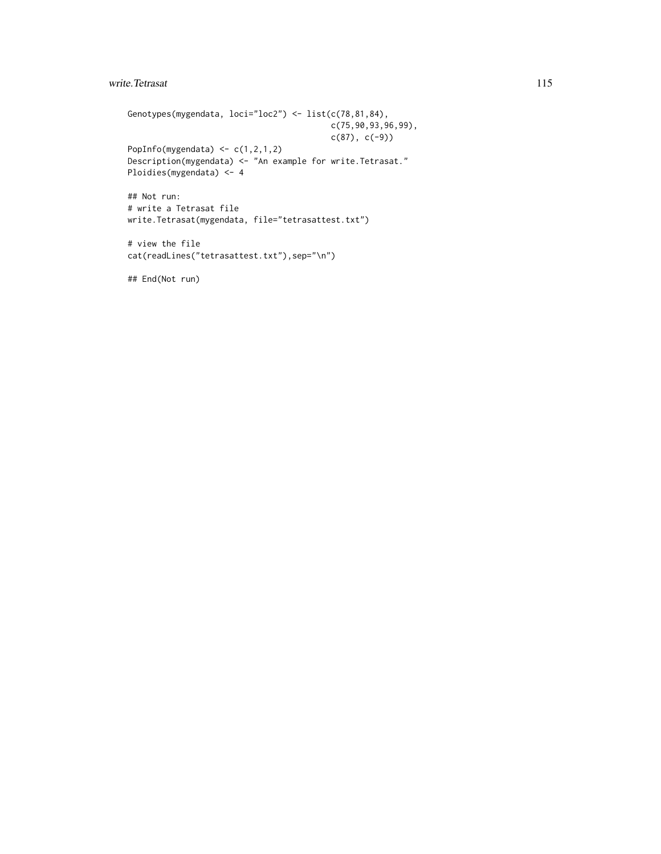# write. Tetrasat 115

```
Genotypes(mygendata, loci="loc2") <- list(c(78,81,84),
                                         c(75,90,93,96,99),
                                         c(87), c(-9))
PopInfo(mygendata) \leq c(1,2,1,2)Description(mygendata) <- "An example for write.Tetrasat."
Ploidies(mygendata) <- 4
## Not run:
# write a Tetrasat file
write.Tetrasat(mygendata, file="tetrasattest.txt")
# view the file
cat(readLines("tetrasattest.txt"), sep="\n")
```
## End(Not run)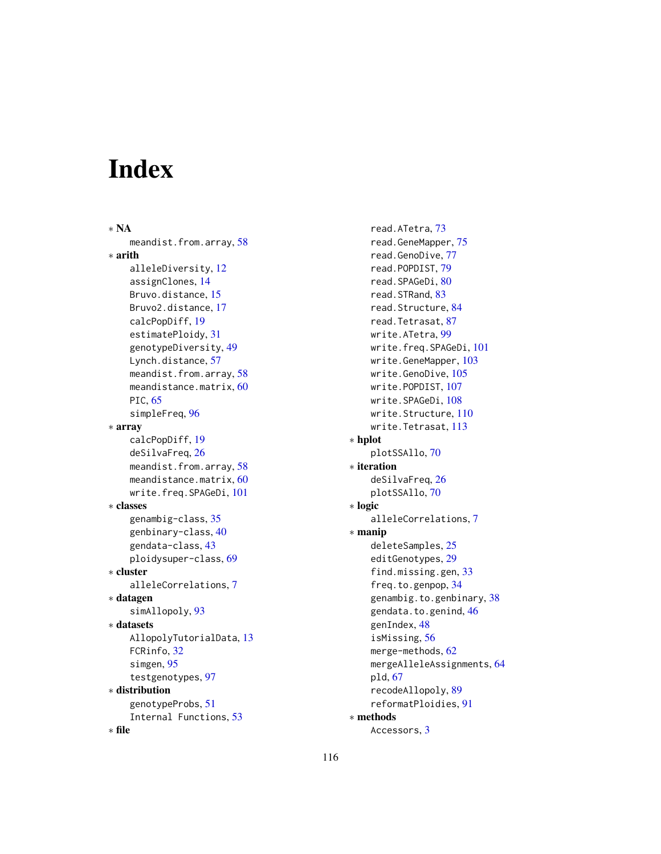# Index

∗ NA meandist.from.array, [58](#page-57-0) ∗ arith alleleDiversity, [12](#page-11-0) assignClones, [14](#page-13-0) Bruvo.distance, [15](#page-14-0) Bruvo2.distance, [17](#page-16-0) calcPopDiff, [19](#page-18-0) estimatePloidy, [31](#page-30-0) genotypeDiversity, [49](#page-48-0) Lynch.distance, [57](#page-56-0) meandist.from.array, [58](#page-57-0) meandistance.matrix, [60](#page-59-0) PIC, [65](#page-64-0) simpleFreq, [96](#page-95-0) ∗ array calcPopDiff, [19](#page-18-0) deSilvaFreq, [26](#page-25-0) meandist.from.array, [58](#page-57-0) meandistance.matrix, [60](#page-59-0) write.freq.SPAGeDi, [101](#page-100-1) ∗ classes genambig-class, [35](#page-34-0) genbinary-class, [40](#page-39-0) gendata-class, [43](#page-42-0) ploidysuper-class, [69](#page-68-0) ∗ cluster alleleCorrelations, [7](#page-6-0) ∗ datagen simAllopoly, [93](#page-92-0) ∗ datasets AllopolyTutorialData, [13](#page-12-0) FCRinfo, [32](#page-31-0) simgen, [95](#page-94-0) testgenotypes, [97](#page-96-0) ∗ distribution genotypeProbs, [51](#page-50-0) Internal Functions, [53](#page-52-0) ∗ file

read.ATetra, [73](#page-72-0) read.GeneMapper, [75](#page-74-0) read.GenoDive, [77](#page-76-0) read.POPDIST, [79](#page-78-0) read.SPAGeDi, [80](#page-79-1) read.STRand, [83](#page-82-0) read.Structure, [84](#page-83-1) read.Tetrasat, [87](#page-86-1) write.ATetra, [99](#page-98-1) write.freq.SPAGeDi, [101](#page-100-1) write.GeneMapper, [103](#page-102-1) write.GenoDive, [105](#page-104-1) write.POPDIST, [107](#page-106-1) write.SPAGeDi, [108](#page-107-1) write.Structure, [110](#page-109-1) write.Tetrasat, [113](#page-112-1) ∗ hplot plotSSAllo, [70](#page-69-0) ∗ iteration deSilvaFreq, [26](#page-25-0) plotSSAllo, [70](#page-69-0) ∗ logic alleleCorrelations, [7](#page-6-0) ∗ manip deleteSamples, [25](#page-24-0) editGenotypes, [29](#page-28-0) find.missing.gen, [33](#page-32-0) freq.to.genpop, [34](#page-33-0) genambig.to.genbinary, [38](#page-37-0) gendata.to.genind, [46](#page-45-0) genIndex, [48](#page-47-0) isMissing, [56](#page-55-0) merge-methods, [62](#page-61-0) mergeAlleleAssignments, [64](#page-63-0) pld, [67](#page-66-0) recodeAllopoly, [89](#page-88-0) reformatPloidies, [91](#page-90-0) ∗ methods Accessors, [3](#page-2-0)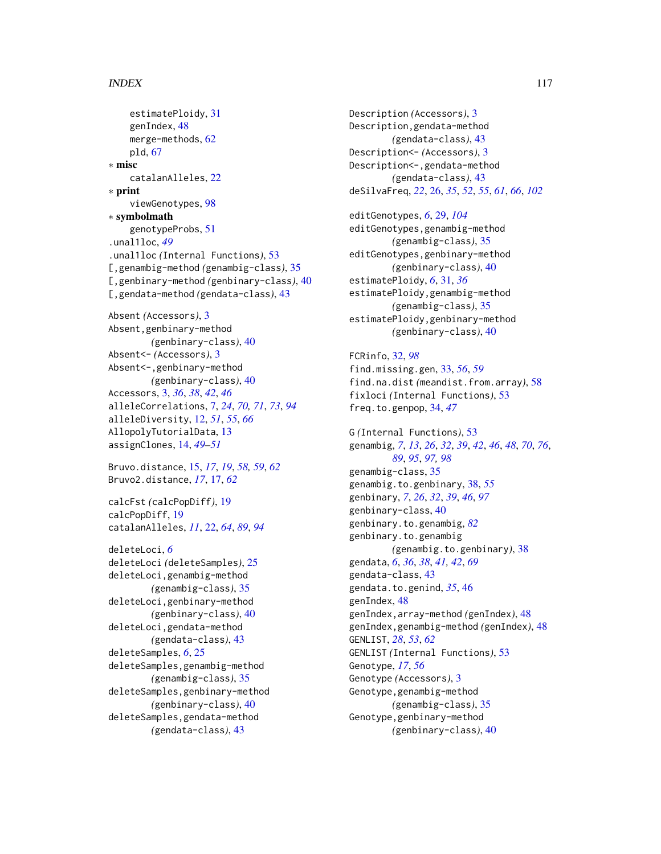# INDEX 117

```
estimatePloidy, 31
    genIndex, 48
    merge-methods, 62
    pld, 67
∗ misc
    catalanAlleles, 22
∗ print
    viewGenotypes, 98
∗ symbolmath
    genotypeProbs, 51
.unal1loc, 49
.unal1loc (Internal Functions), 53
[,genambig-method (genambig-class), 35
[,genbinary-method (genbinary-class), 40
[,gendata-method (gendata-class), 43
Absent (Accessors), 3
```

```
Absent,genbinary-method
        (genbinary-class), 40
Absent<- (Accessors), 3
Absent<-,genbinary-method
        (genbinary-class), 40
Accessors, 3, 36, 38, 42, 46
alleleCorrelations, 7, 24, 70, 71, 73, 94
alleleDiversity, 12, 51, 55, 66
AllopolyTutorialData, 13
assignClones, 14, 49–51
```

```
Bruvo.distance, 15, 17, 19, 58, 59, 62
Bruvo2.distance, 17, 17, 62
```

```
calcFst (calcPopDiff), 19
calcPopDiff, 19
catalanAlleles, 11, 22, 64, 89, 94
```

```
deleteLoci, 6
deleteLoci (deleteSamples), 25
deleteLoci,genambig-method
        (genambig-class), 35
deleteLoci,genbinary-method
        (genbinary-class), 40
deleteLoci,gendata-method
        (gendata-class), 43
deleteSamples, 6, 25
deleteSamples,genambig-method
        (genambig-class), 35
deleteSamples,genbinary-method
        (genbinary-class), 40
deleteSamples,gendata-method
        (gendata-class), 43
```
Description *(*Accessors*)*, [3](#page-2-0) Description,gendata-method *(*gendata-class*)*, [43](#page-42-0) Description<- *(*Accessors*)*, [3](#page-2-0) Description<-,gendata-method *(*gendata-class*)*, [43](#page-42-0) deSilvaFreq, *[22](#page-21-0)*, [26,](#page-25-0) *[35](#page-34-0)*, *[52](#page-51-0)*, *[55](#page-54-0)*, *[61](#page-60-0)*, *[66](#page-65-0)*, *[102](#page-101-0)*

editGenotypes, *[6](#page-5-0)*, [29,](#page-28-0) *[104](#page-103-0)* editGenotypes,genambig-method *(*genambig-class*)*, [35](#page-34-0) editGenotypes,genbinary-method *(*genbinary-class*)*, [40](#page-39-0) estimatePloidy, *[6](#page-5-0)*, [31,](#page-30-0) *[36](#page-35-0)* estimatePloidy,genambig-method *(*genambig-class*)*, [35](#page-34-0) estimatePloidy,genbinary-method *(*genbinary-class*)*, [40](#page-39-0)

FCRinfo, [32,](#page-31-0) *[98](#page-97-0)* find.missing.gen, [33,](#page-32-0) *[56](#page-55-0)*, *[59](#page-58-0)* find.na.dist *(*meandist.from.array*)*, [58](#page-57-0) fixloci *(*Internal Functions*)*, [53](#page-52-0) freq.to.genpop, [34,](#page-33-0) *[47](#page-46-0)*

G *(*Internal Functions*)*, [53](#page-52-0) genambig, *[7](#page-6-0)*, *[13](#page-12-0)*, *[26](#page-25-0)*, *[32](#page-31-0)*, *[39](#page-38-0)*, *[42](#page-41-0)*, *[46](#page-45-0)*, *[48](#page-47-0)*, *[70](#page-69-0)*, *[76](#page-75-0)*, *[89](#page-88-0)*, *[95](#page-94-0)*, *[97,](#page-96-0) [98](#page-97-0)* genambig-class, [35](#page-34-0) genambig.to.genbinary, [38,](#page-37-0) *[55](#page-54-0)* genbinary, *[7](#page-6-0)*, *[26](#page-25-0)*, *[32](#page-31-0)*, *[39](#page-38-0)*, *[46](#page-45-0)*, *[97](#page-96-0)* genbinary-class, [40](#page-39-0) genbinary.to.genambig, *[82](#page-81-0)* genbinary.to.genambig *(*genambig.to.genbinary*)*, [38](#page-37-0) gendata, *[6](#page-5-0)*, *[36](#page-35-0)*, *[38](#page-37-0)*, *[41,](#page-40-0) [42](#page-41-0)*, *[69](#page-68-0)* gendata-class, [43](#page-42-0) gendata.to.genind, *[35](#page-34-0)*, [46](#page-45-0) genIndex, [48](#page-47-0) genIndex,array-method *(*genIndex*)*, [48](#page-47-0) genIndex,genambig-method *(*genIndex*)*, [48](#page-47-0) GENLIST, *[28](#page-27-0)*, *[53](#page-52-0)*, *[62](#page-61-0)* GENLIST *(*Internal Functions*)*, [53](#page-52-0) Genotype, *[17](#page-16-0)*, *[56](#page-55-0)* Genotype *(*Accessors*)*, [3](#page-2-0) Genotype,genambig-method *(*genambig-class*)*, [35](#page-34-0) Genotype,genbinary-method *(*genbinary-class*)*, [40](#page-39-0)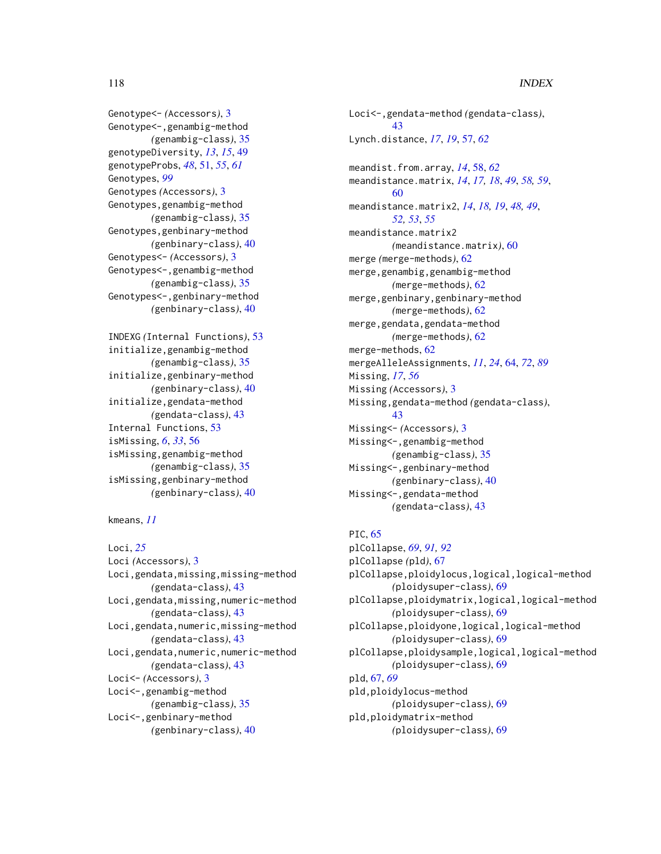# 118 INDEX

Genotype<- *(*Accessors*)*, [3](#page-2-0) Genotype<-,genambig-method *(*genambig-class*)*, [35](#page-34-0) genotypeDiversity, *[13](#page-12-0)*, *[15](#page-14-0)*, [49](#page-48-0) genotypeProbs, *[48](#page-47-0)*, [51,](#page-50-0) *[55](#page-54-0)*, *[61](#page-60-0)* Genotypes, *[99](#page-98-1)* Genotypes *(*Accessors*)*, [3](#page-2-0) Genotypes,genambig-method *(*genambig-class*)*, [35](#page-34-0) Genotypes,genbinary-method *(*genbinary-class*)*, [40](#page-39-0) Genotypes<- *(*Accessors*)*, [3](#page-2-0) Genotypes<-,genambig-method *(*genambig-class*)*, [35](#page-34-0) Genotypes<-,genbinary-method *(*genbinary-class*)*, [40](#page-39-0)

INDEXG *(*Internal Functions*)*, [53](#page-52-0) initialize,genambig-method *(*genambig-class*)*, [35](#page-34-0) initialize,genbinary-method *(*genbinary-class*)*, [40](#page-39-0) initialize,gendata-method *(*gendata-class*)*, [43](#page-42-0) Internal Functions, [53](#page-52-0) isMissing, *[6](#page-5-0)*, *[33](#page-32-0)*, [56](#page-55-0) isMissing,genambig-method *(*genambig-class*)*, [35](#page-34-0) isMissing,genbinary-method *(*genbinary-class*)*, [40](#page-39-0)

kmeans, *[11](#page-10-0)*

Loci, *[25](#page-24-0)* Loci *(*Accessors*)*, [3](#page-2-0) Loci,gendata,missing,missing-method *(*gendata-class*)*, [43](#page-42-0) Loci,gendata,missing,numeric-method *(*gendata-class*)*, [43](#page-42-0) Loci,gendata,numeric,missing-method *(*gendata-class*)*, [43](#page-42-0) Loci,gendata,numeric,numeric-method *(*gendata-class*)*, [43](#page-42-0) Loci<- *(*Accessors*)*, [3](#page-2-0) Loci<-,genambig-method *(*genambig-class*)*, [35](#page-34-0) Loci<-,genbinary-method *(*genbinary-class*)*, [40](#page-39-0)

Loci<-,gendata-method *(*gendata-class*)*, [43](#page-42-0) Lynch.distance, *[17](#page-16-0)*, *[19](#page-18-0)*, [57,](#page-56-0) *[62](#page-61-0)* meandist.from.array, *[14](#page-13-0)*, [58,](#page-57-0) *[62](#page-61-0)* meandistance.matrix, *[14](#page-13-0)*, *[17,](#page-16-0) [18](#page-17-0)*, *[49](#page-48-0)*, *[58,](#page-57-0) [59](#page-58-0)*, [60](#page-59-0) meandistance.matrix2, *[14](#page-13-0)*, *[18,](#page-17-0) [19](#page-18-0)*, *[48,](#page-47-0) [49](#page-48-0)*, *[52,](#page-51-0) [53](#page-52-0)*, *[55](#page-54-0)* meandistance.matrix2 *(*meandistance.matrix*)*, [60](#page-59-0) merge *(*merge-methods*)*, [62](#page-61-0) merge,genambig,genambig-method *(*merge-methods*)*, [62](#page-61-0) merge,genbinary,genbinary-method *(*merge-methods*)*, [62](#page-61-0) merge,gendata,gendata-method *(*merge-methods*)*, [62](#page-61-0) merge-methods, [62](#page-61-0) mergeAlleleAssignments, *[11](#page-10-0)*, *[24](#page-23-0)*, [64,](#page-63-0) *[72](#page-71-0)*, *[89](#page-88-0)* Missing, *[17](#page-16-0)*, *[56](#page-55-0)* Missing *(*Accessors*)*, [3](#page-2-0) Missing,gendata-method *(*gendata-class*)*, [43](#page-42-0) Missing<- *(*Accessors*)*, [3](#page-2-0) Missing<-,genambig-method *(*genambig-class*)*, [35](#page-34-0) Missing<-,genbinary-method *(*genbinary-class*)*, [40](#page-39-0) Missing<-,gendata-method *(*gendata-class*)*, [43](#page-42-0)

# PIC, [65](#page-64-0)

plCollapse, *[69](#page-68-0)*, *[91,](#page-90-0) [92](#page-91-0)* plCollapse *(*pld*)*, [67](#page-66-0) plCollapse,ploidylocus,logical,logical-method *(*ploidysuper-class*)*, [69](#page-68-0) plCollapse,ploidymatrix,logical,logical-method *(*ploidysuper-class*)*, [69](#page-68-0) plCollapse,ploidyone,logical,logical-method *(*ploidysuper-class*)*, [69](#page-68-0) plCollapse,ploidysample,logical,logical-method *(*ploidysuper-class*)*, [69](#page-68-0) pld, [67,](#page-66-0) *[69](#page-68-0)* pld,ploidylocus-method *(*ploidysuper-class*)*, [69](#page-68-0) pld,ploidymatrix-method *(*ploidysuper-class*)*, [69](#page-68-0)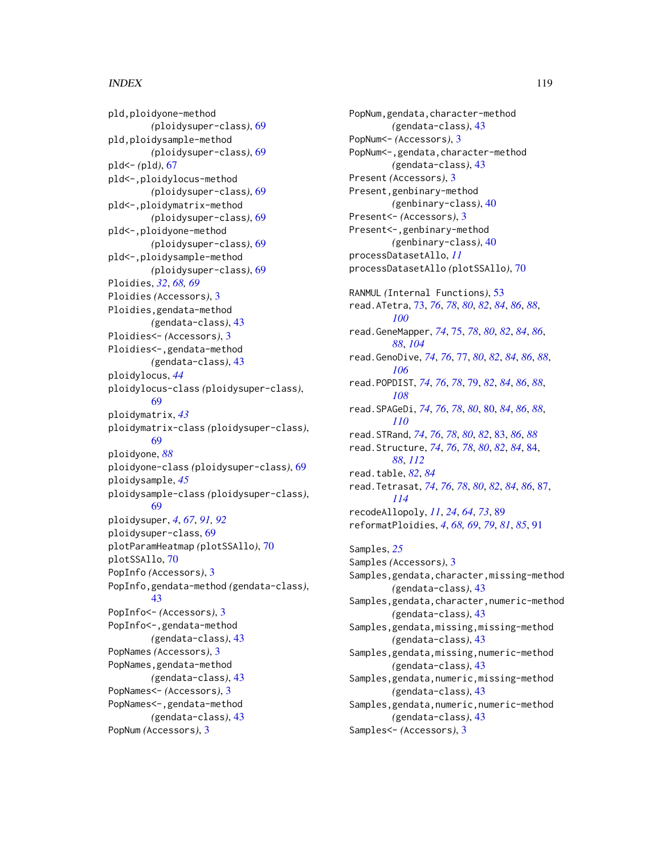# INDEX 119

pld,ploidyone-method *(*ploidysuper-class*)*, [69](#page-68-0) pld,ploidysample-method *(*ploidysuper-class*)*, [69](#page-68-0) pld<- *(*pld*)*, [67](#page-66-0) pld<-,ploidylocus-method *(*ploidysuper-class*)*, [69](#page-68-0) pld<-,ploidymatrix-method *(*ploidysuper-class*)*, [69](#page-68-0) pld<-,ploidyone-method *(*ploidysuper-class*)*, [69](#page-68-0) pld<-,ploidysample-method *(*ploidysuper-class*)*, [69](#page-68-0) Ploidies, *[32](#page-31-0)*, *[68,](#page-67-0) [69](#page-68-0)* Ploidies *(*Accessors*)*, [3](#page-2-0) Ploidies,gendata-method *(*gendata-class*)*, [43](#page-42-0) Ploidies<- *(*Accessors*)*, [3](#page-2-0) Ploidies<-,gendata-method *(*gendata-class*)*, [43](#page-42-0) ploidylocus, *[44](#page-43-0)* ploidylocus-class *(*ploidysuper-class*)*, [69](#page-68-0) ploidymatrix, *[43](#page-42-0)* ploidymatrix-class *(*ploidysuper-class*)*, [69](#page-68-0) ploidyone, *[88](#page-87-0)* ploidyone-class *(*ploidysuper-class*)*, [69](#page-68-0) ploidysample, *[45](#page-44-0)* ploidysample-class *(*ploidysuper-class*)*, [69](#page-68-0) ploidysuper, *[4](#page-3-0)*, *[67](#page-66-0)*, *[91,](#page-90-0) [92](#page-91-0)* ploidysuper-class, [69](#page-68-0) plotParamHeatmap *(*plotSSAllo*)*, [70](#page-69-0) plotSSAllo, [70](#page-69-0) PopInfo *(*Accessors*)*, [3](#page-2-0) PopInfo,gendata-method *(*gendata-class*)*, [43](#page-42-0) PopInfo<- *(*Accessors*)*, [3](#page-2-0) PopInfo<-,gendata-method *(*gendata-class*)*, [43](#page-42-0) PopNames *(*Accessors*)*, [3](#page-2-0) PopNames,gendata-method *(*gendata-class*)*, [43](#page-42-0) PopNames<- *(*Accessors*)*, [3](#page-2-0) PopNames<-,gendata-method *(*gendata-class*)*, [43](#page-42-0) PopNum *(*Accessors*)*, [3](#page-2-0)

PopNum,gendata,character-method *(*gendata-class*)*, [43](#page-42-0) PopNum<- *(*Accessors*)*, [3](#page-2-0) PopNum<-,gendata,character-method *(*gendata-class*)*, [43](#page-42-0) Present *(*Accessors*)*, [3](#page-2-0) Present,genbinary-method *(*genbinary-class*)*, [40](#page-39-0) Present<- *(*Accessors*)*, [3](#page-2-0) Present<-,genbinary-method *(*genbinary-class*)*, [40](#page-39-0) processDatasetAllo, *[11](#page-10-0)* processDatasetAllo *(*plotSSAllo*)*, [70](#page-69-0) RANMUL *(*Internal Functions*)*, [53](#page-52-0) read.ATetra, [73,](#page-72-0) *[76](#page-75-0)*, *[78](#page-77-0)*, *[80](#page-79-1)*, *[82](#page-81-0)*, *[84](#page-83-1)*, *[86](#page-85-0)*, *[88](#page-87-0)*, *[100](#page-99-0)* read.GeneMapper, *[74](#page-73-0)*, [75,](#page-74-0) *[78](#page-77-0)*, *[80](#page-79-1)*, *[82](#page-81-0)*, *[84](#page-83-1)*, *[86](#page-85-0)*, *[88](#page-87-0)*, *[104](#page-103-0)* read.GenoDive, *[74](#page-73-0)*, *[76](#page-75-0)*, [77,](#page-76-0) *[80](#page-79-1)*, *[82](#page-81-0)*, *[84](#page-83-1)*, *[86](#page-85-0)*, *[88](#page-87-0)*, *[106](#page-105-0)* read.POPDIST, *[74](#page-73-0)*, *[76](#page-75-0)*, *[78](#page-77-0)*, [79,](#page-78-0) *[82](#page-81-0)*, *[84](#page-83-1)*, *[86](#page-85-0)*, *[88](#page-87-0)*, *[108](#page-107-1)* read.SPAGeDi, *[74](#page-73-0)*, *[76](#page-75-0)*, *[78](#page-77-0)*, *[80](#page-79-1)*, [80,](#page-79-1) *[84](#page-83-1)*, *[86](#page-85-0)*, *[88](#page-87-0)*, *[110](#page-109-1)* read.STRand, *[74](#page-73-0)*, *[76](#page-75-0)*, *[78](#page-77-0)*, *[80](#page-79-1)*, *[82](#page-81-0)*, [83,](#page-82-0) *[86](#page-85-0)*, *[88](#page-87-0)* read.Structure, *[74](#page-73-0)*, *[76](#page-75-0)*, *[78](#page-77-0)*, *[80](#page-79-1)*, *[82](#page-81-0)*, *[84](#page-83-1)*, [84,](#page-83-1) *[88](#page-87-0)*, *[112](#page-111-0)* read.table, *[82](#page-81-0)*, *[84](#page-83-1)* read.Tetrasat, *[74](#page-73-0)*, *[76](#page-75-0)*, *[78](#page-77-0)*, *[80](#page-79-1)*, *[82](#page-81-0)*, *[84](#page-83-1)*, *[86](#page-85-0)*, [87,](#page-86-1) *[114](#page-113-0)* recodeAllopoly, *[11](#page-10-0)*, *[24](#page-23-0)*, *[64](#page-63-0)*, *[73](#page-72-0)*, [89](#page-88-0) reformatPloidies, *[4](#page-3-0)*, *[68,](#page-67-0) [69](#page-68-0)*, *[79](#page-78-0)*, *[81](#page-80-0)*, *[85](#page-84-0)*, [91](#page-90-0) Samples, *[25](#page-24-0)* Samples *(*Accessors*)*, [3](#page-2-0) Samples, gendata, character, missing-method *(*gendata-class*)*, [43](#page-42-0) Samples,gendata,character,numeric-method *(*gendata-class*)*, [43](#page-42-0) Samples,gendata,missing,missing-method *(*gendata-class*)*, [43](#page-42-0) Samples, gendata, missing, numeric-method *(*gendata-class*)*, [43](#page-42-0) Samples, gendata, numeric, missing-method *(*gendata-class*)*, [43](#page-42-0) Samples, gendata, numeric, numeric-method *(*gendata-class*)*, [43](#page-42-0) Samples<- *(*Accessors*)*, [3](#page-2-0)